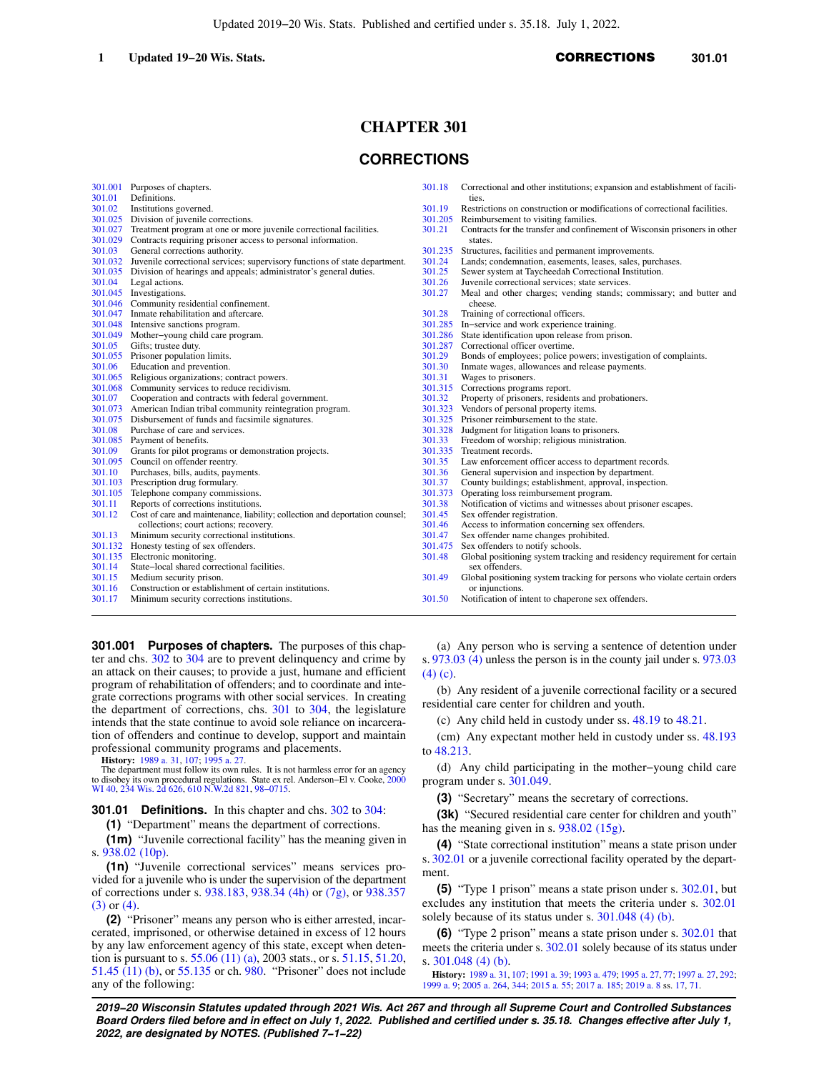# **CHAPTER 301**

# **CORRECTIONS**

| Definitions.<br>301.01<br>ties.<br>Restrictions on construction or modifications of correctional facilities.<br>301.02<br>Institutions governed.<br>301.19<br>Division of juvenile corrections.<br>301.025<br>Reimbursement to visiting families.<br>301.205<br>Treatment program at one or more juvenile correctional facilities.<br>Contracts for the transfer and confinement of Wisconsin prisoners in other<br>301.027<br>301.21<br>Contracts requiring prisoner access to personal information.<br>301.029<br>states.<br>General corrections authority.<br>Structures, facilities and permanent improvements.<br>301.03<br>301.235<br>Juvenile correctional services; supervisory functions of state department.<br>Lands; condemnation, easements, leases, sales, purchases.<br>301.032<br>301.24<br>Division of hearings and appeals; administrator's general duties.<br>301.25<br>Sewer system at Taycheedah Correctional Institution.<br>301.035<br>301.26<br>Juvenile correctional services; state services.<br>301.04<br>Legal actions.<br>Meal and other charges; vending stands; commissary; and butter and<br>301.045<br>Investigations.<br>301.27<br>Community residential confinement.<br>301.046<br>cheese.<br>Inmate rehabilitation and aftercare.<br>301.047<br>301.28<br>Training of correctional officers.<br>301.048<br>Intensive sanctions program.<br>In-service and work experience training.<br>301.285<br>State identification upon release from prison.<br>301.049<br>Mother-young child care program.<br>301.286<br>301.05<br>Gifts; trustee duty.<br>301.287<br>Correctional officer overtime.<br>301.29<br>Bonds of employees; police powers; investigation of complaints.<br>301.055<br>Prisoner population limits.<br>301.06<br>Education and prevention.<br>301.30<br>Inmate wages, allowances and release payments.<br>Religious organizations; contract powers.<br>Wages to prisoners.<br>301.065<br>301.31<br>Community services to reduce recidivism.<br>301.315 Corrections programs report.<br>301.068<br>Property of prisoners, residents and probationers.<br>Cooperation and contracts with federal government.<br>301.07<br>301.32<br>American Indian tribal community reintegration program.<br>301.073<br>301.323<br>Vendors of personal property items.<br>301.075 Disbursement of funds and facsimile signatures.<br>301.325 Prisoner reimbursement to the state.<br>301.08<br>Purchase of care and services.<br>301.328 Judgment for litigation loans to prisoners.<br>301.085<br>Payment of benefits.<br>301.33<br>Freedom of worship; religious ministration.<br>301.09<br>Grants for pilot programs or demonstration projects.<br>301.335 Treatment records.<br>Council on offender reentry.<br>Law enforcement officer access to department records.<br>301.095<br>301.35<br>Purchases, bills, audits, payments.<br>General supervision and inspection by department.<br>301.10<br>301.36<br>301.37<br>County buildings; establishment, approval, inspection.<br>301.103<br>Prescription drug formulary.<br>Telephone company commissions.<br>301.373<br>Operating loss reimbursement program.<br>301.105<br>301.11<br>Reports of corrections institutions.<br>301.38<br>Notification of victims and witnesses about prisoner escapes.<br>301.12<br>Cost of care and maintenance, liability; collection and deportation counsel;<br>301.45<br>Sex offender registration.<br>Access to information concerning sex offenders.<br>collections; court actions; recovery.<br>301.46<br>Sex offender name changes prohibited.<br>301.13<br>Minimum security correctional institutions.<br>301.47<br>Sex offenders to notify schools.<br>Honesty testing of sex offenders.<br>301.132<br>301.475 | Electronic monitoring.<br>Global positioning system tracking and residency requirement for certain<br>301.135<br>301.48<br>301.14<br>State-local shared correctional facilities.<br>sex offenders.<br>Global positioning system tracking for persons who violate certain orders<br>301.15<br>Medium security prison.<br>301.49<br>Construction or establishment of certain institutions.<br>301.16<br>or injunctions. |        | 301.001 Purposes of chapters.              | 301.18 | Correctional and other institutions; expansion and establishment of facili- |
|-------------------------------------------------------------------------------------------------------------------------------------------------------------------------------------------------------------------------------------------------------------------------------------------------------------------------------------------------------------------------------------------------------------------------------------------------------------------------------------------------------------------------------------------------------------------------------------------------------------------------------------------------------------------------------------------------------------------------------------------------------------------------------------------------------------------------------------------------------------------------------------------------------------------------------------------------------------------------------------------------------------------------------------------------------------------------------------------------------------------------------------------------------------------------------------------------------------------------------------------------------------------------------------------------------------------------------------------------------------------------------------------------------------------------------------------------------------------------------------------------------------------------------------------------------------------------------------------------------------------------------------------------------------------------------------------------------------------------------------------------------------------------------------------------------------------------------------------------------------------------------------------------------------------------------------------------------------------------------------------------------------------------------------------------------------------------------------------------------------------------------------------------------------------------------------------------------------------------------------------------------------------------------------------------------------------------------------------------------------------------------------------------------------------------------------------------------------------------------------------------------------------------------------------------------------------------------------------------------------------------------------------------------------------------------------------------------------------------------------------------------------------------------------------------------------------------------------------------------------------------------------------------------------------------------------------------------------------------------------------------------------------------------------------------------------------------------------------------------------------------------------------------------------------------------------------------------------------------------------------------------------------------------------------------------------------------------------------------------------------------------------------------------------------------------------------------------------------------------------------------------------------------------------------------------------------------------------------------------------------------------------------------------------------------------------------------------------------------------------------------|-----------------------------------------------------------------------------------------------------------------------------------------------------------------------------------------------------------------------------------------------------------------------------------------------------------------------------------------------------------------------------------------------------------------------|--------|--------------------------------------------|--------|-----------------------------------------------------------------------------|
|                                                                                                                                                                                                                                                                                                                                                                                                                                                                                                                                                                                                                                                                                                                                                                                                                                                                                                                                                                                                                                                                                                                                                                                                                                                                                                                                                                                                                                                                                                                                                                                                                                                                                                                                                                                                                                                                                                                                                                                                                                                                                                                                                                                                                                                                                                                                                                                                                                                                                                                                                                                                                                                                                                                                                                                                                                                                                                                                                                                                                                                                                                                                                                                                                                                                                                                                                                                                                                                                                                                                                                                                                                                                                                                                                 |                                                                                                                                                                                                                                                                                                                                                                                                                       |        |                                            |        |                                                                             |
|                                                                                                                                                                                                                                                                                                                                                                                                                                                                                                                                                                                                                                                                                                                                                                                                                                                                                                                                                                                                                                                                                                                                                                                                                                                                                                                                                                                                                                                                                                                                                                                                                                                                                                                                                                                                                                                                                                                                                                                                                                                                                                                                                                                                                                                                                                                                                                                                                                                                                                                                                                                                                                                                                                                                                                                                                                                                                                                                                                                                                                                                                                                                                                                                                                                                                                                                                                                                                                                                                                                                                                                                                                                                                                                                                 |                                                                                                                                                                                                                                                                                                                                                                                                                       |        |                                            |        |                                                                             |
|                                                                                                                                                                                                                                                                                                                                                                                                                                                                                                                                                                                                                                                                                                                                                                                                                                                                                                                                                                                                                                                                                                                                                                                                                                                                                                                                                                                                                                                                                                                                                                                                                                                                                                                                                                                                                                                                                                                                                                                                                                                                                                                                                                                                                                                                                                                                                                                                                                                                                                                                                                                                                                                                                                                                                                                                                                                                                                                                                                                                                                                                                                                                                                                                                                                                                                                                                                                                                                                                                                                                                                                                                                                                                                                                                 |                                                                                                                                                                                                                                                                                                                                                                                                                       |        |                                            |        |                                                                             |
|                                                                                                                                                                                                                                                                                                                                                                                                                                                                                                                                                                                                                                                                                                                                                                                                                                                                                                                                                                                                                                                                                                                                                                                                                                                                                                                                                                                                                                                                                                                                                                                                                                                                                                                                                                                                                                                                                                                                                                                                                                                                                                                                                                                                                                                                                                                                                                                                                                                                                                                                                                                                                                                                                                                                                                                                                                                                                                                                                                                                                                                                                                                                                                                                                                                                                                                                                                                                                                                                                                                                                                                                                                                                                                                                                 |                                                                                                                                                                                                                                                                                                                                                                                                                       |        |                                            |        |                                                                             |
|                                                                                                                                                                                                                                                                                                                                                                                                                                                                                                                                                                                                                                                                                                                                                                                                                                                                                                                                                                                                                                                                                                                                                                                                                                                                                                                                                                                                                                                                                                                                                                                                                                                                                                                                                                                                                                                                                                                                                                                                                                                                                                                                                                                                                                                                                                                                                                                                                                                                                                                                                                                                                                                                                                                                                                                                                                                                                                                                                                                                                                                                                                                                                                                                                                                                                                                                                                                                                                                                                                                                                                                                                                                                                                                                                 |                                                                                                                                                                                                                                                                                                                                                                                                                       |        |                                            |        |                                                                             |
|                                                                                                                                                                                                                                                                                                                                                                                                                                                                                                                                                                                                                                                                                                                                                                                                                                                                                                                                                                                                                                                                                                                                                                                                                                                                                                                                                                                                                                                                                                                                                                                                                                                                                                                                                                                                                                                                                                                                                                                                                                                                                                                                                                                                                                                                                                                                                                                                                                                                                                                                                                                                                                                                                                                                                                                                                                                                                                                                                                                                                                                                                                                                                                                                                                                                                                                                                                                                                                                                                                                                                                                                                                                                                                                                                 |                                                                                                                                                                                                                                                                                                                                                                                                                       |        |                                            |        |                                                                             |
|                                                                                                                                                                                                                                                                                                                                                                                                                                                                                                                                                                                                                                                                                                                                                                                                                                                                                                                                                                                                                                                                                                                                                                                                                                                                                                                                                                                                                                                                                                                                                                                                                                                                                                                                                                                                                                                                                                                                                                                                                                                                                                                                                                                                                                                                                                                                                                                                                                                                                                                                                                                                                                                                                                                                                                                                                                                                                                                                                                                                                                                                                                                                                                                                                                                                                                                                                                                                                                                                                                                                                                                                                                                                                                                                                 |                                                                                                                                                                                                                                                                                                                                                                                                                       |        |                                            |        |                                                                             |
|                                                                                                                                                                                                                                                                                                                                                                                                                                                                                                                                                                                                                                                                                                                                                                                                                                                                                                                                                                                                                                                                                                                                                                                                                                                                                                                                                                                                                                                                                                                                                                                                                                                                                                                                                                                                                                                                                                                                                                                                                                                                                                                                                                                                                                                                                                                                                                                                                                                                                                                                                                                                                                                                                                                                                                                                                                                                                                                                                                                                                                                                                                                                                                                                                                                                                                                                                                                                                                                                                                                                                                                                                                                                                                                                                 |                                                                                                                                                                                                                                                                                                                                                                                                                       |        |                                            |        |                                                                             |
|                                                                                                                                                                                                                                                                                                                                                                                                                                                                                                                                                                                                                                                                                                                                                                                                                                                                                                                                                                                                                                                                                                                                                                                                                                                                                                                                                                                                                                                                                                                                                                                                                                                                                                                                                                                                                                                                                                                                                                                                                                                                                                                                                                                                                                                                                                                                                                                                                                                                                                                                                                                                                                                                                                                                                                                                                                                                                                                                                                                                                                                                                                                                                                                                                                                                                                                                                                                                                                                                                                                                                                                                                                                                                                                                                 |                                                                                                                                                                                                                                                                                                                                                                                                                       |        |                                            |        |                                                                             |
|                                                                                                                                                                                                                                                                                                                                                                                                                                                                                                                                                                                                                                                                                                                                                                                                                                                                                                                                                                                                                                                                                                                                                                                                                                                                                                                                                                                                                                                                                                                                                                                                                                                                                                                                                                                                                                                                                                                                                                                                                                                                                                                                                                                                                                                                                                                                                                                                                                                                                                                                                                                                                                                                                                                                                                                                                                                                                                                                                                                                                                                                                                                                                                                                                                                                                                                                                                                                                                                                                                                                                                                                                                                                                                                                                 |                                                                                                                                                                                                                                                                                                                                                                                                                       |        |                                            |        |                                                                             |
|                                                                                                                                                                                                                                                                                                                                                                                                                                                                                                                                                                                                                                                                                                                                                                                                                                                                                                                                                                                                                                                                                                                                                                                                                                                                                                                                                                                                                                                                                                                                                                                                                                                                                                                                                                                                                                                                                                                                                                                                                                                                                                                                                                                                                                                                                                                                                                                                                                                                                                                                                                                                                                                                                                                                                                                                                                                                                                                                                                                                                                                                                                                                                                                                                                                                                                                                                                                                                                                                                                                                                                                                                                                                                                                                                 |                                                                                                                                                                                                                                                                                                                                                                                                                       |        |                                            |        |                                                                             |
|                                                                                                                                                                                                                                                                                                                                                                                                                                                                                                                                                                                                                                                                                                                                                                                                                                                                                                                                                                                                                                                                                                                                                                                                                                                                                                                                                                                                                                                                                                                                                                                                                                                                                                                                                                                                                                                                                                                                                                                                                                                                                                                                                                                                                                                                                                                                                                                                                                                                                                                                                                                                                                                                                                                                                                                                                                                                                                                                                                                                                                                                                                                                                                                                                                                                                                                                                                                                                                                                                                                                                                                                                                                                                                                                                 |                                                                                                                                                                                                                                                                                                                                                                                                                       |        |                                            |        |                                                                             |
|                                                                                                                                                                                                                                                                                                                                                                                                                                                                                                                                                                                                                                                                                                                                                                                                                                                                                                                                                                                                                                                                                                                                                                                                                                                                                                                                                                                                                                                                                                                                                                                                                                                                                                                                                                                                                                                                                                                                                                                                                                                                                                                                                                                                                                                                                                                                                                                                                                                                                                                                                                                                                                                                                                                                                                                                                                                                                                                                                                                                                                                                                                                                                                                                                                                                                                                                                                                                                                                                                                                                                                                                                                                                                                                                                 |                                                                                                                                                                                                                                                                                                                                                                                                                       |        |                                            |        |                                                                             |
|                                                                                                                                                                                                                                                                                                                                                                                                                                                                                                                                                                                                                                                                                                                                                                                                                                                                                                                                                                                                                                                                                                                                                                                                                                                                                                                                                                                                                                                                                                                                                                                                                                                                                                                                                                                                                                                                                                                                                                                                                                                                                                                                                                                                                                                                                                                                                                                                                                                                                                                                                                                                                                                                                                                                                                                                                                                                                                                                                                                                                                                                                                                                                                                                                                                                                                                                                                                                                                                                                                                                                                                                                                                                                                                                                 |                                                                                                                                                                                                                                                                                                                                                                                                                       |        |                                            |        |                                                                             |
|                                                                                                                                                                                                                                                                                                                                                                                                                                                                                                                                                                                                                                                                                                                                                                                                                                                                                                                                                                                                                                                                                                                                                                                                                                                                                                                                                                                                                                                                                                                                                                                                                                                                                                                                                                                                                                                                                                                                                                                                                                                                                                                                                                                                                                                                                                                                                                                                                                                                                                                                                                                                                                                                                                                                                                                                                                                                                                                                                                                                                                                                                                                                                                                                                                                                                                                                                                                                                                                                                                                                                                                                                                                                                                                                                 |                                                                                                                                                                                                                                                                                                                                                                                                                       |        |                                            |        |                                                                             |
|                                                                                                                                                                                                                                                                                                                                                                                                                                                                                                                                                                                                                                                                                                                                                                                                                                                                                                                                                                                                                                                                                                                                                                                                                                                                                                                                                                                                                                                                                                                                                                                                                                                                                                                                                                                                                                                                                                                                                                                                                                                                                                                                                                                                                                                                                                                                                                                                                                                                                                                                                                                                                                                                                                                                                                                                                                                                                                                                                                                                                                                                                                                                                                                                                                                                                                                                                                                                                                                                                                                                                                                                                                                                                                                                                 |                                                                                                                                                                                                                                                                                                                                                                                                                       |        |                                            |        |                                                                             |
|                                                                                                                                                                                                                                                                                                                                                                                                                                                                                                                                                                                                                                                                                                                                                                                                                                                                                                                                                                                                                                                                                                                                                                                                                                                                                                                                                                                                                                                                                                                                                                                                                                                                                                                                                                                                                                                                                                                                                                                                                                                                                                                                                                                                                                                                                                                                                                                                                                                                                                                                                                                                                                                                                                                                                                                                                                                                                                                                                                                                                                                                                                                                                                                                                                                                                                                                                                                                                                                                                                                                                                                                                                                                                                                                                 |                                                                                                                                                                                                                                                                                                                                                                                                                       |        |                                            |        |                                                                             |
|                                                                                                                                                                                                                                                                                                                                                                                                                                                                                                                                                                                                                                                                                                                                                                                                                                                                                                                                                                                                                                                                                                                                                                                                                                                                                                                                                                                                                                                                                                                                                                                                                                                                                                                                                                                                                                                                                                                                                                                                                                                                                                                                                                                                                                                                                                                                                                                                                                                                                                                                                                                                                                                                                                                                                                                                                                                                                                                                                                                                                                                                                                                                                                                                                                                                                                                                                                                                                                                                                                                                                                                                                                                                                                                                                 |                                                                                                                                                                                                                                                                                                                                                                                                                       |        |                                            |        |                                                                             |
|                                                                                                                                                                                                                                                                                                                                                                                                                                                                                                                                                                                                                                                                                                                                                                                                                                                                                                                                                                                                                                                                                                                                                                                                                                                                                                                                                                                                                                                                                                                                                                                                                                                                                                                                                                                                                                                                                                                                                                                                                                                                                                                                                                                                                                                                                                                                                                                                                                                                                                                                                                                                                                                                                                                                                                                                                                                                                                                                                                                                                                                                                                                                                                                                                                                                                                                                                                                                                                                                                                                                                                                                                                                                                                                                                 |                                                                                                                                                                                                                                                                                                                                                                                                                       |        |                                            |        |                                                                             |
|                                                                                                                                                                                                                                                                                                                                                                                                                                                                                                                                                                                                                                                                                                                                                                                                                                                                                                                                                                                                                                                                                                                                                                                                                                                                                                                                                                                                                                                                                                                                                                                                                                                                                                                                                                                                                                                                                                                                                                                                                                                                                                                                                                                                                                                                                                                                                                                                                                                                                                                                                                                                                                                                                                                                                                                                                                                                                                                                                                                                                                                                                                                                                                                                                                                                                                                                                                                                                                                                                                                                                                                                                                                                                                                                                 |                                                                                                                                                                                                                                                                                                                                                                                                                       |        |                                            |        |                                                                             |
|                                                                                                                                                                                                                                                                                                                                                                                                                                                                                                                                                                                                                                                                                                                                                                                                                                                                                                                                                                                                                                                                                                                                                                                                                                                                                                                                                                                                                                                                                                                                                                                                                                                                                                                                                                                                                                                                                                                                                                                                                                                                                                                                                                                                                                                                                                                                                                                                                                                                                                                                                                                                                                                                                                                                                                                                                                                                                                                                                                                                                                                                                                                                                                                                                                                                                                                                                                                                                                                                                                                                                                                                                                                                                                                                                 |                                                                                                                                                                                                                                                                                                                                                                                                                       |        |                                            |        |                                                                             |
|                                                                                                                                                                                                                                                                                                                                                                                                                                                                                                                                                                                                                                                                                                                                                                                                                                                                                                                                                                                                                                                                                                                                                                                                                                                                                                                                                                                                                                                                                                                                                                                                                                                                                                                                                                                                                                                                                                                                                                                                                                                                                                                                                                                                                                                                                                                                                                                                                                                                                                                                                                                                                                                                                                                                                                                                                                                                                                                                                                                                                                                                                                                                                                                                                                                                                                                                                                                                                                                                                                                                                                                                                                                                                                                                                 |                                                                                                                                                                                                                                                                                                                                                                                                                       |        |                                            |        |                                                                             |
|                                                                                                                                                                                                                                                                                                                                                                                                                                                                                                                                                                                                                                                                                                                                                                                                                                                                                                                                                                                                                                                                                                                                                                                                                                                                                                                                                                                                                                                                                                                                                                                                                                                                                                                                                                                                                                                                                                                                                                                                                                                                                                                                                                                                                                                                                                                                                                                                                                                                                                                                                                                                                                                                                                                                                                                                                                                                                                                                                                                                                                                                                                                                                                                                                                                                                                                                                                                                                                                                                                                                                                                                                                                                                                                                                 |                                                                                                                                                                                                                                                                                                                                                                                                                       |        |                                            |        |                                                                             |
|                                                                                                                                                                                                                                                                                                                                                                                                                                                                                                                                                                                                                                                                                                                                                                                                                                                                                                                                                                                                                                                                                                                                                                                                                                                                                                                                                                                                                                                                                                                                                                                                                                                                                                                                                                                                                                                                                                                                                                                                                                                                                                                                                                                                                                                                                                                                                                                                                                                                                                                                                                                                                                                                                                                                                                                                                                                                                                                                                                                                                                                                                                                                                                                                                                                                                                                                                                                                                                                                                                                                                                                                                                                                                                                                                 |                                                                                                                                                                                                                                                                                                                                                                                                                       |        |                                            |        |                                                                             |
|                                                                                                                                                                                                                                                                                                                                                                                                                                                                                                                                                                                                                                                                                                                                                                                                                                                                                                                                                                                                                                                                                                                                                                                                                                                                                                                                                                                                                                                                                                                                                                                                                                                                                                                                                                                                                                                                                                                                                                                                                                                                                                                                                                                                                                                                                                                                                                                                                                                                                                                                                                                                                                                                                                                                                                                                                                                                                                                                                                                                                                                                                                                                                                                                                                                                                                                                                                                                                                                                                                                                                                                                                                                                                                                                                 |                                                                                                                                                                                                                                                                                                                                                                                                                       |        |                                            |        |                                                                             |
|                                                                                                                                                                                                                                                                                                                                                                                                                                                                                                                                                                                                                                                                                                                                                                                                                                                                                                                                                                                                                                                                                                                                                                                                                                                                                                                                                                                                                                                                                                                                                                                                                                                                                                                                                                                                                                                                                                                                                                                                                                                                                                                                                                                                                                                                                                                                                                                                                                                                                                                                                                                                                                                                                                                                                                                                                                                                                                                                                                                                                                                                                                                                                                                                                                                                                                                                                                                                                                                                                                                                                                                                                                                                                                                                                 |                                                                                                                                                                                                                                                                                                                                                                                                                       |        |                                            |        |                                                                             |
|                                                                                                                                                                                                                                                                                                                                                                                                                                                                                                                                                                                                                                                                                                                                                                                                                                                                                                                                                                                                                                                                                                                                                                                                                                                                                                                                                                                                                                                                                                                                                                                                                                                                                                                                                                                                                                                                                                                                                                                                                                                                                                                                                                                                                                                                                                                                                                                                                                                                                                                                                                                                                                                                                                                                                                                                                                                                                                                                                                                                                                                                                                                                                                                                                                                                                                                                                                                                                                                                                                                                                                                                                                                                                                                                                 |                                                                                                                                                                                                                                                                                                                                                                                                                       |        |                                            |        |                                                                             |
|                                                                                                                                                                                                                                                                                                                                                                                                                                                                                                                                                                                                                                                                                                                                                                                                                                                                                                                                                                                                                                                                                                                                                                                                                                                                                                                                                                                                                                                                                                                                                                                                                                                                                                                                                                                                                                                                                                                                                                                                                                                                                                                                                                                                                                                                                                                                                                                                                                                                                                                                                                                                                                                                                                                                                                                                                                                                                                                                                                                                                                                                                                                                                                                                                                                                                                                                                                                                                                                                                                                                                                                                                                                                                                                                                 |                                                                                                                                                                                                                                                                                                                                                                                                                       |        |                                            |        |                                                                             |
|                                                                                                                                                                                                                                                                                                                                                                                                                                                                                                                                                                                                                                                                                                                                                                                                                                                                                                                                                                                                                                                                                                                                                                                                                                                                                                                                                                                                                                                                                                                                                                                                                                                                                                                                                                                                                                                                                                                                                                                                                                                                                                                                                                                                                                                                                                                                                                                                                                                                                                                                                                                                                                                                                                                                                                                                                                                                                                                                                                                                                                                                                                                                                                                                                                                                                                                                                                                                                                                                                                                                                                                                                                                                                                                                                 |                                                                                                                                                                                                                                                                                                                                                                                                                       |        |                                            |        |                                                                             |
|                                                                                                                                                                                                                                                                                                                                                                                                                                                                                                                                                                                                                                                                                                                                                                                                                                                                                                                                                                                                                                                                                                                                                                                                                                                                                                                                                                                                                                                                                                                                                                                                                                                                                                                                                                                                                                                                                                                                                                                                                                                                                                                                                                                                                                                                                                                                                                                                                                                                                                                                                                                                                                                                                                                                                                                                                                                                                                                                                                                                                                                                                                                                                                                                                                                                                                                                                                                                                                                                                                                                                                                                                                                                                                                                                 |                                                                                                                                                                                                                                                                                                                                                                                                                       |        |                                            |        |                                                                             |
|                                                                                                                                                                                                                                                                                                                                                                                                                                                                                                                                                                                                                                                                                                                                                                                                                                                                                                                                                                                                                                                                                                                                                                                                                                                                                                                                                                                                                                                                                                                                                                                                                                                                                                                                                                                                                                                                                                                                                                                                                                                                                                                                                                                                                                                                                                                                                                                                                                                                                                                                                                                                                                                                                                                                                                                                                                                                                                                                                                                                                                                                                                                                                                                                                                                                                                                                                                                                                                                                                                                                                                                                                                                                                                                                                 |                                                                                                                                                                                                                                                                                                                                                                                                                       |        |                                            |        |                                                                             |
|                                                                                                                                                                                                                                                                                                                                                                                                                                                                                                                                                                                                                                                                                                                                                                                                                                                                                                                                                                                                                                                                                                                                                                                                                                                                                                                                                                                                                                                                                                                                                                                                                                                                                                                                                                                                                                                                                                                                                                                                                                                                                                                                                                                                                                                                                                                                                                                                                                                                                                                                                                                                                                                                                                                                                                                                                                                                                                                                                                                                                                                                                                                                                                                                                                                                                                                                                                                                                                                                                                                                                                                                                                                                                                                                                 |                                                                                                                                                                                                                                                                                                                                                                                                                       |        |                                            |        |                                                                             |
|                                                                                                                                                                                                                                                                                                                                                                                                                                                                                                                                                                                                                                                                                                                                                                                                                                                                                                                                                                                                                                                                                                                                                                                                                                                                                                                                                                                                                                                                                                                                                                                                                                                                                                                                                                                                                                                                                                                                                                                                                                                                                                                                                                                                                                                                                                                                                                                                                                                                                                                                                                                                                                                                                                                                                                                                                                                                                                                                                                                                                                                                                                                                                                                                                                                                                                                                                                                                                                                                                                                                                                                                                                                                                                                                                 |                                                                                                                                                                                                                                                                                                                                                                                                                       |        |                                            |        |                                                                             |
|                                                                                                                                                                                                                                                                                                                                                                                                                                                                                                                                                                                                                                                                                                                                                                                                                                                                                                                                                                                                                                                                                                                                                                                                                                                                                                                                                                                                                                                                                                                                                                                                                                                                                                                                                                                                                                                                                                                                                                                                                                                                                                                                                                                                                                                                                                                                                                                                                                                                                                                                                                                                                                                                                                                                                                                                                                                                                                                                                                                                                                                                                                                                                                                                                                                                                                                                                                                                                                                                                                                                                                                                                                                                                                                                                 |                                                                                                                                                                                                                                                                                                                                                                                                                       |        |                                            |        |                                                                             |
|                                                                                                                                                                                                                                                                                                                                                                                                                                                                                                                                                                                                                                                                                                                                                                                                                                                                                                                                                                                                                                                                                                                                                                                                                                                                                                                                                                                                                                                                                                                                                                                                                                                                                                                                                                                                                                                                                                                                                                                                                                                                                                                                                                                                                                                                                                                                                                                                                                                                                                                                                                                                                                                                                                                                                                                                                                                                                                                                                                                                                                                                                                                                                                                                                                                                                                                                                                                                                                                                                                                                                                                                                                                                                                                                                 |                                                                                                                                                                                                                                                                                                                                                                                                                       |        |                                            |        |                                                                             |
|                                                                                                                                                                                                                                                                                                                                                                                                                                                                                                                                                                                                                                                                                                                                                                                                                                                                                                                                                                                                                                                                                                                                                                                                                                                                                                                                                                                                                                                                                                                                                                                                                                                                                                                                                                                                                                                                                                                                                                                                                                                                                                                                                                                                                                                                                                                                                                                                                                                                                                                                                                                                                                                                                                                                                                                                                                                                                                                                                                                                                                                                                                                                                                                                                                                                                                                                                                                                                                                                                                                                                                                                                                                                                                                                                 |                                                                                                                                                                                                                                                                                                                                                                                                                       |        |                                            |        |                                                                             |
|                                                                                                                                                                                                                                                                                                                                                                                                                                                                                                                                                                                                                                                                                                                                                                                                                                                                                                                                                                                                                                                                                                                                                                                                                                                                                                                                                                                                                                                                                                                                                                                                                                                                                                                                                                                                                                                                                                                                                                                                                                                                                                                                                                                                                                                                                                                                                                                                                                                                                                                                                                                                                                                                                                                                                                                                                                                                                                                                                                                                                                                                                                                                                                                                                                                                                                                                                                                                                                                                                                                                                                                                                                                                                                                                                 |                                                                                                                                                                                                                                                                                                                                                                                                                       |        |                                            |        |                                                                             |
|                                                                                                                                                                                                                                                                                                                                                                                                                                                                                                                                                                                                                                                                                                                                                                                                                                                                                                                                                                                                                                                                                                                                                                                                                                                                                                                                                                                                                                                                                                                                                                                                                                                                                                                                                                                                                                                                                                                                                                                                                                                                                                                                                                                                                                                                                                                                                                                                                                                                                                                                                                                                                                                                                                                                                                                                                                                                                                                                                                                                                                                                                                                                                                                                                                                                                                                                                                                                                                                                                                                                                                                                                                                                                                                                                 |                                                                                                                                                                                                                                                                                                                                                                                                                       |        |                                            |        |                                                                             |
|                                                                                                                                                                                                                                                                                                                                                                                                                                                                                                                                                                                                                                                                                                                                                                                                                                                                                                                                                                                                                                                                                                                                                                                                                                                                                                                                                                                                                                                                                                                                                                                                                                                                                                                                                                                                                                                                                                                                                                                                                                                                                                                                                                                                                                                                                                                                                                                                                                                                                                                                                                                                                                                                                                                                                                                                                                                                                                                                                                                                                                                                                                                                                                                                                                                                                                                                                                                                                                                                                                                                                                                                                                                                                                                                                 |                                                                                                                                                                                                                                                                                                                                                                                                                       | 301.17 | Minimum security corrections institutions. | 301.50 | Notification of intent to chaperone sex offenders.                          |
|                                                                                                                                                                                                                                                                                                                                                                                                                                                                                                                                                                                                                                                                                                                                                                                                                                                                                                                                                                                                                                                                                                                                                                                                                                                                                                                                                                                                                                                                                                                                                                                                                                                                                                                                                                                                                                                                                                                                                                                                                                                                                                                                                                                                                                                                                                                                                                                                                                                                                                                                                                                                                                                                                                                                                                                                                                                                                                                                                                                                                                                                                                                                                                                                                                                                                                                                                                                                                                                                                                                                                                                                                                                                                                                                                 |                                                                                                                                                                                                                                                                                                                                                                                                                       |        |                                            |        |                                                                             |

**301.001 Purposes of chapters.** The purposes of this chapter and chs. [302](https://docs.legis.wisconsin.gov/document/statutes/ch.%20302) to [304](https://docs.legis.wisconsin.gov/document/statutes/ch.%20304) are to prevent delinquency and crime by an attack on their causes; to provide a just, humane and efficient program of rehabilitation of offenders; and to coordinate and integrate corrections programs with other social services. In creating the department of corrections, chs. [301](https://docs.legis.wisconsin.gov/document/statutes/ch.%20301) to [304](https://docs.legis.wisconsin.gov/document/statutes/ch.%20304), the legislature intends that the state continue to avoid sole reliance on incarceration of offenders and continue to develop, support and maintain professional community programs and placements.

**History:** [1989 a. 31,](https://docs.legis.wisconsin.gov/document/acts/1989/31) [107;](https://docs.legis.wisconsin.gov/document/acts/1989/107) [1995 a. 27](https://docs.legis.wisconsin.gov/document/acts/1995/27).

The department must follow its own rules. It is not harmless error for an agency to disobey its own procedural regulations. State ex rel. Anderson−El v. Cooke, [2000](https://docs.legis.wisconsin.gov/document/courts/2000%20WI%2040) [WI 40](https://docs.legis.wisconsin.gov/document/courts/2000%20WI%2040), [234 Wis. 2d 626](https://docs.legis.wisconsin.gov/document/courts/234%20Wis.%202d%20626), [610 N.W.2d 821,](https://docs.legis.wisconsin.gov/document/courts/610%20N.W.2d%20821) [98−0715.](https://docs.legis.wisconsin.gov/document/wisupremecourt/98-0715)

**301.01 Definitions.** In this chapter and chs. [302](https://docs.legis.wisconsin.gov/document/statutes/ch.%20302) to [304:](https://docs.legis.wisconsin.gov/document/statutes/ch.%20304)

**(1)** "Department" means the department of corrections.

**(1m)** "Juvenile correctional facility" has the meaning given in s. [938.02 \(10p\).](https://docs.legis.wisconsin.gov/document/statutes/938.02(10p))

**(1n)** "Juvenile correctional services" means services provided for a juvenile who is under the supervision of the department of corrections under s. [938.183](https://docs.legis.wisconsin.gov/document/statutes/938.183), [938.34 \(4h\)](https://docs.legis.wisconsin.gov/document/statutes/938.34(4h)) or [\(7g\),](https://docs.legis.wisconsin.gov/document/statutes/938.34(7g)) or [938.357](https://docs.legis.wisconsin.gov/document/statutes/938.357(3)) [\(3\)](https://docs.legis.wisconsin.gov/document/statutes/938.357(3)) or [\(4\).](https://docs.legis.wisconsin.gov/document/statutes/938.357(4))

**(2)** "Prisoner" means any person who is either arrested, incarcerated, imprisoned, or otherwise detained in excess of 12 hours by any law enforcement agency of this state, except when detention is pursuant to s. [55.06 \(11\) \(a\),](https://docs.legis.wisconsin.gov/document/statutes/2003/55.06(11)(a)) 2003 stats., or s. [51.15](https://docs.legis.wisconsin.gov/document/statutes/51.15), [51.20,](https://docs.legis.wisconsin.gov/document/statutes/51.20) [51.45 \(11\) \(b\),](https://docs.legis.wisconsin.gov/document/statutes/51.45(11)(b)) or [55.135](https://docs.legis.wisconsin.gov/document/statutes/55.135) or ch. [980](https://docs.legis.wisconsin.gov/document/statutes/ch.%20980). "Prisoner" does not include any of the following:

(a) Any person who is serving a sentence of detention under s. [973.03 \(4\)](https://docs.legis.wisconsin.gov/document/statutes/973.03(4)) unless the person is in the county jail under s. [973.03](https://docs.legis.wisconsin.gov/document/statutes/973.03(4)(c)) [\(4\) \(c\).](https://docs.legis.wisconsin.gov/document/statutes/973.03(4)(c))

(b) Any resident of a juvenile correctional facility or a secured residential care center for children and youth.

(c) Any child held in custody under ss. [48.19](https://docs.legis.wisconsin.gov/document/statutes/48.19) to [48.21](https://docs.legis.wisconsin.gov/document/statutes/48.21).

(cm) Any expectant mother held in custody under ss. [48.193](https://docs.legis.wisconsin.gov/document/statutes/48.193) to [48.213](https://docs.legis.wisconsin.gov/document/statutes/48.213).

(d) Any child participating in the mother−young child care program under s. [301.049](https://docs.legis.wisconsin.gov/document/statutes/301.049).

**(3)** "Secretary" means the secretary of corrections.

**(3k)** "Secured residential care center for children and youth" has the meaning given in s. [938.02 \(15g\).](https://docs.legis.wisconsin.gov/document/statutes/938.02(15g))

**(4)** "State correctional institution" means a state prison under s. [302.01](https://docs.legis.wisconsin.gov/document/statutes/302.01) or a juvenile correctional facility operated by the department.

**(5)** "Type 1 prison" means a state prison under s. [302.01](https://docs.legis.wisconsin.gov/document/statutes/302.01), but excludes any institution that meets the criteria under s. [302.01](https://docs.legis.wisconsin.gov/document/statutes/302.01) solely because of its status under s. [301.048 \(4\) \(b\)](https://docs.legis.wisconsin.gov/document/statutes/301.048(4)(b)).

**(6)** "Type 2 prison" means a state prison under s. [302.01](https://docs.legis.wisconsin.gov/document/statutes/302.01) that meets the criteria under s. [302.01](https://docs.legis.wisconsin.gov/document/statutes/302.01) solely because of its status under s. [301.048 \(4\) \(b\)](https://docs.legis.wisconsin.gov/document/statutes/301.048(4)(b)).

**History:** [1989 a. 31](https://docs.legis.wisconsin.gov/document/acts/1989/31), [107;](https://docs.legis.wisconsin.gov/document/acts/1989/107) [1991 a. 39](https://docs.legis.wisconsin.gov/document/acts/1991/39); [1993 a. 479](https://docs.legis.wisconsin.gov/document/acts/1993/479); [1995 a. 27,](https://docs.legis.wisconsin.gov/document/acts/1995/27) [77](https://docs.legis.wisconsin.gov/document/acts/1995/77); [1997 a. 27,](https://docs.legis.wisconsin.gov/document/acts/1997/27) [292](https://docs.legis.wisconsin.gov/document/acts/1997/292); [1999 a. 9;](https://docs.legis.wisconsin.gov/document/acts/1999/9) [2005 a. 264,](https://docs.legis.wisconsin.gov/document/acts/2005/264) [344;](https://docs.legis.wisconsin.gov/document/acts/2005/344) [2015 a. 55;](https://docs.legis.wisconsin.gov/document/acts/2015/55) [2017 a. 185;](https://docs.legis.wisconsin.gov/document/acts/2017/185) [2019 a. 8](https://docs.legis.wisconsin.gov/document/acts/2019/8) ss. [17,](https://docs.legis.wisconsin.gov/document/acts/2019/8,%20s.%2017) [71](https://docs.legis.wisconsin.gov/document/acts/2019/8,%20s.%2071).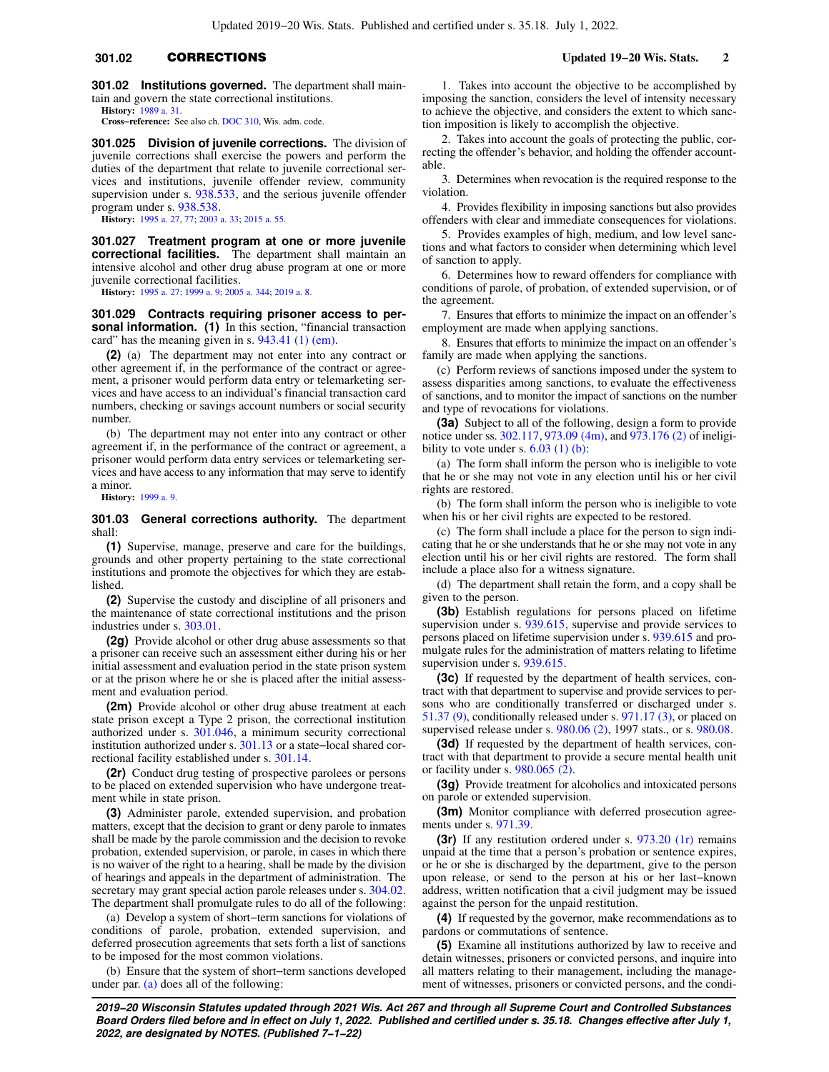# **301.02** CORRECTIONS **Updated 19−20 Wis. Stats. 2**

**301.02 Institutions governed.** The department shall maintain and govern the state correctional institutions.

**History:** [1989 a. 31.](https://docs.legis.wisconsin.gov/document/acts/1989/31) **Cross−reference:** See also ch. [DOC 310](https://docs.legis.wisconsin.gov/document/administrativecode/ch.%20DOC%20310), Wis. adm. code.

**301.025 Division of juvenile corrections.** The division of juvenile corrections shall exercise the powers and perform the duties of the department that relate to juvenile correctional services and institutions, juvenile offender review, community supervision under s. [938.533](https://docs.legis.wisconsin.gov/document/statutes/938.533), and the serious juvenile offender program under s. [938.538](https://docs.legis.wisconsin.gov/document/statutes/938.538).

**History:** [1995 a. 27,](https://docs.legis.wisconsin.gov/document/acts/1995/27) [77](https://docs.legis.wisconsin.gov/document/acts/1995/77); [2003 a. 33;](https://docs.legis.wisconsin.gov/document/acts/2003/33) [2015 a. 55.](https://docs.legis.wisconsin.gov/document/acts/2015/55)

**301.027 Treatment program at one or more juvenile correctional facilities.** The department shall maintain an intensive alcohol and other drug abuse program at one or more juvenile correctional facilities.

**History:** [1995 a. 27;](https://docs.legis.wisconsin.gov/document/acts/1995/27) [1999 a. 9](https://docs.legis.wisconsin.gov/document/acts/1999/9); [2005 a. 344](https://docs.legis.wisconsin.gov/document/acts/2005/344); [2019 a. 8.](https://docs.legis.wisconsin.gov/document/acts/2019/8)

**301.029 Contracts requiring prisoner access to personal information.** (1) In this section, "financial transaction card" has the meaning given in s. [943.41 \(1\) \(em\).](https://docs.legis.wisconsin.gov/document/statutes/943.41(1)(em))

**(2)** (a) The department may not enter into any contract or other agreement if, in the performance of the contract or agreement, a prisoner would perform data entry or telemarketing services and have access to an individual's financial transaction card numbers, checking or savings account numbers or social security number.

(b) The department may not enter into any contract or other agreement if, in the performance of the contract or agreement, a prisoner would perform data entry services or telemarketing services and have access to any information that may serve to identify a minor.

**History:** [1999 a. 9](https://docs.legis.wisconsin.gov/document/acts/1999/9).

### **301.03 General corrections authority.** The department shall:

**(1)** Supervise, manage, preserve and care for the buildings, grounds and other property pertaining to the state correctional institutions and promote the objectives for which they are established.

**(2)** Supervise the custody and discipline of all prisoners and the maintenance of state correctional institutions and the prison industries under s. [303.01](https://docs.legis.wisconsin.gov/document/statutes/303.01).

**(2g)** Provide alcohol or other drug abuse assessments so that a prisoner can receive such an assessment either during his or her initial assessment and evaluation period in the state prison system or at the prison where he or she is placed after the initial assessment and evaluation period.

**(2m)** Provide alcohol or other drug abuse treatment at each state prison except a Type 2 prison, the correctional institution authorized under s. [301.046,](https://docs.legis.wisconsin.gov/document/statutes/301.046) a minimum security correctional institution authorized under s. [301.13](https://docs.legis.wisconsin.gov/document/statutes/301.13) or a state−local shared correctional facility established under s. [301.14.](https://docs.legis.wisconsin.gov/document/statutes/301.14)

**(2r)** Conduct drug testing of prospective parolees or persons to be placed on extended supervision who have undergone treatment while in state prison.

**(3)** Administer parole, extended supervision, and probation matters, except that the decision to grant or deny parole to inmates shall be made by the parole commission and the decision to revoke probation, extended supervision, or parole, in cases in which there is no waiver of the right to a hearing, shall be made by the division of hearings and appeals in the department of administration. The secretary may grant special action parole releases under s. [304.02.](https://docs.legis.wisconsin.gov/document/statutes/304.02) The department shall promulgate rules to do all of the following:

(a) Develop a system of short−term sanctions for violations of conditions of parole, probation, extended supervision, and deferred prosecution agreements that sets forth a list of sanctions to be imposed for the most common violations.

(b) Ensure that the system of short−term sanctions developed under par.  $(a)$  does all of the following:

1. Takes into account the objective to be accomplished by imposing the sanction, considers the level of intensity necessary to achieve the objective, and considers the extent to which sanction imposition is likely to accomplish the objective.

2. Takes into account the goals of protecting the public, correcting the offender's behavior, and holding the offender accountable.

3. Determines when revocation is the required response to the violation.

4. Provides flexibility in imposing sanctions but also provides offenders with clear and immediate consequences for violations.

5. Provides examples of high, medium, and low level sanctions and what factors to consider when determining which level of sanction to apply.

6. Determines how to reward offenders for compliance with conditions of parole, of probation, of extended supervision, or of the agreement.

7. Ensures that efforts to minimize the impact on an offender's employment are made when applying sanctions.

8. Ensures that efforts to minimize the impact on an offender's family are made when applying the sanctions.

(c) Perform reviews of sanctions imposed under the system to assess disparities among sanctions, to evaluate the effectiveness of sanctions, and to monitor the impact of sanctions on the number and type of revocations for violations.

**(3a)** Subject to all of the following, design a form to provide notice under ss. [302.117](https://docs.legis.wisconsin.gov/document/statutes/302.117), [973.09 \(4m\),](https://docs.legis.wisconsin.gov/document/statutes/973.09(4m)) and [973.176 \(2\)](https://docs.legis.wisconsin.gov/document/statutes/973.176(2)) of ineligibility to vote under s.  $6.03$  (1) (b):

(a) The form shall inform the person who is ineligible to vote that he or she may not vote in any election until his or her civil rights are restored.

(b) The form shall inform the person who is ineligible to vote when his or her civil rights are expected to be restored.

(c) The form shall include a place for the person to sign indicating that he or she understands that he or she may not vote in any election until his or her civil rights are restored. The form shall include a place also for a witness signature.

(d) The department shall retain the form, and a copy shall be given to the person.

**(3b)** Establish regulations for persons placed on lifetime supervision under s. [939.615,](https://docs.legis.wisconsin.gov/document/statutes/939.615) supervise and provide services to persons placed on lifetime supervision under s. [939.615](https://docs.legis.wisconsin.gov/document/statutes/939.615) and promulgate rules for the administration of matters relating to lifetime supervision under s. [939.615](https://docs.legis.wisconsin.gov/document/statutes/939.615).

**(3c)** If requested by the department of health services, contract with that department to supervise and provide services to persons who are conditionally transferred or discharged under s. 51.37  $(9)$ , conditionally released under s. 971.17  $(3)$ , or placed on supervised release under s. [980.06 \(2\)](https://docs.legis.wisconsin.gov/document/statutes/1997/980.06(2)), 1997 stats., or s. [980.08.](https://docs.legis.wisconsin.gov/document/statutes/980.08)

**(3d)** If requested by the department of health services, contract with that department to provide a secure mental health unit or facility under s. [980.065 \(2\).](https://docs.legis.wisconsin.gov/document/statutes/980.065(2))

**(3g)** Provide treatment for alcoholics and intoxicated persons on parole or extended supervision.

**(3m)** Monitor compliance with deferred prosecution agreements under s. [971.39.](https://docs.legis.wisconsin.gov/document/statutes/971.39)

**(3r)** If any restitution ordered under s. [973.20 \(1r\)](https://docs.legis.wisconsin.gov/document/statutes/973.20(1r)) remains unpaid at the time that a person's probation or sentence expires, or he or she is discharged by the department, give to the person upon release, or send to the person at his or her last−known address, written notification that a civil judgment may be issued against the person for the unpaid restitution.

**(4)** If requested by the governor, make recommendations as to pardons or commutations of sentence.

**(5)** Examine all institutions authorized by law to receive and detain witnesses, prisoners or convicted persons, and inquire into all matters relating to their management, including the management of witnesses, prisoners or convicted persons, and the condi-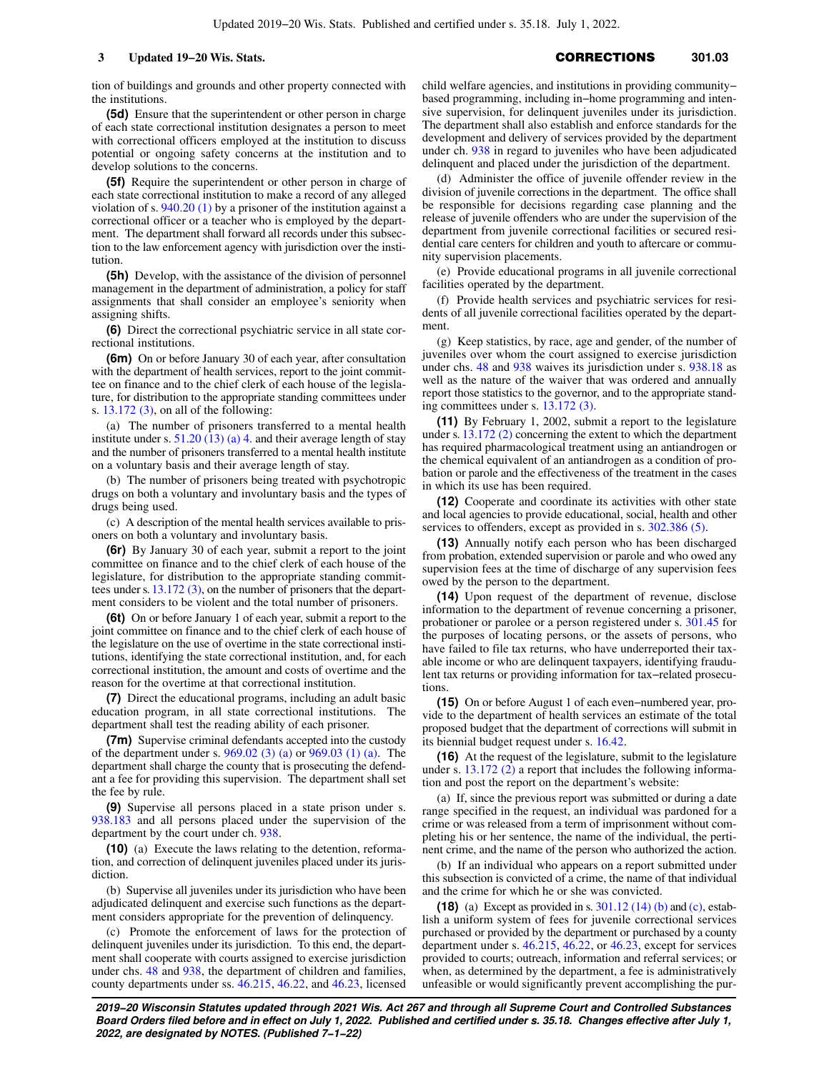tion of buildings and grounds and other property connected with the institutions.

**(5d)** Ensure that the superintendent or other person in charge of each state correctional institution designates a person to meet with correctional officers employed at the institution to discuss potential or ongoing safety concerns at the institution and to develop solutions to the concerns.

**(5f)** Require the superintendent or other person in charge of each state correctional institution to make a record of any alleged violation of s. [940.20 \(1\)](https://docs.legis.wisconsin.gov/document/statutes/940.20(1)) by a prisoner of the institution against a correctional officer or a teacher who is employed by the department. The department shall forward all records under this subsection to the law enforcement agency with jurisdiction over the institution.

**(5h)** Develop, with the assistance of the division of personnel management in the department of administration, a policy for staff assignments that shall consider an employee's seniority when assigning shifts.

**(6)** Direct the correctional psychiatric service in all state correctional institutions.

**(6m)** On or before January 30 of each year, after consultation with the department of health services, report to the joint committee on finance and to the chief clerk of each house of the legislature, for distribution to the appropriate standing committees under s. [13.172 \(3\),](https://docs.legis.wisconsin.gov/document/statutes/13.172(3)) on all of the following:

(a) The number of prisoners transferred to a mental health institute under s.  $51.20(13)(a)$  4. and their average length of stay and the number of prisoners transferred to a mental health institute on a voluntary basis and their average length of stay.

(b) The number of prisoners being treated with psychotropic drugs on both a voluntary and involuntary basis and the types of drugs being used.

(c) A description of the mental health services available to prisoners on both a voluntary and involuntary basis.

**(6r)** By January 30 of each year, submit a report to the joint committee on finance and to the chief clerk of each house of the legislature, for distribution to the appropriate standing committees under s. [13.172 \(3\),](https://docs.legis.wisconsin.gov/document/statutes/13.172(3)) on the number of prisoners that the department considers to be violent and the total number of prisoners.

**(6t)** On or before January 1 of each year, submit a report to the joint committee on finance and to the chief clerk of each house of the legislature on the use of overtime in the state correctional institutions, identifying the state correctional institution, and, for each correctional institution, the amount and costs of overtime and the reason for the overtime at that correctional institution.

**(7)** Direct the educational programs, including an adult basic education program, in all state correctional institutions. The department shall test the reading ability of each prisoner.

**(7m)** Supervise criminal defendants accepted into the custody of the department under s. [969.02 \(3\) \(a\)](https://docs.legis.wisconsin.gov/document/statutes/969.02(3)(a)) or [969.03 \(1\) \(a\).](https://docs.legis.wisconsin.gov/document/statutes/969.03(1)(a)) The department shall charge the county that is prosecuting the defendant a fee for providing this supervision. The department shall set the fee by rule.

**(9)** Supervise all persons placed in a state prison under s. [938.183](https://docs.legis.wisconsin.gov/document/statutes/938.183) and all persons placed under the supervision of the department by the court under ch. [938.](https://docs.legis.wisconsin.gov/document/statutes/ch.%20938)

**(10)** (a) Execute the laws relating to the detention, reformation, and correction of delinquent juveniles placed under its jurisdiction.

(b) Supervise all juveniles under its jurisdiction who have been adjudicated delinquent and exercise such functions as the department considers appropriate for the prevention of delinquency.

(c) Promote the enforcement of laws for the protection of delinquent juveniles under its jurisdiction. To this end, the department shall cooperate with courts assigned to exercise jurisdiction under chs. [48](https://docs.legis.wisconsin.gov/document/statutes/ch.%2048) and [938,](https://docs.legis.wisconsin.gov/document/statutes/ch.%20938) the department of children and families, county departments under ss. [46.215,](https://docs.legis.wisconsin.gov/document/statutes/46.215) [46.22,](https://docs.legis.wisconsin.gov/document/statutes/46.22) and [46.23,](https://docs.legis.wisconsin.gov/document/statutes/46.23) licensed child welfare agencies, and institutions in providing community− based programming, including in−home programming and intensive supervision, for delinquent juveniles under its jurisdiction. The department shall also establish and enforce standards for the development and delivery of services provided by the department under ch. [938](https://docs.legis.wisconsin.gov/document/statutes/ch.%20938) in regard to juveniles who have been adjudicated delinquent and placed under the jurisdiction of the department.

(d) Administer the office of juvenile offender review in the division of juvenile corrections in the department. The office shall be responsible for decisions regarding case planning and the release of juvenile offenders who are under the supervision of the department from juvenile correctional facilities or secured residential care centers for children and youth to aftercare or community supervision placements.

(e) Provide educational programs in all juvenile correctional facilities operated by the department.

(f) Provide health services and psychiatric services for residents of all juvenile correctional facilities operated by the department.

(g) Keep statistics, by race, age and gender, of the number of juveniles over whom the court assigned to exercise jurisdiction under chs. [48](https://docs.legis.wisconsin.gov/document/statutes/ch.%2048) and [938](https://docs.legis.wisconsin.gov/document/statutes/ch.%20938) waives its jurisdiction under s. [938.18](https://docs.legis.wisconsin.gov/document/statutes/938.18) as well as the nature of the waiver that was ordered and annually report those statistics to the governor, and to the appropriate standing committees under s. [13.172 \(3\)](https://docs.legis.wisconsin.gov/document/statutes/13.172(3)).

**(11)** By February 1, 2002, submit a report to the legislature under s. [13.172 \(2\)](https://docs.legis.wisconsin.gov/document/statutes/13.172(2)) concerning the extent to which the department has required pharmacological treatment using an antiandrogen or the chemical equivalent of an antiandrogen as a condition of probation or parole and the effectiveness of the treatment in the cases in which its use has been required.

**(12)** Cooperate and coordinate its activities with other state and local agencies to provide educational, social, health and other services to offenders, except as provided in s. [302.386 \(5\)](https://docs.legis.wisconsin.gov/document/statutes/302.386(5)).

**(13)** Annually notify each person who has been discharged from probation, extended supervision or parole and who owed any supervision fees at the time of discharge of any supervision fees owed by the person to the department.

**(14)** Upon request of the department of revenue, disclose information to the department of revenue concerning a prisoner, probationer or parolee or a person registered under s. [301.45](https://docs.legis.wisconsin.gov/document/statutes/301.45) for the purposes of locating persons, or the assets of persons, who have failed to file tax returns, who have underreported their taxable income or who are delinquent taxpayers, identifying fraudulent tax returns or providing information for tax−related prosecutions

**(15)** On or before August 1 of each even−numbered year, provide to the department of health services an estimate of the total proposed budget that the department of corrections will submit in its biennial budget request under s. [16.42.](https://docs.legis.wisconsin.gov/document/statutes/16.42)

**(16)** At the request of the legislature, submit to the legislature under s. [13.172 \(2\)](https://docs.legis.wisconsin.gov/document/statutes/13.172(2)) a report that includes the following information and post the report on the department's website:

(a) If, since the previous report was submitted or during a date range specified in the request, an individual was pardoned for a crime or was released from a term of imprisonment without completing his or her sentence, the name of the individual, the pertinent crime, and the name of the person who authorized the action.

(b) If an individual who appears on a report submitted under this subsection is convicted of a crime, the name of that individual and the crime for which he or she was convicted.

**(18)** (a) Except as provided in s. [301.12 \(14\) \(b\)](https://docs.legis.wisconsin.gov/document/statutes/301.12(14)(b)) and [\(c\)](https://docs.legis.wisconsin.gov/document/statutes/301.12(14)(c)), establish a uniform system of fees for juvenile correctional services purchased or provided by the department or purchased by a county department under s. [46.215](https://docs.legis.wisconsin.gov/document/statutes/46.215), [46.22](https://docs.legis.wisconsin.gov/document/statutes/46.22), or [46.23](https://docs.legis.wisconsin.gov/document/statutes/46.23), except for services provided to courts; outreach, information and referral services; or when, as determined by the department, a fee is administratively unfeasible or would significantly prevent accomplishing the pur-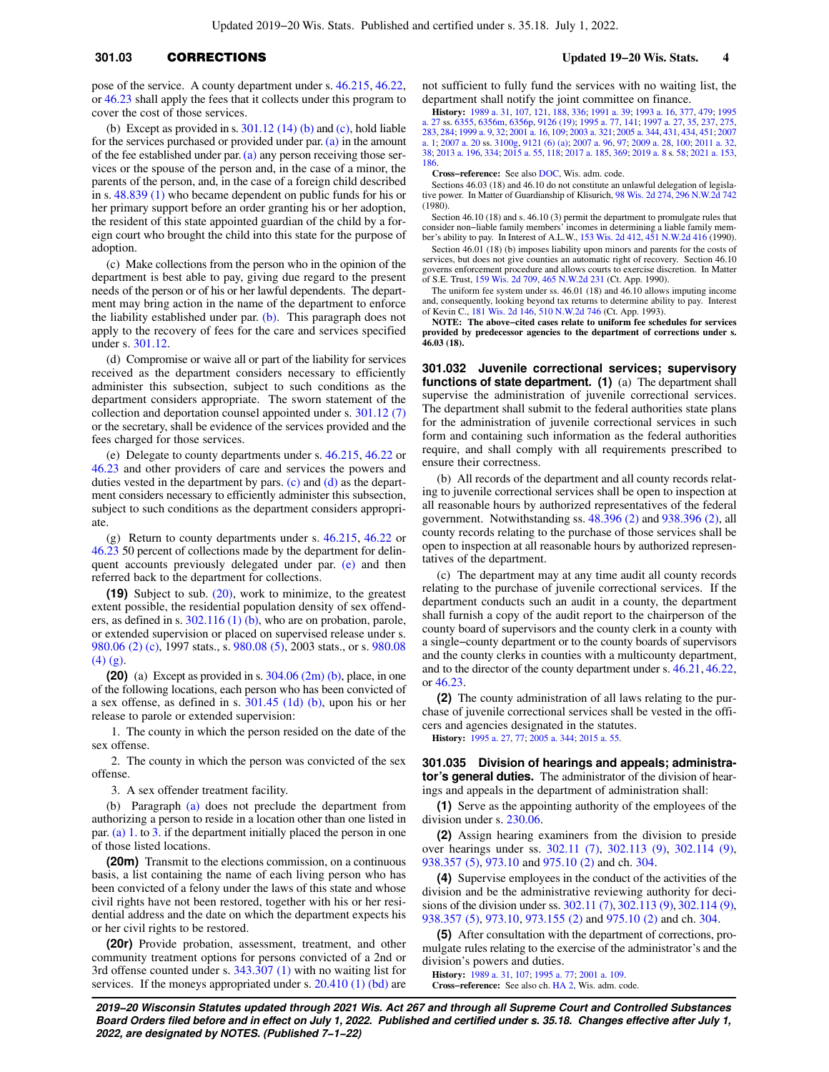# **301.03** CORRECTIONS **Updated 19−20 Wis. Stats. 4**

pose of the service. A county department under s. [46.215](https://docs.legis.wisconsin.gov/document/statutes/46.215), [46.22,](https://docs.legis.wisconsin.gov/document/statutes/46.22) or [46.23](https://docs.legis.wisconsin.gov/document/statutes/46.23) shall apply the fees that it collects under this program to cover the cost of those services.

(b) Except as provided in s.  $301.12$  (14) (b) and [\(c\)](https://docs.legis.wisconsin.gov/document/statutes/301.12(14)(c)), hold liable for the services purchased or provided under par. [\(a\)](https://docs.legis.wisconsin.gov/document/statutes/301.03(18)(a)) in the amount of the fee established under par.  $(a)$  any person receiving those services or the spouse of the person and, in the case of a minor, the parents of the person, and, in the case of a foreign child described in s. [48.839 \(1\)](https://docs.legis.wisconsin.gov/document/statutes/48.839(1)) who became dependent on public funds for his or her primary support before an order granting his or her adoption, the resident of this state appointed guardian of the child by a foreign court who brought the child into this state for the purpose of adoption.

(c) Make collections from the person who in the opinion of the department is best able to pay, giving due regard to the present needs of the person or of his or her lawful dependents. The department may bring action in the name of the department to enforce the liability established under par. [\(b\)](https://docs.legis.wisconsin.gov/document/statutes/301.03(18)(b)). This paragraph does not apply to the recovery of fees for the care and services specified under s. [301.12.](https://docs.legis.wisconsin.gov/document/statutes/301.12)

(d) Compromise or waive all or part of the liability for services received as the department considers necessary to efficiently administer this subsection, subject to such conditions as the department considers appropriate. The sworn statement of the collection and deportation counsel appointed under s. [301.12 \(7\)](https://docs.legis.wisconsin.gov/document/statutes/301.12(7)) or the secretary, shall be evidence of the services provided and the fees charged for those services.

(e) Delegate to county departments under s. [46.215](https://docs.legis.wisconsin.gov/document/statutes/46.215), [46.22](https://docs.legis.wisconsin.gov/document/statutes/46.22) or [46.23](https://docs.legis.wisconsin.gov/document/statutes/46.23) and other providers of care and services the powers and duties vested in the department by pars. [\(c\)](https://docs.legis.wisconsin.gov/document/statutes/301.03(18)(c)) and [\(d\)](https://docs.legis.wisconsin.gov/document/statutes/301.03(18)(d)) as the department considers necessary to efficiently administer this subsection, subject to such conditions as the department considers appropriate.

(g) Return to county departments under s. [46.215](https://docs.legis.wisconsin.gov/document/statutes/46.215), [46.22](https://docs.legis.wisconsin.gov/document/statutes/46.22) or [46.23](https://docs.legis.wisconsin.gov/document/statutes/46.23) 50 percent of collections made by the department for delin-quent accounts previously delegated under par. [\(e\)](https://docs.legis.wisconsin.gov/document/statutes/301.03(18)(e)) and then referred back to the department for collections.

**(19)** Subject to sub. [\(20\)](https://docs.legis.wisconsin.gov/document/statutes/301.03(20)), work to minimize, to the greatest extent possible, the residential population density of sex offenders, as defined in s.  $302.116(1)(b)$ , who are on probation, parole, or extended supervision or placed on supervised release under s. [980.06 \(2\) \(c\)](https://docs.legis.wisconsin.gov/document/statutes/1997/980.06(2)(c)), 1997 stats., s. [980.08 \(5\)](https://docs.legis.wisconsin.gov/document/statutes/2003/980.08(5)), 2003 stats., or s. [980.08](https://docs.legis.wisconsin.gov/document/statutes/980.08(4)(g))  $(4)$   $(g)$ .

**(20)** (a) Except as provided in s. [304.06 \(2m\) \(b\)](https://docs.legis.wisconsin.gov/document/statutes/304.06(2m)(b)), place, in one of the following locations, each person who has been convicted of a sex offense, as defined in s. [301.45 \(1d\) \(b\),](https://docs.legis.wisconsin.gov/document/statutes/301.45(1d)(b)) upon his or her release to parole or extended supervision:

1. The county in which the person resided on the date of the sex offense.

2. The county in which the person was convicted of the sex offense.

3. A sex offender treatment facility.

(b) Paragraph [\(a\)](https://docs.legis.wisconsin.gov/document/statutes/301.03(20)(a)) does not preclude the department from authorizing a person to reside in a location other than one listed in par. [\(a\) 1.](https://docs.legis.wisconsin.gov/document/statutes/301.03(20)(a)1.) to [3.](https://docs.legis.wisconsin.gov/document/statutes/301.03(20)(a)3.) if the department initially placed the person in one of those listed locations.

**(20m)** Transmit to the elections commission, on a continuous basis, a list containing the name of each living person who has been convicted of a felony under the laws of this state and whose civil rights have not been restored, together with his or her residential address and the date on which the department expects his or her civil rights to be restored.

**(20r)** Provide probation, assessment, treatment, and other community treatment options for persons convicted of a 2nd or 3rd offense counted under s. [343.307 \(1\)](https://docs.legis.wisconsin.gov/document/statutes/343.307(1)) with no waiting list for services. If the moneys appropriated under s. [20.410 \(1\) \(bd\)](https://docs.legis.wisconsin.gov/document/statutes/20.410(1)(bd)) are

not sufficient to fully fund the services with no waiting list, the department shall notify the joint committee on finance.

**History:** [1989 a. 31,](https://docs.legis.wisconsin.gov/document/acts/1989/31) [107,](https://docs.legis.wisconsin.gov/document/acts/1989/107) [121,](https://docs.legis.wisconsin.gov/document/acts/1989/121) [188,](https://docs.legis.wisconsin.gov/document/acts/1989/188) [336;](https://docs.legis.wisconsin.gov/document/acts/1989/336) [1991 a. 39;](https://docs.legis.wisconsin.gov/document/acts/1991/39) [1993 a. 16,](https://docs.legis.wisconsin.gov/document/acts/1993/16) [377,](https://docs.legis.wisconsin.gov/document/acts/1993/377) [479;](https://docs.legis.wisconsin.gov/document/acts/1993/479) [1995](https://docs.legis.wisconsin.gov/document/acts/1995/27) [a. 27](https://docs.legis.wisconsin.gov/document/acts/1995/27) ss. [6355](https://docs.legis.wisconsin.gov/document/acts/1995/27,%20s.%206355), [6356m,](https://docs.legis.wisconsin.gov/document/acts/1995/27,%20s.%206356m) [6356p,](https://docs.legis.wisconsin.gov/document/acts/1995/27,%20s.%206356p) [9126 \(19\);](https://docs.legis.wisconsin.gov/document/acts/1995/27,%20s.%209126) [1995 a. 77,](https://docs.legis.wisconsin.gov/document/acts/1995/77) [141;](https://docs.legis.wisconsin.gov/document/acts/1995/141) [1997 a. 27](https://docs.legis.wisconsin.gov/document/acts/1997/27), [35,](https://docs.legis.wisconsin.gov/document/acts/1997/35) [237,](https://docs.legis.wisconsin.gov/document/acts/1997/237) [275](https://docs.legis.wisconsin.gov/document/acts/1997/275), [283,](https://docs.legis.wisconsin.gov/document/acts/1997/283) [284;](https://docs.legis.wisconsin.gov/document/acts/1997/284) [1999 a. 9,](https://docs.legis.wisconsin.gov/document/acts/1999/9) [32](https://docs.legis.wisconsin.gov/document/acts/1999/32); [2001 a. 16,](https://docs.legis.wisconsin.gov/document/acts/2001/16) [109;](https://docs.legis.wisconsin.gov/document/acts/2001/109) [2003 a. 321;](https://docs.legis.wisconsin.gov/document/acts/2003/321) [2005 a. 344](https://docs.legis.wisconsin.gov/document/acts/2005/344), [431,](https://docs.legis.wisconsin.gov/document/acts/2005/431) [434,](https://docs.legis.wisconsin.gov/document/acts/2005/434) [451](https://docs.legis.wisconsin.gov/document/acts/2005/451); [2007](https://docs.legis.wisconsin.gov/document/acts/2007/1) [a. 1](https://docs.legis.wisconsin.gov/document/acts/2007/1); [2007 a. 20](https://docs.legis.wisconsin.gov/document/acts/2007/20) ss. [3100g,](https://docs.legis.wisconsin.gov/document/acts/2007/20,%20s.%203100g) [9121 \(6\) \(a\);](https://docs.legis.wisconsin.gov/document/acts/2007/20,%20s.%209121) [2007 a. 96,](https://docs.legis.wisconsin.gov/document/acts/2007/96) [97](https://docs.legis.wisconsin.gov/document/acts/2007/97); [2009 a. 28,](https://docs.legis.wisconsin.gov/document/acts/2009/28) [100;](https://docs.legis.wisconsin.gov/document/acts/2009/100) [2011 a. 32](https://docs.legis.wisconsin.gov/document/acts/2011/32), [38](https://docs.legis.wisconsin.gov/document/acts/2011/38); [2013 a. 196,](https://docs.legis.wisconsin.gov/document/acts/2013/196) [334](https://docs.legis.wisconsin.gov/document/acts/2013/334); [2015 a. 55,](https://docs.legis.wisconsin.gov/document/acts/2015/55) [118](https://docs.legis.wisconsin.gov/document/acts/2015/118); [2017 a. 185,](https://docs.legis.wisconsin.gov/document/acts/2017/185) [369;](https://docs.legis.wisconsin.gov/document/acts/2017/369) [2019 a. 8](https://docs.legis.wisconsin.gov/document/acts/2019/8) s. [58;](https://docs.legis.wisconsin.gov/document/acts/2019/8,%20s.%2058) [2021 a. 153](https://docs.legis.wisconsin.gov/document/acts/2021/153), [186.](https://docs.legis.wisconsin.gov/document/acts/2021/186)

**Cross−reference:** See also [DOC,](https://docs.legis.wisconsin.gov/document/administrativecode/DOC) Wis. adm. code.

Sections 46.03 (18) and 46.10 do not constitute an unlawful delegation of legislative power. In Matter of Guardianship of Klisurich, [98 Wis. 2d 274,](https://docs.legis.wisconsin.gov/document/courts/98%20Wis.%202d%20274) [296 N.W.2d 742](https://docs.legis.wisconsin.gov/document/courts/296%20N.W.2d%20742) (1980).

Section 46.10 (18) and s. 46.10 (3) permit the department to promulgate rules that consider non−liable family members' incomes in determining a liable family member's ability to pay. In Interest of A.L.W., [153 Wis. 2d 412,](https://docs.legis.wisconsin.gov/document/courts/153%20Wis.%202d%20412) [451 N.W.2d 416](https://docs.legis.wisconsin.gov/document/courts/451%20N.W.2d%20416) (1990).

Section 46.01 (18) (b) imposes liability upon minors and parents for the costs of services, but does not give counties an automatic right of recovery. Section 46.10 governs enforcement procedure and allows courts to exercise discretion. In Matter of S.E. Trust, [159 Wis. 2d 709](https://docs.legis.wisconsin.gov/document/courts/159%20Wis.%202d%20709), [465 N.W.2d 231](https://docs.legis.wisconsin.gov/document/courts/465%20N.W.2d%20231) (Ct. App. 1990).

The uniform fee system under ss. 46.01 (18) and 46.10 allows imputing income and, consequently, looking beyond tax returns to determine ability to pay. Interest of Kevin C., [181 Wis. 2d 146](https://docs.legis.wisconsin.gov/document/courts/181%20Wis.%202d%20146), [510 N.W.2d 746](https://docs.legis.wisconsin.gov/document/courts/510%20N.W.2d%20746) (Ct. App. 1993).

**NOTE: The above−cited cases relate to uniform fee schedules for services provided by predecessor agencies to the department of corrections under s. 46.03 (18).**

**301.032 Juvenile correctional services; supervisory functions of state department. (1)** (a) The department shall supervise the administration of juvenile correctional services. The department shall submit to the federal authorities state plans for the administration of juvenile correctional services in such form and containing such information as the federal authorities require, and shall comply with all requirements prescribed to ensure their correctness.

(b) All records of the department and all county records relating to juvenile correctional services shall be open to inspection at all reasonable hours by authorized representatives of the federal government. Notwithstanding ss. [48.396 \(2\)](https://docs.legis.wisconsin.gov/document/statutes/48.396(2)) and [938.396 \(2\)](https://docs.legis.wisconsin.gov/document/statutes/938.396(2)), all county records relating to the purchase of those services shall be open to inspection at all reasonable hours by authorized representatives of the department.

(c) The department may at any time audit all county records relating to the purchase of juvenile correctional services. If the department conducts such an audit in a county, the department shall furnish a copy of the audit report to the chairperson of the county board of supervisors and the county clerk in a county with a single−county department or to the county boards of supervisors and the county clerks in counties with a multicounty department, and to the director of the county department under s. [46.21,](https://docs.legis.wisconsin.gov/document/statutes/46.21) [46.22,](https://docs.legis.wisconsin.gov/document/statutes/46.22) or [46.23](https://docs.legis.wisconsin.gov/document/statutes/46.23).

**(2)** The county administration of all laws relating to the purchase of juvenile correctional services shall be vested in the officers and agencies designated in the statutes.

**History:** [1995 a. 27](https://docs.legis.wisconsin.gov/document/acts/1995/27), [77;](https://docs.legis.wisconsin.gov/document/acts/1995/77) [2005 a. 344](https://docs.legis.wisconsin.gov/document/acts/2005/344); [2015 a. 55](https://docs.legis.wisconsin.gov/document/acts/2015/55).

**301.035 Division of hearings and appeals; administrator's general duties.** The administrator of the division of hearings and appeals in the department of administration shall:

**(1)** Serve as the appointing authority of the employees of the division under s. [230.06](https://docs.legis.wisconsin.gov/document/statutes/230.06).

**(2)** Assign hearing examiners from the division to preside over hearings under ss. [302.11 \(7\),](https://docs.legis.wisconsin.gov/document/statutes/302.11(7)) [302.113 \(9\)](https://docs.legis.wisconsin.gov/document/statutes/302.113(9)), [302.114 \(9\),](https://docs.legis.wisconsin.gov/document/statutes/302.114(9)) [938.357 \(5\)](https://docs.legis.wisconsin.gov/document/statutes/938.357(5)), [973.10](https://docs.legis.wisconsin.gov/document/statutes/973.10) and [975.10 \(2\)](https://docs.legis.wisconsin.gov/document/statutes/975.10(2)) and ch. [304](https://docs.legis.wisconsin.gov/document/statutes/ch.%20304).

**(4)** Supervise employees in the conduct of the activities of the division and be the administrative reviewing authority for decisions of the division under ss. [302.11 \(7\),](https://docs.legis.wisconsin.gov/document/statutes/302.11(7)) [302.113 \(9\)](https://docs.legis.wisconsin.gov/document/statutes/302.113(9)), [302.114 \(9\),](https://docs.legis.wisconsin.gov/document/statutes/302.114(9)) [938.357 \(5\)](https://docs.legis.wisconsin.gov/document/statutes/938.357(5)), [973.10,](https://docs.legis.wisconsin.gov/document/statutes/973.10) [973.155 \(2\)](https://docs.legis.wisconsin.gov/document/statutes/973.155(2)) and [975.10 \(2\)](https://docs.legis.wisconsin.gov/document/statutes/975.10(2)) and ch. [304](https://docs.legis.wisconsin.gov/document/statutes/ch.%20304).

**(5)** After consultation with the department of corrections, promulgate rules relating to the exercise of the administrator's and the division's powers and duties.

**History:** [1989 a. 31](https://docs.legis.wisconsin.gov/document/acts/1989/31), [107](https://docs.legis.wisconsin.gov/document/acts/1989/107); [1995 a. 77](https://docs.legis.wisconsin.gov/document/acts/1995/77); [2001 a. 109.](https://docs.legis.wisconsin.gov/document/acts/2001/109) **Cross−reference:** See also ch. [HA 2,](https://docs.legis.wisconsin.gov/document/administrativecode/ch.%20HA%202) Wis. adm. code.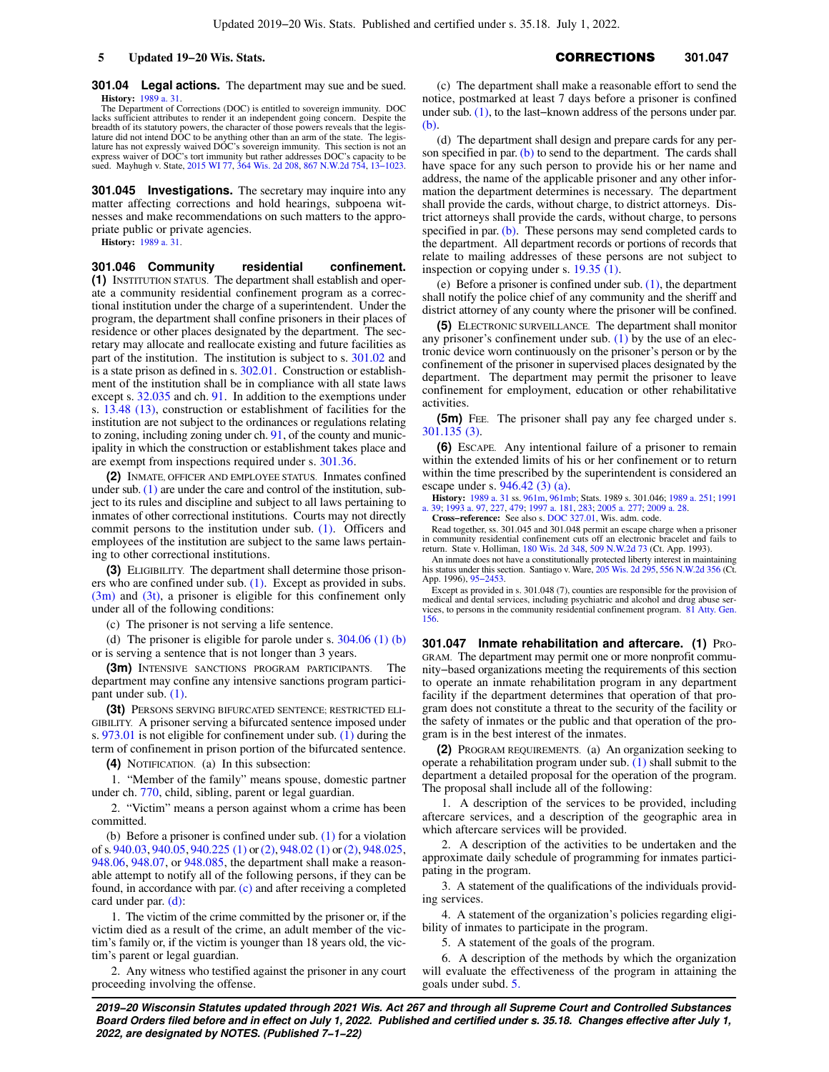**301.04 Legal actions.** The department may sue and be sued. **History:** [1989 a. 31.](https://docs.legis.wisconsin.gov/document/acts/1989/31)

The Department of Corrections (DOC) is entitled to sovereign immunity. DOC lacks sufficient attributes to render it an independent going concern. Despite the breadth of its statutory powers, the character of those powers reveals that the legis-lature did not intend DOC to be anything other than an arm of the state. The legis-lature has not expressly waived DOC's sovereign immunity. This section is not an<br>express waiver of DOC's tort immunity but rather addresses DOC's capacity to be<br>sued. Mayhugh v. State, [2015 WI 77,](https://docs.legis.wisconsin.gov/document/courts/2015%20WI%2077) [364 Wis. 2d 208,](https://docs.legis.wisconsin.gov/document/courts/364%20Wis.%202d%20208) 867 N.W.

**301.045 Investigations.** The secretary may inquire into any matter affecting corrections and hold hearings, subpoena witnesses and make recommendations on such matters to the appropriate public or private agencies.

**History:** [1989 a. 31.](https://docs.legis.wisconsin.gov/document/acts/1989/31)

**301.046 Community residential confinement. (1)** INSTITUTION STATUS. The department shall establish and operate a community residential confinement program as a correctional institution under the charge of a superintendent. Under the program, the department shall confine prisoners in their places of residence or other places designated by the department. The secretary may allocate and reallocate existing and future facilities as part of the institution. The institution is subject to s. [301.02](https://docs.legis.wisconsin.gov/document/statutes/301.02) and is a state prison as defined in s. [302.01](https://docs.legis.wisconsin.gov/document/statutes/302.01). Construction or establishment of the institution shall be in compliance with all state laws except s. [32.035](https://docs.legis.wisconsin.gov/document/statutes/32.035) and ch. [91.](https://docs.legis.wisconsin.gov/document/statutes/ch.%2091) In addition to the exemptions under s. [13.48 \(13\),](https://docs.legis.wisconsin.gov/document/statutes/13.48(13)) construction or establishment of facilities for the institution are not subject to the ordinances or regulations relating to zoning, including zoning under ch. [91](https://docs.legis.wisconsin.gov/document/statutes/ch.%2091), of the county and municipality in which the construction or establishment takes place and are exempt from inspections required under s. [301.36](https://docs.legis.wisconsin.gov/document/statutes/301.36).

**(2)** INMATE, OFFICER AND EMPLOYEE STATUS. Inmates confined under sub. [\(1\)](https://docs.legis.wisconsin.gov/document/statutes/301.046(1)) are under the care and control of the institution, subject to its rules and discipline and subject to all laws pertaining to inmates of other correctional institutions. Courts may not directly commit persons to the institution under sub. [\(1\).](https://docs.legis.wisconsin.gov/document/statutes/301.046(1)) Officers and employees of the institution are subject to the same laws pertaining to other correctional institutions.

**(3)** ELIGIBILITY. The department shall determine those prisoners who are confined under sub. [\(1\)](https://docs.legis.wisconsin.gov/document/statutes/301.046(1)). Except as provided in subs. [\(3m\)](https://docs.legis.wisconsin.gov/document/statutes/301.046(3m)) and [\(3t\)](https://docs.legis.wisconsin.gov/document/statutes/301.046(3t)), a prisoner is eligible for this confinement only under all of the following conditions:

(c) The prisoner is not serving a life sentence.

(d) The prisoner is eligible for parole under s. [304.06 \(1\) \(b\)](https://docs.legis.wisconsin.gov/document/statutes/304.06(1)(b)) or is serving a sentence that is not longer than 3 years.

**(3m)** INTENSIVE SANCTIONS PROGRAM PARTICIPANTS. The department may confine any intensive sanctions program participant under sub. [\(1\)](https://docs.legis.wisconsin.gov/document/statutes/301.046(1)).

**(3t)** PERSONS SERVING BIFURCATED SENTENCE; RESTRICTED ELI-GIBILITY. A prisoner serving a bifurcated sentence imposed under s. [973.01](https://docs.legis.wisconsin.gov/document/statutes/973.01) is not eligible for confinement under sub. [\(1\)](https://docs.legis.wisconsin.gov/document/statutes/301.046(1)) during the term of confinement in prison portion of the bifurcated sentence.

**(4)** NOTIFICATION. (a) In this subsection:

1. "Member of the family" means spouse, domestic partner under ch. [770](https://docs.legis.wisconsin.gov/document/statutes/ch.%20770), child, sibling, parent or legal guardian.

2. "Victim" means a person against whom a crime has been committed.

(b) Before a prisoner is confined under sub. [\(1\)](https://docs.legis.wisconsin.gov/document/statutes/301.046(1)) for a violation of s. [940.03,](https://docs.legis.wisconsin.gov/document/statutes/940.03) [940.05](https://docs.legis.wisconsin.gov/document/statutes/940.05), [940.225 \(1\)](https://docs.legis.wisconsin.gov/document/statutes/940.225(1)) or [\(2\)](https://docs.legis.wisconsin.gov/document/statutes/940.225(2)), [948.02 \(1\)](https://docs.legis.wisconsin.gov/document/statutes/948.02(1)) or [\(2\),](https://docs.legis.wisconsin.gov/document/statutes/948.02(2)) [948.025,](https://docs.legis.wisconsin.gov/document/statutes/948.025) [948.06,](https://docs.legis.wisconsin.gov/document/statutes/948.06) [948.07](https://docs.legis.wisconsin.gov/document/statutes/948.07), or [948.085,](https://docs.legis.wisconsin.gov/document/statutes/948.085) the department shall make a reasonable attempt to notify all of the following persons, if they can be found, in accordance with par. [\(c\)](https://docs.legis.wisconsin.gov/document/statutes/301.046(4)(c)) and after receiving a completed card under par. [\(d\):](https://docs.legis.wisconsin.gov/document/statutes/301.046(4)(d))

1. The victim of the crime committed by the prisoner or, if the victim died as a result of the crime, an adult member of the victim's family or, if the victim is younger than 18 years old, the victim's parent or legal guardian.

2. Any witness who testified against the prisoner in any court proceeding involving the offense.

(c) The department shall make a reasonable effort to send the notice, postmarked at least 7 days before a prisoner is confined under sub. [\(1\)](https://docs.legis.wisconsin.gov/document/statutes/301.046(1)), to the last−known address of the persons under par. [\(b\).](https://docs.legis.wisconsin.gov/document/statutes/301.046(4)(b))

(d) The department shall design and prepare cards for any person specified in par.  $(b)$  to send to the department. The cards shall have space for any such person to provide his or her name and address, the name of the applicable prisoner and any other information the department determines is necessary. The department shall provide the cards, without charge, to district attorneys. District attorneys shall provide the cards, without charge, to persons specified in par. [\(b\)](https://docs.legis.wisconsin.gov/document/statutes/301.046(4)(b)). These persons may send completed cards to the department. All department records or portions of records that relate to mailing addresses of these persons are not subject to inspection or copying under s. [19.35 \(1\).](https://docs.legis.wisconsin.gov/document/statutes/19.35(1))

(e) Before a prisoner is confined under sub. [\(1\)](https://docs.legis.wisconsin.gov/document/statutes/301.046(1)), the department shall notify the police chief of any community and the sheriff and district attorney of any county where the prisoner will be confined.

**(5)** ELECTRONIC SURVEILLANCE. The department shall monitor any prisoner's confinement under sub.  $(1)$  by the use of an electronic device worn continuously on the prisoner's person or by the confinement of the prisoner in supervised places designated by the department. The department may permit the prisoner to leave confinement for employment, education or other rehabilitative activities.

**(5m)** FEE. The prisoner shall pay any fee charged under s. [301.135 \(3\)](https://docs.legis.wisconsin.gov/document/statutes/301.135(3)).

**(6)** ESCAPE. Any intentional failure of a prisoner to remain within the extended limits of his or her confinement or to return within the time prescribed by the superintendent is considered an escape under s. [946.42 \(3\) \(a\)](https://docs.legis.wisconsin.gov/document/statutes/946.42(3)(a)).

**History:** [1989 a. 31](https://docs.legis.wisconsin.gov/document/acts/1989/31) ss. [961m,](https://docs.legis.wisconsin.gov/document/acts/1989/31,%20s.%20961m) [961mb;](https://docs.legis.wisconsin.gov/document/acts/1989/31,%20s.%20961mb) Stats. 1989 s. 301.046; [1989 a. 251;](https://docs.legis.wisconsin.gov/document/acts/1989/251) [1991](https://docs.legis.wisconsin.gov/document/acts/1991/39) [a. 39;](https://docs.legis.wisconsin.gov/document/acts/1991/39) [1993 a. 97,](https://docs.legis.wisconsin.gov/document/acts/1993/97) [227,](https://docs.legis.wisconsin.gov/document/acts/1993/227) [479;](https://docs.legis.wisconsin.gov/document/acts/1993/479) [1997 a. 181,](https://docs.legis.wisconsin.gov/document/acts/1997/181) [283;](https://docs.legis.wisconsin.gov/document/acts/1997/283) [2005 a. 277](https://docs.legis.wisconsin.gov/document/acts/2005/277); [2009 a. 28.](https://docs.legis.wisconsin.gov/document/acts/2009/28) **Cross−reference:** See also s. [DOC 327.01](https://docs.legis.wisconsin.gov/document/administrativecode/DOC%20327.01), Wis. adm. code.

Read together, ss. 301.045 and 301.048 permit an escape charge when a prisoner in community residential confinement cuts off an electronic bracelet and fails to return. State v. Holliman, [180 Wis. 2d 348](https://docs.legis.wisconsin.gov/document/courts/180%20Wis.%202d%20348), [509 N.W.2d 73](https://docs.legis.wisconsin.gov/document/courts/509%20N.W.2d%2073) (Ct. App. 1993).

An inmate does not have a constitutionally protected liberty interest in maintaining his status under this section. Santiago v. Ware, [205 Wis. 2d 295](https://docs.legis.wisconsin.gov/document/courts/205%20Wis.%202d%20295), [556 N.W.2d 356](https://docs.legis.wisconsin.gov/document/courts/556%20N.W.2d%20356) (Ct. App. 1996), [95−2453](https://docs.legis.wisconsin.gov/document/wicourtofappeals/95-2453).

Except as provided in s. 301.048 (7), counties are responsible for the provision of medical and dental services, including psychiatric and alcohol and drug abuse services, to persons in the community residential confinemen [156.](https://docs.legis.wisconsin.gov/document/oag/vol81-156)

**301.047 Inmate rehabilitation and aftercare. (1)** PRO-GRAM. The department may permit one or more nonprofit community−based organizations meeting the requirements of this section to operate an inmate rehabilitation program in any department facility if the department determines that operation of that program does not constitute a threat to the security of the facility or the safety of inmates or the public and that operation of the program is in the best interest of the inmates.

**(2)** PROGRAM REQUIREMENTS. (a) An organization seeking to operate a rehabilitation program under sub. [\(1\)](https://docs.legis.wisconsin.gov/document/statutes/301.047(1)) shall submit to the department a detailed proposal for the operation of the program. The proposal shall include all of the following:

1. A description of the services to be provided, including aftercare services, and a description of the geographic area in which aftercare services will be provided.

2. A description of the activities to be undertaken and the approximate daily schedule of programming for inmates participating in the program.

3. A statement of the qualifications of the individuals providing services.

4. A statement of the organization's policies regarding eligibility of inmates to participate in the program.

5. A statement of the goals of the program.

6. A description of the methods by which the organization will evaluate the effectiveness of the program in attaining the goals under subd. [5.](https://docs.legis.wisconsin.gov/document/statutes/301.047(2)(a)5.)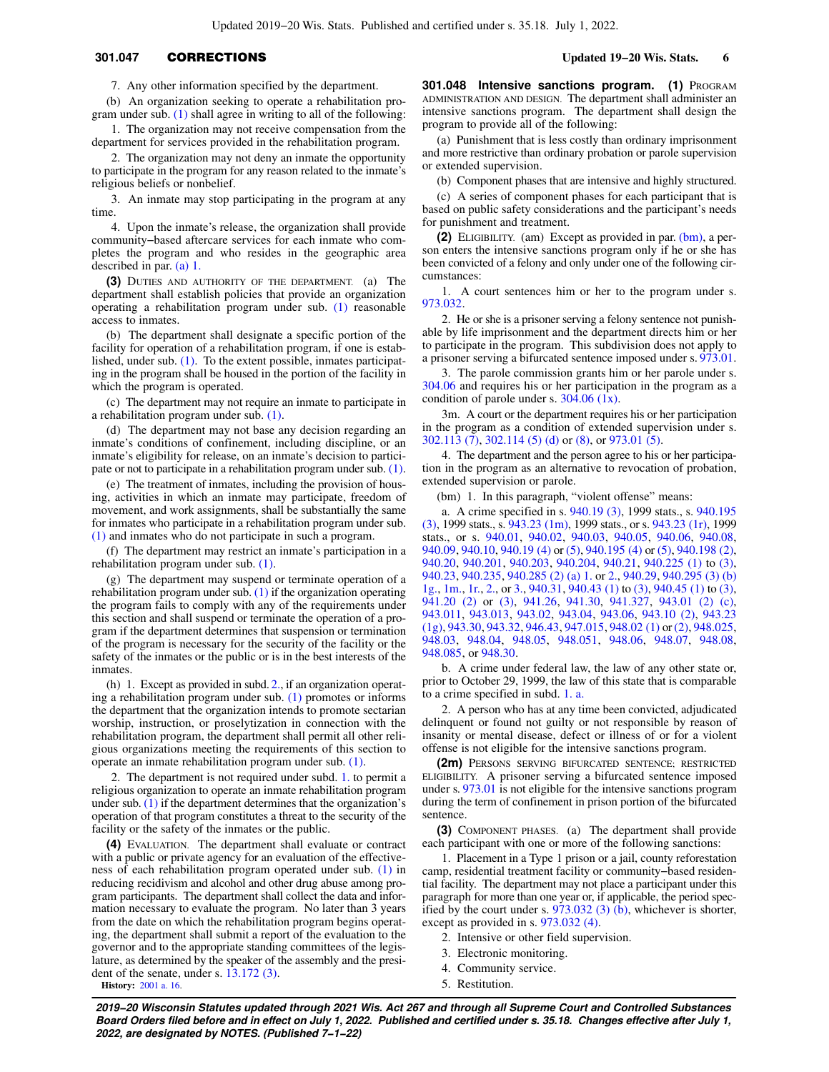# **301.047 CORRECTIONS Updated 19−20 Wis. Stats. 6**

7. Any other information specified by the department.

(b) An organization seeking to operate a rehabilitation program under sub. [\(1\)](https://docs.legis.wisconsin.gov/document/statutes/301.047(1)) shall agree in writing to all of the following:

1. The organization may not receive compensation from the department for services provided in the rehabilitation program.

2. The organization may not deny an inmate the opportunity to participate in the program for any reason related to the inmate's religious beliefs or nonbelief.

3. An inmate may stop participating in the program at any time.

4. Upon the inmate's release, the organization shall provide community−based aftercare services for each inmate who completes the program and who resides in the geographic area described in par. [\(a\) 1.](https://docs.legis.wisconsin.gov/document/statutes/301.047(2)(a)1.)

**(3)** DUTIES AND AUTHORITY OF THE DEPARTMENT. (a) The department shall establish policies that provide an organization operating a rehabilitation program under sub. [\(1\)](https://docs.legis.wisconsin.gov/document/statutes/301.047(1)) reasonable access to inmates.

(b) The department shall designate a specific portion of the facility for operation of a rehabilitation program, if one is established, under sub. [\(1\).](https://docs.legis.wisconsin.gov/document/statutes/301.047(1)) To the extent possible, inmates participating in the program shall be housed in the portion of the facility in which the program is operated.

(c) The department may not require an inmate to participate in a rehabilitation program under sub. [\(1\)](https://docs.legis.wisconsin.gov/document/statutes/301.047(1)).

(d) The department may not base any decision regarding an inmate's conditions of confinement, including discipline, or an inmate's eligibility for release, on an inmate's decision to participate or not to participate in a rehabilitation program under sub. [\(1\).](https://docs.legis.wisconsin.gov/document/statutes/301.047(1))

(e) The treatment of inmates, including the provision of housing, activities in which an inmate may participate, freedom of movement, and work assignments, shall be substantially the same for inmates who participate in a rehabilitation program under sub. [\(1\)](https://docs.legis.wisconsin.gov/document/statutes/301.047(1)) and inmates who do not participate in such a program.

(f) The department may restrict an inmate's participation in a rehabilitation program under sub. [\(1\).](https://docs.legis.wisconsin.gov/document/statutes/301.047(1))

(g) The department may suspend or terminate operation of a rehabilitation program under sub.  $(1)$  if the organization operating the program fails to comply with any of the requirements under this section and shall suspend or terminate the operation of a program if the department determines that suspension or termination of the program is necessary for the security of the facility or the safety of the inmates or the public or is in the best interests of the inmates.

(h) 1. Except as provided in subd. [2.](https://docs.legis.wisconsin.gov/document/statutes/301.047(3)(h)2.), if an organization operating a rehabilitation program under sub. [\(1\)](https://docs.legis.wisconsin.gov/document/statutes/301.047(1)) promotes or informs the department that the organization intends to promote sectarian worship, instruction, or proselytization in connection with the rehabilitation program, the department shall permit all other religious organizations meeting the requirements of this section to operate an inmate rehabilitation program under sub. [\(1\)](https://docs.legis.wisconsin.gov/document/statutes/301.047(1)).

2. The department is not required under subd. [1.](https://docs.legis.wisconsin.gov/document/statutes/301.047(3)(h)1.) to permit a religious organization to operate an inmate rehabilitation program under sub.  $(1)$  if the department determines that the organization's operation of that program constitutes a threat to the security of the facility or the safety of the inmates or the public.

**(4)** EVALUATION. The department shall evaluate or contract with a public or private agency for an evaluation of the effectiveness of each rehabilitation program operated under sub. [\(1\)](https://docs.legis.wisconsin.gov/document/statutes/301.047(1)) in reducing recidivism and alcohol and other drug abuse among program participants. The department shall collect the data and information necessary to evaluate the program. No later than 3 years from the date on which the rehabilitation program begins operating, the department shall submit a report of the evaluation to the governor and to the appropriate standing committees of the legislature, as determined by the speaker of the assembly and the president of the senate, under s. [13.172 \(3\).](https://docs.legis.wisconsin.gov/document/statutes/13.172(3)) **History:** [2001 a. 16.](https://docs.legis.wisconsin.gov/document/acts/2001/16)

**301.048 Intensive sanctions program. (1) PROGRAM** ADMINISTRATION AND DESIGN. The department shall administer an intensive sanctions program. The department shall design the program to provide all of the following:

(a) Punishment that is less costly than ordinary imprisonment and more restrictive than ordinary probation or parole supervision or extended supervision.

(b) Component phases that are intensive and highly structured.

(c) A series of component phases for each participant that is based on public safety considerations and the participant's needs for punishment and treatment.

**(2)** ELIGIBILITY. (am) Except as provided in par. [\(bm\)](https://docs.legis.wisconsin.gov/document/statutes/301.048(2)(bm)), a person enters the intensive sanctions program only if he or she has been convicted of a felony and only under one of the following circumstances:

1. A court sentences him or her to the program under s. [973.032](https://docs.legis.wisconsin.gov/document/statutes/973.032).

2. He or she is a prisoner serving a felony sentence not punishable by life imprisonment and the department directs him or her to participate in the program. This subdivision does not apply to a prisoner serving a bifurcated sentence imposed under s. [973.01.](https://docs.legis.wisconsin.gov/document/statutes/973.01)

3. The parole commission grants him or her parole under s. [304.06](https://docs.legis.wisconsin.gov/document/statutes/304.06) and requires his or her participation in the program as a condition of parole under s.  $304.06$  (1x).

3m. A court or the department requires his or her participation in the program as a condition of extended supervision under s. [302.113 \(7\),](https://docs.legis.wisconsin.gov/document/statutes/302.113(7)) [302.114 \(5\) \(d\)](https://docs.legis.wisconsin.gov/document/statutes/302.114(5)(d)) or [\(8\),](https://docs.legis.wisconsin.gov/document/statutes/302.114(8)) or [973.01 \(5\).](https://docs.legis.wisconsin.gov/document/statutes/973.01(5))

4. The department and the person agree to his or her participation in the program as an alternative to revocation of probation, extended supervision or parole.

(bm) 1. In this paragraph, "violent offense" means:

a. A crime specified in s. [940.19 \(3\),](https://docs.legis.wisconsin.gov/document/statutes/1999/940.19(3)) 1999 stats., s. [940.195](https://docs.legis.wisconsin.gov/document/statutes/1999/940.195(3)) [\(3\),](https://docs.legis.wisconsin.gov/document/statutes/1999/940.195(3)) 1999 stats., s. [943.23 \(1m\),](https://docs.legis.wisconsin.gov/document/statutes/1999/943.23(1m)) 1999 stats., or s. [943.23 \(1r\)](https://docs.legis.wisconsin.gov/document/statutes/1999/943.23(1r)), 1999 stats., or s. [940.01,](https://docs.legis.wisconsin.gov/document/statutes/940.01) [940.02,](https://docs.legis.wisconsin.gov/document/statutes/940.02) [940.03](https://docs.legis.wisconsin.gov/document/statutes/940.03), [940.05,](https://docs.legis.wisconsin.gov/document/statutes/940.05) [940.06](https://docs.legis.wisconsin.gov/document/statutes/940.06), [940.08,](https://docs.legis.wisconsin.gov/document/statutes/940.08) [940.09,](https://docs.legis.wisconsin.gov/document/statutes/940.09) [940.10,](https://docs.legis.wisconsin.gov/document/statutes/940.10) [940.19 \(4\)](https://docs.legis.wisconsin.gov/document/statutes/940.19(4)) or [\(5\),](https://docs.legis.wisconsin.gov/document/statutes/940.19(5)) [940.195 \(4\)](https://docs.legis.wisconsin.gov/document/statutes/940.195(4)) or [\(5\)](https://docs.legis.wisconsin.gov/document/statutes/940.195(5)), [940.198 \(2\),](https://docs.legis.wisconsin.gov/document/statutes/940.198(2)) [940.20,](https://docs.legis.wisconsin.gov/document/statutes/940.20) [940.201,](https://docs.legis.wisconsin.gov/document/statutes/940.201) [940.203](https://docs.legis.wisconsin.gov/document/statutes/940.203), [940.204,](https://docs.legis.wisconsin.gov/document/statutes/940.204) [940.21,](https://docs.legis.wisconsin.gov/document/statutes/940.21) [940.225 \(1\)](https://docs.legis.wisconsin.gov/document/statutes/940.225(1)) to [\(3\),](https://docs.legis.wisconsin.gov/document/statutes/940.225(3)) [940.23,](https://docs.legis.wisconsin.gov/document/statutes/940.23) [940.235,](https://docs.legis.wisconsin.gov/document/statutes/940.235) [940.285 \(2\) \(a\) 1.](https://docs.legis.wisconsin.gov/document/statutes/940.285(2)(a)1.) or [2.](https://docs.legis.wisconsin.gov/document/statutes/940.285(2)(a)2.), [940.29](https://docs.legis.wisconsin.gov/document/statutes/940.29), [940.295 \(3\) \(b\)](https://docs.legis.wisconsin.gov/document/statutes/940.295(3)(b)1g.) [1g.](https://docs.legis.wisconsin.gov/document/statutes/940.295(3)(b)1g.), [1m.](https://docs.legis.wisconsin.gov/document/statutes/940.295(3)(b)1m.), [1r.,](https://docs.legis.wisconsin.gov/document/statutes/940.295(3)(b)1r.) [2.](https://docs.legis.wisconsin.gov/document/statutes/940.295(3)(b)2.), or [3.,](https://docs.legis.wisconsin.gov/document/statutes/940.295(3)(b)3.) [940.31,](https://docs.legis.wisconsin.gov/document/statutes/940.31) [940.43 \(1\)](https://docs.legis.wisconsin.gov/document/statutes/940.43(1)) to [\(3\),](https://docs.legis.wisconsin.gov/document/statutes/940.43(3)) [940.45 \(1\)](https://docs.legis.wisconsin.gov/document/statutes/940.45(1)) to [\(3\),](https://docs.legis.wisconsin.gov/document/statutes/940.45(3)) [941.20 \(2\)](https://docs.legis.wisconsin.gov/document/statutes/941.20(2)) or [\(3\),](https://docs.legis.wisconsin.gov/document/statutes/941.20(3)) [941.26,](https://docs.legis.wisconsin.gov/document/statutes/941.26) [941.30,](https://docs.legis.wisconsin.gov/document/statutes/941.30) [941.327](https://docs.legis.wisconsin.gov/document/statutes/941.327), [943.01 \(2\) \(c\),](https://docs.legis.wisconsin.gov/document/statutes/943.01(2)(c)) [943.011](https://docs.legis.wisconsin.gov/document/statutes/943.011), [943.013](https://docs.legis.wisconsin.gov/document/statutes/943.013), [943.02](https://docs.legis.wisconsin.gov/document/statutes/943.02), [943.04,](https://docs.legis.wisconsin.gov/document/statutes/943.04) [943.06,](https://docs.legis.wisconsin.gov/document/statutes/943.06) [943.10 \(2\),](https://docs.legis.wisconsin.gov/document/statutes/943.10(2)) [943.23](https://docs.legis.wisconsin.gov/document/statutes/943.23(1g)) [\(1g\)](https://docs.legis.wisconsin.gov/document/statutes/943.23(1g)), [943.30,](https://docs.legis.wisconsin.gov/document/statutes/943.30) [943.32,](https://docs.legis.wisconsin.gov/document/statutes/943.32) [946.43](https://docs.legis.wisconsin.gov/document/statutes/946.43), [947.015,](https://docs.legis.wisconsin.gov/document/statutes/947.015) [948.02 \(1\)](https://docs.legis.wisconsin.gov/document/statutes/948.02(1)) or [\(2\),](https://docs.legis.wisconsin.gov/document/statutes/948.02(2)) [948.025,](https://docs.legis.wisconsin.gov/document/statutes/948.025) [948.03,](https://docs.legis.wisconsin.gov/document/statutes/948.03) [948.04](https://docs.legis.wisconsin.gov/document/statutes/948.04), [948.05,](https://docs.legis.wisconsin.gov/document/statutes/948.05) [948.051,](https://docs.legis.wisconsin.gov/document/statutes/948.051) [948.06](https://docs.legis.wisconsin.gov/document/statutes/948.06), [948.07,](https://docs.legis.wisconsin.gov/document/statutes/948.07) [948.08,](https://docs.legis.wisconsin.gov/document/statutes/948.08) [948.085](https://docs.legis.wisconsin.gov/document/statutes/948.085), or [948.30.](https://docs.legis.wisconsin.gov/document/statutes/948.30)

b. A crime under federal law, the law of any other state or, prior to October 29, 1999, the law of this state that is comparable to a crime specified in subd. [1. a.](https://docs.legis.wisconsin.gov/document/statutes/301.048(2)(bm)1.a.)

2. A person who has at any time been convicted, adjudicated delinquent or found not guilty or not responsible by reason of insanity or mental disease, defect or illness of or for a violent offense is not eligible for the intensive sanctions program.

**(2m)** PERSONS SERVING BIFURCATED SENTENCE; RESTRICTED ELIGIBILITY. A prisoner serving a bifurcated sentence imposed under s. [973.01](https://docs.legis.wisconsin.gov/document/statutes/973.01) is not eligible for the intensive sanctions program during the term of confinement in prison portion of the bifurcated sentence.

**(3)** COMPONENT PHASES. (a) The department shall provide each participant with one or more of the following sanctions:

1. Placement in a Type 1 prison or a jail, county reforestation camp, residential treatment facility or community−based residential facility. The department may not place a participant under this paragraph for more than one year or, if applicable, the period specified by the court under s.  $973.032$  (3) (b), whichever is shorter, except as provided in s. [973.032 \(4\).](https://docs.legis.wisconsin.gov/document/statutes/973.032(4))

- 2. Intensive or other field supervision.
- 3. Electronic monitoring.
- 4. Community service.
- 5. Restitution.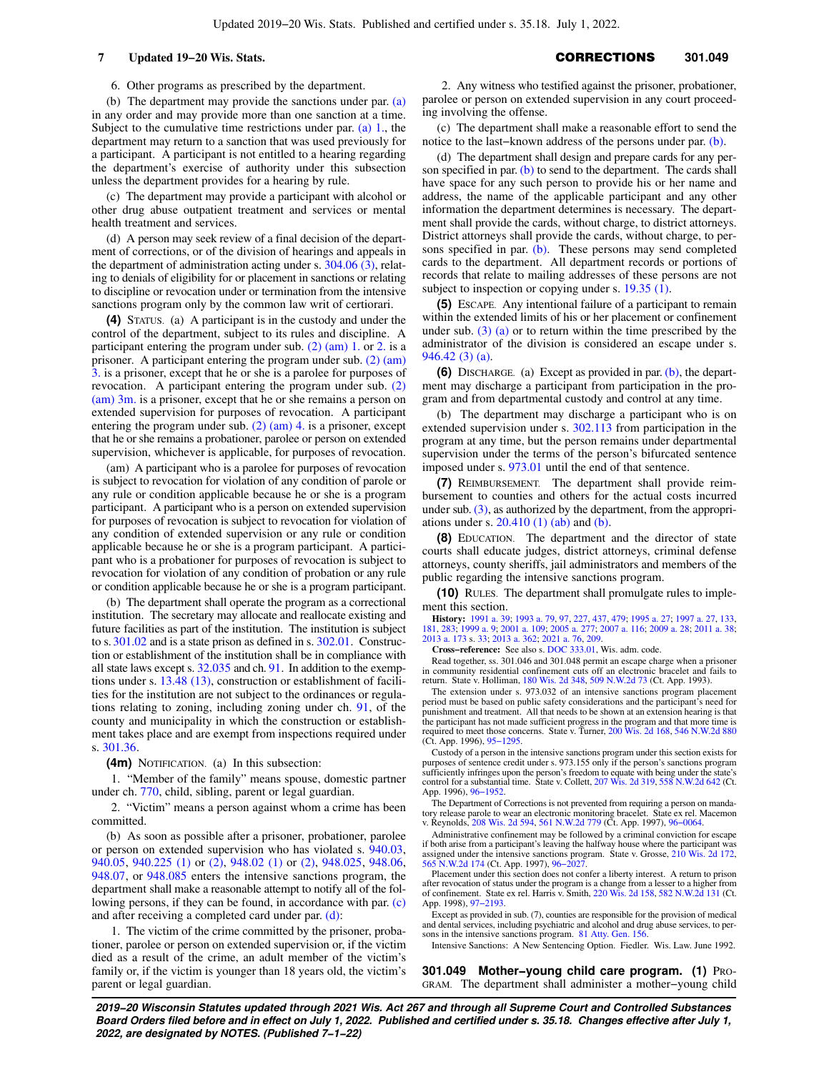6. Other programs as prescribed by the department.

(b) The department may provide the sanctions under par. [\(a\)](https://docs.legis.wisconsin.gov/document/statutes/301.048(3)(a)) in any order and may provide more than one sanction at a time. Subject to the cumulative time restrictions under par.  $(a)$  1., the department may return to a sanction that was used previously for a participant. A participant is not entitled to a hearing regarding the department's exercise of authority under this subsection unless the department provides for a hearing by rule.

(c) The department may provide a participant with alcohol or other drug abuse outpatient treatment and services or mental health treatment and services.

(d) A person may seek review of a final decision of the department of corrections, or of the division of hearings and appeals in the department of administration acting under s. [304.06 \(3\)](https://docs.legis.wisconsin.gov/document/statutes/304.06(3)), relating to denials of eligibility for or placement in sanctions or relating to discipline or revocation under or termination from the intensive sanctions program only by the common law writ of certiorari.

**(4)** STATUS. (a) A participant is in the custody and under the control of the department, subject to its rules and discipline. A participant entering the program under sub. [\(2\) \(am\) 1.](https://docs.legis.wisconsin.gov/document/statutes/301.048(2)(am)1.) or [2.](https://docs.legis.wisconsin.gov/document/statutes/301.048(2)(am)2.) is a prisoner. A participant entering the program under sub. [\(2\) \(am\)](https://docs.legis.wisconsin.gov/document/statutes/301.048(2)(am)3.) [3.](https://docs.legis.wisconsin.gov/document/statutes/301.048(2)(am)3.) is a prisoner, except that he or she is a parolee for purposes of revocation. A participant entering the program under sub. [\(2\)](https://docs.legis.wisconsin.gov/document/statutes/301.048(2)(am)3m.) [\(am\) 3m.](https://docs.legis.wisconsin.gov/document/statutes/301.048(2)(am)3m.) is a prisoner, except that he or she remains a person on extended supervision for purposes of revocation. A participant entering the program under sub. [\(2\) \(am\) 4.](https://docs.legis.wisconsin.gov/document/statutes/301.048(2)(am)4.) is a prisoner, except that he or she remains a probationer, parolee or person on extended supervision, whichever is applicable, for purposes of revocation.

(am) A participant who is a parolee for purposes of revocation is subject to revocation for violation of any condition of parole or any rule or condition applicable because he or she is a program participant. A participant who is a person on extended supervision for purposes of revocation is subject to revocation for violation of any condition of extended supervision or any rule or condition applicable because he or she is a program participant. A participant who is a probationer for purposes of revocation is subject to revocation for violation of any condition of probation or any rule or condition applicable because he or she is a program participant.

(b) The department shall operate the program as a correctional institution. The secretary may allocate and reallocate existing and future facilities as part of the institution. The institution is subject to s. [301.02](https://docs.legis.wisconsin.gov/document/statutes/301.02) and is a state prison as defined in s. [302.01.](https://docs.legis.wisconsin.gov/document/statutes/302.01) Construction or establishment of the institution shall be in compliance with all state laws except s. [32.035](https://docs.legis.wisconsin.gov/document/statutes/32.035) and ch. [91.](https://docs.legis.wisconsin.gov/document/statutes/ch.%2091) In addition to the exemptions under s. [13.48 \(13\),](https://docs.legis.wisconsin.gov/document/statutes/13.48(13)) construction or establishment of facilities for the institution are not subject to the ordinances or regulations relating to zoning, including zoning under ch. [91,](https://docs.legis.wisconsin.gov/document/statutes/ch.%2091) of the county and municipality in which the construction or establishment takes place and are exempt from inspections required under s. [301.36.](https://docs.legis.wisconsin.gov/document/statutes/301.36)

**(4m)** NOTIFICATION. (a) In this subsection:

1. "Member of the family" means spouse, domestic partner under ch. [770](https://docs.legis.wisconsin.gov/document/statutes/ch.%20770), child, sibling, parent or legal guardian.

2. "Victim" means a person against whom a crime has been committed.

(b) As soon as possible after a prisoner, probationer, parolee or person on extended supervision who has violated s. [940.03,](https://docs.legis.wisconsin.gov/document/statutes/940.03) [940.05,](https://docs.legis.wisconsin.gov/document/statutes/940.05) [940.225 \(1\)](https://docs.legis.wisconsin.gov/document/statutes/940.225(1)) or [\(2\)](https://docs.legis.wisconsin.gov/document/statutes/940.225(2)), [948.02 \(1\)](https://docs.legis.wisconsin.gov/document/statutes/948.02(1)) or [\(2\),](https://docs.legis.wisconsin.gov/document/statutes/948.02(2)) [948.025,](https://docs.legis.wisconsin.gov/document/statutes/948.025) [948.06,](https://docs.legis.wisconsin.gov/document/statutes/948.06) [948.07,](https://docs.legis.wisconsin.gov/document/statutes/948.07) or [948.085](https://docs.legis.wisconsin.gov/document/statutes/948.085) enters the intensive sanctions program, the department shall make a reasonable attempt to notify all of the following persons, if they can be found, in accordance with par. [\(c\)](https://docs.legis.wisconsin.gov/document/statutes/301.048(4m)(c)) and after receiving a completed card under par.  $(d)$ :

1. The victim of the crime committed by the prisoner, probationer, parolee or person on extended supervision or, if the victim died as a result of the crime, an adult member of the victim's family or, if the victim is younger than 18 years old, the victim's parent or legal guardian.

2. Any witness who testified against the prisoner, probationer, parolee or person on extended supervision in any court proceeding involving the offense.

(c) The department shall make a reasonable effort to send the notice to the last−known address of the persons under par. [\(b\).](https://docs.legis.wisconsin.gov/document/statutes/301.048(4m)(b))

(d) The department shall design and prepare cards for any person specified in par.  $(b)$  to send to the department. The cards shall have space for any such person to provide his or her name and address, the name of the applicable participant and any other information the department determines is necessary. The department shall provide the cards, without charge, to district attorneys. District attorneys shall provide the cards, without charge, to per-sons specified in par. [\(b\)](https://docs.legis.wisconsin.gov/document/statutes/301.048(4m)(b)). These persons may send completed cards to the department. All department records or portions of records that relate to mailing addresses of these persons are not subject to inspection or copying under s. [19.35 \(1\)](https://docs.legis.wisconsin.gov/document/statutes/19.35(1)).

**(5)** ESCAPE. Any intentional failure of a participant to remain within the extended limits of his or her placement or confinement under sub.  $(3)$  (a) or to return within the time prescribed by the administrator of the division is considered an escape under s. [946.42 \(3\) \(a\)](https://docs.legis.wisconsin.gov/document/statutes/946.42(3)(a)).

**(6)** DISCHARGE. (a) Except as provided in par. [\(b\),](https://docs.legis.wisconsin.gov/document/statutes/301.048(6)(b)) the department may discharge a participant from participation in the program and from departmental custody and control at any time.

(b) The department may discharge a participant who is on extended supervision under s. [302.113](https://docs.legis.wisconsin.gov/document/statutes/302.113) from participation in the program at any time, but the person remains under departmental supervision under the terms of the person's bifurcated sentence imposed under s. [973.01](https://docs.legis.wisconsin.gov/document/statutes/973.01) until the end of that sentence.

**(7)** REIMBURSEMENT. The department shall provide reimbursement to counties and others for the actual costs incurred under sub.  $(3)$ , as authorized by the department, from the appropriations under s. [20.410 \(1\) \(ab\)](https://docs.legis.wisconsin.gov/document/statutes/20.410(1)(ab)) and [\(b\).](https://docs.legis.wisconsin.gov/document/statutes/20.410(1)(b))

**(8)** EDUCATION. The department and the director of state courts shall educate judges, district attorneys, criminal defense attorneys, county sheriffs, jail administrators and members of the public regarding the intensive sanctions program.

**(10)** RULES. The department shall promulgate rules to implement this section.

**History:** [1991 a. 39;](https://docs.legis.wisconsin.gov/document/acts/1991/39) [1993 a. 79,](https://docs.legis.wisconsin.gov/document/acts/1993/79) [97](https://docs.legis.wisconsin.gov/document/acts/1993/97), [227](https://docs.legis.wisconsin.gov/document/acts/1993/227), [437](https://docs.legis.wisconsin.gov/document/acts/1993/437), [479](https://docs.legis.wisconsin.gov/document/acts/1993/479); [1995 a. 27](https://docs.legis.wisconsin.gov/document/acts/1995/27); [1997 a. 27](https://docs.legis.wisconsin.gov/document/acts/1997/27), [133](https://docs.legis.wisconsin.gov/document/acts/1997/133), [181,](https://docs.legis.wisconsin.gov/document/acts/1997/181) [283;](https://docs.legis.wisconsin.gov/document/acts/1997/283) [1999 a. 9](https://docs.legis.wisconsin.gov/document/acts/1999/9); [2001 a. 109;](https://docs.legis.wisconsin.gov/document/acts/2001/109) [2005 a. 277;](https://docs.legis.wisconsin.gov/document/acts/2005/277) [2007 a. 116](https://docs.legis.wisconsin.gov/document/acts/2007/116); [2009 a. 28](https://docs.legis.wisconsin.gov/document/acts/2009/28); [2011 a. 38](https://docs.legis.wisconsin.gov/document/acts/2011/38); [2013 a. 173](https://docs.legis.wisconsin.gov/document/acts/2013/173) s. [33](https://docs.legis.wisconsin.gov/document/acts/2013/173,%20s.%2033); [2013 a. 362;](https://docs.legis.wisconsin.gov/document/acts/2013/362) [2021 a. 76,](https://docs.legis.wisconsin.gov/document/acts/2021/76) [209.](https://docs.legis.wisconsin.gov/document/acts/2021/209)

**Cross−reference:** See also s. [DOC 333.01](https://docs.legis.wisconsin.gov/document/administrativecode/DOC%20333.01), Wis. adm. code.

Read together, ss. 301.046 and 301.048 permit an escape charge when a prisoner in community residential confinement cuts off an electronic bracelet and fails to return. State v. Holliman, [180 Wis. 2d 348](https://docs.legis.wisconsin.gov/document/courts/180%20Wis.%202d%20348), [509 N.W.2d 73](https://docs.legis.wisconsin.gov/document/courts/509%20N.W.2d%2073) (Ct. App. 1993).

The extension under s. 973.032 of an intensive sanctions program placement period must be based on public safety considerations and the participant's need for punishment and treatment. All that needs to be shown at an extension hearing is that the participant has not made sufficient progress in the program and that more time is required to meet those concerns. State v. Turner, [200 Wis. 2d 168](https://docs.legis.wisconsin.gov/document/courts/200%20Wis.%202d%20168), [546 N.W.2d 880](https://docs.legis.wisconsin.gov/document/courts/546%20N.W.2d%20880) (Ct. App. 1996), [95−1295](https://docs.legis.wisconsin.gov/document/wicourtofappeals/95-1295).

Custody of a person in the intensive sanctions program under this section exists for purposes of sentence credit under s. 973.155 only if the person's sanctions program sufficiently infringes upon the person's freedom to equate with being under the state's control for a substantial time. State v. Collett, [207 Wis. 2d 319,](https://docs.legis.wisconsin.gov/document/courts/207%20Wis.%202d%20319) [558 N.W.2d 642](https://docs.legis.wisconsin.gov/document/courts/558%20N.W.2d%20642) (Ct. App. 1996), [96−1952](https://docs.legis.wisconsin.gov/document/wicourtofappeals/96-1952).

The Department of Corrections is not prevented from requiring a person on mandatory release parole to wear an electronic monitoring bracelet. State ex rel. Macemon v. Reynolds, [208 Wis. 2d 594,](https://docs.legis.wisconsin.gov/document/courts/208%20Wis.%202d%20594) [561 N.W.2d 779](https://docs.legis.wisconsin.gov/document/courts/561%20N.W.2d%20779) (Ct. App. 1997), [96−0064.](https://docs.legis.wisconsin.gov/document/wicourtofappeals/96-0064)

Administrative confinement may be followed by a criminal conviction for escape if both arise from a participant's leaving the halfway house where the participant was assigned under the intensive sanctions program. State v. Grosse, [210 Wis. 2d 172](https://docs.legis.wisconsin.gov/document/courts/210%20Wis.%202d%20172), [565 N.W.2d 174](https://docs.legis.wisconsin.gov/document/courts/565%20N.W.2d%20174) (Ct. App. 1997), [96−2027](https://docs.legis.wisconsin.gov/document/wicourtofappeals/96-2027).

Placement under this section does not confer a liberty interest. A return to prison after revocation of status under the program is a change from a lesser to a higher from of confinement. State ex rel. Harris v. Smith, [220 Wis. 2d 158](https://docs.legis.wisconsin.gov/document/courts/220%20Wis.%202d%20158), [582 N.W.2d 131](https://docs.legis.wisconsin.gov/document/courts/582%20N.W.2d%20131) (Ct. App. 1998), [97−2193](https://docs.legis.wisconsin.gov/document/wicourtofappeals/97-2193).

Except as provided in sub. (7), counties are responsible for the provision of medical and dental services, including psychiatric and alcohol and drug abuse services, to per-sons in the intensive sanctions program. [81 Atty. Gen. 156.](https://docs.legis.wisconsin.gov/document/oag/vol81-156)

Intensive Sanctions: A New Sentencing Option. Fiedler. Wis. Law. June 1992.

**301.049 Mother−young child care program. (1)** PRO-GRAM. The department shall administer a mother−young child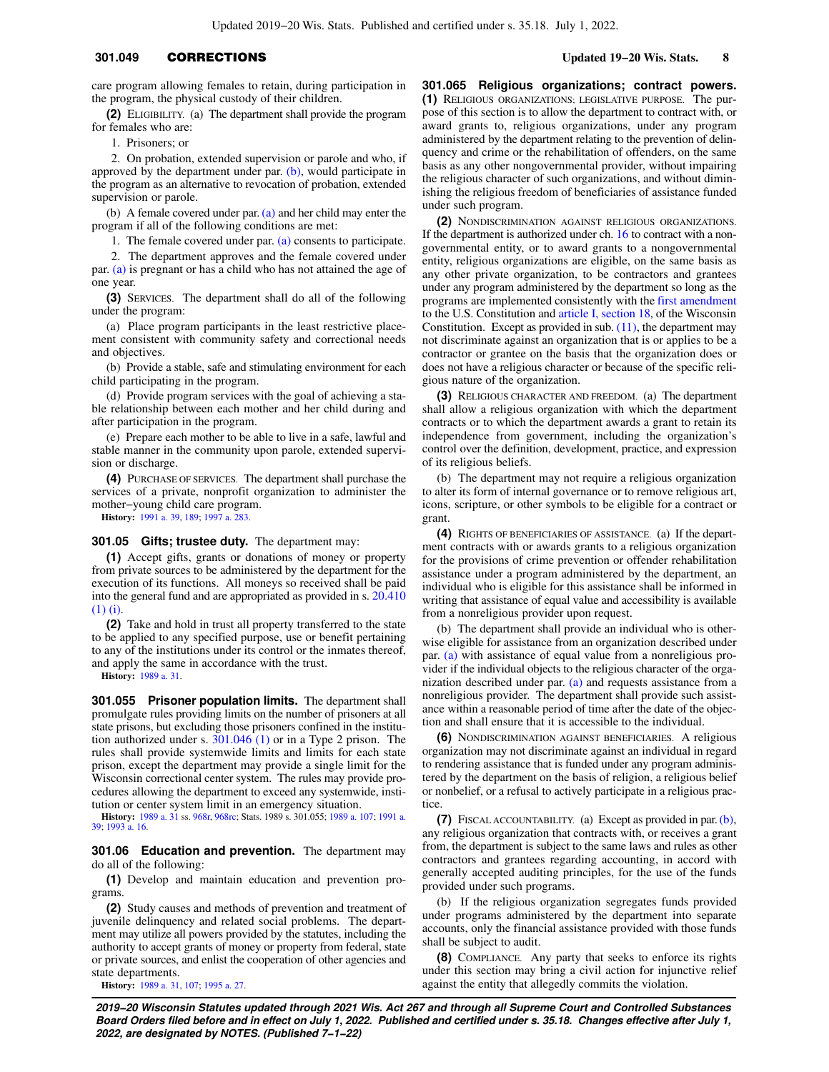# **301.049** CORRECTIONS **Updated 19−20 Wis. Stats. 8**

**(2)** ELIGIBILITY. (a) The department shall provide the program for females who are:

1. Prisoners; or

2. On probation, extended supervision or parole and who, if approved by the department under par.  $(b)$ , would participate in the program as an alternative to revocation of probation, extended supervision or parole.

(b) A female covered under par. [\(a\)](https://docs.legis.wisconsin.gov/document/statutes/301.049(2)(a)) and her child may enter the program if all of the following conditions are met:

1. The female covered under par. [\(a\)](https://docs.legis.wisconsin.gov/document/statutes/301.049(2)(a)) consents to participate.

2. The department approves and the female covered under par. [\(a\)](https://docs.legis.wisconsin.gov/document/statutes/301.049(2)(a)) is pregnant or has a child who has not attained the age of one year.

**(3)** SERVICES. The department shall do all of the following under the program:

(a) Place program participants in the least restrictive placement consistent with community safety and correctional needs and objectives.

(b) Provide a stable, safe and stimulating environment for each child participating in the program.

(d) Provide program services with the goal of achieving a stable relationship between each mother and her child during and after participation in the program.

(e) Prepare each mother to be able to live in a safe, lawful and stable manner in the community upon parole, extended supervision or discharge.

**(4)** PURCHASE OF SERVICES. The department shall purchase the services of a private, nonprofit organization to administer the mother−young child care program.

**History:** [1991 a. 39,](https://docs.legis.wisconsin.gov/document/acts/1991/39) [189;](https://docs.legis.wisconsin.gov/document/acts/1991/189) [1997 a. 283.](https://docs.legis.wisconsin.gov/document/acts/1997/283)

### **301.05 Gifts; trustee duty.** The department may:

**(1)** Accept gifts, grants or donations of money or property from private sources to be administered by the department for the execution of its functions. All moneys so received shall be paid into the general fund and are appropriated as provided in s. [20.410](https://docs.legis.wisconsin.gov/document/statutes/20.410(1)(i)) [\(1\) \(i\)](https://docs.legis.wisconsin.gov/document/statutes/20.410(1)(i)).

**(2)** Take and hold in trust all property transferred to the state to be applied to any specified purpose, use or benefit pertaining to any of the institutions under its control or the inmates thereof, and apply the same in accordance with the trust.

**History:** [1989 a. 31.](https://docs.legis.wisconsin.gov/document/acts/1989/31)

**301.055 Prisoner population limits.** The department shall promulgate rules providing limits on the number of prisoners at all state prisons, but excluding those prisoners confined in the institution authorized under s. [301.046 \(1\)](https://docs.legis.wisconsin.gov/document/statutes/301.046(1)) or in a Type 2 prison. The rules shall provide systemwide limits and limits for each state prison, except the department may provide a single limit for the Wisconsin correctional center system. The rules may provide procedures allowing the department to exceed any systemwide, institution or center system limit in an emergency situation.

**History:** [1989 a. 31](https://docs.legis.wisconsin.gov/document/acts/1989/31) ss. [968r,](https://docs.legis.wisconsin.gov/document/acts/1989/31,%20s.%20968r) [968rc;](https://docs.legis.wisconsin.gov/document/acts/1989/31,%20s.%20968rc) Stats. 1989 s. 301.055; [1989 a. 107;](https://docs.legis.wisconsin.gov/document/acts/1989/107) [1991 a.](https://docs.legis.wisconsin.gov/document/acts/1991/39) [39;](https://docs.legis.wisconsin.gov/document/acts/1991/39) [1993 a. 16.](https://docs.legis.wisconsin.gov/document/acts/1993/16)

**301.06 Education and prevention.** The department may do all of the following:

**(1)** Develop and maintain education and prevention programs.

**(2)** Study causes and methods of prevention and treatment of juvenile delinquency and related social problems. The department may utilize all powers provided by the statutes, including the authority to accept grants of money or property from federal, state or private sources, and enlist the cooperation of other agencies and state departments.

**History:** [1989 a. 31,](https://docs.legis.wisconsin.gov/document/acts/1989/31) [107;](https://docs.legis.wisconsin.gov/document/acts/1989/107) [1995 a. 27](https://docs.legis.wisconsin.gov/document/acts/1995/27).

**301.065 Religious organizations; contract powers. (1)** RELIGIOUS ORGANIZATIONS; LEGISLATIVE PURPOSE. The purpose of this section is to allow the department to contract with, or award grants to, religious organizations, under any program administered by the department relating to the prevention of delinquency and crime or the rehabilitation of offenders, on the same basis as any other nongovernmental provider, without impairing the religious character of such organizations, and without diminishing the religious freedom of beneficiaries of assistance funded under such program.

**(2)** NONDISCRIMINATION AGAINST RELIGIOUS ORGANIZATIONS. If the department is authorized under ch. [16](https://docs.legis.wisconsin.gov/document/statutes/ch.%2016) to contract with a nongovernmental entity, or to award grants to a nongovernmental entity, religious organizations are eligible, on the same basis as any other private organization, to be contractors and grantees under any program administered by the department so long as the programs are implemented consistently with the [first amendment](https://docs.legis.wisconsin.gov/document/usconstitution/Amdt.%201) to the U.S. Constitution and [article I, section 18](https://docs.legis.wisconsin.gov/document/wisconsinconstitution/I,18), of the Wisconsin Constitution. Except as provided in sub.  $(11)$ , the department may not discriminate against an organization that is or applies to be a contractor or grantee on the basis that the organization does or does not have a religious character or because of the specific religious nature of the organization.

**(3)** RELIGIOUS CHARACTER AND FREEDOM. (a) The department shall allow a religious organization with which the department contracts or to which the department awards a grant to retain its independence from government, including the organization's control over the definition, development, practice, and expression of its religious beliefs.

(b) The department may not require a religious organization to alter its form of internal governance or to remove religious art, icons, scripture, or other symbols to be eligible for a contract or grant.

**(4)** RIGHTS OF BENEFICIARIES OF ASSISTANCE. (a) If the department contracts with or awards grants to a religious organization for the provisions of crime prevention or offender rehabilitation assistance under a program administered by the department, an individual who is eligible for this assistance shall be informed in writing that assistance of equal value and accessibility is available from a nonreligious provider upon request.

(b) The department shall provide an individual who is otherwise eligible for assistance from an organization described under par. [\(a\)](https://docs.legis.wisconsin.gov/document/statutes/301.065(4)(a)) with assistance of equal value from a nonreligious provider if the individual objects to the religious character of the organization described under par. [\(a\)](https://docs.legis.wisconsin.gov/document/statutes/301.065(4)(a)) and requests assistance from a nonreligious provider. The department shall provide such assistance within a reasonable period of time after the date of the objection and shall ensure that it is accessible to the individual.

**(6)** NONDISCRIMINATION AGAINST BENEFICIARIES. A religious organization may not discriminate against an individual in regard to rendering assistance that is funded under any program administered by the department on the basis of religion, a religious belief or nonbelief, or a refusal to actively participate in a religious practice

**(7)** FISCAL ACCOUNTABILITY. (a) Except as provided in par. [\(b\),](https://docs.legis.wisconsin.gov/document/statutes/301.065(7)(b)) any religious organization that contracts with, or receives a grant from, the department is subject to the same laws and rules as other contractors and grantees regarding accounting, in accord with generally accepted auditing principles, for the use of the funds provided under such programs.

(b) If the religious organization segregates funds provided under programs administered by the department into separate accounts, only the financial assistance provided with those funds shall be subject to audit.

**(8)** COMPLIANCE. Any party that seeks to enforce its rights under this section may bring a civil action for injunctive relief against the entity that allegedly commits the violation.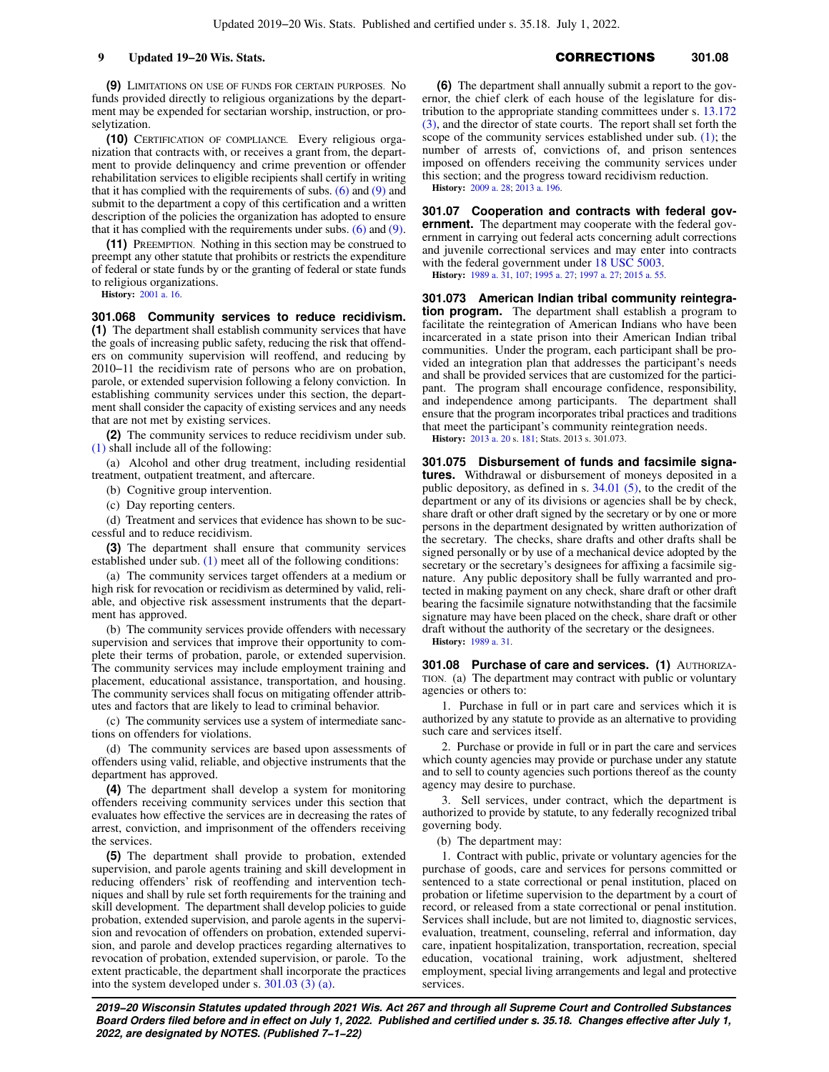**(9)** LIMITATIONS ON USE OF FUNDS FOR CERTAIN PURPOSES. No funds provided directly to religious organizations by the department may be expended for sectarian worship, instruction, or proselytization.

**(10)** CERTIFICATION OF COMPLIANCE. Every religious organization that contracts with, or receives a grant from, the department to provide delinquency and crime prevention or offender rehabilitation services to eligible recipients shall certify in writing that it has complied with the requirements of subs.  $(6)$  and  $(9)$  and submit to the department a copy of this certification and a written description of the policies the organization has adopted to ensure that it has complied with the requirements under subs.  $(6)$  and  $(9)$ .

**(11)** PREEMPTION. Nothing in this section may be construed to preempt any other statute that prohibits or restricts the expenditure of federal or state funds by or the granting of federal or state funds to religious organizations.

**History:** [2001 a. 16.](https://docs.legis.wisconsin.gov/document/acts/2001/16)

**301.068 Community services to reduce recidivism. (1)** The department shall establish community services that have the goals of increasing public safety, reducing the risk that offenders on community supervision will reoffend, and reducing by 2010−11 the recidivism rate of persons who are on probation, parole, or extended supervision following a felony conviction. In establishing community services under this section, the department shall consider the capacity of existing services and any needs that are not met by existing services.

**(2)** The community services to reduce recidivism under sub. [\(1\)](https://docs.legis.wisconsin.gov/document/statutes/301.068(1)) shall include all of the following:

(a) Alcohol and other drug treatment, including residential treatment, outpatient treatment, and aftercare.

(b) Cognitive group intervention.

(c) Day reporting centers.

(d) Treatment and services that evidence has shown to be successful and to reduce recidivism.

**(3)** The department shall ensure that community services established under sub. [\(1\)](https://docs.legis.wisconsin.gov/document/statutes/301.068(1)) meet all of the following conditions:

(a) The community services target offenders at a medium or high risk for revocation or recidivism as determined by valid, reliable, and objective risk assessment instruments that the department has approved.

(b) The community services provide offenders with necessary supervision and services that improve their opportunity to complete their terms of probation, parole, or extended supervision. The community services may include employment training and placement, educational assistance, transportation, and housing. The community services shall focus on mitigating offender attributes and factors that are likely to lead to criminal behavior.

(c) The community services use a system of intermediate sanctions on offenders for violations.

(d) The community services are based upon assessments of offenders using valid, reliable, and objective instruments that the department has approved.

**(4)** The department shall develop a system for monitoring offenders receiving community services under this section that evaluates how effective the services are in decreasing the rates of arrest, conviction, and imprisonment of the offenders receiving the services.

**(5)** The department shall provide to probation, extended supervision, and parole agents training and skill development in reducing offenders' risk of reoffending and intervention techniques and shall by rule set forth requirements for the training and skill development. The department shall develop policies to guide probation, extended supervision, and parole agents in the supervision and revocation of offenders on probation, extended supervision, and parole and develop practices regarding alternatives to revocation of probation, extended supervision, or parole. To the extent practicable, the department shall incorporate the practices into the system developed under s. [301.03 \(3\) \(a\)](https://docs.legis.wisconsin.gov/document/statutes/301.03(3)(a)).

**9 Updated 19−20 Wis. Stats. CORRECTIONS** 301.08

**(6)** The department shall annually submit a report to the governor, the chief clerk of each house of the legislature for distribution to the appropriate standing committees under s. [13.172](https://docs.legis.wisconsin.gov/document/statutes/13.172(3)) [\(3\),](https://docs.legis.wisconsin.gov/document/statutes/13.172(3)) and the director of state courts. The report shall set forth the scope of the community services established under sub.  $(1)$ ; the number of arrests of, convictions of, and prison sentences imposed on offenders receiving the community services under this section; and the progress toward recidivism reduction.

**History:** [2009 a. 28](https://docs.legis.wisconsin.gov/document/acts/2009/28); [2013 a. 196.](https://docs.legis.wisconsin.gov/document/acts/2013/196)

**301.07 Cooperation and contracts with federal government.** The department may cooperate with the federal government in carrying out federal acts concerning adult corrections and juvenile correctional services and may enter into contracts with the federal government under [18 USC 5003.](https://docs.legis.wisconsin.gov/document/usc/18%20USC%205003)

**History:** [1989 a. 31](https://docs.legis.wisconsin.gov/document/acts/1989/31), [107](https://docs.legis.wisconsin.gov/document/acts/1989/107); [1995 a. 27](https://docs.legis.wisconsin.gov/document/acts/1995/27); [1997 a. 27](https://docs.legis.wisconsin.gov/document/acts/1997/27); [2015 a. 55.](https://docs.legis.wisconsin.gov/document/acts/2015/55)

**301.073 American Indian tribal community reintegration program.** The department shall establish a program to facilitate the reintegration of American Indians who have been incarcerated in a state prison into their American Indian tribal communities. Under the program, each participant shall be provided an integration plan that addresses the participant's needs and shall be provided services that are customized for the participant. The program shall encourage confidence, responsibility, and independence among participants. The department shall ensure that the program incorporates tribal practices and traditions that meet the participant's community reintegration needs.

**History:** [2013 a. 20](https://docs.legis.wisconsin.gov/document/acts/2013/20) s. [181;](https://docs.legis.wisconsin.gov/document/acts/2013/20,%20s.%20181) Stats. 2013 s. 301.073.

**301.075 Disbursement of funds and facsimile signatures.** Withdrawal or disbursement of moneys deposited in a public depository, as defined in s.  $34.01$  (5), to the credit of the department or any of its divisions or agencies shall be by check, share draft or other draft signed by the secretary or by one or more persons in the department designated by written authorization of the secretary. The checks, share drafts and other drafts shall be signed personally or by use of a mechanical device adopted by the secretary or the secretary's designees for affixing a facsimile signature. Any public depository shall be fully warranted and protected in making payment on any check, share draft or other draft bearing the facsimile signature notwithstanding that the facsimile signature may have been placed on the check, share draft or other draft without the authority of the secretary or the designees.

**History:** [1989 a. 31](https://docs.legis.wisconsin.gov/document/acts/1989/31).

**301.08 Purchase of care and services. (1)** AUTHORIZA-TION. (a) The department may contract with public or voluntary agencies or others to:

1. Purchase in full or in part care and services which it is authorized by any statute to provide as an alternative to providing such care and services itself.

2. Purchase or provide in full or in part the care and services which county agencies may provide or purchase under any statute and to sell to county agencies such portions thereof as the county agency may desire to purchase.

3. Sell services, under contract, which the department is authorized to provide by statute, to any federally recognized tribal governing body.

(b) The department may:

1. Contract with public, private or voluntary agencies for the purchase of goods, care and services for persons committed or sentenced to a state correctional or penal institution, placed on probation or lifetime supervision to the department by a court of record, or released from a state correctional or penal institution. Services shall include, but are not limited to, diagnostic services, evaluation, treatment, counseling, referral and information, day care, inpatient hospitalization, transportation, recreation, special education, vocational training, work adjustment, sheltered employment, special living arrangements and legal and protective services.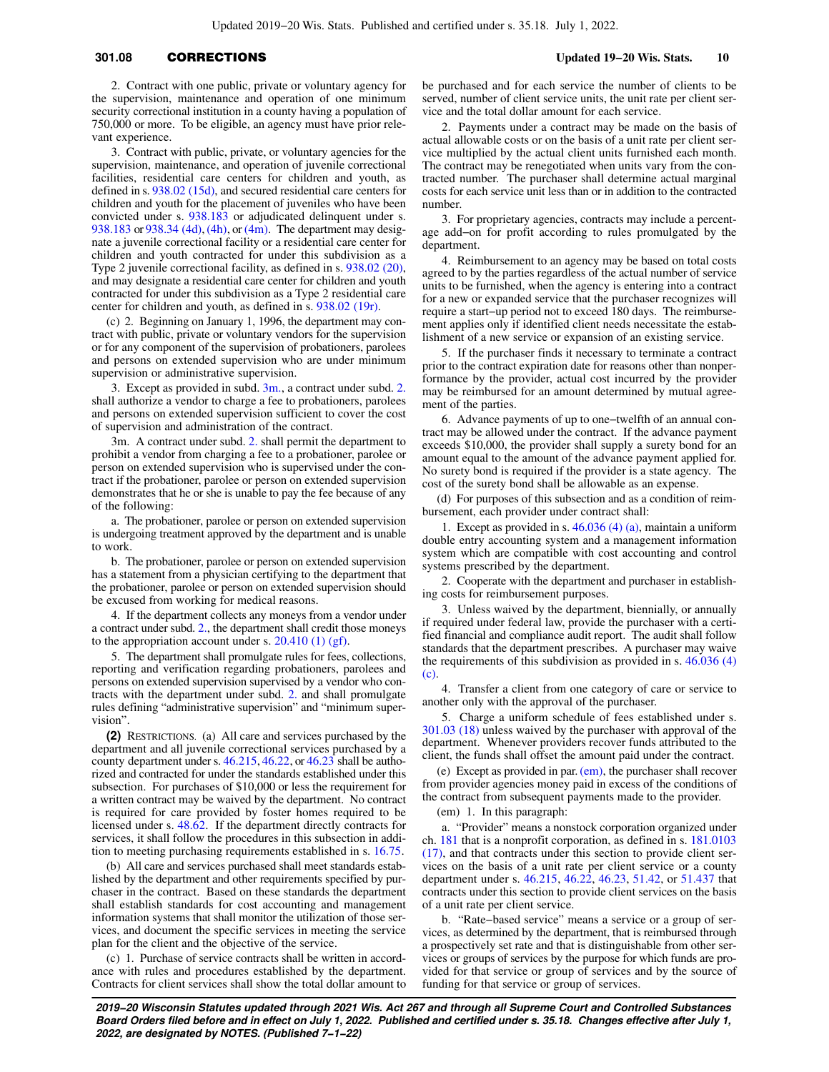# **301.08** CORRECTIONS **Updated 19−20 Wis. Stats. 10**

2. Contract with one public, private or voluntary agency for the supervision, maintenance and operation of one minimum security correctional institution in a county having a population of 750,000 or more. To be eligible, an agency must have prior relevant experience.

3. Contract with public, private, or voluntary agencies for the supervision, maintenance, and operation of juvenile correctional facilities, residential care centers for children and youth, as defined in s. [938.02 \(15d\),](https://docs.legis.wisconsin.gov/document/statutes/938.02(15d)) and secured residential care centers for children and youth for the placement of juveniles who have been convicted under s. [938.183](https://docs.legis.wisconsin.gov/document/statutes/938.183) or adjudicated delinquent under s. [938.183](https://docs.legis.wisconsin.gov/document/statutes/938.183) or [938.34 \(4d\)](https://docs.legis.wisconsin.gov/document/statutes/938.34(4d)), [\(4h\),](https://docs.legis.wisconsin.gov/document/statutes/938.34(4h)) or [\(4m\)](https://docs.legis.wisconsin.gov/document/statutes/938.34(4m)). The department may designate a juvenile correctional facility or a residential care center for children and youth contracted for under this subdivision as a Type 2 juvenile correctional facility, as defined in s. [938.02 \(20\),](https://docs.legis.wisconsin.gov/document/statutes/938.02(20)) and may designate a residential care center for children and youth contracted for under this subdivision as a Type 2 residential care center for children and youth, as defined in s. [938.02 \(19r\)](https://docs.legis.wisconsin.gov/document/statutes/938.02(19r)).

(c) 2. Beginning on January 1, 1996, the department may contract with public, private or voluntary vendors for the supervision or for any component of the supervision of probationers, parolees and persons on extended supervision who are under minimum supervision or administrative supervision.

3. Except as provided in subd. [3m.,](https://docs.legis.wisconsin.gov/document/statutes/301.08(1)(c)3m.) a contract under subd. [2.](https://docs.legis.wisconsin.gov/document/statutes/301.08(1)(c)2.) shall authorize a vendor to charge a fee to probationers, parolees and persons on extended supervision sufficient to cover the cost of supervision and administration of the contract.

3m. A contract under subd. [2.](https://docs.legis.wisconsin.gov/document/statutes/301.08(1)(c)2.) shall permit the department to prohibit a vendor from charging a fee to a probationer, parolee or person on extended supervision who is supervised under the contract if the probationer, parolee or person on extended supervision demonstrates that he or she is unable to pay the fee because of any of the following:

a. The probationer, parolee or person on extended supervision is undergoing treatment approved by the department and is unable to work.

b. The probationer, parolee or person on extended supervision has a statement from a physician certifying to the department that the probationer, parolee or person on extended supervision should be excused from working for medical reasons.

4. If the department collects any moneys from a vendor under a contract under subd. [2.](https://docs.legis.wisconsin.gov/document/statutes/301.08(1)(c)2.), the department shall credit those moneys to the appropriation account under s.  $20.410(1)$  (gf).

5. The department shall promulgate rules for fees, collections, reporting and verification regarding probationers, parolees and persons on extended supervision supervised by a vendor who contracts with the department under subd. [2.](https://docs.legis.wisconsin.gov/document/statutes/301.08(1)(c)2.) and shall promulgate rules defining "administrative supervision" and "minimum supervision".

**(2)** RESTRICTIONS. (a) All care and services purchased by the department and all juvenile correctional services purchased by a county department under s. [46.215](https://docs.legis.wisconsin.gov/document/statutes/46.215), [46.22](https://docs.legis.wisconsin.gov/document/statutes/46.22), or [46.23](https://docs.legis.wisconsin.gov/document/statutes/46.23) shall be authorized and contracted for under the standards established under this subsection. For purchases of \$10,000 or less the requirement for a written contract may be waived by the department. No contract is required for care provided by foster homes required to be licensed under s. [48.62.](https://docs.legis.wisconsin.gov/document/statutes/48.62) If the department directly contracts for services, it shall follow the procedures in this subsection in addition to meeting purchasing requirements established in s. [16.75.](https://docs.legis.wisconsin.gov/document/statutes/16.75)

(b) All care and services purchased shall meet standards established by the department and other requirements specified by purchaser in the contract. Based on these standards the department shall establish standards for cost accounting and management information systems that shall monitor the utilization of those services, and document the specific services in meeting the service plan for the client and the objective of the service.

(c) 1. Purchase of service contracts shall be written in accordance with rules and procedures established by the department. Contracts for client services shall show the total dollar amount to be purchased and for each service the number of clients to be served, number of client service units, the unit rate per client service and the total dollar amount for each service.

2. Payments under a contract may be made on the basis of actual allowable costs or on the basis of a unit rate per client service multiplied by the actual client units furnished each month. The contract may be renegotiated when units vary from the contracted number. The purchaser shall determine actual marginal costs for each service unit less than or in addition to the contracted number.

3. For proprietary agencies, contracts may include a percentage add−on for profit according to rules promulgated by the department.

4. Reimbursement to an agency may be based on total costs agreed to by the parties regardless of the actual number of service units to be furnished, when the agency is entering into a contract for a new or expanded service that the purchaser recognizes will require a start−up period not to exceed 180 days. The reimbursement applies only if identified client needs necessitate the establishment of a new service or expansion of an existing service.

5. If the purchaser finds it necessary to terminate a contract prior to the contract expiration date for reasons other than nonperformance by the provider, actual cost incurred by the provider may be reimbursed for an amount determined by mutual agreement of the parties.

6. Advance payments of up to one−twelfth of an annual contract may be allowed under the contract. If the advance payment exceeds \$10,000, the provider shall supply a surety bond for an amount equal to the amount of the advance payment applied for. No surety bond is required if the provider is a state agency. The cost of the surety bond shall be allowable as an expense.

(d) For purposes of this subsection and as a condition of reimbursement, each provider under contract shall:

1. Except as provided in s. [46.036 \(4\) \(a\)](https://docs.legis.wisconsin.gov/document/statutes/46.036(4)(a)), maintain a uniform double entry accounting system and a management information system which are compatible with cost accounting and control systems prescribed by the department.

2. Cooperate with the department and purchaser in establishing costs for reimbursement purposes.

3. Unless waived by the department, biennially, or annually if required under federal law, provide the purchaser with a certified financial and compliance audit report. The audit shall follow standards that the department prescribes. A purchaser may waive the requirements of this subdivision as provided in s. [46.036 \(4\)](https://docs.legis.wisconsin.gov/document/statutes/46.036(4)(c)) [\(c\)](https://docs.legis.wisconsin.gov/document/statutes/46.036(4)(c)).

4. Transfer a client from one category of care or service to another only with the approval of the purchaser.

5. Charge a uniform schedule of fees established under s. [301.03 \(18\)](https://docs.legis.wisconsin.gov/document/statutes/301.03(18)) unless waived by the purchaser with approval of the department. Whenever providers recover funds attributed to the client, the funds shall offset the amount paid under the contract.

(e) Except as provided in par. [\(em\)](https://docs.legis.wisconsin.gov/document/statutes/301.08(2)(em)), the purchaser shall recover from provider agencies money paid in excess of the conditions of the contract from subsequent payments made to the provider.

(em) 1. In this paragraph:

a. "Provider" means a nonstock corporation organized under ch. [181](https://docs.legis.wisconsin.gov/document/statutes/ch.%20181) that is a nonprofit corporation, as defined in s. [181.0103](https://docs.legis.wisconsin.gov/document/statutes/181.0103(17)) [\(17\)](https://docs.legis.wisconsin.gov/document/statutes/181.0103(17)), and that contracts under this section to provide client services on the basis of a unit rate per client service or a county department under s. [46.215](https://docs.legis.wisconsin.gov/document/statutes/46.215), [46.22](https://docs.legis.wisconsin.gov/document/statutes/46.22), [46.23,](https://docs.legis.wisconsin.gov/document/statutes/46.23) [51.42](https://docs.legis.wisconsin.gov/document/statutes/51.42), or [51.437](https://docs.legis.wisconsin.gov/document/statutes/51.437) that contracts under this section to provide client services on the basis of a unit rate per client service.

b. "Rate−based service" means a service or a group of services, as determined by the department, that is reimbursed through a prospectively set rate and that is distinguishable from other services or groups of services by the purpose for which funds are provided for that service or group of services and by the source of funding for that service or group of services.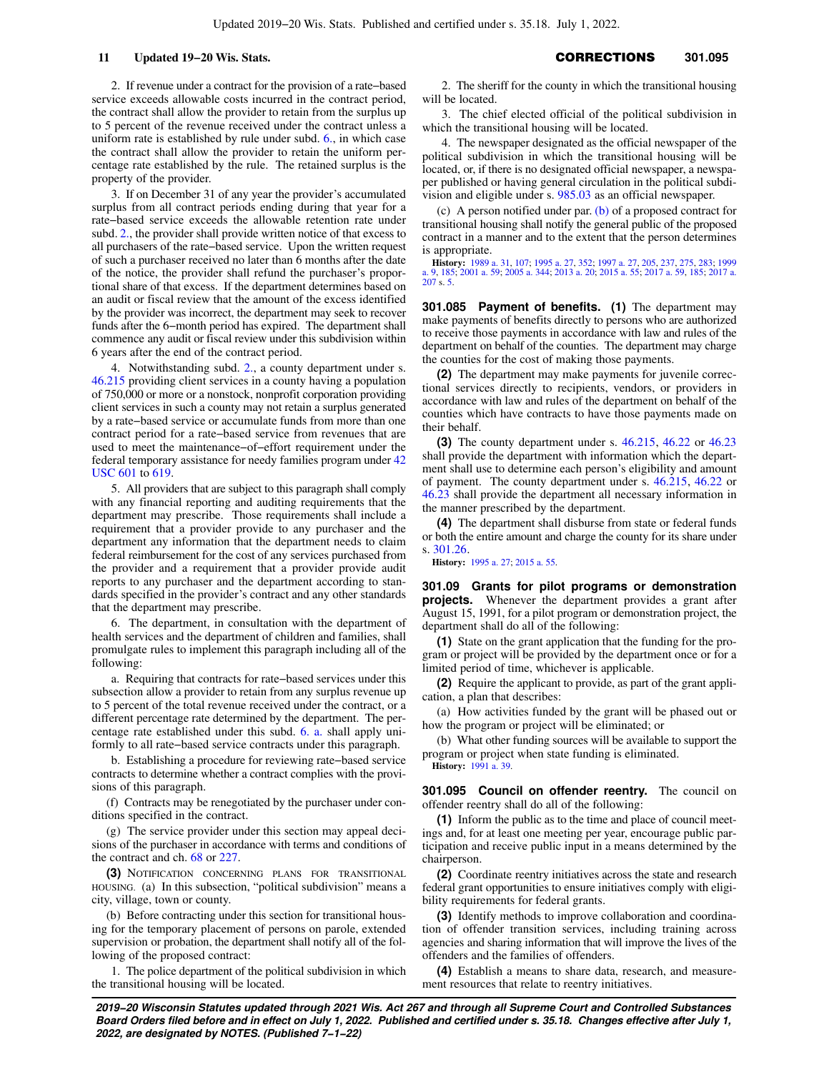2. If revenue under a contract for the provision of a rate−based service exceeds allowable costs incurred in the contract period, the contract shall allow the provider to retain from the surplus up to 5 percent of the revenue received under the contract unless a uniform rate is established by rule under subd. [6.,](https://docs.legis.wisconsin.gov/document/statutes/301.08(2)(em)6.) in which case the contract shall allow the provider to retain the uniform percentage rate established by the rule. The retained surplus is the property of the provider.

3. If on December 31 of any year the provider's accumulated surplus from all contract periods ending during that year for a rate−based service exceeds the allowable retention rate under subd. [2.,](https://docs.legis.wisconsin.gov/document/statutes/301.08(2)(em)2.) the provider shall provide written notice of that excess to all purchasers of the rate−based service. Upon the written request of such a purchaser received no later than 6 months after the date of the notice, the provider shall refund the purchaser's proportional share of that excess. If the department determines based on an audit or fiscal review that the amount of the excess identified by the provider was incorrect, the department may seek to recover funds after the 6−month period has expired. The department shall commence any audit or fiscal review under this subdivision within 6 years after the end of the contract period.

4. Notwithstanding subd. [2.](https://docs.legis.wisconsin.gov/document/statutes/301.08(2)(em)2.), a county department under s. [46.215](https://docs.legis.wisconsin.gov/document/statutes/46.215) providing client services in a county having a population of 750,000 or more or a nonstock, nonprofit corporation providing client services in such a county may not retain a surplus generated by a rate−based service or accumulate funds from more than one contract period for a rate−based service from revenues that are used to meet the maintenance−of−effort requirement under the federal temporary assistance for needy families program under [42](https://docs.legis.wisconsin.gov/document/usc/42%20USC%20601) [USC 601](https://docs.legis.wisconsin.gov/document/usc/42%20USC%20601) to [619](https://docs.legis.wisconsin.gov/document/usc/42%20USC%20619).

5. All providers that are subject to this paragraph shall comply with any financial reporting and auditing requirements that the department may prescribe. Those requirements shall include a requirement that a provider provide to any purchaser and the department any information that the department needs to claim federal reimbursement for the cost of any services purchased from the provider and a requirement that a provider provide audit reports to any purchaser and the department according to standards specified in the provider's contract and any other standards that the department may prescribe.

6. The department, in consultation with the department of health services and the department of children and families, shall promulgate rules to implement this paragraph including all of the following:

a. Requiring that contracts for rate−based services under this subsection allow a provider to retain from any surplus revenue up to 5 percent of the total revenue received under the contract, or a different percentage rate determined by the department. The percentage rate established under this subd. [6. a.](https://docs.legis.wisconsin.gov/document/statutes/301.08(2)(em)6.a.) shall apply uniformly to all rate−based service contracts under this paragraph.

b. Establishing a procedure for reviewing rate−based service contracts to determine whether a contract complies with the provisions of this paragraph.

(f) Contracts may be renegotiated by the purchaser under conditions specified in the contract.

(g) The service provider under this section may appeal decisions of the purchaser in accordance with terms and conditions of the contract and ch. [68](https://docs.legis.wisconsin.gov/document/statutes/ch.%2068) or [227.](https://docs.legis.wisconsin.gov/document/statutes/ch.%20227)

**(3)** NOTIFICATION CONCERNING PLANS FOR TRANSITIONAL HOUSING. (a) In this subsection, "political subdivision" means a city, village, town or county.

(b) Before contracting under this section for transitional housing for the temporary placement of persons on parole, extended supervision or probation, the department shall notify all of the following of the proposed contract:

1. The police department of the political subdivision in which the transitional housing will be located.

2. The sheriff for the county in which the transitional housing will be located.

3. The chief elected official of the political subdivision in which the transitional housing will be located.

4. The newspaper designated as the official newspaper of the political subdivision in which the transitional housing will be located, or, if there is no designated official newspaper, a newspaper published or having general circulation in the political subdivision and eligible under s. [985.03](https://docs.legis.wisconsin.gov/document/statutes/985.03) as an official newspaper.

(c) A person notified under par. [\(b\)](https://docs.legis.wisconsin.gov/document/statutes/301.08(3)(b)) of a proposed contract for transitional housing shall notify the general public of the proposed contract in a manner and to the extent that the person determines is appropriate.

**History:** [1989 a. 31,](https://docs.legis.wisconsin.gov/document/acts/1989/31) [107;](https://docs.legis.wisconsin.gov/document/acts/1989/107) [1995 a. 27,](https://docs.legis.wisconsin.gov/document/acts/1995/27) [352;](https://docs.legis.wisconsin.gov/document/acts/1995/352) [1997 a. 27,](https://docs.legis.wisconsin.gov/document/acts/1997/27) [205,](https://docs.legis.wisconsin.gov/document/acts/1997/205) [237,](https://docs.legis.wisconsin.gov/document/acts/1997/237) [275,](https://docs.legis.wisconsin.gov/document/acts/1997/275) [283;](https://docs.legis.wisconsin.gov/document/acts/1997/283) [1999](https://docs.legis.wisconsin.gov/document/acts/1999/9) [a. 9](https://docs.legis.wisconsin.gov/document/acts/1999/9), [185](https://docs.legis.wisconsin.gov/document/acts/1999/185); [2001 a. 59](https://docs.legis.wisconsin.gov/document/acts/2001/59); [2005 a. 344](https://docs.legis.wisconsin.gov/document/acts/2005/344); [2013 a. 20](https://docs.legis.wisconsin.gov/document/acts/2013/20); [2015 a. 55](https://docs.legis.wisconsin.gov/document/acts/2015/55); [2017 a. 59,](https://docs.legis.wisconsin.gov/document/acts/2017/59) [185;](https://docs.legis.wisconsin.gov/document/acts/2017/185) [2017 a.](https://docs.legis.wisconsin.gov/document/acts/2017/207) [207](https://docs.legis.wisconsin.gov/document/acts/2017/207) s. [5](https://docs.legis.wisconsin.gov/document/acts/2017/207,%20s.%205).

**301.085 Payment of benefits. (1)** The department may make payments of benefits directly to persons who are authorized to receive those payments in accordance with law and rules of the department on behalf of the counties. The department may charge the counties for the cost of making those payments.

**(2)** The department may make payments for juvenile correctional services directly to recipients, vendors, or providers in accordance with law and rules of the department on behalf of the counties which have contracts to have those payments made on their behalf.

**(3)** The county department under s. [46.215](https://docs.legis.wisconsin.gov/document/statutes/46.215), [46.22](https://docs.legis.wisconsin.gov/document/statutes/46.22) or [46.23](https://docs.legis.wisconsin.gov/document/statutes/46.23) shall provide the department with information which the department shall use to determine each person's eligibility and amount of payment. The county department under s. [46.215,](https://docs.legis.wisconsin.gov/document/statutes/46.215) [46.22](https://docs.legis.wisconsin.gov/document/statutes/46.22) or [46.23](https://docs.legis.wisconsin.gov/document/statutes/46.23) shall provide the department all necessary information in the manner prescribed by the department.

**(4)** The department shall disburse from state or federal funds or both the entire amount and charge the county for its share under s. [301.26.](https://docs.legis.wisconsin.gov/document/statutes/301.26)

**History:** [1995 a. 27](https://docs.legis.wisconsin.gov/document/acts/1995/27); [2015 a. 55](https://docs.legis.wisconsin.gov/document/acts/2015/55).

**301.09 Grants for pilot programs or demonstration projects.** Whenever the department provides a grant after August 15, 1991, for a pilot program or demonstration project, the department shall do all of the following:

**(1)** State on the grant application that the funding for the program or project will be provided by the department once or for a limited period of time, whichever is applicable.

**(2)** Require the applicant to provide, as part of the grant application, a plan that describes:

(a) How activities funded by the grant will be phased out or how the program or project will be eliminated; or

(b) What other funding sources will be available to support the program or project when state funding is eliminated. **History:** [1991 a. 39](https://docs.legis.wisconsin.gov/document/acts/1991/39).

**301.095 Council on offender reentry.** The council on offender reentry shall do all of the following:

**(1)** Inform the public as to the time and place of council meetings and, for at least one meeting per year, encourage public participation and receive public input in a means determined by the chairperson.

**(2)** Coordinate reentry initiatives across the state and research federal grant opportunities to ensure initiatives comply with eligibility requirements for federal grants.

**(3)** Identify methods to improve collaboration and coordination of offender transition services, including training across agencies and sharing information that will improve the lives of the offenders and the families of offenders.

**(4)** Establish a means to share data, research, and measurement resources that relate to reentry initiatives.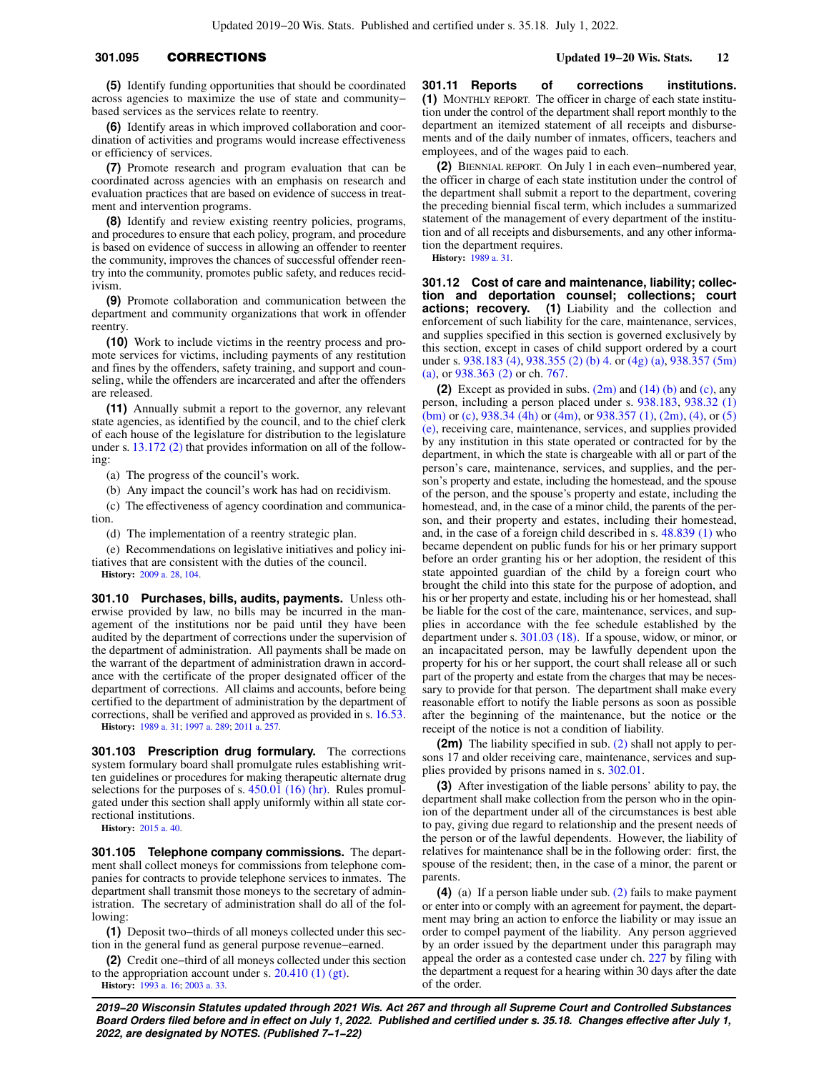# **301.095** CORRECTIONS **Updated 19−20 Wis. Stats. 12**

**(5)** Identify funding opportunities that should be coordinated across agencies to maximize the use of state and community− based services as the services relate to reentry.

**(6)** Identify areas in which improved collaboration and coordination of activities and programs would increase effectiveness or efficiency of services.

**(7)** Promote research and program evaluation that can be coordinated across agencies with an emphasis on research and evaluation practices that are based on evidence of success in treatment and intervention programs.

**(8)** Identify and review existing reentry policies, programs, and procedures to ensure that each policy, program, and procedure is based on evidence of success in allowing an offender to reenter the community, improves the chances of successful offender reentry into the community, promotes public safety, and reduces recidivism.

**(9)** Promote collaboration and communication between the department and community organizations that work in offender reentry.

**(10)** Work to include victims in the reentry process and promote services for victims, including payments of any restitution and fines by the offenders, safety training, and support and counseling, while the offenders are incarcerated and after the offenders are released.

**(11)** Annually submit a report to the governor, any relevant state agencies, as identified by the council, and to the chief clerk of each house of the legislature for distribution to the legislature under s. [13.172 \(2\)](https://docs.legis.wisconsin.gov/document/statutes/13.172(2)) that provides information on all of the following:

(a) The progress of the council's work.

(b) Any impact the council's work has had on recidivism.

(c) The effectiveness of agency coordination and communication.

(d) The implementation of a reentry strategic plan.

(e) Recommendations on legislative initiatives and policy initiatives that are consistent with the duties of the council. **History:** [2009 a. 28,](https://docs.legis.wisconsin.gov/document/acts/2009/28) [104.](https://docs.legis.wisconsin.gov/document/acts/2009/104)

**301.10 Purchases, bills, audits, payments.** Unless otherwise provided by law, no bills may be incurred in the management of the institutions nor be paid until they have been audited by the department of corrections under the supervision of the department of administration. All payments shall be made on the warrant of the department of administration drawn in accordance with the certificate of the proper designated officer of the department of corrections. All claims and accounts, before being certified to the department of administration by the department of corrections, shall be verified and approved as provided in s. [16.53.](https://docs.legis.wisconsin.gov/document/statutes/16.53)

**History:** [1989 a. 31;](https://docs.legis.wisconsin.gov/document/acts/1989/31) [1997 a. 289;](https://docs.legis.wisconsin.gov/document/acts/1997/289) [2011 a. 257.](https://docs.legis.wisconsin.gov/document/acts/2011/257)

**301.103 Prescription drug formulary.** The corrections system formulary board shall promulgate rules establishing written guidelines or procedures for making therapeutic alternate drug selections for the purposes of s.  $450.01$  (16) (hr). Rules promulgated under this section shall apply uniformly within all state correctional institutions.

**History:** [2015 a. 40.](https://docs.legis.wisconsin.gov/document/acts/2015/40)

**301.105 Telephone company commissions.** The department shall collect moneys for commissions from telephone companies for contracts to provide telephone services to inmates. The department shall transmit those moneys to the secretary of administration. The secretary of administration shall do all of the following:

**(1)** Deposit two−thirds of all moneys collected under this section in the general fund as general purpose revenue−earned.

**(2)** Credit one−third of all moneys collected under this section to the appropriation account under s.  $20.410(1)(gt)$ . **History:** [1993 a. 16;](https://docs.legis.wisconsin.gov/document/acts/1993/16) [2003 a. 33.](https://docs.legis.wisconsin.gov/document/acts/2003/33)

**301.11 Reports of corrections institutions. (1)** MONTHLY REPORT. The officer in charge of each state institution under the control of the department shall report monthly to the department an itemized statement of all receipts and disbursements and of the daily number of inmates, officers, teachers and employees, and of the wages paid to each.

**(2)** BIENNIAL REPORT. On July 1 in each even−numbered year, the officer in charge of each state institution under the control of the department shall submit a report to the department, covering the preceding biennial fiscal term, which includes a summarized statement of the management of every department of the institution and of all receipts and disbursements, and any other information the department requires.

**History:** [1989 a. 31](https://docs.legis.wisconsin.gov/document/acts/1989/31).

**301.12 Cost of care and maintenance, liability; collection and deportation counsel; collections; court actions; recovery. (1)** Liability and the collection and enforcement of such liability for the care, maintenance, services, and supplies specified in this section is governed exclusively by this section, except in cases of child support ordered by a court under s. [938.183 \(4\),](https://docs.legis.wisconsin.gov/document/statutes/938.183(4)) [938.355 \(2\) \(b\) 4.](https://docs.legis.wisconsin.gov/document/statutes/938.355(2)(b)4.) or [\(4g\) \(a\),](https://docs.legis.wisconsin.gov/document/statutes/938.355(4g)(a)) [938.357 \(5m\)](https://docs.legis.wisconsin.gov/document/statutes/938.357(5m)(a)) [\(a\)](https://docs.legis.wisconsin.gov/document/statutes/938.357(5m)(a)), or [938.363 \(2\)](https://docs.legis.wisconsin.gov/document/statutes/938.363(2)) or ch. [767](https://docs.legis.wisconsin.gov/document/statutes/ch.%20767).

**(2)** Except as provided in subs. [\(2m\)](https://docs.legis.wisconsin.gov/document/statutes/301.12(2m)) and [\(14\) \(b\)](https://docs.legis.wisconsin.gov/document/statutes/301.12(14)(b)) and [\(c\)](https://docs.legis.wisconsin.gov/document/statutes/301.12(14)(c)), any person, including a person placed under s. [938.183,](https://docs.legis.wisconsin.gov/document/statutes/938.183) [938.32 \(1\)](https://docs.legis.wisconsin.gov/document/statutes/938.32(1)(bm)) [\(bm\)](https://docs.legis.wisconsin.gov/document/statutes/938.32(1)(bm)) or [\(c\)](https://docs.legis.wisconsin.gov/document/statutes/938.32(1)(c)), [938.34 \(4h\)](https://docs.legis.wisconsin.gov/document/statutes/938.34(4h)) or [\(4m\),](https://docs.legis.wisconsin.gov/document/statutes/938.34(4m)) or [938.357 \(1\),](https://docs.legis.wisconsin.gov/document/statutes/938.357(1)) [\(2m\),](https://docs.legis.wisconsin.gov/document/statutes/938.357(2m)) [\(4\),](https://docs.legis.wisconsin.gov/document/statutes/938.357(4)) or [\(5\)](https://docs.legis.wisconsin.gov/document/statutes/938.357(5)(e)) [\(e\)](https://docs.legis.wisconsin.gov/document/statutes/938.357(5)(e)), receiving care, maintenance, services, and supplies provided by any institution in this state operated or contracted for by the department, in which the state is chargeable with all or part of the person's care, maintenance, services, and supplies, and the person's property and estate, including the homestead, and the spouse of the person, and the spouse's property and estate, including the homestead, and, in the case of a minor child, the parents of the person, and their property and estates, including their homestead, and, in the case of a foreign child described in s. [48.839 \(1\)](https://docs.legis.wisconsin.gov/document/statutes/48.839(1)) who became dependent on public funds for his or her primary support before an order granting his or her adoption, the resident of this state appointed guardian of the child by a foreign court who brought the child into this state for the purpose of adoption, and his or her property and estate, including his or her homestead, shall be liable for the cost of the care, maintenance, services, and supplies in accordance with the fee schedule established by the department under s. [301.03 \(18\)](https://docs.legis.wisconsin.gov/document/statutes/301.03(18)). If a spouse, widow, or minor, or an incapacitated person, may be lawfully dependent upon the property for his or her support, the court shall release all or such part of the property and estate from the charges that may be necessary to provide for that person. The department shall make every reasonable effort to notify the liable persons as soon as possible after the beginning of the maintenance, but the notice or the receipt of the notice is not a condition of liability.

**(2m)** The liability specified in sub. [\(2\)](https://docs.legis.wisconsin.gov/document/statutes/301.12(2)) shall not apply to persons 17 and older receiving care, maintenance, services and supplies provided by prisons named in s. [302.01](https://docs.legis.wisconsin.gov/document/statutes/302.01).

**(3)** After investigation of the liable persons' ability to pay, the department shall make collection from the person who in the opinion of the department under all of the circumstances is best able to pay, giving due regard to relationship and the present needs of the person or of the lawful dependents. However, the liability of relatives for maintenance shall be in the following order: first, the spouse of the resident; then, in the case of a minor, the parent or parents

**(4)** (a) If a person liable under sub. [\(2\)](https://docs.legis.wisconsin.gov/document/statutes/301.12(2)) fails to make payment or enter into or comply with an agreement for payment, the department may bring an action to enforce the liability or may issue an order to compel payment of the liability. Any person aggrieved by an order issued by the department under this paragraph may appeal the order as a contested case under ch. [227](https://docs.legis.wisconsin.gov/document/statutes/ch.%20227) by filing with the department a request for a hearing within 30 days after the date of the order.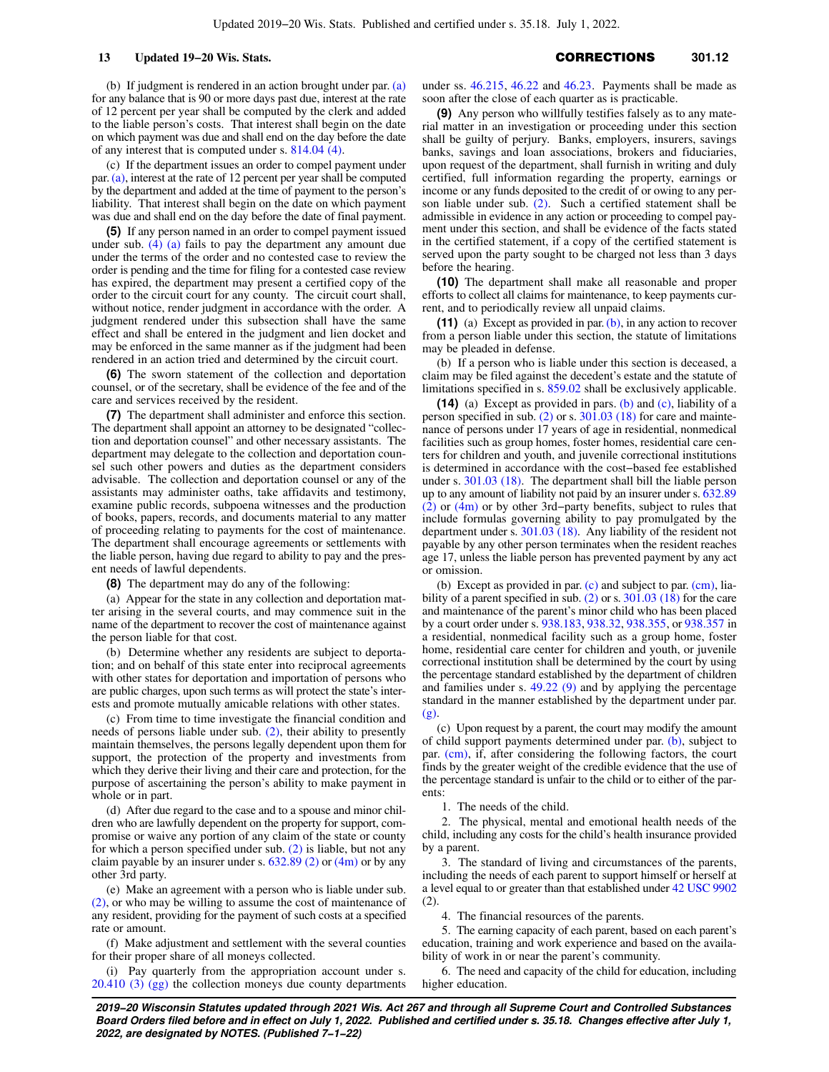(b) If judgment is rendered in an action brought under par. [\(a\)](https://docs.legis.wisconsin.gov/document/statutes/301.12(4)(a)) for any balance that is 90 or more days past due, interest at the rate of 12 percent per year shall be computed by the clerk and added to the liable person's costs. That interest shall begin on the date on which payment was due and shall end on the day before the date of any interest that is computed under s. [814.04 \(4\).](https://docs.legis.wisconsin.gov/document/statutes/814.04(4))

(c) If the department issues an order to compel payment under par.[\(a\)](https://docs.legis.wisconsin.gov/document/statutes/301.12(4)(a)), interest at the rate of 12 percent per year shall be computed by the department and added at the time of payment to the person's liability. That interest shall begin on the date on which payment was due and shall end on the day before the date of final payment.

**(5)** If any person named in an order to compel payment issued under sub.  $(4)$   $(a)$  fails to pay the department any amount due under the terms of the order and no contested case to review the order is pending and the time for filing for a contested case review has expired, the department may present a certified copy of the order to the circuit court for any county. The circuit court shall, without notice, render judgment in accordance with the order. A judgment rendered under this subsection shall have the same effect and shall be entered in the judgment and lien docket and may be enforced in the same manner as if the judgment had been rendered in an action tried and determined by the circuit court.

**(6)** The sworn statement of the collection and deportation counsel, or of the secretary, shall be evidence of the fee and of the care and services received by the resident.

**(7)** The department shall administer and enforce this section. The department shall appoint an attorney to be designated "collection and deportation counsel" and other necessary assistants. The department may delegate to the collection and deportation counsel such other powers and duties as the department considers advisable. The collection and deportation counsel or any of the assistants may administer oaths, take affidavits and testimony, examine public records, subpoena witnesses and the production of books, papers, records, and documents material to any matter of proceeding relating to payments for the cost of maintenance. The department shall encourage agreements or settlements with the liable person, having due regard to ability to pay and the present needs of lawful dependents.

**(8)** The department may do any of the following:

(a) Appear for the state in any collection and deportation matter arising in the several courts, and may commence suit in the name of the department to recover the cost of maintenance against the person liable for that cost.

(b) Determine whether any residents are subject to deportation; and on behalf of this state enter into reciprocal agreements with other states for deportation and importation of persons who are public charges, upon such terms as will protect the state's interests and promote mutually amicable relations with other states.

(c) From time to time investigate the financial condition and needs of persons liable under sub. [\(2\),](https://docs.legis.wisconsin.gov/document/statutes/301.12(2)) their ability to presently maintain themselves, the persons legally dependent upon them for support, the protection of the property and investments from which they derive their living and their care and protection, for the purpose of ascertaining the person's ability to make payment in whole or in part.

(d) After due regard to the case and to a spouse and minor children who are lawfully dependent on the property for support, compromise or waive any portion of any claim of the state or county for which a person specified under sub. [\(2\)](https://docs.legis.wisconsin.gov/document/statutes/301.12(2)) is liable, but not any claim payable by an insurer under s. [632.89 \(2\)](https://docs.legis.wisconsin.gov/document/statutes/632.89(2)) or [\(4m\)](https://docs.legis.wisconsin.gov/document/statutes/632.89(4m)) or by any other 3rd party.

(e) Make an agreement with a person who is liable under sub. [\(2\)](https://docs.legis.wisconsin.gov/document/statutes/301.12(2)), or who may be willing to assume the cost of maintenance of any resident, providing for the payment of such costs at a specified rate or amount.

(f) Make adjustment and settlement with the several counties for their proper share of all moneys collected.

(i) Pay quarterly from the appropriation account under s. [20.410 \(3\) \(gg\)](https://docs.legis.wisconsin.gov/document/statutes/20.410(3)(gg)) the collection moneys due county departments under ss. [46.215,](https://docs.legis.wisconsin.gov/document/statutes/46.215) [46.22](https://docs.legis.wisconsin.gov/document/statutes/46.22) and [46.23](https://docs.legis.wisconsin.gov/document/statutes/46.23). Payments shall be made as soon after the close of each quarter as is practicable.

**(9)** Any person who willfully testifies falsely as to any material matter in an investigation or proceeding under this section shall be guilty of perjury. Banks, employers, insurers, savings banks, savings and loan associations, brokers and fiduciaries, upon request of the department, shall furnish in writing and duly certified, full information regarding the property, earnings or income or any funds deposited to the credit of or owing to any person liable under sub.  $(2)$ . Such a certified statement shall be admissible in evidence in any action or proceeding to compel payment under this section, and shall be evidence of the facts stated in the certified statement, if a copy of the certified statement is served upon the party sought to be charged not less than 3 days before the hearing.

**(10)** The department shall make all reasonable and proper efforts to collect all claims for maintenance, to keep payments current, and to periodically review all unpaid claims.

**(11)** (a) Except as provided in par. [\(b\),](https://docs.legis.wisconsin.gov/document/statutes/301.12(11)(b)) in any action to recover from a person liable under this section, the statute of limitations may be pleaded in defense.

(b) If a person who is liable under this section is deceased, a claim may be filed against the decedent's estate and the statute of limitations specified in s. [859.02](https://docs.legis.wisconsin.gov/document/statutes/859.02) shall be exclusively applicable.

**(14)** (a) Except as provided in pars. [\(b\)](https://docs.legis.wisconsin.gov/document/statutes/301.12(14)(b)) and [\(c\),](https://docs.legis.wisconsin.gov/document/statutes/301.12(14)(c)) liability of a person specified in sub. [\(2\)](https://docs.legis.wisconsin.gov/document/statutes/301.12(2)) or s. [301.03 \(18\)](https://docs.legis.wisconsin.gov/document/statutes/301.03(18)) for care and maintenance of persons under 17 years of age in residential, nonmedical facilities such as group homes, foster homes, residential care centers for children and youth, and juvenile correctional institutions is determined in accordance with the cost−based fee established under s. [301.03 \(18\)](https://docs.legis.wisconsin.gov/document/statutes/301.03(18)). The department shall bill the liable person up to any amount of liability not paid by an insurer under s. [632.89](https://docs.legis.wisconsin.gov/document/statutes/632.89(2)) [\(2\)](https://docs.legis.wisconsin.gov/document/statutes/632.89(2)) or [\(4m\)](https://docs.legis.wisconsin.gov/document/statutes/632.89(4m)) or by other 3rd−party benefits, subject to rules that include formulas governing ability to pay promulgated by the department under s. [301.03 \(18\).](https://docs.legis.wisconsin.gov/document/statutes/301.03(18)) Any liability of the resident not payable by any other person terminates when the resident reaches age 17, unless the liable person has prevented payment by any act or omission.

(b) Except as provided in par.  $(c)$  and subject to par.  $(cm)$ , lia-bility of a parent specified in sub. [\(2\)](https://docs.legis.wisconsin.gov/document/statutes/301.12(2)) or s. [301.03 \(18\)](https://docs.legis.wisconsin.gov/document/statutes/301.03(18)) for the care and maintenance of the parent's minor child who has been placed by a court order under s. [938.183,](https://docs.legis.wisconsin.gov/document/statutes/938.183) [938.32,](https://docs.legis.wisconsin.gov/document/statutes/938.32) [938.355](https://docs.legis.wisconsin.gov/document/statutes/938.355), or [938.357](https://docs.legis.wisconsin.gov/document/statutes/938.357) in a residential, nonmedical facility such as a group home, foster home, residential care center for children and youth, or juvenile correctional institution shall be determined by the court by using the percentage standard established by the department of children and families under s. [49.22 \(9\)](https://docs.legis.wisconsin.gov/document/statutes/49.22(9)) and by applying the percentage standard in the manner established by the department under par. [\(g\).](https://docs.legis.wisconsin.gov/document/statutes/301.12(14)(g))

(c) Upon request by a parent, the court may modify the amount of child support payments determined under par. [\(b\),](https://docs.legis.wisconsin.gov/document/statutes/301.12(14)(b)) subject to par. [\(cm\),](https://docs.legis.wisconsin.gov/document/statutes/301.12(14)(cm)) if, after considering the following factors, the court finds by the greater weight of the credible evidence that the use of the percentage standard is unfair to the child or to either of the parents:

1. The needs of the child.

2. The physical, mental and emotional health needs of the child, including any costs for the child's health insurance provided by a parent.

The standard of living and circumstances of the parents, including the needs of each parent to support himself or herself at a level equal to or greater than that established under [42 USC 9902](https://docs.legis.wisconsin.gov/document/usc/42%20USC%209902) (2).

4. The financial resources of the parents.

5. The earning capacity of each parent, based on each parent's education, training and work experience and based on the availability of work in or near the parent's community.

6. The need and capacity of the child for education, including higher education.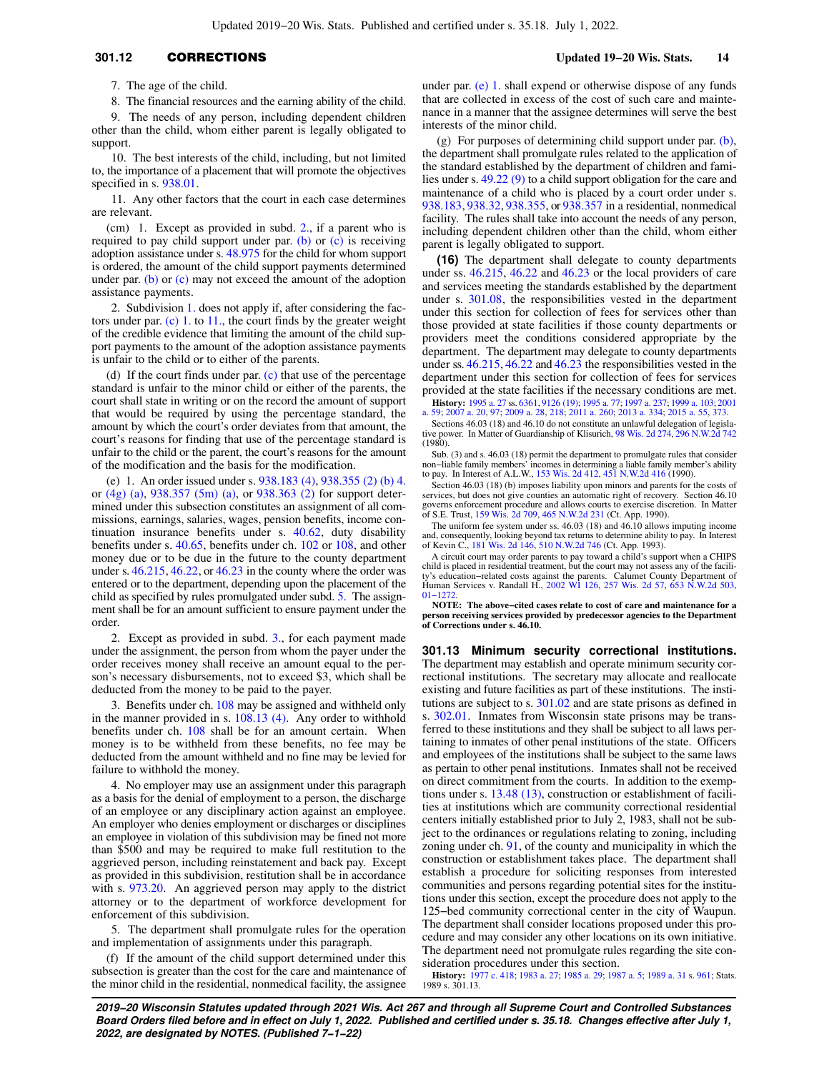# **301.12** CORRECTIONS **Updated 19−20 Wis. Stats. 14**

7. The age of the child.

8. The financial resources and the earning ability of the child. 9. The needs of any person, including dependent children other than the child, whom either parent is legally obligated to support.

10. The best interests of the child, including, but not limited to, the importance of a placement that will promote the objectives specified in s. [938.01.](https://docs.legis.wisconsin.gov/document/statutes/938.01)

11. Any other factors that the court in each case determines are relevant.

(cm) 1. Except as provided in subd. [2.,](https://docs.legis.wisconsin.gov/document/statutes/301.12(14)(cm)2.) if a parent who is required to pay child support under par. [\(b\)](https://docs.legis.wisconsin.gov/document/statutes/301.12(14)(b)) or [\(c\)](https://docs.legis.wisconsin.gov/document/statutes/301.12(14)(c)) is receiving adoption assistance under s. [48.975](https://docs.legis.wisconsin.gov/document/statutes/48.975) for the child for whom support is ordered, the amount of the child support payments determined under par. [\(b\)](https://docs.legis.wisconsin.gov/document/statutes/301.12(14)(b)) or  $(c)$  may not exceed the amount of the adoption assistance payments.

2. Subdivision [1.](https://docs.legis.wisconsin.gov/document/statutes/301.12(14)(cm)1.) does not apply if, after considering the factors under par.  $(c)$  1. to [11.](https://docs.legis.wisconsin.gov/document/statutes/301.12(14)(c)11.), the court finds by the greater weight of the credible evidence that limiting the amount of the child support payments to the amount of the adoption assistance payments is unfair to the child or to either of the parents.

(d) If the court finds under par. [\(c\)](https://docs.legis.wisconsin.gov/document/statutes/301.12(14)(c)) that use of the percentage standard is unfair to the minor child or either of the parents, the court shall state in writing or on the record the amount of support that would be required by using the percentage standard, the amount by which the court's order deviates from that amount, the court's reasons for finding that use of the percentage standard is unfair to the child or the parent, the court's reasons for the amount of the modification and the basis for the modification.

(e) 1. An order issued under s. [938.183 \(4\)](https://docs.legis.wisconsin.gov/document/statutes/938.183(4)), [938.355 \(2\) \(b\) 4.](https://docs.legis.wisconsin.gov/document/statutes/938.355(2)(b)4.) or [\(4g\) \(a\)](https://docs.legis.wisconsin.gov/document/statutes/938.355(4g)(a)), [938.357 \(5m\) \(a\)](https://docs.legis.wisconsin.gov/document/statutes/938.357(5m)(a)), or [938.363 \(2\)](https://docs.legis.wisconsin.gov/document/statutes/938.363(2)) for support determined under this subsection constitutes an assignment of all commissions, earnings, salaries, wages, pension benefits, income continuation insurance benefits under s. [40.62](https://docs.legis.wisconsin.gov/document/statutes/40.62), duty disability benefits under s. [40.65](https://docs.legis.wisconsin.gov/document/statutes/40.65), benefits under ch. [102](https://docs.legis.wisconsin.gov/document/statutes/ch.%20102) or [108](https://docs.legis.wisconsin.gov/document/statutes/ch.%20108), and other money due or to be due in the future to the county department under s. [46.215](https://docs.legis.wisconsin.gov/document/statutes/46.215), [46.22,](https://docs.legis.wisconsin.gov/document/statutes/46.22) or [46.23](https://docs.legis.wisconsin.gov/document/statutes/46.23) in the county where the order was entered or to the department, depending upon the placement of the child as specified by rules promulgated under subd. [5.](https://docs.legis.wisconsin.gov/document/statutes/301.12(14)(e)5.) The assignment shall be for an amount sufficient to ensure payment under the order.

2. Except as provided in subd. [3.,](https://docs.legis.wisconsin.gov/document/statutes/301.12(14)(e)3.) for each payment made under the assignment, the person from whom the payer under the order receives money shall receive an amount equal to the person's necessary disbursements, not to exceed \$3, which shall be deducted from the money to be paid to the payer.

3. Benefits under ch. [108](https://docs.legis.wisconsin.gov/document/statutes/ch.%20108) may be assigned and withheld only in the manner provided in s. [108.13 \(4\)](https://docs.legis.wisconsin.gov/document/statutes/108.13(4)). Any order to withhold benefits under ch. [108](https://docs.legis.wisconsin.gov/document/statutes/ch.%20108) shall be for an amount certain. When money is to be withheld from these benefits, no fee may be deducted from the amount withheld and no fine may be levied for failure to withhold the money.

4. No employer may use an assignment under this paragraph as a basis for the denial of employment to a person, the discharge of an employee or any disciplinary action against an employee. An employer who denies employment or discharges or disciplines an employee in violation of this subdivision may be fined not more than \$500 and may be required to make full restitution to the aggrieved person, including reinstatement and back pay. Except as provided in this subdivision, restitution shall be in accordance with s. [973.20.](https://docs.legis.wisconsin.gov/document/statutes/973.20) An aggrieved person may apply to the district attorney or to the department of workforce development for enforcement of this subdivision.

5. The department shall promulgate rules for the operation and implementation of assignments under this paragraph.

(f) If the amount of the child support determined under this subsection is greater than the cost for the care and maintenance of the minor child in the residential, nonmedical facility, the assignee under par. [\(e\) 1.](https://docs.legis.wisconsin.gov/document/statutes/301.12(14)(e)1.) shall expend or otherwise dispose of any funds that are collected in excess of the cost of such care and maintenance in a manner that the assignee determines will serve the best interests of the minor child.

(g) For purposes of determining child support under par. [\(b\),](https://docs.legis.wisconsin.gov/document/statutes/301.12(14)(b)) the department shall promulgate rules related to the application of the standard established by the department of children and families under s. [49.22 \(9\)](https://docs.legis.wisconsin.gov/document/statutes/49.22(9)) to a child support obligation for the care and maintenance of a child who is placed by a court order under s. [938.183](https://docs.legis.wisconsin.gov/document/statutes/938.183), [938.32](https://docs.legis.wisconsin.gov/document/statutes/938.32), [938.355](https://docs.legis.wisconsin.gov/document/statutes/938.355), or [938.357](https://docs.legis.wisconsin.gov/document/statutes/938.357) in a residential, nonmedical facility. The rules shall take into account the needs of any person, including dependent children other than the child, whom either parent is legally obligated to support.

**(16)** The department shall delegate to county departments under ss.  $46.21\overline{5}$ ,  $46.22$  and  $46.23$  or the local providers of care and services meeting the standards established by the department under s. [301.08](https://docs.legis.wisconsin.gov/document/statutes/301.08), the responsibilities vested in the department under this section for collection of fees for services other than those provided at state facilities if those county departments or providers meet the conditions considered appropriate by the department. The department may delegate to county departments under ss. [46.215,](https://docs.legis.wisconsin.gov/document/statutes/46.215) [46.22](https://docs.legis.wisconsin.gov/document/statutes/46.22) and [46.23](https://docs.legis.wisconsin.gov/document/statutes/46.23) the responsibilities vested in the department under this section for collection of fees for services provided at the state facilities if the necessary conditions are met.

**History:** [1995 a. 27](https://docs.legis.wisconsin.gov/document/acts/1995/27) ss. [6361](https://docs.legis.wisconsin.gov/document/acts/1995/27,%20s.%206361), [9126 \(19\)](https://docs.legis.wisconsin.gov/document/acts/1995/27,%20s.%209126); [1995 a. 77](https://docs.legis.wisconsin.gov/document/acts/1995/77); [1997 a. 237;](https://docs.legis.wisconsin.gov/document/acts/1997/237) [1999 a. 103](https://docs.legis.wisconsin.gov/document/acts/1999/103); [2001](https://docs.legis.wisconsin.gov/document/acts/2001/59) [a. 59;](https://docs.legis.wisconsin.gov/document/acts/2001/59) [2007 a. 20,](https://docs.legis.wisconsin.gov/document/acts/2007/20) [97](https://docs.legis.wisconsin.gov/document/acts/2007/97); [2009 a. 28,](https://docs.legis.wisconsin.gov/document/acts/2009/28) [218;](https://docs.legis.wisconsin.gov/document/acts/2009/218) [2011 a. 260;](https://docs.legis.wisconsin.gov/document/acts/2011/260) [2013 a. 334;](https://docs.legis.wisconsin.gov/document/acts/2013/334) [2015 a. 55,](https://docs.legis.wisconsin.gov/document/acts/2015/55) [373.](https://docs.legis.wisconsin.gov/document/acts/2015/373)

Sections 46.03 (18) and 46.10 do not constitute an unlawful delegation of legislative power. In Matter of Guardianship of Klisurich, [98 Wis. 2d 274,](https://docs.legis.wisconsin.gov/document/courts/98%20Wis.%202d%20274) [296 N.W.2d 742](https://docs.legis.wisconsin.gov/document/courts/296%20N.W.2d%20742) (1980).

Sub. (3) and s. 46.03 (18) permit the department to promulgate rules that consider non–liable family members' incomes in determining a liable family member's ability to pay. In Interest of A.L.W., [153 Wis. 2d 412](https://docs.legis.wisconsin.gov/document/courts/153%20Wis.%202d%20412), [451 N.W.2d 416](https://docs.legis.wisconsin.gov/document/courts/451%20N.W.2d%20416) (1990).

Section 46.03 (18) (b) imposes liability upon minors and parents for the costs of services, but does not give counties an automatic right of recovery. Section 46.10 governs enforcement procedure and allows courts to exercise discretion. In Matter of S.E. Trust, [159 Wis. 2d 709](https://docs.legis.wisconsin.gov/document/courts/159%20Wis.%202d%20709), [465 N.W.2d 231](https://docs.legis.wisconsin.gov/document/courts/465%20N.W.2d%20231) (Ct. App.

The uniform fee system under ss. 46.03 (18) and 46.10 allows imputing income and, consequently, looking beyond tax returns to determine ability to pay. In Interest of Kevin C., [181 Wis. 2d 146](https://docs.legis.wisconsin.gov/document/courts/181%20Wis.%202d%20146), [510 N.W.2d 746](https://docs.legis.wisconsin.gov/document/courts/510%20N.W.2d%20746) (Ct. App. 1993).

A circuit court may order parents to pay toward a child's support when a CHIPS child is placed in residential treatment, but the court may not assess any of the facili-ty's education−related costs against the parents. Calumet County Department of Human Services v. Randall H., [2002 WI 126](https://docs.legis.wisconsin.gov/document/courts/2002%20WI%20126), [257 Wis. 2d 57,](https://docs.legis.wisconsin.gov/document/courts/257%20Wis.%202d%2057) [653 N.W.2d 503](https://docs.legis.wisconsin.gov/document/courts/653%20N.W.2d%20503), [01−1272.](https://docs.legis.wisconsin.gov/document/wisupremecourt/01-1272)

**NOTE: The above−cited cases relate to cost of care and maintenance for a person receiving services provided by predecessor agencies to the Department of Corrections under s. 46.10.**

**301.13 Minimum security correctional institutions.** The department may establish and operate minimum security correctional institutions. The secretary may allocate and reallocate existing and future facilities as part of these institutions. The institutions are subject to s. [301.02](https://docs.legis.wisconsin.gov/document/statutes/301.02) and are state prisons as defined in s. [302.01](https://docs.legis.wisconsin.gov/document/statutes/302.01). Inmates from Wisconsin state prisons may be transferred to these institutions and they shall be subject to all laws pertaining to inmates of other penal institutions of the state. Officers and employees of the institutions shall be subject to the same laws as pertain to other penal institutions. Inmates shall not be received on direct commitment from the courts. In addition to the exemptions under s. [13.48 \(13\)](https://docs.legis.wisconsin.gov/document/statutes/13.48(13)), construction or establishment of facilities at institutions which are community correctional residential centers initially established prior to July 2, 1983, shall not be subject to the ordinances or regulations relating to zoning, including zoning under ch. [91](https://docs.legis.wisconsin.gov/document/statutes/ch.%2091), of the county and municipality in which the construction or establishment takes place. The department shall establish a procedure for soliciting responses from interested communities and persons regarding potential sites for the institutions under this section, except the procedure does not apply to the 125−bed community correctional center in the city of Waupun. The department shall consider locations proposed under this procedure and may consider any other locations on its own initiative. The department need not promulgate rules regarding the site consideration procedures under this section.

**History:** [1977 c. 418;](https://docs.legis.wisconsin.gov/document/acts/1977/418) [1983 a. 27;](https://docs.legis.wisconsin.gov/document/acts/1983/27) [1985 a. 29](https://docs.legis.wisconsin.gov/document/acts/1985/29); [1987 a. 5](https://docs.legis.wisconsin.gov/document/acts/1987/5); [1989 a. 31](https://docs.legis.wisconsin.gov/document/acts/1989/31) s. [961](https://docs.legis.wisconsin.gov/document/acts/1989/31,%20s.%20961); Stats. 1989 s. 301.13.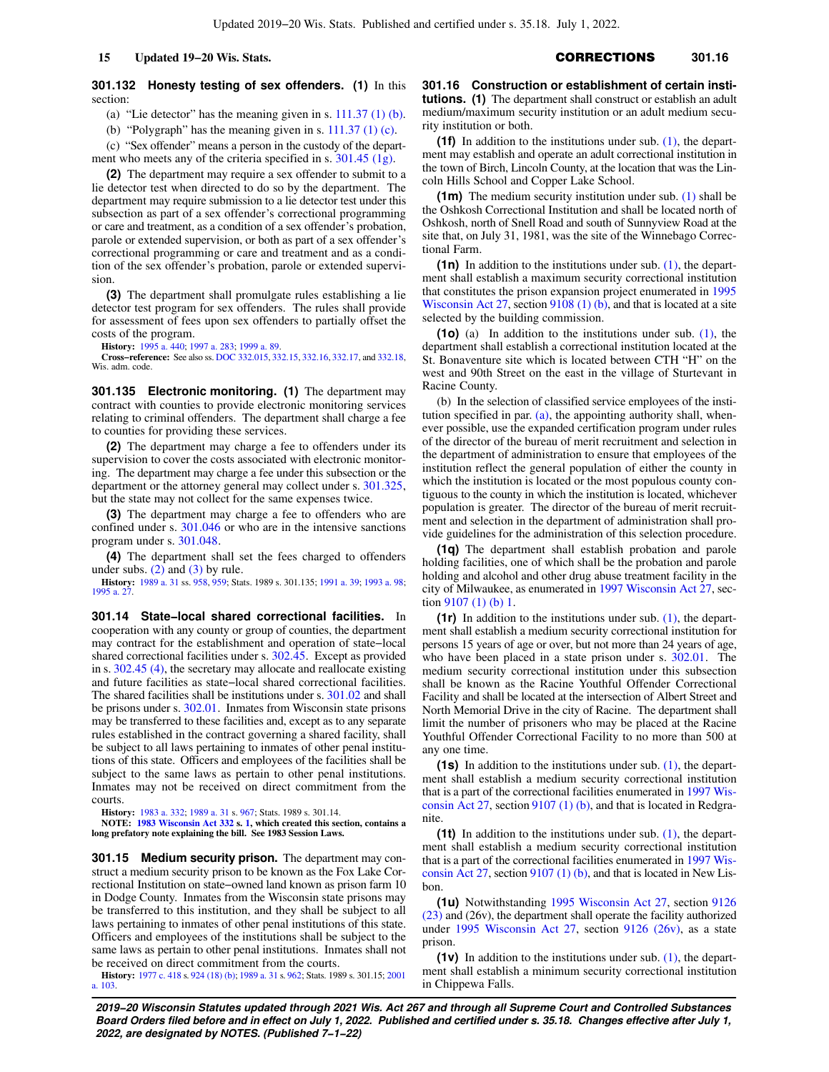# **301.132 Honesty testing of sex offenders. (1)** In this section:

(a) "Lie detector" has the meaning given in s.  $111.37$  (1) (b).

(b) "Polygraph" has the meaning given in s.  $111.37$  (1) (c).

(c) "Sex offender" means a person in the custody of the department who meets any of the criteria specified in s. [301.45 \(1g\)](https://docs.legis.wisconsin.gov/document/statutes/301.45(1g)).

**(2)** The department may require a sex offender to submit to a lie detector test when directed to do so by the department. The department may require submission to a lie detector test under this subsection as part of a sex offender's correctional programming or care and treatment, as a condition of a sex offender's probation, parole or extended supervision, or both as part of a sex offender's correctional programming or care and treatment and as a condition of the sex offender's probation, parole or extended supervision.

**(3)** The department shall promulgate rules establishing a lie detector test program for sex offenders. The rules shall provide for assessment of fees upon sex offenders to partially offset the costs of the program.

**History:** [1995 a. 440](https://docs.legis.wisconsin.gov/document/acts/1995/440); [1997 a. 283](https://docs.legis.wisconsin.gov/document/acts/1997/283); [1999 a. 89](https://docs.legis.wisconsin.gov/document/acts/1999/89).

**Cross−reference:** See also ss. [DOC 332.015](https://docs.legis.wisconsin.gov/document/administrativecode/DOC%20332.015), [332.15](https://docs.legis.wisconsin.gov/document/administrativecode/DOC%20332.15), [332.16,](https://docs.legis.wisconsin.gov/document/administrativecode/DOC%20332.16) [332.17,](https://docs.legis.wisconsin.gov/document/administrativecode/DOC%20332.17) and [332.18](https://docs.legis.wisconsin.gov/document/administrativecode/DOC%20332.18), Wis. adm. code.

**301.135 Electronic monitoring. (1)** The department may contract with counties to provide electronic monitoring services relating to criminal offenders. The department shall charge a fee to counties for providing these services.

**(2)** The department may charge a fee to offenders under its supervision to cover the costs associated with electronic monitoring. The department may charge a fee under this subsection or the department or the attorney general may collect under s. [301.325,](https://docs.legis.wisconsin.gov/document/statutes/301.325) but the state may not collect for the same expenses twice.

**(3)** The department may charge a fee to offenders who are confined under s. [301.046](https://docs.legis.wisconsin.gov/document/statutes/301.046) or who are in the intensive sanctions program under s. [301.048](https://docs.legis.wisconsin.gov/document/statutes/301.048).

**(4)** The department shall set the fees charged to offenders under subs.  $(2)$  and  $(3)$  by rule.

**History:** [1989 a. 31](https://docs.legis.wisconsin.gov/document/acts/1989/31) ss. [958](https://docs.legis.wisconsin.gov/document/acts/1989/31,%20s.%20958), [959](https://docs.legis.wisconsin.gov/document/acts/1989/31,%20s.%20959); Stats. 1989 s. 301.135; [1991 a. 39](https://docs.legis.wisconsin.gov/document/acts/1991/39); [1993 a. 98](https://docs.legis.wisconsin.gov/document/acts/1993/98); 1995 a. 2

**301.14 State−local shared correctional facilities.** In cooperation with any county or group of counties, the department may contract for the establishment and operation of state−local shared correctional facilities under s. [302.45.](https://docs.legis.wisconsin.gov/document/statutes/302.45) Except as provided in s. [302.45 \(4\)](https://docs.legis.wisconsin.gov/document/statutes/302.45(4)), the secretary may allocate and reallocate existing and future facilities as state−local shared correctional facilities. The shared facilities shall be institutions under s. [301.02](https://docs.legis.wisconsin.gov/document/statutes/301.02) and shall be prisons under s. [302.01.](https://docs.legis.wisconsin.gov/document/statutes/302.01) Inmates from Wisconsin state prisons may be transferred to these facilities and, except as to any separate rules established in the contract governing a shared facility, shall be subject to all laws pertaining to inmates of other penal institutions of this state. Officers and employees of the facilities shall be subject to the same laws as pertain to other penal institutions. Inmates may not be received on direct commitment from the courts.

**History:** [1983 a. 332](https://docs.legis.wisconsin.gov/document/acts/1983/332); [1989 a. 31](https://docs.legis.wisconsin.gov/document/acts/1989/31) s. [967](https://docs.legis.wisconsin.gov/document/acts/1989/31,%20s.%20967); Stats. 1989 s. 301.14.

**NOTE: [1983 Wisconsin Act 332](https://docs.legis.wisconsin.gov/document/acts/1983/332) s. [1,](https://docs.legis.wisconsin.gov/document/acts/1983/332,%20s.%201) which created this section, contains a long prefatory note explaining the bill. See 1983 Session Laws.**

**301.15 Medium security prison.** The department may construct a medium security prison to be known as the Fox Lake Correctional Institution on state−owned land known as prison farm 10 in Dodge County. Inmates from the Wisconsin state prisons may be transferred to this institution, and they shall be subject to all laws pertaining to inmates of other penal institutions of this state. Officers and employees of the institutions shall be subject to the same laws as pertain to other penal institutions. Inmates shall not be received on direct commitment from the courts.

**History:** [1977 c. 418](https://docs.legis.wisconsin.gov/document/acts/1977/418) s. [924 \(18\) \(b\);](https://docs.legis.wisconsin.gov/document/acts/1977/418,%20s.%20924) [1989 a. 31](https://docs.legis.wisconsin.gov/document/acts/1989/31) s. [962;](https://docs.legis.wisconsin.gov/document/acts/1989/31,%20s.%20962) Stats. 1989 s. 301.15; [2001](https://docs.legis.wisconsin.gov/document/acts/2001/103) [a. 103.](https://docs.legis.wisconsin.gov/document/acts/2001/103)

**301.16 Construction or establishment of certain institutions. (1)** The department shall construct or establish an adult medium/maximum security institution or an adult medium security institution or both.

**(1f)** In addition to the institutions under sub. [\(1\)](https://docs.legis.wisconsin.gov/document/statutes/301.16(1)), the department may establish and operate an adult correctional institution in the town of Birch, Lincoln County, at the location that was the Lincoln Hills School and Copper Lake School.

**(1m)** The medium security institution under sub. [\(1\)](https://docs.legis.wisconsin.gov/document/statutes/301.16(1)) shall be the Oshkosh Correctional Institution and shall be located north of Oshkosh, north of Snell Road and south of Sunnyview Road at the site that, on July 31, 1981, was the site of the Winnebago Correctional Farm.

**(1n)** In addition to the institutions under sub. [\(1\),](https://docs.legis.wisconsin.gov/document/statutes/301.16(1)) the department shall establish a maximum security correctional institution that constitutes the prison expansion project enumerated in [1995](https://docs.legis.wisconsin.gov/document/acts/1995/27) [Wisconsin Act 27](https://docs.legis.wisconsin.gov/document/acts/1995/27), section [9108 \(1\) \(b\),](https://docs.legis.wisconsin.gov/document/acts/1995/27,%20s.%209108) and that is located at a site selected by the building commission.

**(1o)** (a) In addition to the institutions under sub. [\(1\)](https://docs.legis.wisconsin.gov/document/statutes/301.16(1)), the department shall establish a correctional institution located at the St. Bonaventure site which is located between CTH "H" on the west and 90th Street on the east in the village of Sturtevant in Racine County.

(b) In the selection of classified service employees of the institution specified in par.  $(a)$ , the appointing authority shall, whenever possible, use the expanded certification program under rules of the director of the bureau of merit recruitment and selection in the department of administration to ensure that employees of the institution reflect the general population of either the county in which the institution is located or the most populous county contiguous to the county in which the institution is located, whichever population is greater. The director of the bureau of merit recruitment and selection in the department of administration shall provide guidelines for the administration of this selection procedure.

**(1q)** The department shall establish probation and parole holding facilities, one of which shall be the probation and parole holding and alcohol and other drug abuse treatment facility in the city of Milwaukee, as enumerated in [1997 Wisconsin Act 27,](https://docs.legis.wisconsin.gov/document/acts/1997/27) section [9107 \(1\) \(b\)](https://docs.legis.wisconsin.gov/document/acts/1997/27,%20s.%209107) [1.](https://docs.legis.wisconsin.gov/document/acts/1997/27,%20s.%201)

**(1r)** In addition to the institutions under sub. [\(1\)](https://docs.legis.wisconsin.gov/document/statutes/301.16(1)), the department shall establish a medium security correctional institution for persons 15 years of age or over, but not more than 24 years of age, who have been placed in a state prison under s. [302.01](https://docs.legis.wisconsin.gov/document/statutes/302.01). The medium security correctional institution under this subsection shall be known as the Racine Youthful Offender Correctional Facility and shall be located at the intersection of Albert Street and North Memorial Drive in the city of Racine. The department shall limit the number of prisoners who may be placed at the Racine Youthful Offender Correctional Facility to no more than 500 at any one time.

**(1s)** In addition to the institutions under sub. [\(1\),](https://docs.legis.wisconsin.gov/document/statutes/301.16(1)) the department shall establish a medium security correctional institution that is a part of the correctional facilities enumerated in [1997 Wis](https://docs.legis.wisconsin.gov/document/acts/1997/27)[consin Act 27](https://docs.legis.wisconsin.gov/document/acts/1997/27), section [9107 \(1\) \(b\),](https://docs.legis.wisconsin.gov/document/acts/1997/27,%20s.%209107) and that is located in Redgranite.

**(1t)** In addition to the institutions under sub. [\(1\)](https://docs.legis.wisconsin.gov/document/statutes/301.16(1)), the department shall establish a medium security correctional institution that is a part of the correctional facilities enumerated in [1997 Wis](https://docs.legis.wisconsin.gov/document/acts/1997/27)[consin Act 27,](https://docs.legis.wisconsin.gov/document/acts/1997/27) section [9107 \(1\) \(b\)](https://docs.legis.wisconsin.gov/document/acts/1997/27,%20s.%209107), and that is located in New Lisbon.

**(1u)** Notwithstanding [1995 Wisconsin Act 27,](https://docs.legis.wisconsin.gov/document/acts/1995/27) section [9126](https://docs.legis.wisconsin.gov/document/acts/1995/27,%20s.%209126) [\(23\)](https://docs.legis.wisconsin.gov/document/acts/1995/27,%20s.%209126) and (26v), the department shall operate the facility authorized under [1995 Wisconsin Act 27,](https://docs.legis.wisconsin.gov/document/acts/1995/27) section [9126 \(26v\),](https://docs.legis.wisconsin.gov/document/acts/1995/27,%20s.%209126) as a state prison.

**(1v)** In addition to the institutions under sub. [\(1\),](https://docs.legis.wisconsin.gov/document/statutes/301.16(1)) the department shall establish a minimum security correctional institution in Chippewa Falls.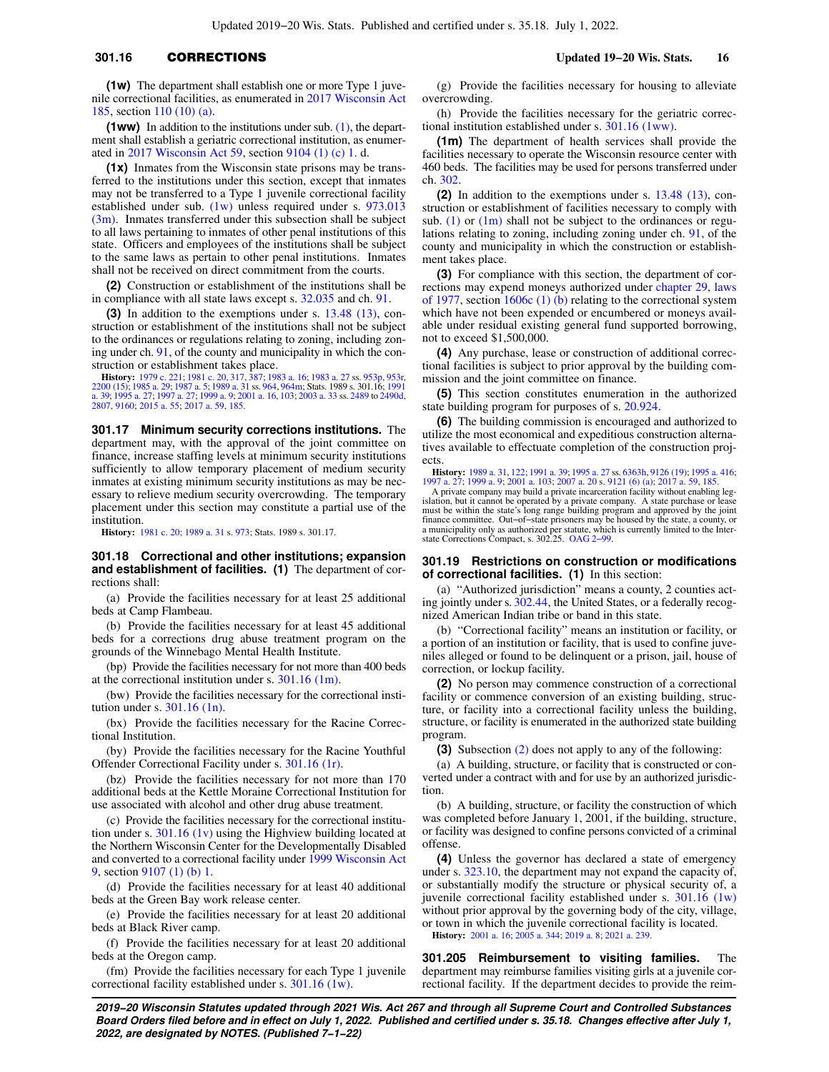**(1ww)** In addition to the institutions under sub. [\(1\),](https://docs.legis.wisconsin.gov/document/statutes/301.16(1)) the department shall establish a geriatric correctional institution, as enumerated in [2017 Wisconsin Act 59](https://docs.legis.wisconsin.gov/document/acts/2017/59), section [9104 \(1\) \(c\)](https://docs.legis.wisconsin.gov/document/acts/2017/59,%20s.%209104) [1.](https://docs.legis.wisconsin.gov/document/acts/2017/59,%20s.%201) d.

**(1x)** Inmates from the Wisconsin state prisons may be transferred to the institutions under this section, except that inmates may not be transferred to a Type 1 juvenile correctional facility established under sub. [\(1w\)](https://docs.legis.wisconsin.gov/document/statutes/301.16(1w)) unless required under s. [973.013](https://docs.legis.wisconsin.gov/document/statutes/973.013(3m)) [\(3m\)](https://docs.legis.wisconsin.gov/document/statutes/973.013(3m)). Inmates transferred under this subsection shall be subject to all laws pertaining to inmates of other penal institutions of this state. Officers and employees of the institutions shall be subject to the same laws as pertain to other penal institutions. Inmates shall not be received on direct commitment from the courts.

**(2)** Construction or establishment of the institutions shall be in compliance with all state laws except s. [32.035](https://docs.legis.wisconsin.gov/document/statutes/32.035) and ch. [91.](https://docs.legis.wisconsin.gov/document/statutes/ch.%2091)

**(3)** In addition to the exemptions under s. [13.48 \(13\)](https://docs.legis.wisconsin.gov/document/statutes/13.48(13)), construction or establishment of the institutions shall not be subject to the ordinances or regulations relating to zoning, including zoning under ch. [91,](https://docs.legis.wisconsin.gov/document/statutes/ch.%2091) of the county and municipality in which the construction or establishment takes place.

**History:** [1979 c. 221;](https://docs.legis.wisconsin.gov/document/acts/1979/221) [1981 c. 20](https://docs.legis.wisconsin.gov/document/acts/1981/20), [317,](https://docs.legis.wisconsin.gov/document/acts/1981/317) [387](https://docs.legis.wisconsin.gov/document/acts/1981/387); [1983 a. 16](https://docs.legis.wisconsin.gov/document/acts/1983/16); [1983 a. 27](https://docs.legis.wisconsin.gov/document/acts/1983/27) ss. [953p,](https://docs.legis.wisconsin.gov/document/acts/1983/27,%20s.%20953p) [953r,](https://docs.legis.wisconsin.gov/document/acts/1983/27,%20s.%20953r)<br>[2200 \(15\);](https://docs.legis.wisconsin.gov/document/acts/1983/27,%20s.%202200) [1985 a. 29;](https://docs.legis.wisconsin.gov/document/acts/1985/29) [1987 a. 5](https://docs.legis.wisconsin.gov/document/acts/1987/5); [1989 a. 31](https://docs.legis.wisconsin.gov/document/acts/1989/31) ss. [964,](https://docs.legis.wisconsin.gov/document/acts/1989/31,%20s.%20964) [964m](https://docs.legis.wisconsin.gov/document/acts/1989/31,%20s.%20964m); Stats. 1989 s. 301.16; [1991](https://docs.legis.wisconsin.gov/document/acts/1991/39)<br>[a. 39;](https://docs.legis.wisconsin.gov/document/acts/1991/39) [1995 a. 27;](https://docs.legis.wisconsin.gov/document/acts/1995/27) [1997 a. 27](https://docs.legis.wisconsin.gov/document/acts/1997/27); [1999 a. 9](https://docs.legis.wisconsin.gov/document/acts/1999/9); 2001 a. [2807,](https://docs.legis.wisconsin.gov/document/acts/2003/33,%20s.%202807) [9160](https://docs.legis.wisconsin.gov/document/acts/2003/33,%20s.%209160); [2015 a. 55;](https://docs.legis.wisconsin.gov/document/acts/2015/55) [2017 a. 59,](https://docs.legis.wisconsin.gov/document/acts/2017/59) [185.](https://docs.legis.wisconsin.gov/document/acts/2017/185)

**301.17 Minimum security corrections institutions.** The department may, with the approval of the joint committee on finance, increase staffing levels at minimum security institutions sufficiently to allow temporary placement of medium security inmates at existing minimum security institutions as may be necessary to relieve medium security overcrowding. The temporary placement under this section may constitute a partial use of the institution.

**History:** [1981 c. 20;](https://docs.legis.wisconsin.gov/document/acts/1981/20) [1989 a. 31](https://docs.legis.wisconsin.gov/document/acts/1989/31) s. [973;](https://docs.legis.wisconsin.gov/document/acts/1989/31,%20s.%20973) Stats. 1989 s. 301.17.

**301.18 Correctional and other institutions; expansion and establishment of facilities. (1)** The department of corrections shall:

(a) Provide the facilities necessary for at least 25 additional beds at Camp Flambeau.

(b) Provide the facilities necessary for at least 45 additional beds for a corrections drug abuse treatment program on the grounds of the Winnebago Mental Health Institute.

(bp) Provide the facilities necessary for not more than 400 beds at the correctional institution under s. [301.16 \(1m\).](https://docs.legis.wisconsin.gov/document/statutes/301.16(1m))

(bw) Provide the facilities necessary for the correctional institution under s. [301.16 \(1n\)](https://docs.legis.wisconsin.gov/document/statutes/301.16(1n)).

(bx) Provide the facilities necessary for the Racine Correctional Institution.

(by) Provide the facilities necessary for the Racine Youthful Offender Correctional Facility under s. [301.16 \(1r\)](https://docs.legis.wisconsin.gov/document/statutes/301.16(1r)).

(bz) Provide the facilities necessary for not more than 170 additional beds at the Kettle Moraine Correctional Institution for use associated with alcohol and other drug abuse treatment.

(c) Provide the facilities necessary for the correctional institution under s. [301.16 \(1v\)](https://docs.legis.wisconsin.gov/document/statutes/301.16(1v)) using the Highview building located at the Northern Wisconsin Center for the Developmentally Disabled and converted to a correctional facility under [1999 Wisconsin Act](https://docs.legis.wisconsin.gov/document/acts/1999/9) [9](https://docs.legis.wisconsin.gov/document/acts/1999/9), section [9107 \(1\) \(b\)](https://docs.legis.wisconsin.gov/document/acts/1999/9,%20s.%209107) [1](https://docs.legis.wisconsin.gov/document/acts/1999/9,%20s.%201).

(d) Provide the facilities necessary for at least 40 additional beds at the Green Bay work release center.

(e) Provide the facilities necessary for at least 20 additional beds at Black River camp.

(f) Provide the facilities necessary for at least 20 additional beds at the Oregon camp.

(fm) Provide the facilities necessary for each Type 1 juvenile correctional facility established under s. [301.16 \(1w\).](https://docs.legis.wisconsin.gov/document/statutes/301.16(1w))

(g) Provide the facilities necessary for housing to alleviate overcrowding.

(h) Provide the facilities necessary for the geriatric correctional institution established under s. [301.16 \(1ww\).](https://docs.legis.wisconsin.gov/document/statutes/301.16(1ww))

**(1m)** The department of health services shall provide the facilities necessary to operate the Wisconsin resource center with 460 beds. The facilities may be used for persons transferred under ch. [302.](https://docs.legis.wisconsin.gov/document/statutes/ch.%20302)

**(2)** In addition to the exemptions under s. [13.48 \(13\),](https://docs.legis.wisconsin.gov/document/statutes/13.48(13)) construction or establishment of facilities necessary to comply with sub.  $(1)$  or  $(1m)$  shall not be subject to the ordinances or regulations relating to zoning, including zoning under ch. [91](https://docs.legis.wisconsin.gov/document/statutes/ch.%2091), of the county and municipality in which the construction or establishment takes place.

**(3)** For compliance with this section, the department of corrections may expend moneys authorized under [chapter 29, laws](https://docs.legis.wisconsin.gov/document/acts/1977/29) [of 1977,](https://docs.legis.wisconsin.gov/document/acts/1977/29) section [1606c \(1\) \(b\)](https://docs.legis.wisconsin.gov/document/acts/1977/29,%20s.%201606c) relating to the correctional system which have not been expended or encumbered or moneys available under residual existing general fund supported borrowing, not to exceed \$1,500,000.

**(4)** Any purchase, lease or construction of additional correctional facilities is subject to prior approval by the building commission and the joint committee on finance.

**(5)** This section constitutes enumeration in the authorized state building program for purposes of s. [20.924](https://docs.legis.wisconsin.gov/document/statutes/20.924).

**(6)** The building commission is encouraged and authorized to utilize the most economical and expeditious construction alternatives available to effectuate completion of the construction projects.

**History:** [1989 a. 31,](https://docs.legis.wisconsin.gov/document/acts/1989/31) [122](https://docs.legis.wisconsin.gov/document/acts/1989/122); [1991 a. 39](https://docs.legis.wisconsin.gov/document/acts/1991/39); [1995 a. 27](https://docs.legis.wisconsin.gov/document/acts/1995/27) ss. [6363h,](https://docs.legis.wisconsin.gov/document/acts/1995/27,%20s.%206363h) [9126 \(19\)](https://docs.legis.wisconsin.gov/document/acts/1995/27,%20s.%209126); [1995 a. 416](https://docs.legis.wisconsin.gov/document/acts/1995/416); [1997 a. 27](https://docs.legis.wisconsin.gov/document/acts/1997/27); [1999 a. 9](https://docs.legis.wisconsin.gov/document/acts/1999/9); [2001 a. 103;](https://docs.legis.wisconsin.gov/document/acts/2001/103) [2007 a. 20](https://docs.legis.wisconsin.gov/document/acts/2007/20) s. [9121 \(6\) \(a\)](https://docs.legis.wisconsin.gov/document/acts/2007/20,%20s.%209121); [2017 a. 59,](https://docs.legis.wisconsin.gov/document/acts/2017/59) [185.](https://docs.legis.wisconsin.gov/document/acts/2017/185)

A private company may build a private incarceration facility without enabling legislation, but it cannot be operated by a private company. A state purchase or lease<br>must be within the state's long range building program and approved by the joint<br>finance committee. Out–of–state prisoners may be housed b a municipality only as authorized per statute, which is currently limited to the Inter-state Corrections Compact, s. 302.25. [OAG 2−99.](https://docs.legis.wisconsin.gov/document/oag/oag2-99)

### **301.19 Restrictions on construction or modifications of correctional facilities. (1)** In this section:

(a) "Authorized jurisdiction" means a county, 2 counties acting jointly under s. [302.44,](https://docs.legis.wisconsin.gov/document/statutes/302.44) the United States, or a federally recognized American Indian tribe or band in this state.

(b) "Correctional facility" means an institution or facility, or a portion of an institution or facility, that is used to confine juveniles alleged or found to be delinquent or a prison, jail, house of correction, or lockup facility.

**(2)** No person may commence construction of a correctional facility or commence conversion of an existing building, structure, or facility into a correctional facility unless the building, structure, or facility is enumerated in the authorized state building program.

**(3)** Subsection [\(2\)](https://docs.legis.wisconsin.gov/document/statutes/301.19(2)) does not apply to any of the following:

(a) A building, structure, or facility that is constructed or converted under a contract with and for use by an authorized jurisdiction.

(b) A building, structure, or facility the construction of which was completed before January 1, 2001, if the building, structure, or facility was designed to confine persons convicted of a criminal offense.

**(4)** Unless the governor has declared a state of emergency under s. [323.10,](https://docs.legis.wisconsin.gov/document/statutes/323.10) the department may not expand the capacity of, or substantially modify the structure or physical security of, a juvenile correctional facility established under s. [301.16 \(1w\)](https://docs.legis.wisconsin.gov/document/statutes/301.16(1w)) without prior approval by the governing body of the city, village, or town in which the juvenile correctional facility is located.

**History:** [2001 a. 16](https://docs.legis.wisconsin.gov/document/acts/2001/16); [2005 a. 344;](https://docs.legis.wisconsin.gov/document/acts/2005/344) [2019 a. 8](https://docs.legis.wisconsin.gov/document/acts/2019/8); [2021 a. 239](https://docs.legis.wisconsin.gov/document/acts/2021/239).

**301.205 Reimbursement to visiting families.** The department may reimburse families visiting girls at a juvenile correctional facility. If the department decides to provide the reim-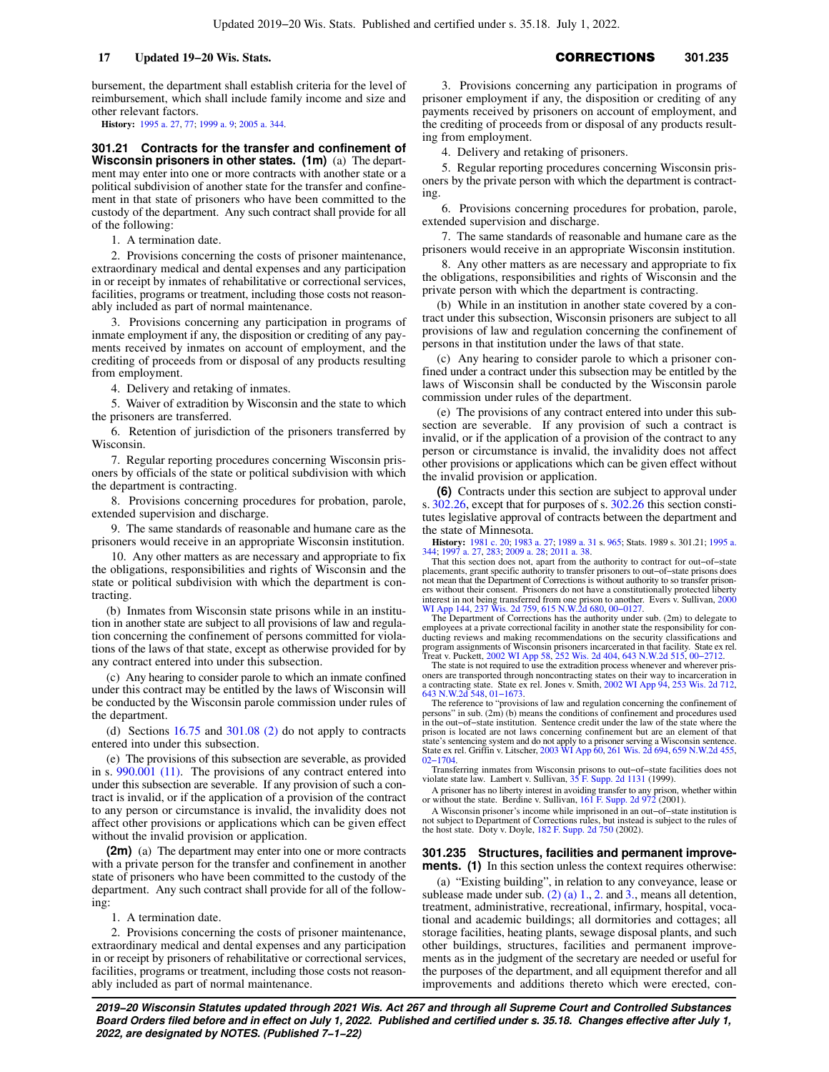bursement, the department shall establish criteria for the level of reimbursement, which shall include family income and size and other relevant factors.

**History:** [1995 a. 27,](https://docs.legis.wisconsin.gov/document/acts/1995/27) [77](https://docs.legis.wisconsin.gov/document/acts/1995/77); [1999 a. 9](https://docs.legis.wisconsin.gov/document/acts/1999/9); [2005 a. 344.](https://docs.legis.wisconsin.gov/document/acts/2005/344)

**301.21 Contracts for the transfer and confinement of Wisconsin prisoners in other states. (1m)** (a) The department may enter into one or more contracts with another state or a political subdivision of another state for the transfer and confinement in that state of prisoners who have been committed to the custody of the department. Any such contract shall provide for all of the following:

1. A termination date.

2. Provisions concerning the costs of prisoner maintenance, extraordinary medical and dental expenses and any participation in or receipt by inmates of rehabilitative or correctional services, facilities, programs or treatment, including those costs not reasonably included as part of normal maintenance.

3. Provisions concerning any participation in programs of inmate employment if any, the disposition or crediting of any payments received by inmates on account of employment, and the crediting of proceeds from or disposal of any products resulting from employment.

4. Delivery and retaking of inmates.

5. Waiver of extradition by Wisconsin and the state to which the prisoners are transferred.

6. Retention of jurisdiction of the prisoners transferred by Wisconsin.

7. Regular reporting procedures concerning Wisconsin prisoners by officials of the state or political subdivision with which the department is contracting.

8. Provisions concerning procedures for probation, parole, extended supervision and discharge.

9. The same standards of reasonable and humane care as the prisoners would receive in an appropriate Wisconsin institution.

10. Any other matters as are necessary and appropriate to fix the obligations, responsibilities and rights of Wisconsin and the state or political subdivision with which the department is contracting.

(b) Inmates from Wisconsin state prisons while in an institution in another state are subject to all provisions of law and regulation concerning the confinement of persons committed for violations of the laws of that state, except as otherwise provided for by any contract entered into under this subsection.

(c) Any hearing to consider parole to which an inmate confined under this contract may be entitled by the laws of Wisconsin will be conducted by the Wisconsin parole commission under rules of the department.

(d) Sections [16.75](https://docs.legis.wisconsin.gov/document/statutes/16.75) and [301.08 \(2\)](https://docs.legis.wisconsin.gov/document/statutes/301.08(2)) do not apply to contracts entered into under this subsection.

(e) The provisions of this subsection are severable, as provided in s. [990.001 \(11\)](https://docs.legis.wisconsin.gov/document/statutes/990.001(11)). The provisions of any contract entered into under this subsection are severable. If any provision of such a contract is invalid, or if the application of a provision of the contract to any person or circumstance is invalid, the invalidity does not affect other provisions or applications which can be given effect without the invalid provision or application.

**(2m)** (a) The department may enter into one or more contracts with a private person for the transfer and confinement in another state of prisoners who have been committed to the custody of the department. Any such contract shall provide for all of the following:

1. A termination date.

2. Provisions concerning the costs of prisoner maintenance, extraordinary medical and dental expenses and any participation in or receipt by prisoners of rehabilitative or correctional services, facilities, programs or treatment, including those costs not reasonably included as part of normal maintenance.

3. Provisions concerning any participation in programs of prisoner employment if any, the disposition or crediting of any payments received by prisoners on account of employment, and the crediting of proceeds from or disposal of any products resulting from employment.

4. Delivery and retaking of prisoners.

5. Regular reporting procedures concerning Wisconsin prisoners by the private person with which the department is contracting.

6. Provisions concerning procedures for probation, parole, extended supervision and discharge.

7. The same standards of reasonable and humane care as the prisoners would receive in an appropriate Wisconsin institution.

8. Any other matters as are necessary and appropriate to fix the obligations, responsibilities and rights of Wisconsin and the private person with which the department is contracting.

(b) While in an institution in another state covered by a contract under this subsection, Wisconsin prisoners are subject to all provisions of law and regulation concerning the confinement of persons in that institution under the laws of that state.

(c) Any hearing to consider parole to which a prisoner confined under a contract under this subsection may be entitled by the laws of Wisconsin shall be conducted by the Wisconsin parole commission under rules of the department.

(e) The provisions of any contract entered into under this subsection are severable. If any provision of such a contract is invalid, or if the application of a provision of the contract to any person or circumstance is invalid, the invalidity does not affect other provisions or applications which can be given effect without the invalid provision or application.

**(6)** Contracts under this section are subject to approval under s. [302.26](https://docs.legis.wisconsin.gov/document/statutes/302.26), except that for purposes of s. [302.26](https://docs.legis.wisconsin.gov/document/statutes/302.26) this section constitutes legislative approval of contracts between the department and the state of Minnesota.

**History:** [1981 c. 20](https://docs.legis.wisconsin.gov/document/acts/1981/20); [1983 a. 27;](https://docs.legis.wisconsin.gov/document/acts/1983/27) [1989 a. 31](https://docs.legis.wisconsin.gov/document/acts/1989/31) s. [965](https://docs.legis.wisconsin.gov/document/acts/1989/31,%20s.%20965); Stats. 1989 s. 301.21; [1995 a.](https://docs.legis.wisconsin.gov/document/acts/1995/344) [344;](https://docs.legis.wisconsin.gov/document/acts/1995/344) [1997 a. 27,](https://docs.legis.wisconsin.gov/document/acts/1997/27) [283;](https://docs.legis.wisconsin.gov/document/acts/1997/283) [2009 a. 28;](https://docs.legis.wisconsin.gov/document/acts/2009/28) [2011 a. 38.](https://docs.legis.wisconsin.gov/document/acts/2011/38)<br>That this section does not, apart from the authority to contract for out–of–state

placements, grant specific authority to transfer prisoners to out−of−state prisons does not mean that the Department of Corrections is without authority to so transfer prison-ers without their consent. Prisoners do not have a constitutionally protected liberty interest in not being transferred from one prison to another. Evers  $\dot{v}$ . Sullivan, [2000](https://docs.legis.wisconsin.gov/document/courts/2000%20WI%20App%20144) WI App 144, 237 Wis. 2d 759, 615 N.W.2d 680, 00–0127.

[WI App 144](https://docs.legis.wisconsin.gov/document/courts/2000%20WI%20App%20144), [237 Wis. 2d 759,](https://docs.legis.wisconsin.gov/document/courts/237%20Wis.%202d%20759) [615 N.W.2d 680](https://docs.legis.wisconsin.gov/document/courts/615%20N.W.2d%20680), 00–0127.<br>The Department of Corrections has the authority under sub. (2m) to delegate to employees at a private correctional facility in another state the responsibility for con-ducting reviews and making recommendations on the security classifications and<br>program assignments of Wisconsin prisoners incarcerated in that facility. State ex rel.<br>Treat v. Puckett, [2002 WI App 58,](https://docs.legis.wisconsin.gov/document/courts/2002%20WI%20App%2058) [252 Wis. 2d 404](https://docs.legis.wisconsin.gov/document/courts/252%20Wis.%202d%20404), 643

The state is not required to use the extradition process whenever and wherever prisoners are transported through noncontracting states on their way to incarceration in a contracting state. State ex rel. Jones v. Smith, 200 [643 N.W.2d 548](https://docs.legis.wisconsin.gov/document/courts/643%20N.W.2d%20548), [01−1673](https://docs.legis.wisconsin.gov/document/wicourtofappeals/01-1673).

The reference to "provisions of law and regulation concerning the confinement of persons" in sub. (2m) (b) means the conditions of confinement and procedures used in the out−of−state institution. Sentence credit under the law of the state where the prison is located are not laws concerning confinement but are an element of that state's sentencing system and do not apply to a prisoner serving a Wisconsin sentence. State ex rel. Griffin v. Litscher, [2003 WI App 60](https://docs.legis.wisconsin.gov/document/courts/2003%20WI%20App%2060), [261 Wis. 2d 694,](https://docs.legis.wisconsin.gov/document/courts/261%20Wis.%202d%20694) [659 N.W.2d 455](https://docs.legis.wisconsin.gov/document/courts/659%20N.W.2d%20455), [02−1704.](https://docs.legis.wisconsin.gov/document/wicourtofappeals/02-1704)

Transferring inmates from Wisconsin prisons to out−of−state facilities does not violate state law. Lambert v. Sullivan,  $35$  F. Supp. 2d 1131 (1999).

A prisoner has no liberty interest in avoiding transfer to any prison, whether within or without the state. Berdine v. Sullivan, [161 F. Supp. 2d 972](https://docs.legis.wisconsin.gov/document/courts/161%20F.%20Supp.%202d%20972) (2001).

A Wisconsin prisoner's income while imprisoned in an out−of−state institution is not subject to Department of Corrections rules, but instead is subject to the rules of the host state. Doty v. Doyle, [182 F. Supp. 2d 750](https://docs.legis.wisconsin.gov/document/courts/182%20F.%20Supp.%202d%20750) (2002).

### **301.235 Structures, facilities and permanent improvements.** (1) In this section unless the context requires otherwise:

(a) "Existing building", in relation to any conveyance, lease or sublease made under sub.  $(2)$  (a) 1, 2, and 3, means all detention, treatment, administrative, recreational, infirmary, hospital, vocational and academic buildings; all dormitories and cottages; all storage facilities, heating plants, sewage disposal plants, and such other buildings, structures, facilities and permanent improvements as in the judgment of the secretary are needed or useful for the purposes of the department, and all equipment therefor and all improvements and additions thereto which were erected, con-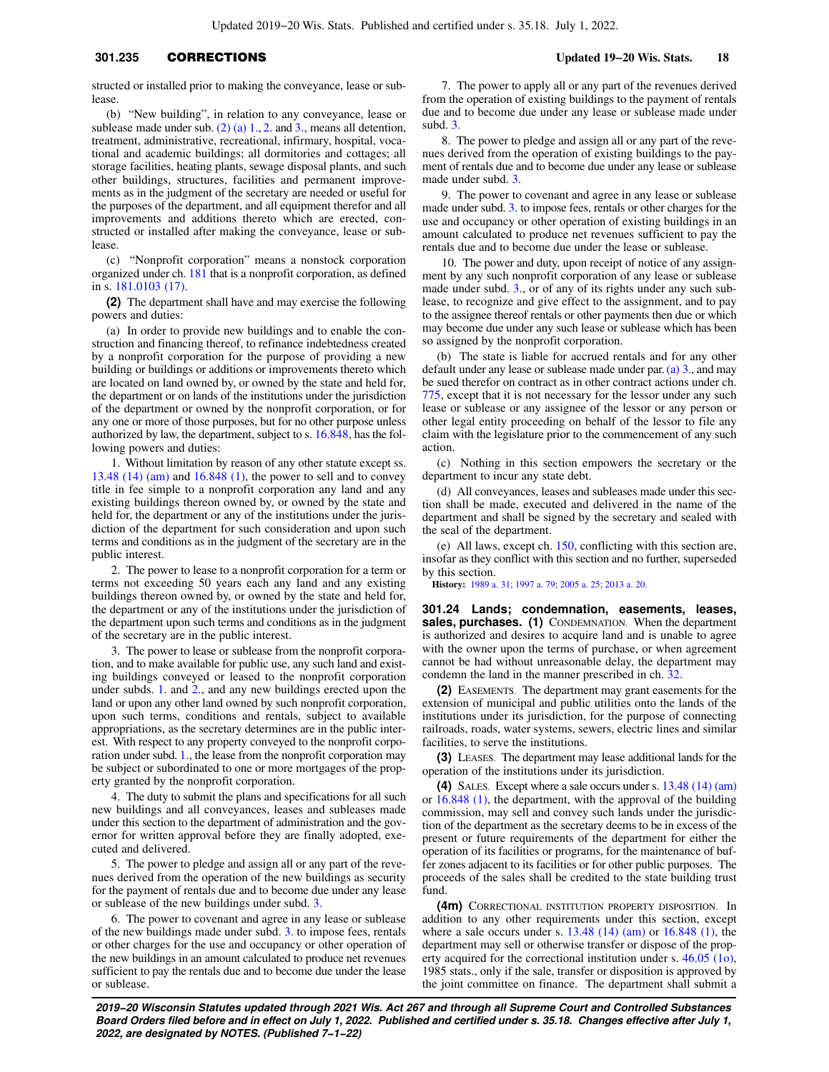structed or installed prior to making the conveyance, lease or sublease.

(b) "New building", in relation to any conveyance, lease or sublease made under sub. (2) (a)  $1, 2$  and  $3$ , means all detention, treatment, administrative, recreational, infirmary, hospital, vocational and academic buildings; all dormitories and cottages; all storage facilities, heating plants, sewage disposal plants, and such other buildings, structures, facilities and permanent improvements as in the judgment of the secretary are needed or useful for the purposes of the department, and all equipment therefor and all improvements and additions thereto which are erected, constructed or installed after making the conveyance, lease or sublease.

(c) "Nonprofit corporation" means a nonstock corporation organized under ch. [181](https://docs.legis.wisconsin.gov/document/statutes/ch.%20181) that is a nonprofit corporation, as defined in s. [181.0103 \(17\)](https://docs.legis.wisconsin.gov/document/statutes/181.0103(17)).

**(2)** The department shall have and may exercise the following powers and duties:

(a) In order to provide new buildings and to enable the construction and financing thereof, to refinance indebtedness created by a nonprofit corporation for the purpose of providing a new building or buildings or additions or improvements thereto which are located on land owned by, or owned by the state and held for, the department or on lands of the institutions under the jurisdiction of the department or owned by the nonprofit corporation, or for any one or more of those purposes, but for no other purpose unless authorized by law, the department, subject to s. [16.848,](https://docs.legis.wisconsin.gov/document/statutes/16.848) has the following powers and duties:

1. Without limitation by reason of any other statute except ss. [13.48 \(14\) \(am\)](https://docs.legis.wisconsin.gov/document/statutes/13.48(14)(am)) and [16.848 \(1\)](https://docs.legis.wisconsin.gov/document/statutes/16.848(1)), the power to sell and to convey title in fee simple to a nonprofit corporation any land and any existing buildings thereon owned by, or owned by the state and held for, the department or any of the institutions under the jurisdiction of the department for such consideration and upon such terms and conditions as in the judgment of the secretary are in the public interest.

2. The power to lease to a nonprofit corporation for a term or terms not exceeding 50 years each any land and any existing buildings thereon owned by, or owned by the state and held for, the department or any of the institutions under the jurisdiction of the department upon such terms and conditions as in the judgment of the secretary are in the public interest.

3. The power to lease or sublease from the nonprofit corporation, and to make available for public use, any such land and existing buildings conveyed or leased to the nonprofit corporation under subds. [1.](https://docs.legis.wisconsin.gov/document/statutes/301.235(2)(a)1.) and [2.,](https://docs.legis.wisconsin.gov/document/statutes/301.235(2)(a)2.) and any new buildings erected upon the land or upon any other land owned by such nonprofit corporation, upon such terms, conditions and rentals, subject to available appropriations, as the secretary determines are in the public interest. With respect to any property conveyed to the nonprofit corporation under subd. [1.,](https://docs.legis.wisconsin.gov/document/statutes/301.235(2)(a)1.) the lease from the nonprofit corporation may be subject or subordinated to one or more mortgages of the property granted by the nonprofit corporation.

4. The duty to submit the plans and specifications for all such new buildings and all conveyances, leases and subleases made under this section to the department of administration and the governor for written approval before they are finally adopted, executed and delivered.

5. The power to pledge and assign all or any part of the revenues derived from the operation of the new buildings as security for the payment of rentals due and to become due under any lease or sublease of the new buildings under subd. [3.](https://docs.legis.wisconsin.gov/document/statutes/301.235(2)(a)3.)

6. The power to covenant and agree in any lease or sublease of the new buildings made under subd. [3.](https://docs.legis.wisconsin.gov/document/statutes/301.235(2)(a)3.) to impose fees, rentals or other charges for the use and occupancy or other operation of the new buildings in an amount calculated to produce net revenues sufficient to pay the rentals due and to become due under the lease or sublease.

7. The power to apply all or any part of the revenues derived from the operation of existing buildings to the payment of rentals due and to become due under any lease or sublease made under subd. [3.](https://docs.legis.wisconsin.gov/document/statutes/301.235(2)(a)3.)

8. The power to pledge and assign all or any part of the revenues derived from the operation of existing buildings to the payment of rentals due and to become due under any lease or sublease made under subd. [3.](https://docs.legis.wisconsin.gov/document/statutes/301.235(2)(a)3.)

9. The power to covenant and agree in any lease or sublease made under subd. [3.](https://docs.legis.wisconsin.gov/document/statutes/301.235(2)(a)3.) to impose fees, rentals or other charges for the use and occupancy or other operation of existing buildings in an amount calculated to produce net revenues sufficient to pay the rentals due and to become due under the lease or sublease.

10. The power and duty, upon receipt of notice of any assignment by any such nonprofit corporation of any lease or sublease made under subd. [3.](https://docs.legis.wisconsin.gov/document/statutes/301.235(2)(a)3.), or of any of its rights under any such sublease, to recognize and give effect to the assignment, and to pay to the assignee thereof rentals or other payments then due or which may become due under any such lease or sublease which has been so assigned by the nonprofit corporation.

(b) The state is liable for accrued rentals and for any other default under any lease or sublease made under par. [\(a\) 3.,](https://docs.legis.wisconsin.gov/document/statutes/301.235(2)(a)3.) and may be sued therefor on contract as in other contract actions under ch. [775,](https://docs.legis.wisconsin.gov/document/statutes/ch.%20775) except that it is not necessary for the lessor under any such lease or sublease or any assignee of the lessor or any person or other legal entity proceeding on behalf of the lessor to file any claim with the legislature prior to the commencement of any such action.

(c) Nothing in this section empowers the secretary or the department to incur any state debt.

(d) All conveyances, leases and subleases made under this section shall be made, executed and delivered in the name of the department and shall be signed by the secretary and sealed with the seal of the department.

(e) All laws, except ch. [150](https://docs.legis.wisconsin.gov/document/statutes/ch.%20150), conflicting with this section are, insofar as they conflict with this section and no further, superseded by this section.

**History:** [1989 a. 31](https://docs.legis.wisconsin.gov/document/acts/1989/31); [1997 a. 79](https://docs.legis.wisconsin.gov/document/acts/1997/79); [2005 a. 25](https://docs.legis.wisconsin.gov/document/acts/2005/25); [2013 a. 20.](https://docs.legis.wisconsin.gov/document/acts/2013/20)

**301.24 Lands; condemnation, easements, leases,** sales, purchases. (1) CONDEMNATION. When the department is authorized and desires to acquire land and is unable to agree with the owner upon the terms of purchase, or when agreement cannot be had without unreasonable delay, the department may condemn the land in the manner prescribed in ch. [32](https://docs.legis.wisconsin.gov/document/statutes/ch.%2032).

**(2)** EASEMENTS. The department may grant easements for the extension of municipal and public utilities onto the lands of the institutions under its jurisdiction, for the purpose of connecting railroads, roads, water systems, sewers, electric lines and similar facilities, to serve the institutions.

**(3)** LEASES. The department may lease additional lands for the operation of the institutions under its jurisdiction.

**(4)** SALES. Except where a sale occurs under s. [13.48 \(14\) \(am\)](https://docs.legis.wisconsin.gov/document/statutes/13.48(14)(am)) or [16.848 \(1\)](https://docs.legis.wisconsin.gov/document/statutes/16.848(1)), the department, with the approval of the building commission, may sell and convey such lands under the jurisdiction of the department as the secretary deems to be in excess of the present or future requirements of the department for either the operation of its facilities or programs, for the maintenance of buffer zones adjacent to its facilities or for other public purposes. The proceeds of the sales shall be credited to the state building trust fund.

**(4m)** CORRECTIONAL INSTITUTION PROPERTY DISPOSITION. In addition to any other requirements under this section, except where a sale occurs under s. [13.48 \(14\) \(am\)](https://docs.legis.wisconsin.gov/document/statutes/13.48(14)(am)) or [16.848 \(1\)](https://docs.legis.wisconsin.gov/document/statutes/16.848(1)), the department may sell or otherwise transfer or dispose of the property acquired for the correctional institution under s. [46.05 \(1o\),](https://docs.legis.wisconsin.gov/document/statutes/1985/46.05(1o)) 1985 stats., only if the sale, transfer or disposition is approved by the joint committee on finance. The department shall submit a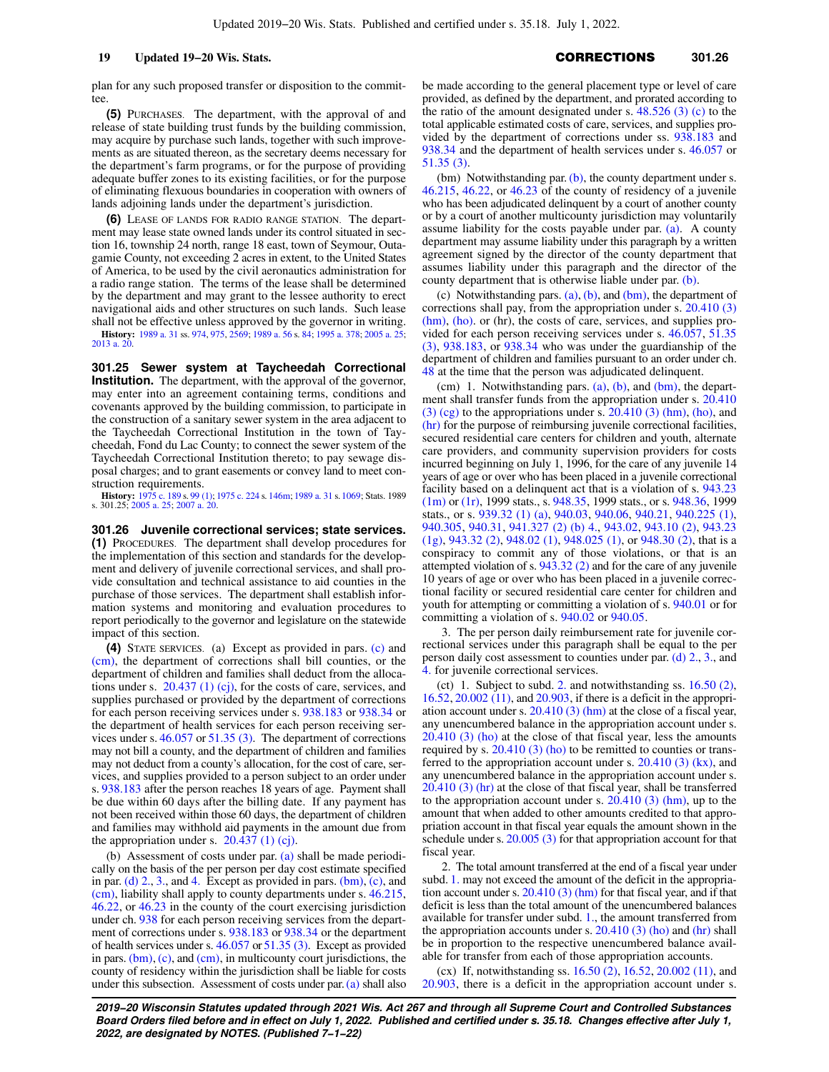plan for any such proposed transfer or disposition to the committee

**(5)** PURCHASES. The department, with the approval of and release of state building trust funds by the building commission, may acquire by purchase such lands, together with such improvements as are situated thereon, as the secretary deems necessary for the department's farm programs, or for the purpose of providing adequate buffer zones to its existing facilities, or for the purpose of eliminating flexuous boundaries in cooperation with owners of lands adjoining lands under the department's jurisdiction.

**(6)** LEASE OF LANDS FOR RADIO RANGE STATION. The department may lease state owned lands under its control situated in section 16, township 24 north, range 18 east, town of Seymour, Outagamie County, not exceeding 2 acres in extent, to the United States of America, to be used by the civil aeronautics administration for a radio range station. The terms of the lease shall be determined by the department and may grant to the lessee authority to erect navigational aids and other structures on such lands. Such lease shall not be effective unless approved by the governor in writing. **History:** [1989 a. 31](https://docs.legis.wisconsin.gov/document/acts/1989/31) ss. [974](https://docs.legis.wisconsin.gov/document/acts/1989/31,%20s.%20974), [975](https://docs.legis.wisconsin.gov/document/acts/1989/31,%20s.%20975), [2569](https://docs.legis.wisconsin.gov/document/acts/1989/31,%20s.%202569); [1989 a. 56](https://docs.legis.wisconsin.gov/document/acts/1989/56) s. [84](https://docs.legis.wisconsin.gov/document/acts/1989/56,%20s.%2084); [1995 a. 378;](https://docs.legis.wisconsin.gov/document/acts/1995/378) [2005 a. 25](https://docs.legis.wisconsin.gov/document/acts/2005/25); [2013 a. 20](https://docs.legis.wisconsin.gov/document/acts/2013/20).

**301.25 Sewer system at Taycheedah Correctional Institution.** The department, with the approval of the governor, may enter into an agreement containing terms, conditions and covenants approved by the building commission, to participate in the construction of a sanitary sewer system in the area adjacent to the Taycheedah Correctional Institution in the town of Taycheedah, Fond du Lac County; to connect the sewer system of the Taycheedah Correctional Institution thereto; to pay sewage disposal charges; and to grant easements or convey land to meet construction requirements.

**History:** [1975 c. 189](https://docs.legis.wisconsin.gov/document/acts/1975/189) s. [99 \(1\);](https://docs.legis.wisconsin.gov/document/acts/1975/189,%20s.%2099) [1975 c. 224](https://docs.legis.wisconsin.gov/document/acts/1975/224) s. [146m](https://docs.legis.wisconsin.gov/document/acts/1975/224,%20s.%20146m); [1989 a. 31](https://docs.legis.wisconsin.gov/document/acts/1989/31) s.[1069;](https://docs.legis.wisconsin.gov/document/acts/1989/31,%20s.%201069) Stats. 1989 s. 301.25; [2005 a. 25](https://docs.legis.wisconsin.gov/document/acts/2005/25); [2007 a. 20.](https://docs.legis.wisconsin.gov/document/acts/2007/20)

**301.26 Juvenile correctional services; state services. (1)** PROCEDURES. The department shall develop procedures for the implementation of this section and standards for the development and delivery of juvenile correctional services, and shall provide consultation and technical assistance to aid counties in the purchase of those services. The department shall establish information systems and monitoring and evaluation procedures to report periodically to the governor and legislature on the statewide impact of this section.

**(4)** STATE SERVICES. (a) Except as provided in pars. [\(c\)](https://docs.legis.wisconsin.gov/document/statutes/301.26(4)(c)) and [\(cm\),](https://docs.legis.wisconsin.gov/document/statutes/301.26(4)(cm)) the department of corrections shall bill counties, or the department of children and families shall deduct from the allocations under s.  $20.437$  (1) (cj), for the costs of care, services, and supplies purchased or provided by the department of corrections for each person receiving services under s. [938.183](https://docs.legis.wisconsin.gov/document/statutes/938.183) or [938.34](https://docs.legis.wisconsin.gov/document/statutes/938.34) or the department of health services for each person receiving services under s. [46.057](https://docs.legis.wisconsin.gov/document/statutes/46.057) or [51.35 \(3\).](https://docs.legis.wisconsin.gov/document/statutes/51.35(3)) The department of corrections may not bill a county, and the department of children and families may not deduct from a county's allocation, for the cost of care, services, and supplies provided to a person subject to an order under s. [938.183](https://docs.legis.wisconsin.gov/document/statutes/938.183) after the person reaches 18 years of age. Payment shall be due within 60 days after the billing date. If any payment has not been received within those 60 days, the department of children and families may withhold aid payments in the amount due from the appropriation under s.  $20.437$  (1) (cj).

(b) Assessment of costs under par. [\(a\)](https://docs.legis.wisconsin.gov/document/statutes/301.26(4)(a)) shall be made periodically on the basis of the per person per day cost estimate specified in par. (d)  $2, 3$ , and [4.](https://docs.legis.wisconsin.gov/document/statutes/301.26(4)(d)4.) Except as provided in pars. [\(bm\),](https://docs.legis.wisconsin.gov/document/statutes/301.26(4)(bm)) [\(c\),](https://docs.legis.wisconsin.gov/document/statutes/301.26(4)(c)) and [\(cm\),](https://docs.legis.wisconsin.gov/document/statutes/301.26(4)(cm)) liability shall apply to county departments under s. [46.215,](https://docs.legis.wisconsin.gov/document/statutes/46.215) [46.22](https://docs.legis.wisconsin.gov/document/statutes/46.22), or [46.23](https://docs.legis.wisconsin.gov/document/statutes/46.23) in the county of the court exercising jurisdiction under ch. [938](https://docs.legis.wisconsin.gov/document/statutes/ch.%20938) for each person receiving services from the department of corrections under s. [938.183](https://docs.legis.wisconsin.gov/document/statutes/938.183) or [938.34](https://docs.legis.wisconsin.gov/document/statutes/938.34) or the department of health services under s. [46.057](https://docs.legis.wisconsin.gov/document/statutes/46.057) or [51.35 \(3\)](https://docs.legis.wisconsin.gov/document/statutes/51.35(3)). Except as provided in pars.  $(bm)$ ,  $(c)$ , and  $(cm)$ , in multicounty court jurisdictions, the county of residency within the jurisdiction shall be liable for costs under this subsection. Assessment of costs under par.  $(a)$  shall also be made according to the general placement type or level of care provided, as defined by the department, and prorated according to the ratio of the amount designated under s. [48.526 \(3\) \(c\)](https://docs.legis.wisconsin.gov/document/statutes/48.526(3)(c)) to the total applicable estimated costs of care, services, and supplies provided by the department of corrections under ss. [938.183](https://docs.legis.wisconsin.gov/document/statutes/938.183) and [938.34](https://docs.legis.wisconsin.gov/document/statutes/938.34) and the department of health services under s. [46.057](https://docs.legis.wisconsin.gov/document/statutes/46.057) or [51.35 \(3\)](https://docs.legis.wisconsin.gov/document/statutes/51.35(3)).

(bm) Notwithstanding par. [\(b\)](https://docs.legis.wisconsin.gov/document/statutes/301.26(4)(b)), the county department under s. [46.215,](https://docs.legis.wisconsin.gov/document/statutes/46.215) [46.22](https://docs.legis.wisconsin.gov/document/statutes/46.22), or [46.23](https://docs.legis.wisconsin.gov/document/statutes/46.23) of the county of residency of a juvenile who has been adjudicated delinquent by a court of another county or by a court of another multicounty jurisdiction may voluntarily assume liability for the costs payable under par. [\(a\)](https://docs.legis.wisconsin.gov/document/statutes/301.26(4)(a)). A county department may assume liability under this paragraph by a written agreement signed by the director of the county department that assumes liability under this paragraph and the director of the county department that is otherwise liable under par. [\(b\).](https://docs.legis.wisconsin.gov/document/statutes/301.26(4)(b))

(c) Notwithstanding pars.  $(a)$ ,  $(b)$ , and  $(bm)$ , the department of corrections shall pay, from the appropriation under s. [20.410 \(3\)](https://docs.legis.wisconsin.gov/document/statutes/20.410(3)(hm)) [\(hm\),](https://docs.legis.wisconsin.gov/document/statutes/20.410(3)(hm)) [\(ho\).](https://docs.legis.wisconsin.gov/document/statutes/20.410(3)(ho)) or (hr), the costs of care, services, and supplies provided for each person receiving services under s. [46.057,](https://docs.legis.wisconsin.gov/document/statutes/46.057) [51.35](https://docs.legis.wisconsin.gov/document/statutes/51.35(3)) [\(3\),](https://docs.legis.wisconsin.gov/document/statutes/51.35(3)) [938.183](https://docs.legis.wisconsin.gov/document/statutes/938.183), or [938.34](https://docs.legis.wisconsin.gov/document/statutes/938.34) who was under the guardianship of the department of children and families pursuant to an order under ch. [48](https://docs.legis.wisconsin.gov/document/statutes/ch.%2048) at the time that the person was adjudicated delinquent.

(cm) 1. Notwithstanding pars. [\(a\)](https://docs.legis.wisconsin.gov/document/statutes/301.26(4)(a)), [\(b\)](https://docs.legis.wisconsin.gov/document/statutes/301.26(4)(b)), and [\(bm\),](https://docs.legis.wisconsin.gov/document/statutes/301.26(4)(bm)) the department shall transfer funds from the appropriation under s. [20.410](https://docs.legis.wisconsin.gov/document/statutes/20.410(3)(cg))  $(3)$  (cg) to the appropriations under s.  $20.410$  (3) (hm), [\(ho\),](https://docs.legis.wisconsin.gov/document/statutes/20.410(3)(ho)) and [\(hr\)](https://docs.legis.wisconsin.gov/document/statutes/20.410(3)(hr)) for the purpose of reimbursing juvenile correctional facilities, secured residential care centers for children and youth, alternate care providers, and community supervision providers for costs incurred beginning on July 1, 1996, for the care of any juvenile 14 years of age or over who has been placed in a juvenile correctional facility based on a delinquent act that is a violation of s. [943.23](https://docs.legis.wisconsin.gov/document/statutes/1999/943.23(1m)) [\(1m\)](https://docs.legis.wisconsin.gov/document/statutes/1999/943.23(1m)) or [\(1r\)](https://docs.legis.wisconsin.gov/document/statutes/1999/943.23(1r)), 1999 stats., s. [948.35,](https://docs.legis.wisconsin.gov/document/statutes/1999/948.35) 1999 stats., or s. [948.36](https://docs.legis.wisconsin.gov/document/statutes/1999/948.36), 1999 stats., or s. [939.32 \(1\) \(a\),](https://docs.legis.wisconsin.gov/document/statutes/939.32(1)(a)) [940.03,](https://docs.legis.wisconsin.gov/document/statutes/940.03) [940.06](https://docs.legis.wisconsin.gov/document/statutes/940.06), [940.21](https://docs.legis.wisconsin.gov/document/statutes/940.21), [940.225 \(1\),](https://docs.legis.wisconsin.gov/document/statutes/940.225(1)) [940.305](https://docs.legis.wisconsin.gov/document/statutes/940.305), [940.31](https://docs.legis.wisconsin.gov/document/statutes/940.31), [941.327 \(2\) \(b\) 4.,](https://docs.legis.wisconsin.gov/document/statutes/941.327(2)(b)4.) [943.02](https://docs.legis.wisconsin.gov/document/statutes/943.02), [943.10 \(2\)](https://docs.legis.wisconsin.gov/document/statutes/943.10(2)), [943.23](https://docs.legis.wisconsin.gov/document/statutes/943.23(1g)) [\(1g\)](https://docs.legis.wisconsin.gov/document/statutes/943.23(1g)), [943.32 \(2\),](https://docs.legis.wisconsin.gov/document/statutes/943.32(2)) [948.02 \(1\),](https://docs.legis.wisconsin.gov/document/statutes/948.02(1)) [948.025 \(1\),](https://docs.legis.wisconsin.gov/document/statutes/948.025(1)) or [948.30 \(2\)](https://docs.legis.wisconsin.gov/document/statutes/948.30(2)), that is a conspiracy to commit any of those violations, or that is an attempted violation of s. [943.32 \(2\)](https://docs.legis.wisconsin.gov/document/statutes/943.32(2)) and for the care of any juvenile 10 years of age or over who has been placed in a juvenile correctional facility or secured residential care center for children and youth for attempting or committing a violation of s. [940.01](https://docs.legis.wisconsin.gov/document/statutes/940.01) or for committing a violation of s. [940.02](https://docs.legis.wisconsin.gov/document/statutes/940.02) or [940.05](https://docs.legis.wisconsin.gov/document/statutes/940.05).

3. The per person daily reimbursement rate for juvenile correctional services under this paragraph shall be equal to the per person daily cost assessment to counties under par. [\(d\) 2.,](https://docs.legis.wisconsin.gov/document/statutes/301.26(4)(d)2.) [3.,](https://docs.legis.wisconsin.gov/document/statutes/301.26(4)(d)3.) and [4.](https://docs.legis.wisconsin.gov/document/statutes/301.26(4)(d)4.) for juvenile correctional services.

(ct) 1. Subject to subd. [2.](https://docs.legis.wisconsin.gov/document/statutes/301.26(4)(ct)2.) and notwithstanding ss. [16.50 \(2\),](https://docs.legis.wisconsin.gov/document/statutes/16.50(2)) [16.52](https://docs.legis.wisconsin.gov/document/statutes/16.52), [20.002 \(11\),](https://docs.legis.wisconsin.gov/document/statutes/20.002(11)) and [20.903](https://docs.legis.wisconsin.gov/document/statutes/20.903), if there is a deficit in the appropriation account under s. [20.410 \(3\) \(hm\)](https://docs.legis.wisconsin.gov/document/statutes/20.410(3)(hm)) at the close of a fiscal year, any unencumbered balance in the appropriation account under s. [20.410 \(3\) \(ho\)](https://docs.legis.wisconsin.gov/document/statutes/20.410(3)(ho)) at the close of that fiscal year, less the amounts required by s. [20.410 \(3\) \(ho\)](https://docs.legis.wisconsin.gov/document/statutes/20.410(3)(ho)) to be remitted to counties or transferred to the appropriation account under s. [20.410 \(3\) \(kx\),](https://docs.legis.wisconsin.gov/document/statutes/20.410(3)(kx)) and any unencumbered balance in the appropriation account under s. [20.410 \(3\) \(hr\)](https://docs.legis.wisconsin.gov/document/statutes/20.410(3)(hr)) at the close of that fiscal year, shall be transferred to the appropriation account under s.  $20.410$  (3) (hm), up to the amount that when added to other amounts credited to that appropriation account in that fiscal year equals the amount shown in the schedule under s. [20.005 \(3\)](https://docs.legis.wisconsin.gov/document/statutes/20.005(3)) for that appropriation account for that fiscal year.

2. The total amount transferred at the end of a fiscal year under subd. [1.](https://docs.legis.wisconsin.gov/document/statutes/301.26(4)(ct)1.) may not exceed the amount of the deficit in the appropriation account under s. [20.410 \(3\) \(hm\)](https://docs.legis.wisconsin.gov/document/statutes/20.410(3)(hm)) for that fiscal year, and if that deficit is less than the total amount of the unencumbered balances available for transfer under subd. [1.](https://docs.legis.wisconsin.gov/document/statutes/301.26(4)(ct)1.), the amount transferred from the appropriation accounts under s.  $20.410(3)$  (ho) and [\(hr\)](https://docs.legis.wisconsin.gov/document/statutes/20.410(3)(hr)) shall be in proportion to the respective unencumbered balance available for transfer from each of those appropriation accounts.

(cx) If, notwithstanding ss. [16.50 \(2\)](https://docs.legis.wisconsin.gov/document/statutes/16.50(2)), [16.52,](https://docs.legis.wisconsin.gov/document/statutes/16.52) [20.002 \(11\),](https://docs.legis.wisconsin.gov/document/statutes/20.002(11)) and [20.903,](https://docs.legis.wisconsin.gov/document/statutes/20.903) there is a deficit in the appropriation account under s.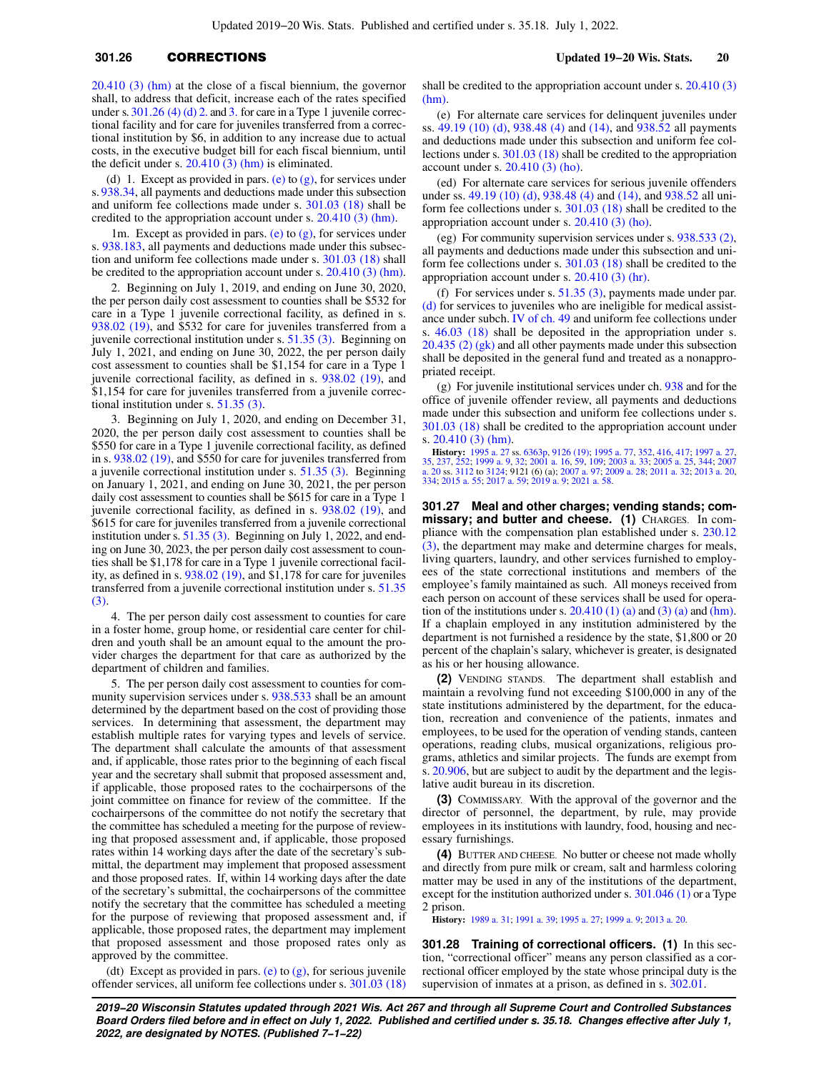# **301.26** CORRECTIONS **Updated 19−20 Wis. Stats. 20**

[20.410 \(3\) \(hm\)](https://docs.legis.wisconsin.gov/document/statutes/20.410(3)(hm)) at the close of a fiscal biennium, the governor shall, to address that deficit, increase each of the rates specified under s.  $301.26$  (4) (d) 2. and [3.](https://docs.legis.wisconsin.gov/document/statutes/301.26(4)(d)3.) for care in a Type 1 juvenile correctional facility and for care for juveniles transferred from a correctional institution by \$6, in addition to any increase due to actual costs, in the executive budget bill for each fiscal biennium, until the deficit under s.  $20.410(3)$  (hm) is eliminated.

(d) 1. Except as provided in pars. [\(e\)](https://docs.legis.wisconsin.gov/document/statutes/301.26(4)(e)) to  $(g)$ , for services under s. [938.34,](https://docs.legis.wisconsin.gov/document/statutes/938.34) all payments and deductions made under this subsection and uniform fee collections made under s. [301.03 \(18\)](https://docs.legis.wisconsin.gov/document/statutes/301.03(18)) shall be credited to the appropriation account under s. [20.410 \(3\) \(hm\).](https://docs.legis.wisconsin.gov/document/statutes/20.410(3)(hm))

1m. Except as provided in pars. [\(e\)](https://docs.legis.wisconsin.gov/document/statutes/301.26(4)(e)) to  $(g)$ , for services under s. [938.183](https://docs.legis.wisconsin.gov/document/statutes/938.183), all payments and deductions made under this subsection and uniform fee collections made under s. [301.03 \(18\)](https://docs.legis.wisconsin.gov/document/statutes/301.03(18)) shall be credited to the appropriation account under s. [20.410 \(3\) \(hm\).](https://docs.legis.wisconsin.gov/document/statutes/20.410(3)(hm))

2. Beginning on July 1, 2019, and ending on June 30, 2020, the per person daily cost assessment to counties shall be \$532 for care in a Type 1 juvenile correctional facility, as defined in s. [938.02 \(19\),](https://docs.legis.wisconsin.gov/document/statutes/938.02(19)) and \$532 for care for juveniles transferred from a juvenile correctional institution under s. [51.35 \(3\)](https://docs.legis.wisconsin.gov/document/statutes/51.35(3)). Beginning on July 1, 2021, and ending on June 30, 2022, the per person daily cost assessment to counties shall be \$1,154 for care in a Type 1 juvenile correctional facility, as defined in s. [938.02 \(19\)](https://docs.legis.wisconsin.gov/document/statutes/938.02(19)), and \$1,154 for care for juveniles transferred from a juvenile correctional institution under s. [51.35 \(3\).](https://docs.legis.wisconsin.gov/document/statutes/51.35(3))

3. Beginning on July 1, 2020, and ending on December 31, 2020, the per person daily cost assessment to counties shall be \$550 for care in a Type 1 juvenile correctional facility, as defined in s. [938.02 \(19\)](https://docs.legis.wisconsin.gov/document/statutes/938.02(19)), and \$550 for care for juveniles transferred from a juvenile correctional institution under s. [51.35 \(3\)](https://docs.legis.wisconsin.gov/document/statutes/51.35(3)). Beginning on January 1, 2021, and ending on June 30, 2021, the per person daily cost assessment to counties shall be \$615 for care in a Type 1 juvenile correctional facility, as defined in s. [938.02 \(19\)](https://docs.legis.wisconsin.gov/document/statutes/938.02(19)), and \$615 for care for juveniles transferred from a juvenile correctional institution under s. [51.35 \(3\).](https://docs.legis.wisconsin.gov/document/statutes/51.35(3)) Beginning on July 1, 2022, and ending on June 30, 2023, the per person daily cost assessment to counties shall be \$1,178 for care in a Type 1 juvenile correctional facility, as defined in s. [938.02 \(19\),](https://docs.legis.wisconsin.gov/document/statutes/938.02(19)) and \$1,178 for care for juveniles transferred from a juvenile correctional institution under s. [51.35](https://docs.legis.wisconsin.gov/document/statutes/51.35(3)) [\(3\)](https://docs.legis.wisconsin.gov/document/statutes/51.35(3)).

4. The per person daily cost assessment to counties for care in a foster home, group home, or residential care center for children and youth shall be an amount equal to the amount the provider charges the department for that care as authorized by the department of children and families.

5. The per person daily cost assessment to counties for community supervision services under s. [938.533](https://docs.legis.wisconsin.gov/document/statutes/938.533) shall be an amount determined by the department based on the cost of providing those services. In determining that assessment, the department may establish multiple rates for varying types and levels of service. The department shall calculate the amounts of that assessment and, if applicable, those rates prior to the beginning of each fiscal year and the secretary shall submit that proposed assessment and, if applicable, those proposed rates to the cochairpersons of the joint committee on finance for review of the committee. If the cochairpersons of the committee do not notify the secretary that the committee has scheduled a meeting for the purpose of reviewing that proposed assessment and, if applicable, those proposed rates within 14 working days after the date of the secretary's submittal, the department may implement that proposed assessment and those proposed rates. If, within 14 working days after the date of the secretary's submittal, the cochairpersons of the committee notify the secretary that the committee has scheduled a meeting for the purpose of reviewing that proposed assessment and, if applicable, those proposed rates, the department may implement that proposed assessment and those proposed rates only as approved by the committee.

(dt) Except as provided in pars. [\(e\)](https://docs.legis.wisconsin.gov/document/statutes/301.26(4)(e)) to  $(g)$ , for serious juvenile offender services, all uniform fee collections under s. [301.03 \(18\)](https://docs.legis.wisconsin.gov/document/statutes/301.03(18))

shall be credited to the appropriation account under s. [20.410 \(3\)](https://docs.legis.wisconsin.gov/document/statutes/20.410(3)(hm))  $(hm)$ 

(e) For alternate care services for delinquent juveniles under ss. [49.19 \(10\) \(d\),](https://docs.legis.wisconsin.gov/document/statutes/49.19(10)(d)) [938.48 \(4\)](https://docs.legis.wisconsin.gov/document/statutes/938.48(4)) and [\(14\)](https://docs.legis.wisconsin.gov/document/statutes/938.48(14)), and [938.52](https://docs.legis.wisconsin.gov/document/statutes/938.52) all payments and deductions made under this subsection and uniform fee collections under s. [301.03 \(18\)](https://docs.legis.wisconsin.gov/document/statutes/301.03(18)) shall be credited to the appropriation account under s. [20.410 \(3\) \(ho\)](https://docs.legis.wisconsin.gov/document/statutes/20.410(3)(ho)).

(ed) For alternate care services for serious juvenile offenders under ss. [49.19 \(10\) \(d\),](https://docs.legis.wisconsin.gov/document/statutes/49.19(10)(d)) [938.48 \(4\)](https://docs.legis.wisconsin.gov/document/statutes/938.48(4)) and [\(14\),](https://docs.legis.wisconsin.gov/document/statutes/938.48(14)) and [938.52](https://docs.legis.wisconsin.gov/document/statutes/938.52) all uniform fee collections under s. [301.03 \(18\)](https://docs.legis.wisconsin.gov/document/statutes/301.03(18)) shall be credited to the appropriation account under s. [20.410 \(3\) \(ho\).](https://docs.legis.wisconsin.gov/document/statutes/20.410(3)(ho))

(eg) For community supervision services under s. [938.533 \(2\),](https://docs.legis.wisconsin.gov/document/statutes/938.533(2)) all payments and deductions made under this subsection and uniform fee collections under s. [301.03 \(18\)](https://docs.legis.wisconsin.gov/document/statutes/301.03(18)) shall be credited to the appropriation account under s. [20.410 \(3\) \(hr\).](https://docs.legis.wisconsin.gov/document/statutes/20.410(3)(hr))

(f) For services under s. [51.35 \(3\)](https://docs.legis.wisconsin.gov/document/statutes/51.35(3)), payments made under par. [\(d\)](https://docs.legis.wisconsin.gov/document/statutes/301.26(4)(d)) for services to juveniles who are ineligible for medical assistance under subch. [IV of ch. 49](https://docs.legis.wisconsin.gov/document/statutes/subch.%20IV%20of%20ch.%2049) and uniform fee collections under s. [46.03 \(18\)](https://docs.legis.wisconsin.gov/document/statutes/46.03(18)) shall be deposited in the appropriation under s. [20.435 \(2\) \(gk\)](https://docs.legis.wisconsin.gov/document/statutes/20.435(2)(gk)) and all other payments made under this subsection shall be deposited in the general fund and treated as a nonappropriated receipt.

(g) For juvenile institutional services under ch. [938](https://docs.legis.wisconsin.gov/document/statutes/ch.%20938) and for the office of juvenile offender review, all payments and deductions made under this subsection and uniform fee collections under s. [301.03 \(18\)](https://docs.legis.wisconsin.gov/document/statutes/301.03(18)) shall be credited to the appropriation account under s. [20.410 \(3\) \(hm\).](https://docs.legis.wisconsin.gov/document/statutes/20.410(3)(hm))

**History:** [1995 a. 27](https://docs.legis.wisconsin.gov/document/acts/1995/27) ss. [6363p,](https://docs.legis.wisconsin.gov/document/acts/1995/27,%20s.%206363p) [9126 \(19\)](https://docs.legis.wisconsin.gov/document/acts/1995/27,%20s.%209126); [1995 a. 77](https://docs.legis.wisconsin.gov/document/acts/1995/77), [352,](https://docs.legis.wisconsin.gov/document/acts/1995/352) [416,](https://docs.legis.wisconsin.gov/document/acts/1995/416) [417;](https://docs.legis.wisconsin.gov/document/acts/1995/417) [1997 a. 27](https://docs.legis.wisconsin.gov/document/acts/1997/27), [35](https://docs.legis.wisconsin.gov/document/acts/1997/35)2, [237](https://docs.legis.wisconsin.gov/document/acts/1997/237), [252](https://docs.legis.wisconsin.gov/document/acts/1997/252); [1999 a. 9](https://docs.legis.wisconsin.gov/document/acts/1999/9), [32;](https://docs.legis.wisconsin.gov/document/acts/1999/32) [2001 a. 16](https://docs.legis.wisconsin.gov/document/acts/2001/16), [59,](https://docs.legis.wisconsin.gov/document/acts/2001/59) [109;](https://docs.legis.wisconsin.gov/document/acts/2001/109) [2003 a. 33](https://docs.legis.wisconsin.gov/document/acts/2003/33); [2005 a. 25](https://docs.legis.wisconsin.gov/document/acts/2005/25), [344;](https://docs.legis.wisconsin.gov/document/acts/2005/344) [2007](https://docs.legis.wisconsin.gov/document/acts/2007/20) [a. 20](https://docs.legis.wisconsin.gov/document/acts/2007/20) ss. [3112](https://docs.legis.wisconsin.gov/document/acts/2007/20,%20s.%203112) 16 312 16 (19); [2007 a. 97;](https://docs.legis.wisconsin.gov/document/acts/2007/97) [2009 a. 28;](https://docs.legis.wisconsin.gov/document/acts/2009/28)

**301.27 Meal and other charges; vending stands; com**missary; and butter and cheese. (1) CHARGES. In compliance with the compensation plan established under s. [230.12](https://docs.legis.wisconsin.gov/document/statutes/230.12(3)) [\(3\),](https://docs.legis.wisconsin.gov/document/statutes/230.12(3)) the department may make and determine charges for meals, living quarters, laundry, and other services furnished to employees of the state correctional institutions and members of the employee's family maintained as such. All moneys received from each person on account of these services shall be used for operation of the institutions under s.  $20.410(1)(a)$  and  $(3)(a)$  and  $(hm)$ . If a chaplain employed in any institution administered by the department is not furnished a residence by the state, \$1,800 or 20 percent of the chaplain's salary, whichever is greater, is designated as his or her housing allowance.

**(2)** VENDING STANDS. The department shall establish and maintain a revolving fund not exceeding \$100,000 in any of the state institutions administered by the department, for the education, recreation and convenience of the patients, inmates and employees, to be used for the operation of vending stands, canteen operations, reading clubs, musical organizations, religious programs, athletics and similar projects. The funds are exempt from s. [20.906](https://docs.legis.wisconsin.gov/document/statutes/20.906), but are subject to audit by the department and the legislative audit bureau in its discretion.

**(3)** COMMISSARY. With the approval of the governor and the director of personnel, the department, by rule, may provide employees in its institutions with laundry, food, housing and necessary furnishings.

**(4)** BUTTER AND CHEESE. No butter or cheese not made wholly and directly from pure milk or cream, salt and harmless coloring matter may be used in any of the institutions of the department, except for the institution authorized under s. [301.046 \(1\)](https://docs.legis.wisconsin.gov/document/statutes/301.046(1)) or a Type 2 prison.

**History:** [1989 a. 31](https://docs.legis.wisconsin.gov/document/acts/1989/31); [1991 a. 39](https://docs.legis.wisconsin.gov/document/acts/1991/39); [1995 a. 27](https://docs.legis.wisconsin.gov/document/acts/1995/27); [1999 a. 9](https://docs.legis.wisconsin.gov/document/acts/1999/9); [2013 a. 20](https://docs.legis.wisconsin.gov/document/acts/2013/20).

**301.28 Training of correctional officers. (1)** In this section, "correctional officer" means any person classified as a correctional officer employed by the state whose principal duty is the supervision of inmates at a prison, as defined in s.  $302.01$ .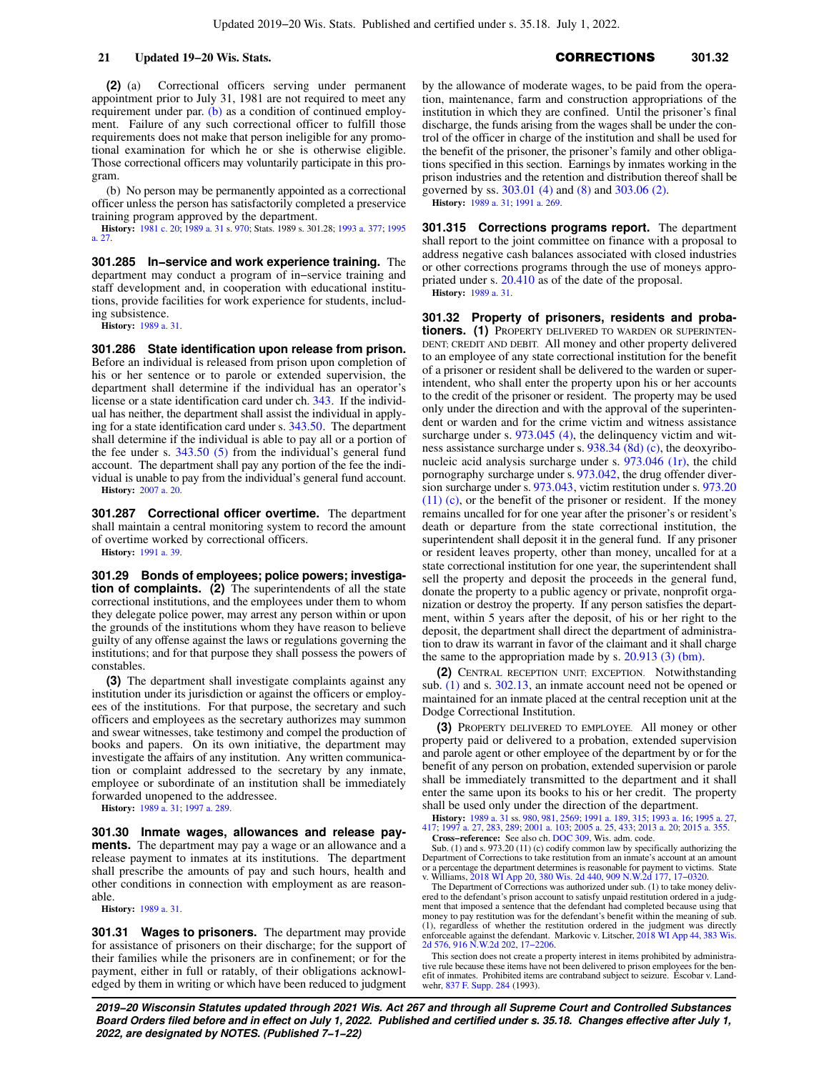**(2)** (a) Correctional officers serving under permanent appointment prior to July 31, 1981 are not required to meet any requirement under par. [\(b\)](https://docs.legis.wisconsin.gov/document/statutes/301.28(2)(b)) as a condition of continued employment. Failure of any such correctional officer to fulfill those requirements does not make that person ineligible for any promotional examination for which he or she is otherwise eligible. Those correctional officers may voluntarily participate in this program.

(b) No person may be permanently appointed as a correctional officer unless the person has satisfactorily completed a preservice training program approved by the department.

**History:** [1981 c. 20;](https://docs.legis.wisconsin.gov/document/acts/1981/20) [1989 a. 31](https://docs.legis.wisconsin.gov/document/acts/1989/31) s. [970](https://docs.legis.wisconsin.gov/document/acts/1989/31,%20s.%20970); Stats. 1989 s. 301.28; [1993 a. 377](https://docs.legis.wisconsin.gov/document/acts/1993/377); [1995](https://docs.legis.wisconsin.gov/document/acts/1995/27) [a. 27](https://docs.legis.wisconsin.gov/document/acts/1995/27).

**301.285 In−service and work experience training.** The department may conduct a program of in−service training and staff development and, in cooperation with educational institutions, provide facilities for work experience for students, including subsistence.

**History:** [1989 a. 31.](https://docs.legis.wisconsin.gov/document/acts/1989/31)

**301.286 State identification upon release from prison.** Before an individual is released from prison upon completion of his or her sentence or to parole or extended supervision, the department shall determine if the individual has an operator's license or a state identification card under ch. [343.](https://docs.legis.wisconsin.gov/document/statutes/ch.%20343) If the individual has neither, the department shall assist the individual in applying for a state identification card under s. [343.50](https://docs.legis.wisconsin.gov/document/statutes/343.50). The department shall determine if the individual is able to pay all or a portion of the fee under s. [343.50 \(5\)](https://docs.legis.wisconsin.gov/document/statutes/343.50(5)) from the individual's general fund account. The department shall pay any portion of the fee the individual is unable to pay from the individual's general fund account. **History:** [2007 a. 20.](https://docs.legis.wisconsin.gov/document/acts/2007/20)

**301.287 Correctional officer overtime.** The department shall maintain a central monitoring system to record the amount of overtime worked by correctional officers. **History:** [1991 a. 39.](https://docs.legis.wisconsin.gov/document/acts/1991/39)

**301.29 Bonds of employees; police powers; investigation of complaints. (2)** The superintendents of all the state correctional institutions, and the employees under them to whom they delegate police power, may arrest any person within or upon the grounds of the institutions whom they have reason to believe guilty of any offense against the laws or regulations governing the institutions; and for that purpose they shall possess the powers of constables.

**(3)** The department shall investigate complaints against any institution under its jurisdiction or against the officers or employees of the institutions. For that purpose, the secretary and such officers and employees as the secretary authorizes may summon and swear witnesses, take testimony and compel the production of books and papers. On its own initiative, the department may investigate the affairs of any institution. Any written communication or complaint addressed to the secretary by any inmate, employee or subordinate of an institution shall be immediately forwarded unopened to the addressee.

**History:** [1989 a. 31;](https://docs.legis.wisconsin.gov/document/acts/1989/31) [1997 a. 289.](https://docs.legis.wisconsin.gov/document/acts/1997/289)

**301.30 Inmate wages, allowances and release payments.** The department may pay a wage or an allowance and a release payment to inmates at its institutions. The department shall prescribe the amounts of pay and such hours, health and other conditions in connection with employment as are reasonable.

**History:** [1989 a. 31.](https://docs.legis.wisconsin.gov/document/acts/1989/31)

**301.31 Wages to prisoners.** The department may provide for assistance of prisoners on their discharge; for the support of their families while the prisoners are in confinement; or for the payment, either in full or ratably, of their obligations acknowledged by them in writing or which have been reduced to judgment

by the allowance of moderate wages, to be paid from the operation, maintenance, farm and construction appropriations of the institution in which they are confined. Until the prisoner's final discharge, the funds arising from the wages shall be under the control of the officer in charge of the institution and shall be used for the benefit of the prisoner, the prisoner's family and other obligations specified in this section. Earnings by inmates working in the prison industries and the retention and distribution thereof shall be governed by ss. [303.01 \(4\)](https://docs.legis.wisconsin.gov/document/statutes/303.01(4)) and [\(8\)](https://docs.legis.wisconsin.gov/document/statutes/303.01(8)) and [303.06 \(2\)](https://docs.legis.wisconsin.gov/document/statutes/303.06(2)). **History:** [1989 a. 31](https://docs.legis.wisconsin.gov/document/acts/1989/31); [1991 a. 269.](https://docs.legis.wisconsin.gov/document/acts/1991/269)

**301.315 Corrections programs report.** The department shall report to the joint committee on finance with a proposal to address negative cash balances associated with closed industries or other corrections programs through the use of moneys appropriated under s. [20.410](https://docs.legis.wisconsin.gov/document/statutes/20.410) as of the date of the proposal. **History:** [1989 a. 31](https://docs.legis.wisconsin.gov/document/acts/1989/31).

**301.32 Property of prisoners, residents and probationers. (1)** PROPERTY DELIVERED TO WARDEN OR SUPERINTEN-DENT; CREDIT AND DEBIT. All money and other property delivered to an employee of any state correctional institution for the benefit of a prisoner or resident shall be delivered to the warden or superintendent, who shall enter the property upon his or her accounts to the credit of the prisoner or resident. The property may be used only under the direction and with the approval of the superintendent or warden and for the crime victim and witness assistance surcharge under s. [973.045 \(4\)](https://docs.legis.wisconsin.gov/document/statutes/973.045(4)), the delinquency victim and witness assistance surcharge under s. [938.34 \(8d\) \(c\),](https://docs.legis.wisconsin.gov/document/statutes/938.34(8d)(c)) the deoxyribonucleic acid analysis surcharge under s. [973.046 \(1r\)](https://docs.legis.wisconsin.gov/document/statutes/973.046(1r)), the child pornography surcharge under s. [973.042,](https://docs.legis.wisconsin.gov/document/statutes/973.042) the drug offender diversion surcharge under s. [973.043,](https://docs.legis.wisconsin.gov/document/statutes/973.043) victim restitution under s. [973.20](https://docs.legis.wisconsin.gov/document/statutes/973.20(11)(c)) [\(11\) \(c\)](https://docs.legis.wisconsin.gov/document/statutes/973.20(11)(c)), or the benefit of the prisoner or resident. If the money remains uncalled for for one year after the prisoner's or resident's death or departure from the state correctional institution, the superintendent shall deposit it in the general fund. If any prisoner or resident leaves property, other than money, uncalled for at a state correctional institution for one year, the superintendent shall sell the property and deposit the proceeds in the general fund, donate the property to a public agency or private, nonprofit organization or destroy the property. If any person satisfies the department, within 5 years after the deposit, of his or her right to the deposit, the department shall direct the department of administration to draw its warrant in favor of the claimant and it shall charge the same to the appropriation made by s. [20.913 \(3\) \(bm\).](https://docs.legis.wisconsin.gov/document/statutes/20.913(3)(bm))

**(2)** CENTRAL RECEPTION UNIT; EXCEPTION. Notwithstanding sub. [\(1\)](https://docs.legis.wisconsin.gov/document/statutes/301.32(1)) and s. [302.13,](https://docs.legis.wisconsin.gov/document/statutes/302.13) an inmate account need not be opened or maintained for an inmate placed at the central reception unit at the Dodge Correctional Institution.

**(3)** PROPERTY DELIVERED TO EMPLOYEE. All money or other property paid or delivered to a probation, extended supervision and parole agent or other employee of the department by or for the benefit of any person on probation, extended supervision or parole shall be immediately transmitted to the department and it shall enter the same upon its books to his or her credit. The property shall be used only under the direction of the department.

**History:** [1989 a. 31](https://docs.legis.wisconsin.gov/document/acts/1989/31) ss. [980,](https://docs.legis.wisconsin.gov/document/acts/1989/31,%20s.%20980) [981,](https://docs.legis.wisconsin.gov/document/acts/1989/31,%20s.%20981) [2569;](https://docs.legis.wisconsin.gov/document/acts/1989/31,%20s.%202569) [1991 a. 189,](https://docs.legis.wisconsin.gov/document/acts/1991/189) [315;](https://docs.legis.wisconsin.gov/document/acts/1991/315) [1993 a. 16](https://docs.legis.wisconsin.gov/document/acts/1993/16); [1995 a. 27](https://docs.legis.wisconsin.gov/document/acts/1995/27), [417;](https://docs.legis.wisconsin.gov/document/acts/1995/417) [1997 a. 27,](https://docs.legis.wisconsin.gov/document/acts/1997/27) [283,](https://docs.legis.wisconsin.gov/document/acts/1997/283) [289;](https://docs.legis.wisconsin.gov/document/acts/1997/289) [2001 a. 103](https://docs.legis.wisconsin.gov/document/acts/2001/103); [2005 a. 25,](https://docs.legis.wisconsin.gov/document/acts/2005/25) [433;](https://docs.legis.wisconsin.gov/document/acts/2005/433) [2013 a. 20;](https://docs.legis.wisconsin.gov/document/acts/2013/20) [2015 a. 355.](https://docs.legis.wisconsin.gov/document/acts/2015/355) **Cross−reference:** See also ch. [DOC 309](https://docs.legis.wisconsin.gov/document/administrativecode/ch.%20DOC%20309), Wis. adm. code.

Sub. (1) and s. 973.20 (11) (c) codify common law by specifically authorizing the Department of Corrections to take restitution from an inmate's account at an amount or a percentage the department determines is reasonable for payment to victims. State v. Williams, [2018 WI App 20,](https://docs.legis.wisconsin.gov/document/courts/2018%20WI%20App%2020) [380 Wis. 2d 440](https://docs.legis.wisconsin.gov/document/courts/380%20Wis.%202d%20440), [909 N.W.2d 177,](https://docs.legis.wisconsin.gov/document/courts/909%20N.W.2d%20177) [17−0320](https://docs.legis.wisconsin.gov/document/wicourtofappeals/17-0320).

The Department of Corrections was authorized under sub. (1) to take money delivered to the defendant's prison account to satisfy unpaid restitution ordered in a judgment that imposed a sentence that the defendant had completed because using that money to pay restitution was for the defendant's benefit within the meaning of sub. (1), regardless of whether the restitution ordered in the judgment was directly enforceable against the defendant. Markovic v. Litscher, [2018 WI App 44](https://docs.legis.wisconsin.gov/document/courts/2018%20WI%20App%2044), [383 Wis.](https://docs.legis.wisconsin.gov/document/courts/383%20Wis.%202d%20576) [2d 576](https://docs.legis.wisconsin.gov/document/courts/383%20Wis.%202d%20576), [916 N.W.2d 202,](https://docs.legis.wisconsin.gov/document/courts/916%20N.W.2d%20202) [17−2206](https://docs.legis.wisconsin.gov/document/wicourtofappeals/17-2206).

This section does not create a property interest in items prohibited by administrative rule because these items have not been delivered to prison employees for the ben-efit of inmates. Prohibited items are contraband subject to seizure. Escobar v. Landwehr, [837 F. Supp. 284](https://docs.legis.wisconsin.gov/document/courts/837%20F.%20Supp.%20284) (1993).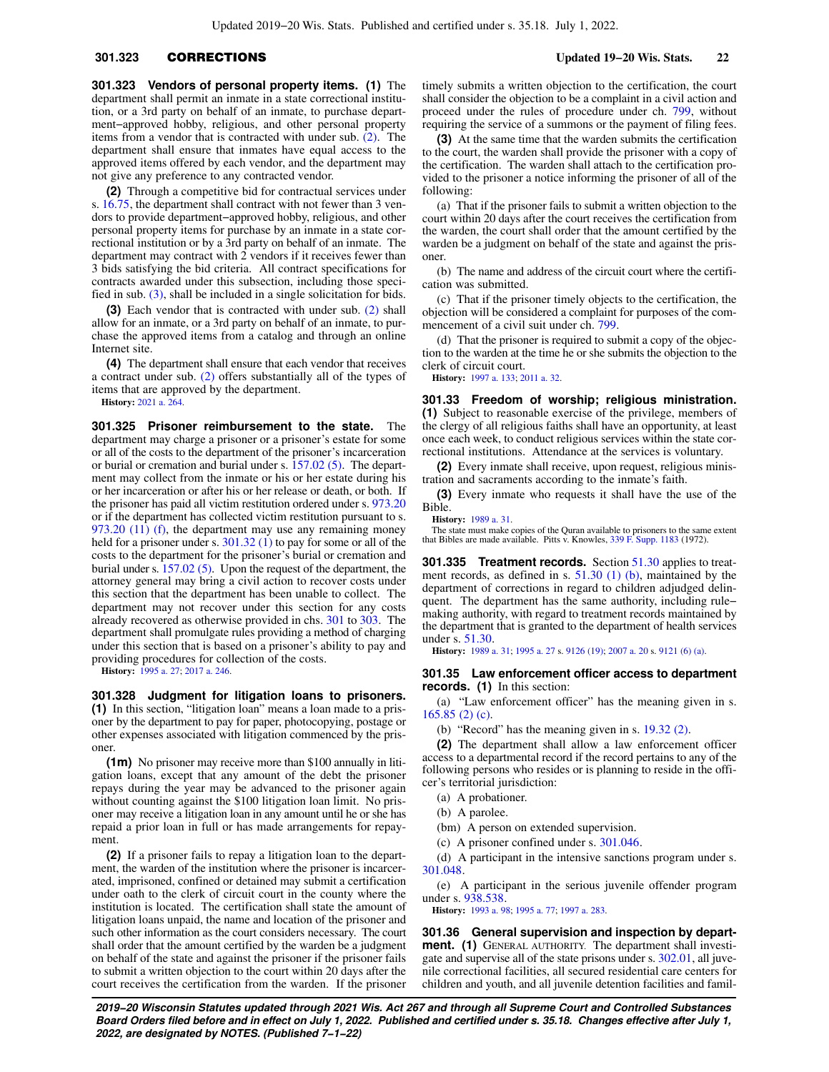**301.323 Vendors of personal property items. (1)** The department shall permit an inmate in a state correctional institution, or a 3rd party on behalf of an inmate, to purchase department−approved hobby, religious, and other personal property items from a vendor that is contracted with under sub. [\(2\).](https://docs.legis.wisconsin.gov/document/statutes/301.323(2)) The department shall ensure that inmates have equal access to the approved items offered by each vendor, and the department may not give any preference to any contracted vendor.

**(2)** Through a competitive bid for contractual services under s. [16.75,](https://docs.legis.wisconsin.gov/document/statutes/16.75) the department shall contract with not fewer than 3 vendors to provide department−approved hobby, religious, and other personal property items for purchase by an inmate in a state correctional institution or by a 3rd party on behalf of an inmate. The department may contract with 2 vendors if it receives fewer than 3 bids satisfying the bid criteria. All contract specifications for contracts awarded under this subsection, including those specified in sub.  $(3)$ , shall be included in a single solicitation for bids.

**(3)** Each vendor that is contracted with under sub. [\(2\)](https://docs.legis.wisconsin.gov/document/statutes/301.323(2)) shall allow for an inmate, or a 3rd party on behalf of an inmate, to purchase the approved items from a catalog and through an online Internet site.

**(4)** The department shall ensure that each vendor that receives a contract under sub. [\(2\)](https://docs.legis.wisconsin.gov/document/statutes/301.323(2)) offers substantially all of the types of items that are approved by the department.

**History:** [2021 a. 264.](https://docs.legis.wisconsin.gov/document/acts/2021/264)

**301.325 Prisoner reimbursement to the state.** The department may charge a prisoner or a prisoner's estate for some or all of the costs to the department of the prisoner's incarceration or burial or cremation and burial under s.  $157.02$  (5). The department may collect from the inmate or his or her estate during his or her incarceration or after his or her release or death, or both. If the prisoner has paid all victim restitution ordered under s. [973.20](https://docs.legis.wisconsin.gov/document/statutes/973.20) or if the department has collected victim restitution pursuant to s. [973.20 \(11\) \(f\),](https://docs.legis.wisconsin.gov/document/statutes/973.20(11)(f)) the department may use any remaining money held for a prisoner under s. [301.32 \(1\)](https://docs.legis.wisconsin.gov/document/statutes/301.32(1)) to pay for some or all of the costs to the department for the prisoner's burial or cremation and burial under s. [157.02 \(5\)](https://docs.legis.wisconsin.gov/document/statutes/157.02(5)). Upon the request of the department, the attorney general may bring a civil action to recover costs under this section that the department has been unable to collect. The department may not recover under this section for any costs already recovered as otherwise provided in chs. [301](https://docs.legis.wisconsin.gov/document/statutes/ch.%20301) to [303](https://docs.legis.wisconsin.gov/document/statutes/ch.%20303). The department shall promulgate rules providing a method of charging under this section that is based on a prisoner's ability to pay and providing procedures for collection of the costs.

**History:** [1995 a. 27;](https://docs.legis.wisconsin.gov/document/acts/1995/27) [2017 a. 246.](https://docs.legis.wisconsin.gov/document/acts/2017/246)

**301.328 Judgment for litigation loans to prisoners. (1)** In this section, "litigation loan" means a loan made to a prisoner by the department to pay for paper, photocopying, postage or other expenses associated with litigation commenced by the prisoner.

**(1m)** No prisoner may receive more than \$100 annually in litigation loans, except that any amount of the debt the prisoner repays during the year may be advanced to the prisoner again without counting against the \$100 litigation loan limit. No prisoner may receive a litigation loan in any amount until he or she has repaid a prior loan in full or has made arrangements for repayment.

**(2)** If a prisoner fails to repay a litigation loan to the department, the warden of the institution where the prisoner is incarcerated, imprisoned, confined or detained may submit a certification under oath to the clerk of circuit court in the county where the institution is located. The certification shall state the amount of litigation loans unpaid, the name and location of the prisoner and such other information as the court considers necessary. The court shall order that the amount certified by the warden be a judgment on behalf of the state and against the prisoner if the prisoner fails to submit a written objection to the court within 20 days after the court receives the certification from the warden. If the prisoner

timely submits a written objection to the certification, the court shall consider the objection to be a complaint in a civil action and proceed under the rules of procedure under ch. [799](https://docs.legis.wisconsin.gov/document/statutes/ch.%20799), without requiring the service of a summons or the payment of filing fees.

**(3)** At the same time that the warden submits the certification to the court, the warden shall provide the prisoner with a copy of the certification. The warden shall attach to the certification provided to the prisoner a notice informing the prisoner of all of the following:

(a) That if the prisoner fails to submit a written objection to the court within 20 days after the court receives the certification from the warden, the court shall order that the amount certified by the warden be a judgment on behalf of the state and against the prisoner.

(b) The name and address of the circuit court where the certification was submitted.

(c) That if the prisoner timely objects to the certification, the objection will be considered a complaint for purposes of the commencement of a civil suit under ch. [799](https://docs.legis.wisconsin.gov/document/statutes/ch.%20799).

(d) That the prisoner is required to submit a copy of the objection to the warden at the time he or she submits the objection to the clerk of circuit court.

**History:** [1997 a. 133;](https://docs.legis.wisconsin.gov/document/acts/1997/133) [2011 a. 32](https://docs.legis.wisconsin.gov/document/acts/2011/32).

**301.33 Freedom of worship; religious ministration. (1)** Subject to reasonable exercise of the privilege, members of the clergy of all religious faiths shall have an opportunity, at least once each week, to conduct religious services within the state correctional institutions. Attendance at the services is voluntary.

**(2)** Every inmate shall receive, upon request, religious ministration and sacraments according to the inmate's faith.

**(3)** Every inmate who requests it shall have the use of the Bible.

**History:** [1989 a. 31](https://docs.legis.wisconsin.gov/document/acts/1989/31).

The state must make copies of the Quran available to prisoners to the same extent that Bibles are made available. Pitts v. Knowles, [339 F. Supp. 1183](https://docs.legis.wisconsin.gov/document/courts/339%20F.%20Supp.%201183) (1972).

**301.335 Treatment records.** Section [51.30](https://docs.legis.wisconsin.gov/document/statutes/51.30) applies to treatment records, as defined in s. [51.30 \(1\) \(b\)](https://docs.legis.wisconsin.gov/document/statutes/51.30(1)(b)), maintained by the department of corrections in regard to children adjudged delinquent. The department has the same authority, including rule− making authority, with regard to treatment records maintained by the department that is granted to the department of health services under s. [51.30](https://docs.legis.wisconsin.gov/document/statutes/51.30).

**History:** [1989 a. 31](https://docs.legis.wisconsin.gov/document/acts/1989/31); [1995 a. 27](https://docs.legis.wisconsin.gov/document/acts/1995/27) s. [9126 \(19\);](https://docs.legis.wisconsin.gov/document/acts/1995/27,%20s.%209126) [2007 a. 20](https://docs.legis.wisconsin.gov/document/acts/2007/20) s. [9121 \(6\) \(a\)](https://docs.legis.wisconsin.gov/document/acts/2007/20,%20s.%209121).

### **301.35 Law enforcement officer access to department records. (1)** In this section:

(a) "Law enforcement officer" has the meaning given in s. [165.85 \(2\) \(c\)](https://docs.legis.wisconsin.gov/document/statutes/165.85(2)(c)).

(b) "Record" has the meaning given in s. [19.32 \(2\)](https://docs.legis.wisconsin.gov/document/statutes/19.32(2)).

**(2)** The department shall allow a law enforcement officer access to a departmental record if the record pertains to any of the following persons who resides or is planning to reside in the officer's territorial jurisdiction:

- (a) A probationer.
- (b) A parolee.
- (bm) A person on extended supervision.
- (c) A prisoner confined under s. [301.046](https://docs.legis.wisconsin.gov/document/statutes/301.046).
- 

(d) A participant in the intensive sanctions program under s. [301.048](https://docs.legis.wisconsin.gov/document/statutes/301.048).

(e) A participant in the serious juvenile offender program under s. [938.538](https://docs.legis.wisconsin.gov/document/statutes/938.538).

**History:** [1993 a. 98](https://docs.legis.wisconsin.gov/document/acts/1993/98); [1995 a. 77](https://docs.legis.wisconsin.gov/document/acts/1995/77); [1997 a. 283.](https://docs.legis.wisconsin.gov/document/acts/1997/283)

**301.36 General supervision and inspection by department. (1)** GENERAL AUTHORITY. The department shall investigate and supervise all of the state prisons under s. [302.01](https://docs.legis.wisconsin.gov/document/statutes/302.01), all juvenile correctional facilities, all secured residential care centers for children and youth, and all juvenile detention facilities and famil-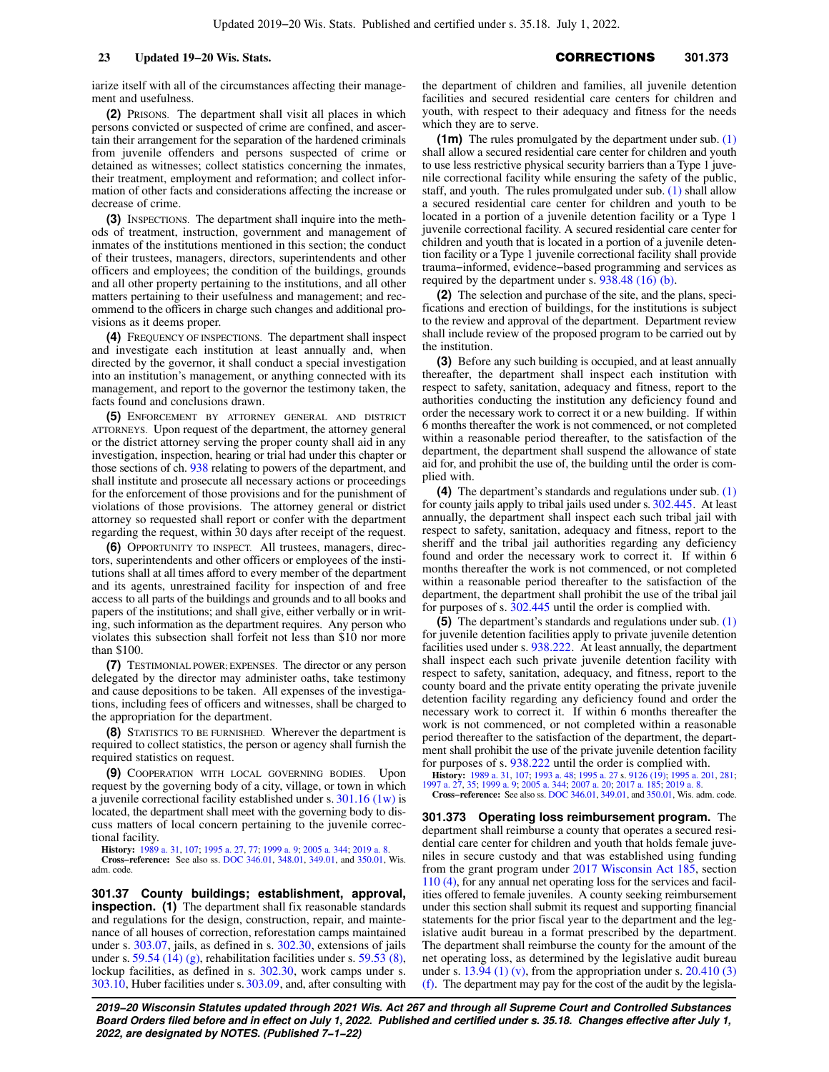iarize itself with all of the circumstances affecting their management and usefulness.

**(2)** PRISONS. The department shall visit all places in which persons convicted or suspected of crime are confined, and ascertain their arrangement for the separation of the hardened criminals from juvenile offenders and persons suspected of crime or detained as witnesses; collect statistics concerning the inmates, their treatment, employment and reformation; and collect information of other facts and considerations affecting the increase or decrease of crime.

**(3)** INSPECTIONS. The department shall inquire into the methods of treatment, instruction, government and management of inmates of the institutions mentioned in this section; the conduct of their trustees, managers, directors, superintendents and other officers and employees; the condition of the buildings, grounds and all other property pertaining to the institutions, and all other matters pertaining to their usefulness and management; and recommend to the officers in charge such changes and additional provisions as it deems proper.

**(4)** FREQUENCY OF INSPECTIONS. The department shall inspect and investigate each institution at least annually and, when directed by the governor, it shall conduct a special investigation into an institution's management, or anything connected with its management, and report to the governor the testimony taken, the facts found and conclusions drawn.

**(5)** ENFORCEMENT BY ATTORNEY GENERAL AND DISTRICT ATTORNEYS. Upon request of the department, the attorney general or the district attorney serving the proper county shall aid in any investigation, inspection, hearing or trial had under this chapter or those sections of ch. [938](https://docs.legis.wisconsin.gov/document/statutes/ch.%20938) relating to powers of the department, and shall institute and prosecute all necessary actions or proceedings for the enforcement of those provisions and for the punishment of violations of those provisions. The attorney general or district attorney so requested shall report or confer with the department regarding the request, within 30 days after receipt of the request.

**(6)** OPPORTUNITY TO INSPECT. All trustees, managers, directors, superintendents and other officers or employees of the institutions shall at all times afford to every member of the department and its agents, unrestrained facility for inspection of and free access to all parts of the buildings and grounds and to all books and papers of the institutions; and shall give, either verbally or in writing, such information as the department requires. Any person who violates this subsection shall forfeit not less than \$10 nor more than \$100.

**(7)** TESTIMONIAL POWER; EXPENSES. The director or any person delegated by the director may administer oaths, take testimony and cause depositions to be taken. All expenses of the investigations, including fees of officers and witnesses, shall be charged to the appropriation for the department.

**(8)** STATISTICS TO BE FURNISHED. Wherever the department is required to collect statistics, the person or agency shall furnish the required statistics on request.

**(9)** COOPERATION WITH LOCAL GOVERNING BODIES. Upon request by the governing body of a city, village, or town in which a juvenile correctional facility established under s. [301.16 \(1w\)](https://docs.legis.wisconsin.gov/document/statutes/301.16(1w)) is located, the department shall meet with the governing body to discuss matters of local concern pertaining to the juvenile correctional facility.

**History:** [1989 a. 31,](https://docs.legis.wisconsin.gov/document/acts/1989/31) [107;](https://docs.legis.wisconsin.gov/document/acts/1989/107) [1995 a. 27](https://docs.legis.wisconsin.gov/document/acts/1995/27), [77;](https://docs.legis.wisconsin.gov/document/acts/1995/77) [1999 a. 9](https://docs.legis.wisconsin.gov/document/acts/1999/9); [2005 a. 344;](https://docs.legis.wisconsin.gov/document/acts/2005/344) [2019 a. 8.](https://docs.legis.wisconsin.gov/document/acts/2019/8) **Cross−reference:** See also ss. [DOC 346.01](https://docs.legis.wisconsin.gov/document/administrativecode/DOC%20346.01), [348.01,](https://docs.legis.wisconsin.gov/document/administrativecode/DOC%20348.01) [349.01,](https://docs.legis.wisconsin.gov/document/administrativecode/DOC%20349.01) and [350.01](https://docs.legis.wisconsin.gov/document/administrativecode/DOC%20350.01), Wis. adm. code.

**301.37 County buildings; establishment, approval, inspection.** (1) The department shall fix reasonable standards and regulations for the design, construction, repair, and maintenance of all houses of correction, reforestation camps maintained under s. [303.07,](https://docs.legis.wisconsin.gov/document/statutes/303.07) jails, as defined in s. [302.30,](https://docs.legis.wisconsin.gov/document/statutes/302.30) extensions of jails under s. [59.54 \(14\) \(g\),](https://docs.legis.wisconsin.gov/document/statutes/59.54(14)(g)) rehabilitation facilities under s. [59.53 \(8\),](https://docs.legis.wisconsin.gov/document/statutes/59.53(8)) lockup facilities, as defined in s. [302.30](https://docs.legis.wisconsin.gov/document/statutes/302.30), work camps under s. [303.10,](https://docs.legis.wisconsin.gov/document/statutes/303.10) Huber facilities under s. [303.09,](https://docs.legis.wisconsin.gov/document/statutes/303.09) and, after consulting with the department of children and families, all juvenile detention facilities and secured residential care centers for children and youth, with respect to their adequacy and fitness for the needs which they are to serve.

**(1m)** The rules promulgated by the department under sub. [\(1\)](https://docs.legis.wisconsin.gov/document/statutes/301.37(1)) shall allow a secured residential care center for children and youth to use less restrictive physical security barriers than a Type 1 juvenile correctional facility while ensuring the safety of the public, staff, and youth. The rules promulgated under sub. [\(1\)](https://docs.legis.wisconsin.gov/document/statutes/301.37(1)) shall allow a secured residential care center for children and youth to be located in a portion of a juvenile detention facility or a Type 1 juvenile correctional facility. A secured residential care center for children and youth that is located in a portion of a juvenile detention facility or a Type 1 juvenile correctional facility shall provide trauma−informed, evidence−based programming and services as required by the department under s. [938.48 \(16\) \(b\)](https://docs.legis.wisconsin.gov/document/statutes/938.48(16)(b)).

**(2)** The selection and purchase of the site, and the plans, specifications and erection of buildings, for the institutions is subject to the review and approval of the department. Department review shall include review of the proposed program to be carried out by the institution.

**(3)** Before any such building is occupied, and at least annually thereafter, the department shall inspect each institution with respect to safety, sanitation, adequacy and fitness, report to the authorities conducting the institution any deficiency found and order the necessary work to correct it or a new building. If within 6 months thereafter the work is not commenced, or not completed within a reasonable period thereafter, to the satisfaction of the department, the department shall suspend the allowance of state aid for, and prohibit the use of, the building until the order is complied with.

**(4)** The department's standards and regulations under sub. [\(1\)](https://docs.legis.wisconsin.gov/document/statutes/301.37(1)) for county jails apply to tribal jails used under s. [302.445.](https://docs.legis.wisconsin.gov/document/statutes/302.445) At least annually, the department shall inspect each such tribal jail with respect to safety, sanitation, adequacy and fitness, report to the sheriff and the tribal jail authorities regarding any deficiency found and order the necessary work to correct it. If within 6 months thereafter the work is not commenced, or not completed within a reasonable period thereafter to the satisfaction of the department, the department shall prohibit the use of the tribal jail for purposes of s. [302.445](https://docs.legis.wisconsin.gov/document/statutes/302.445) until the order is complied with.

**(5)** The department's standards and regulations under sub. [\(1\)](https://docs.legis.wisconsin.gov/document/statutes/301.37(1)) for juvenile detention facilities apply to private juvenile detention facilities used under s. [938.222](https://docs.legis.wisconsin.gov/document/statutes/938.222). At least annually, the department shall inspect each such private juvenile detention facility with respect to safety, sanitation, adequacy, and fitness, report to the county board and the private entity operating the private juvenile detention facility regarding any deficiency found and order the necessary work to correct it. If within 6 months thereafter the work is not commenced, or not completed within a reasonable period thereafter to the satisfaction of the department, the department shall prohibit the use of the private juvenile detention facility for purposes of s. [938.222](https://docs.legis.wisconsin.gov/document/statutes/938.222) until the order is complied with.

**History:** [1989 a. 31,](https://docs.legis.wisconsin.gov/document/acts/1989/31) [107;](https://docs.legis.wisconsin.gov/document/acts/1989/107) [1993 a. 48;](https://docs.legis.wisconsin.gov/document/acts/1993/48) [1995 a. 27](https://docs.legis.wisconsin.gov/document/acts/1995/27) s. [9126 \(19\);](https://docs.legis.wisconsin.gov/document/acts/1995/27,%20s.%209126) [1995 a. 201](https://docs.legis.wisconsin.gov/document/acts/1995/201), [281](https://docs.legis.wisconsin.gov/document/acts/1995/281); [1997 a. 27](https://docs.legis.wisconsin.gov/document/acts/1997/27), [35](https://docs.legis.wisconsin.gov/document/acts/1997/35); [1999 a. 9;](https://docs.legis.wisconsin.gov/document/acts/1999/9) [2005 a. 344](https://docs.legis.wisconsin.gov/document/acts/2005/344); [2007 a. 20;](https://docs.legis.wisconsin.gov/document/acts/2007/20) [2017 a. 185](https://docs.legis.wisconsin.gov/document/acts/2017/185); [2019 a. 8.](https://docs.legis.wisconsin.gov/document/acts/2019/8) **Cross−reference:** See also ss. [DOC 346.01,](https://docs.legis.wisconsin.gov/document/administrativecode/DOC%20346.01) [349.01](https://docs.legis.wisconsin.gov/document/administrativecode/DOC%20349.01), and [350.01,](https://docs.legis.wisconsin.gov/document/administrativecode/DOC%20350.01) Wis. adm. code.

**301.373 Operating loss reimbursement program.** The department shall reimburse a county that operates a secured residential care center for children and youth that holds female juveniles in secure custody and that was established using funding from the grant program under [2017 Wisconsin Act 185,](https://docs.legis.wisconsin.gov/document/acts/2017/185) section [110 \(4\)](https://docs.legis.wisconsin.gov/document/acts/2017/185,%20s.%20110), for any annual net operating loss for the services and facilities offered to female juveniles. A county seeking reimbursement under this section shall submit its request and supporting financial statements for the prior fiscal year to the department and the legislative audit bureau in a format prescribed by the department. The department shall reimburse the county for the amount of the net operating loss, as determined by the legislative audit bureau under s. [13.94 \(1\) \(v\)](https://docs.legis.wisconsin.gov/document/statutes/13.94(1)(v)), from the appropriation under s. [20.410 \(3\)](https://docs.legis.wisconsin.gov/document/statutes/20.410(3)(f)) [\(f\).](https://docs.legis.wisconsin.gov/document/statutes/20.410(3)(f)) The department may pay for the cost of the audit by the legisla-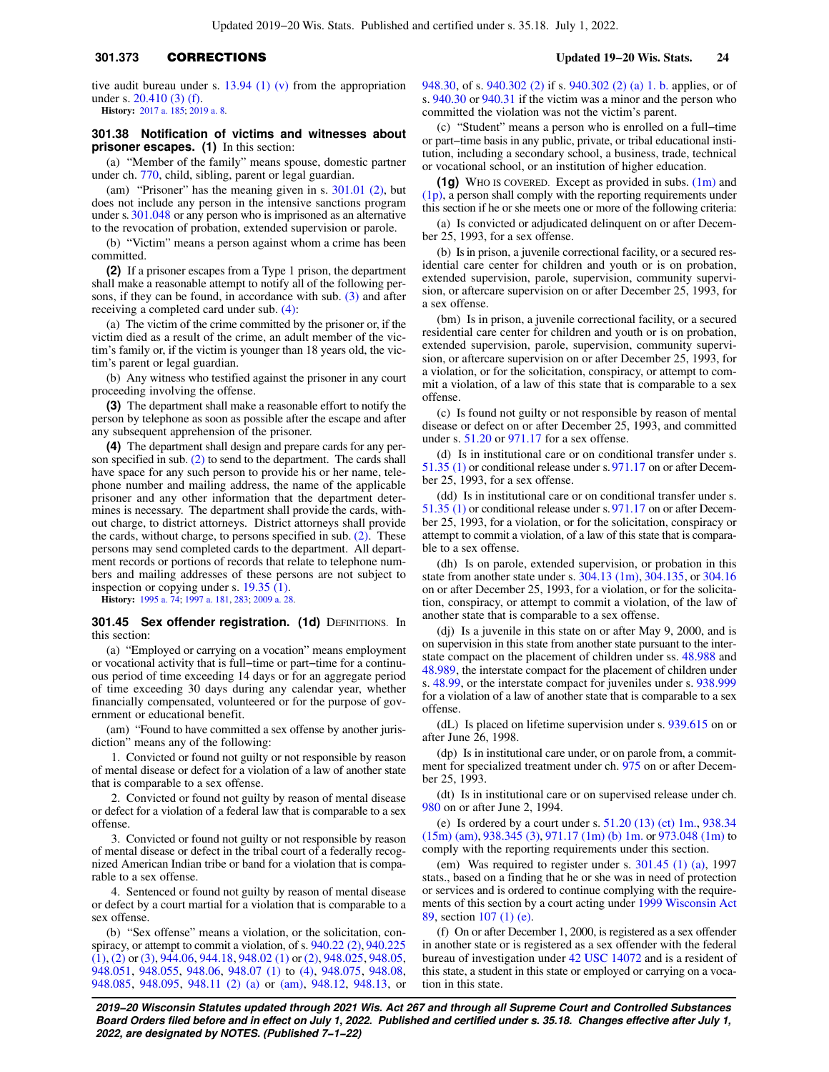# **301.373** CORRECTIONS **Updated 19−20 Wis. Stats. 24**

tive audit bureau under s.  $13.94$  (1) (v) from the appropriation under s. [20.410 \(3\) \(f\).](https://docs.legis.wisconsin.gov/document/statutes/20.410(3)(f))

**History:** [2017 a. 185](https://docs.legis.wisconsin.gov/document/acts/2017/185); [2019 a. 8.](https://docs.legis.wisconsin.gov/document/acts/2019/8)

### **301.38 Notification of victims and witnesses about prisoner escapes. (1)** In this section:

(a) "Member of the family" means spouse, domestic partner under ch. [770](https://docs.legis.wisconsin.gov/document/statutes/ch.%20770), child, sibling, parent or legal guardian.

(am) "Prisoner" has the meaning given in s. [301.01 \(2\),](https://docs.legis.wisconsin.gov/document/statutes/301.01(2)) but does not include any person in the intensive sanctions program under s. [301.048](https://docs.legis.wisconsin.gov/document/statutes/301.048) or any person who is imprisoned as an alternative to the revocation of probation, extended supervision or parole.

(b) "Victim" means a person against whom a crime has been committed.

**(2)** If a prisoner escapes from a Type 1 prison, the department shall make a reasonable attempt to notify all of the following persons, if they can be found, in accordance with sub. [\(3\)](https://docs.legis.wisconsin.gov/document/statutes/301.38(3)) and after receiving a completed card under sub. [\(4\)](https://docs.legis.wisconsin.gov/document/statutes/301.38(4)):

(a) The victim of the crime committed by the prisoner or, if the victim died as a result of the crime, an adult member of the victim's family or, if the victim is younger than 18 years old, the victim's parent or legal guardian.

(b) Any witness who testified against the prisoner in any court proceeding involving the offense.

**(3)** The department shall make a reasonable effort to notify the person by telephone as soon as possible after the escape and after any subsequent apprehension of the prisoner.

**(4)** The department shall design and prepare cards for any person specified in sub. [\(2\)](https://docs.legis.wisconsin.gov/document/statutes/301.38(2)) to send to the department. The cards shall have space for any such person to provide his or her name, telephone number and mailing address, the name of the applicable prisoner and any other information that the department determines is necessary. The department shall provide the cards, without charge, to district attorneys. District attorneys shall provide the cards, without charge, to persons specified in sub. [\(2\)](https://docs.legis.wisconsin.gov/document/statutes/301.38(2)). These persons may send completed cards to the department. All department records or portions of records that relate to telephone numbers and mailing addresses of these persons are not subject to inspection or copying under s. [19.35 \(1\).](https://docs.legis.wisconsin.gov/document/statutes/19.35(1))

**History:** [1995 a. 74;](https://docs.legis.wisconsin.gov/document/acts/1995/74) [1997 a. 181,](https://docs.legis.wisconsin.gov/document/acts/1997/181) [283;](https://docs.legis.wisconsin.gov/document/acts/1997/283) [2009 a. 28.](https://docs.legis.wisconsin.gov/document/acts/2009/28)

### **301.45 Sex offender registration. (1d) DEFINITIONS. In** this section:

(a) "Employed or carrying on a vocation" means employment or vocational activity that is full−time or part−time for a continuous period of time exceeding 14 days or for an aggregate period of time exceeding 30 days during any calendar year, whether financially compensated, volunteered or for the purpose of government or educational benefit.

(am) "Found to have committed a sex offense by another jurisdiction" means any of the following:

1. Convicted or found not guilty or not responsible by reason of mental disease or defect for a violation of a law of another state that is comparable to a sex offense.

2. Convicted or found not guilty by reason of mental disease or defect for a violation of a federal law that is comparable to a sex offense.

3. Convicted or found not guilty or not responsible by reason of mental disease or defect in the tribal court of a federally recognized American Indian tribe or band for a violation that is comparable to a sex offense.

4. Sentenced or found not guilty by reason of mental disease or defect by a court martial for a violation that is comparable to a sex offense.

(b) "Sex offense" means a violation, or the solicitation, conspiracy, or attempt to commit a violation, of s. [940.22 \(2\),](https://docs.legis.wisconsin.gov/document/statutes/940.22(2)) [940.225](https://docs.legis.wisconsin.gov/document/statutes/940.225(1))  $(1)$ ,  $(2)$  or  $(3)$ ,  $944.06$ ,  $944.18$ ,  $948.02$   $(1)$  or  $(2)$ ,  $948.025$ ,  $948.05$ , [948.051](https://docs.legis.wisconsin.gov/document/statutes/948.051), [948.055](https://docs.legis.wisconsin.gov/document/statutes/948.055), [948.06,](https://docs.legis.wisconsin.gov/document/statutes/948.06) [948.07 \(1\)](https://docs.legis.wisconsin.gov/document/statutes/948.07(1)) to [\(4\),](https://docs.legis.wisconsin.gov/document/statutes/948.07(4)) [948.075](https://docs.legis.wisconsin.gov/document/statutes/948.075), [948.08,](https://docs.legis.wisconsin.gov/document/statutes/948.08) [948.085](https://docs.legis.wisconsin.gov/document/statutes/948.085), [948.095,](https://docs.legis.wisconsin.gov/document/statutes/948.095) [948.11 \(2\) \(a\)](https://docs.legis.wisconsin.gov/document/statutes/948.11(2)(a)) or [\(am\)](https://docs.legis.wisconsin.gov/document/statutes/948.11(2)(am)), [948.12](https://docs.legis.wisconsin.gov/document/statutes/948.12), [948.13](https://docs.legis.wisconsin.gov/document/statutes/948.13), or [948.30,](https://docs.legis.wisconsin.gov/document/statutes/948.30) of s. [940.302 \(2\)](https://docs.legis.wisconsin.gov/document/statutes/940.302(2)) if s. [940.302 \(2\) \(a\) 1. b.](https://docs.legis.wisconsin.gov/document/statutes/940.302(2)(a)1.b.) applies, or of s. [940.30](https://docs.legis.wisconsin.gov/document/statutes/940.30) or [940.31](https://docs.legis.wisconsin.gov/document/statutes/940.31) if the victim was a minor and the person who committed the violation was not the victim's parent.

(c) "Student" means a person who is enrolled on a full−time or part−time basis in any public, private, or tribal educational institution, including a secondary school, a business, trade, technical or vocational school, or an institution of higher education.

**(1g)** WHO IS COVERED. Except as provided in subs. [\(1m\)](https://docs.legis.wisconsin.gov/document/statutes/301.45(1m)) and [\(1p\)](https://docs.legis.wisconsin.gov/document/statutes/301.45(1p)), a person shall comply with the reporting requirements under this section if he or she meets one or more of the following criteria:

(a) Is convicted or adjudicated delinquent on or after December 25, 1993, for a sex offense.

(b) Is in prison, a juvenile correctional facility, or a secured residential care center for children and youth or is on probation, extended supervision, parole, supervision, community supervision, or aftercare supervision on or after December 25, 1993, for a sex offense.

(bm) Is in prison, a juvenile correctional facility, or a secured residential care center for children and youth or is on probation, extended supervision, parole, supervision, community supervision, or aftercare supervision on or after December 25, 1993, for a violation, or for the solicitation, conspiracy, or attempt to commit a violation, of a law of this state that is comparable to a sex offense.

(c) Is found not guilty or not responsible by reason of mental disease or defect on or after December 25, 1993, and committed under s. [51.20](https://docs.legis.wisconsin.gov/document/statutes/51.20) or [971.17](https://docs.legis.wisconsin.gov/document/statutes/971.17) for a sex offense.

(d) Is in institutional care or on conditional transfer under s. [51.35 \(1\)](https://docs.legis.wisconsin.gov/document/statutes/51.35(1)) or conditional release under s. [971.17](https://docs.legis.wisconsin.gov/document/statutes/971.17) on or after December 25, 1993, for a sex offense.

(dd) Is in institutional care or on conditional transfer under s. [51.35 \(1\)](https://docs.legis.wisconsin.gov/document/statutes/51.35(1)) or conditional release under s. [971.17](https://docs.legis.wisconsin.gov/document/statutes/971.17) on or after December 25, 1993, for a violation, or for the solicitation, conspiracy or attempt to commit a violation, of a law of this state that is comparable to a sex offense.

(dh) Is on parole, extended supervision, or probation in this state from another state under s. [304.13 \(1m\)](https://docs.legis.wisconsin.gov/document/statutes/304.13(1m)), [304.135,](https://docs.legis.wisconsin.gov/document/statutes/304.135) or [304.16](https://docs.legis.wisconsin.gov/document/statutes/304.16) on or after December 25, 1993, for a violation, or for the solicitation, conspiracy, or attempt to commit a violation, of the law of another state that is comparable to a sex offense.

(dj) Is a juvenile in this state on or after May 9, 2000, and is on supervision in this state from another state pursuant to the interstate compact on the placement of children under ss. [48.988](https://docs.legis.wisconsin.gov/document/statutes/48.988) and [48.989,](https://docs.legis.wisconsin.gov/document/statutes/48.989) the interstate compact for the placement of children under s. [48.99](https://docs.legis.wisconsin.gov/document/statutes/48.99), or the interstate compact for juveniles under s. [938.999](https://docs.legis.wisconsin.gov/document/statutes/938.999) for a violation of a law of another state that is comparable to a sex offense.

(dL) Is placed on lifetime supervision under s. [939.615](https://docs.legis.wisconsin.gov/document/statutes/939.615) on or after June 26, 1998.

(dp) Is in institutional care under, or on parole from, a commit-ment for specialized treatment under ch. [975](https://docs.legis.wisconsin.gov/document/statutes/ch.%20975) on or after December 25, 1993.

(dt) Is in institutional care or on supervised release under ch. [980](https://docs.legis.wisconsin.gov/document/statutes/ch.%20980) on or after June 2, 1994.

(e) Is ordered by a court under s. [51.20 \(13\) \(ct\) 1m.,](https://docs.legis.wisconsin.gov/document/statutes/51.20(13)(ct)1m.) [938.34](https://docs.legis.wisconsin.gov/document/statutes/938.34(15m)(am)) [\(15m\) \(am\),](https://docs.legis.wisconsin.gov/document/statutes/938.34(15m)(am)) [938.345 \(3\),](https://docs.legis.wisconsin.gov/document/statutes/938.345(3)) [971.17 \(1m\) \(b\) 1m.](https://docs.legis.wisconsin.gov/document/statutes/971.17(1m)(b)1m.) or [973.048 \(1m\)](https://docs.legis.wisconsin.gov/document/statutes/973.048(1m)) to comply with the reporting requirements under this section.

(em) Was required to register under s. [301.45 \(1\) \(a\),](https://docs.legis.wisconsin.gov/document/statutes/1997/301.45(1)(a)) 1997 stats., based on a finding that he or she was in need of protection or services and is ordered to continue complying with the requirements of this section by a court acting under [1999 Wisconsin Act](https://docs.legis.wisconsin.gov/document/acts/1999/89) [89](https://docs.legis.wisconsin.gov/document/acts/1999/89), section [107 \(1\) \(e\)](https://docs.legis.wisconsin.gov/document/acts/1999/89,%20s.%20107).

(f) On or after December 1, 2000, is registered as a sex offender in another state or is registered as a sex offender with the federal bureau of investigation under [42 USC 14072](https://docs.legis.wisconsin.gov/document/usc/42%20USC%2014072) and is a resident of this state, a student in this state or employed or carrying on a vocation in this state.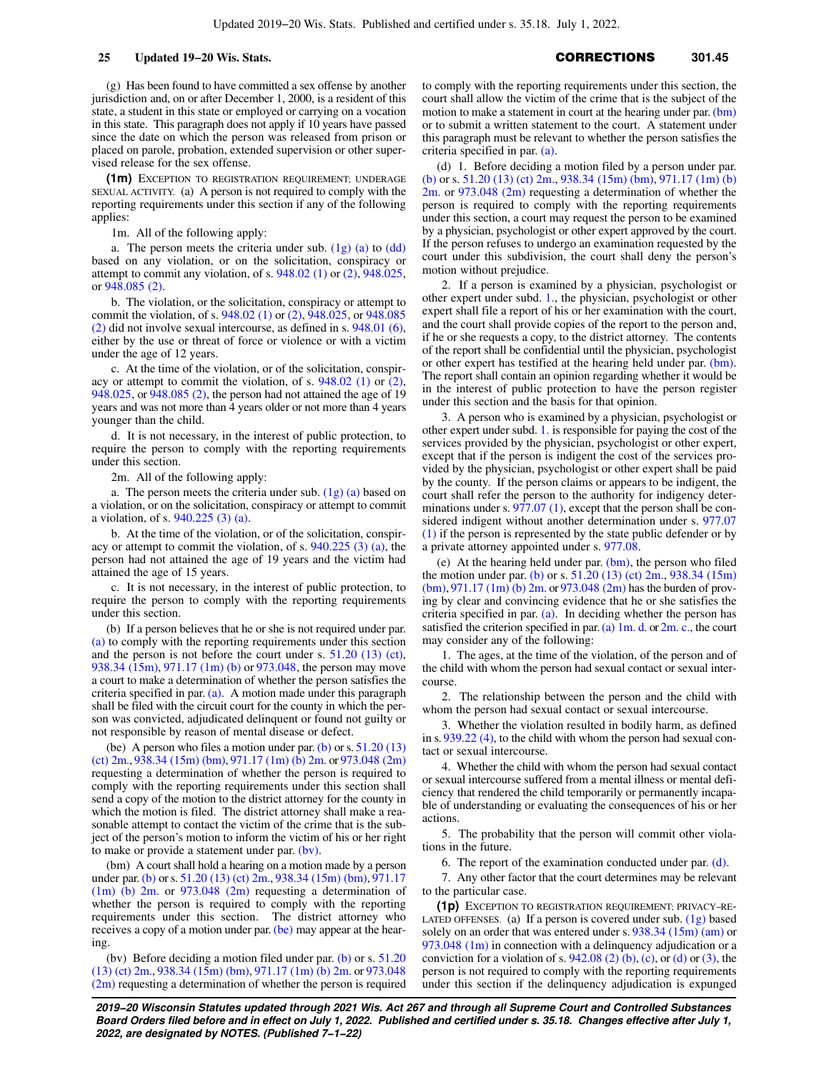(g) Has been found to have committed a sex offense by another jurisdiction and, on or after December 1, 2000, is a resident of this state, a student in this state or employed or carrying on a vocation in this state. This paragraph does not apply if 10 years have passed since the date on which the person was released from prison or placed on parole, probation, extended supervision or other supervised release for the sex offense.

**(1m)** EXCEPTION TO REGISTRATION REQUIREMENT; UNDERAGE SEXUAL ACTIVITY. (a) A person is not required to comply with the reporting requirements under this section if any of the following applies:

1m. All of the following apply:

a. The person meets the criteria under sub.  $(1g)$  (a) to  $(dd)$ based on any violation, or on the solicitation, conspiracy or attempt to commit any violation, of s. [948.02 \(1\)](https://docs.legis.wisconsin.gov/document/statutes/948.02(1)) or [\(2\)](https://docs.legis.wisconsin.gov/document/statutes/948.02(2)), [948.025,](https://docs.legis.wisconsin.gov/document/statutes/948.025) or [948.085 \(2\).](https://docs.legis.wisconsin.gov/document/statutes/948.085(2))

b. The violation, or the solicitation, conspiracy or attempt to commit the violation, of s. [948.02 \(1\)](https://docs.legis.wisconsin.gov/document/statutes/948.02(1)) or [\(2\)](https://docs.legis.wisconsin.gov/document/statutes/948.02(2)), [948.025,](https://docs.legis.wisconsin.gov/document/statutes/948.025) or [948.085](https://docs.legis.wisconsin.gov/document/statutes/948.085(2)) [\(2\)](https://docs.legis.wisconsin.gov/document/statutes/948.085(2)) did not involve sexual intercourse, as defined in s. [948.01 \(6\),](https://docs.legis.wisconsin.gov/document/statutes/948.01(6)) either by the use or threat of force or violence or with a victim under the age of 12 years.

c. At the time of the violation, or of the solicitation, conspiracy or attempt to commit the violation, of s. [948.02 \(1\)](https://docs.legis.wisconsin.gov/document/statutes/948.02(1)) or [\(2\),](https://docs.legis.wisconsin.gov/document/statutes/948.02(2)) [948.025](https://docs.legis.wisconsin.gov/document/statutes/948.025), or [948.085 \(2\),](https://docs.legis.wisconsin.gov/document/statutes/948.085(2)) the person had not attained the age of 19 years and was not more than 4 years older or not more than 4 years younger than the child.

d. It is not necessary, in the interest of public protection, to require the person to comply with the reporting requirements under this section.

2m. All of the following apply:

a. The person meets the criteria under sub.  $(1g)$  (a) based on a violation, or on the solicitation, conspiracy or attempt to commit a violation, of s. [940.225 \(3\) \(a\)](https://docs.legis.wisconsin.gov/document/statutes/940.225(3)(a)).

b. At the time of the violation, or of the solicitation, conspiracy or attempt to commit the violation, of s. [940.225 \(3\) \(a\)](https://docs.legis.wisconsin.gov/document/statutes/940.225(3)(a)), the person had not attained the age of 19 years and the victim had attained the age of 15 years.

c. It is not necessary, in the interest of public protection, to require the person to comply with the reporting requirements under this section.

(b) If a person believes that he or she is not required under par. [\(a\)](https://docs.legis.wisconsin.gov/document/statutes/301.45(1m)(a)) to comply with the reporting requirements under this section and the person is not before the court under s. [51.20 \(13\) \(ct\),](https://docs.legis.wisconsin.gov/document/statutes/51.20(13)(ct)) [938.34 \(15m\),](https://docs.legis.wisconsin.gov/document/statutes/938.34(15m)) [971.17 \(1m\) \(b\)](https://docs.legis.wisconsin.gov/document/statutes/971.17(1m)(b)) or [973.048](https://docs.legis.wisconsin.gov/document/statutes/973.048), the person may move a court to make a determination of whether the person satisfies the criteria specified in par. [\(a\).](https://docs.legis.wisconsin.gov/document/statutes/301.45(1m)(a)) A motion made under this paragraph shall be filed with the circuit court for the county in which the person was convicted, adjudicated delinquent or found not guilty or not responsible by reason of mental disease or defect.

(be) A person who files a motion under par. [\(b\)](https://docs.legis.wisconsin.gov/document/statutes/301.45(1m)(b)) or s.  $51.20(13)$ [\(ct\) 2m.](https://docs.legis.wisconsin.gov/document/statutes/51.20(13)(ct)2m.), [938.34 \(15m\) \(bm\),](https://docs.legis.wisconsin.gov/document/statutes/938.34(15m)(bm)) [971.17 \(1m\) \(b\) 2m.](https://docs.legis.wisconsin.gov/document/statutes/971.17(1m)(b)2m.) or [973.048 \(2m\)](https://docs.legis.wisconsin.gov/document/statutes/973.048(2m)) requesting a determination of whether the person is required to comply with the reporting requirements under this section shall send a copy of the motion to the district attorney for the county in which the motion is filed. The district attorney shall make a reasonable attempt to contact the victim of the crime that is the subject of the person's motion to inform the victim of his or her right to make or provide a statement under par. [\(bv\)](https://docs.legis.wisconsin.gov/document/statutes/301.45(1m)(bv)).

(bm) A court shall hold a hearing on a motion made by a person under par. [\(b\)](https://docs.legis.wisconsin.gov/document/statutes/301.45(1m)(b)) or s. [51.20 \(13\) \(ct\) 2m.,](https://docs.legis.wisconsin.gov/document/statutes/51.20(13)(ct)2m.) [938.34 \(15m\) \(bm\)](https://docs.legis.wisconsin.gov/document/statutes/938.34(15m)(bm)), [971.17](https://docs.legis.wisconsin.gov/document/statutes/971.17(1m)(b)2m.) [\(1m\) \(b\) 2m.](https://docs.legis.wisconsin.gov/document/statutes/971.17(1m)(b)2m.) or [973.048 \(2m\)](https://docs.legis.wisconsin.gov/document/statutes/973.048(2m)) requesting a determination of whether the person is required to comply with the reporting requirements under this section. The district attorney who receives a copy of a motion under par. [\(be\)](https://docs.legis.wisconsin.gov/document/statutes/301.45(1m)(be)) may appear at the hearing.

(bv) Before deciding a motion filed under par. [\(b\)](https://docs.legis.wisconsin.gov/document/statutes/301.45(1m)(b)) or s. [51.20](https://docs.legis.wisconsin.gov/document/statutes/51.20(13)(ct)2m.) [\(13\) \(ct\) 2m.](https://docs.legis.wisconsin.gov/document/statutes/51.20(13)(ct)2m.), [938.34 \(15m\) \(bm\)](https://docs.legis.wisconsin.gov/document/statutes/938.34(15m)(bm)), [971.17 \(1m\) \(b\) 2m.](https://docs.legis.wisconsin.gov/document/statutes/971.17(1m)(b)2m.) or [973.048](https://docs.legis.wisconsin.gov/document/statutes/973.048(2m)) [\(2m\)](https://docs.legis.wisconsin.gov/document/statutes/973.048(2m)) requesting a determination of whether the person is required to comply with the reporting requirements under this section, the court shall allow the victim of the crime that is the subject of the motion to make a statement in court at the hearing under par. [\(bm\)](https://docs.legis.wisconsin.gov/document/statutes/301.45(1m)(bm)) or to submit a written statement to the court. A statement under this paragraph must be relevant to whether the person satisfies the criteria specified in par. [\(a\).](https://docs.legis.wisconsin.gov/document/statutes/301.45(1m)(a))

(d) 1. Before deciding a motion filed by a person under par. [\(b\)](https://docs.legis.wisconsin.gov/document/statutes/301.45(1m)(b)) or s. [51.20 \(13\) \(ct\) 2m.,](https://docs.legis.wisconsin.gov/document/statutes/51.20(13)(ct)2m.) [938.34 \(15m\) \(bm\),](https://docs.legis.wisconsin.gov/document/statutes/938.34(15m)(bm)) [971.17 \(1m\) \(b\)](https://docs.legis.wisconsin.gov/document/statutes/971.17(1m)(b)2m.) [2m.](https://docs.legis.wisconsin.gov/document/statutes/971.17(1m)(b)2m.) or [973.048 \(2m\)](https://docs.legis.wisconsin.gov/document/statutes/973.048(2m)) requesting a determination of whether the person is required to comply with the reporting requirements under this section, a court may request the person to be examined by a physician, psychologist or other expert approved by the court. If the person refuses to undergo an examination requested by the court under this subdivision, the court shall deny the person's motion without prejudice.

2. If a person is examined by a physician, psychologist or other expert under subd. [1.,](https://docs.legis.wisconsin.gov/document/statutes/301.45(1m)(d)1.) the physician, psychologist or other expert shall file a report of his or her examination with the court, and the court shall provide copies of the report to the person and, if he or she requests a copy, to the district attorney. The contents of the report shall be confidential until the physician, psychologist or other expert has testified at the hearing held under par. [\(bm\).](https://docs.legis.wisconsin.gov/document/statutes/301.45(1m)(bm)) The report shall contain an opinion regarding whether it would be in the interest of public protection to have the person register under this section and the basis for that opinion.

3. A person who is examined by a physician, psychologist or other expert under subd. [1.](https://docs.legis.wisconsin.gov/document/statutes/301.45(1m)(d)1.) is responsible for paying the cost of the services provided by the physician, psychologist or other expert, except that if the person is indigent the cost of the services provided by the physician, psychologist or other expert shall be paid by the county. If the person claims or appears to be indigent, the court shall refer the person to the authority for indigency determinations under s. [977.07 \(1\)](https://docs.legis.wisconsin.gov/document/statutes/977.07(1)), except that the person shall be considered indigent without another determination under s. [977.07](https://docs.legis.wisconsin.gov/document/statutes/977.07(1)) [\(1\)](https://docs.legis.wisconsin.gov/document/statutes/977.07(1)) if the person is represented by the state public defender or by a private attorney appointed under s. [977.08](https://docs.legis.wisconsin.gov/document/statutes/977.08).

(e) At the hearing held under par. [\(bm\)](https://docs.legis.wisconsin.gov/document/statutes/301.45(1m)(bm)), the person who filed the motion under par. [\(b\)](https://docs.legis.wisconsin.gov/document/statutes/301.45(1m)(b)) or s. [51.20 \(13\) \(ct\) 2m.](https://docs.legis.wisconsin.gov/document/statutes/51.20(13)(ct)2m.), [938.34 \(15m\)](https://docs.legis.wisconsin.gov/document/statutes/938.34(15m)(bm)) [\(bm\),](https://docs.legis.wisconsin.gov/document/statutes/938.34(15m)(bm)) [971.17 \(1m\) \(b\) 2m.](https://docs.legis.wisconsin.gov/document/statutes/971.17(1m)(b)2m.) or [973.048 \(2m\)](https://docs.legis.wisconsin.gov/document/statutes/973.048(2m)) has the burden of proving by clear and convincing evidence that he or she satisfies the criteria specified in par. [\(a\)](https://docs.legis.wisconsin.gov/document/statutes/301.45(1m)(a)). In deciding whether the person has satisfied the criterion specified in par. (a)  $1m$ . d. or  $2m$ . c., the court may consider any of the following:

1. The ages, at the time of the violation, of the person and of the child with whom the person had sexual contact or sexual intercourse.

2. The relationship between the person and the child with whom the person had sexual contact or sexual intercourse.

3. Whether the violation resulted in bodily harm, as defined in s. [939.22 \(4\),](https://docs.legis.wisconsin.gov/document/statutes/939.22(4)) to the child with whom the person had sexual contact or sexual intercourse.

4. Whether the child with whom the person had sexual contact or sexual intercourse suffered from a mental illness or mental deficiency that rendered the child temporarily or permanently incapable of understanding or evaluating the consequences of his or her actions.

5. The probability that the person will commit other violations in the future.

6. The report of the examination conducted under par. [\(d\).](https://docs.legis.wisconsin.gov/document/statutes/301.45(1m)(d))

7. Any other factor that the court determines may be relevant to the particular case.

**(1p)** EXCEPTION TO REGISTRATION REQUIREMENT; PRIVACY−RE-LATED OFFENSES. (a) If a person is covered under sub.  $(1g)$  based solely on an order that was entered under s. [938.34 \(15m\) \(am\)](https://docs.legis.wisconsin.gov/document/statutes/938.34(15m)(am)) or  $973.048$  (1m) in connection with a delinquency adjudication or a conviction for a violation of s.  $942.08$  (2) (b), [\(c\),](https://docs.legis.wisconsin.gov/document/statutes/942.08(2)(c)) or [\(d\)](https://docs.legis.wisconsin.gov/document/statutes/942.08(2)(d)) or [\(3\)](https://docs.legis.wisconsin.gov/document/statutes/942.08(3)), the person is not required to comply with the reporting requirements under this section if the delinquency adjudication is expunged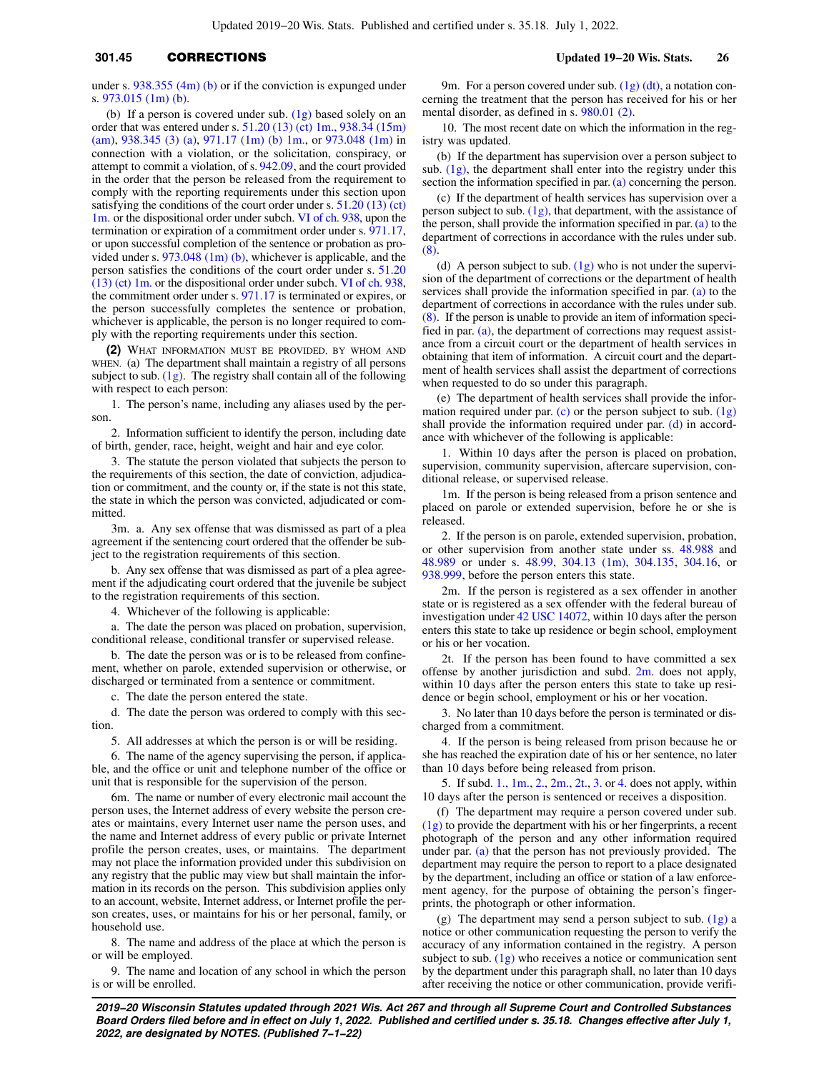# **301.45** CORRECTIONS **Updated 19−20 Wis. Stats. 26**

under s. [938.355 \(4m\) \(b\)](https://docs.legis.wisconsin.gov/document/statutes/938.355(4m)(b)) or if the conviction is expunged under s. [973.015 \(1m\) \(b\).](https://docs.legis.wisconsin.gov/document/statutes/973.015(1m)(b))

(b) If a person is covered under sub. [\(1g\)](https://docs.legis.wisconsin.gov/document/statutes/301.45(1g)) based solely on an order that was entered under s. [51.20 \(13\) \(ct\) 1m.,](https://docs.legis.wisconsin.gov/document/statutes/51.20(13)(ct)1m.) [938.34 \(15m\)](https://docs.legis.wisconsin.gov/document/statutes/938.34(15m)(am)) [\(am\),](https://docs.legis.wisconsin.gov/document/statutes/938.34(15m)(am)) [938.345 \(3\) \(a\)](https://docs.legis.wisconsin.gov/document/statutes/938.345(3)(a)), [971.17 \(1m\) \(b\) 1m.](https://docs.legis.wisconsin.gov/document/statutes/971.17(1m)(b)1m.), or [973.048 \(1m\)](https://docs.legis.wisconsin.gov/document/statutes/973.048(1m)) in connection with a violation, or the solicitation, conspiracy, or attempt to commit a violation, of s. [942.09,](https://docs.legis.wisconsin.gov/document/statutes/942.09) and the court provided in the order that the person be released from the requirement to comply with the reporting requirements under this section upon satisfying the conditions of the court order under s. [51.20 \(13\) \(ct\)](https://docs.legis.wisconsin.gov/document/statutes/51.20(13)(ct)1m.) [1m.](https://docs.legis.wisconsin.gov/document/statutes/51.20(13)(ct)1m.) or the dispositional order under subch. [VI of ch. 938,](https://docs.legis.wisconsin.gov/document/statutes/subch.%20VI%20of%20ch.%20938) upon the termination or expiration of a commitment order under s. [971.17,](https://docs.legis.wisconsin.gov/document/statutes/971.17) or upon successful completion of the sentence or probation as provided under s. [973.048 \(1m\) \(b\)](https://docs.legis.wisconsin.gov/document/statutes/973.048(1m)(b)), whichever is applicable, and the person satisfies the conditions of the court order under s. [51.20](https://docs.legis.wisconsin.gov/document/statutes/51.20(13)(ct)1m.) [\(13\) \(ct\) 1m.](https://docs.legis.wisconsin.gov/document/statutes/51.20(13)(ct)1m.) or the dispositional order under subch. [VI of ch. 938,](https://docs.legis.wisconsin.gov/document/statutes/subch.%20VI%20of%20ch.%20938) the commitment order under s. [971.17](https://docs.legis.wisconsin.gov/document/statutes/971.17) is terminated or expires, or the person successfully completes the sentence or probation, whichever is applicable, the person is no longer required to comply with the reporting requirements under this section.

**(2)** WHAT INFORMATION MUST BE PROVIDED, BY WHOM AND WHEN. (a) The department shall maintain a registry of all persons subject to sub.  $(1g)$ . The registry shall contain all of the following with respect to each person:

1. The person's name, including any aliases used by the person.

2. Information sufficient to identify the person, including date of birth, gender, race, height, weight and hair and eye color.

3. The statute the person violated that subjects the person to the requirements of this section, the date of conviction, adjudication or commitment, and the county or, if the state is not this state, the state in which the person was convicted, adjudicated or committed.

3m. a. Any sex offense that was dismissed as part of a plea agreement if the sentencing court ordered that the offender be subject to the registration requirements of this section.

b. Any sex offense that was dismissed as part of a plea agreement if the adjudicating court ordered that the juvenile be subject to the registration requirements of this section.

4. Whichever of the following is applicable:

a. The date the person was placed on probation, supervision, conditional release, conditional transfer or supervised release.

b. The date the person was or is to be released from confinement, whether on parole, extended supervision or otherwise, or discharged or terminated from a sentence or commitment.

c. The date the person entered the state.

d. The date the person was ordered to comply with this section.

5. All addresses at which the person is or will be residing.

6. The name of the agency supervising the person, if applicable, and the office or unit and telephone number of the office or unit that is responsible for the supervision of the person.

6m. The name or number of every electronic mail account the person uses, the Internet address of every website the person creates or maintains, every Internet user name the person uses, and the name and Internet address of every public or private Internet profile the person creates, uses, or maintains. The department may not place the information provided under this subdivision on any registry that the public may view but shall maintain the information in its records on the person. This subdivision applies only to an account, website, Internet address, or Internet profile the person creates, uses, or maintains for his or her personal, family, or household use.

8. The name and address of the place at which the person is or will be employed.

9. The name and location of any school in which the person is or will be enrolled.

9m. For a person covered under sub.  $(1g)(dt)$ , a notation concerning the treatment that the person has received for his or her mental disorder, as defined in s. [980.01 \(2\)](https://docs.legis.wisconsin.gov/document/statutes/980.01(2)).

10. The most recent date on which the information in the registry was updated.

(b) If the department has supervision over a person subject to sub.  $(1g)$ , the department shall enter into the registry under this section the information specified in par. [\(a\)](https://docs.legis.wisconsin.gov/document/statutes/301.45(2)(a)) concerning the person.

(c) If the department of health services has supervision over a person subject to sub.  $(1g)$ , that department, with the assistance of the person, shall provide the information specified in par. [\(a\)](https://docs.legis.wisconsin.gov/document/statutes/301.45(2)(a)) to the department of corrections in accordance with the rules under sub. [\(8\).](https://docs.legis.wisconsin.gov/document/statutes/301.45(8))

(d) A person subject to sub.  $(1g)$  who is not under the supervision of the department of corrections or the department of health services shall provide the information specified in par. [\(a\)](https://docs.legis.wisconsin.gov/document/statutes/301.45(2)(a)) to the department of corrections in accordance with the rules under sub. [\(8\).](https://docs.legis.wisconsin.gov/document/statutes/301.45(8)) If the person is unable to provide an item of information specified in par. [\(a\),](https://docs.legis.wisconsin.gov/document/statutes/301.45(2)(a)) the department of corrections may request assistance from a circuit court or the department of health services in obtaining that item of information. A circuit court and the department of health services shall assist the department of corrections when requested to do so under this paragraph.

(e) The department of health services shall provide the information required under par. [\(c\)](https://docs.legis.wisconsin.gov/document/statutes/301.45(2)(c)) or the person subject to sub. [\(1g\)](https://docs.legis.wisconsin.gov/document/statutes/301.45(1g)) shall provide the information required under par.  $(d)$  in accordance with whichever of the following is applicable:

1. Within 10 days after the person is placed on probation, supervision, community supervision, aftercare supervision, conditional release, or supervised release.

1m. If the person is being released from a prison sentence and placed on parole or extended supervision, before he or she is released.

2. If the person is on parole, extended supervision, probation, or other supervision from another state under ss. [48.988](https://docs.legis.wisconsin.gov/document/statutes/48.988) and [48.989](https://docs.legis.wisconsin.gov/document/statutes/48.989) or under s. [48.99,](https://docs.legis.wisconsin.gov/document/statutes/48.99) [304.13 \(1m\)](https://docs.legis.wisconsin.gov/document/statutes/304.13(1m)), [304.135](https://docs.legis.wisconsin.gov/document/statutes/304.135), [304.16](https://docs.legis.wisconsin.gov/document/statutes/304.16), or [938.999](https://docs.legis.wisconsin.gov/document/statutes/938.999), before the person enters this state.

2m. If the person is registered as a sex offender in another state or is registered as a sex offender with the federal bureau of investigation under [42 USC 14072,](https://docs.legis.wisconsin.gov/document/usc/42%20USC%2014072) within 10 days after the person enters this state to take up residence or begin school, employment or his or her vocation.

2t. If the person has been found to have committed a sex offense by another jurisdiction and subd. [2m.](https://docs.legis.wisconsin.gov/document/statutes/301.45(2)(e)2m.) does not apply, within 10 days after the person enters this state to take up residence or begin school, employment or his or her vocation.

3. No later than 10 days before the person is terminated or discharged from a commitment.

4. If the person is being released from prison because he or she has reached the expiration date of his or her sentence, no later than 10 days before being released from prison.

5. If subd. [1.](https://docs.legis.wisconsin.gov/document/statutes/301.45(2)(e)1.), [1m.](https://docs.legis.wisconsin.gov/document/statutes/301.45(2)(e)1m.), [2.](https://docs.legis.wisconsin.gov/document/statutes/301.45(2)(e)2.), [2m.,](https://docs.legis.wisconsin.gov/document/statutes/301.45(2)(e)2m.) [2t.](https://docs.legis.wisconsin.gov/document/statutes/301.45(2)(e)2t.), [3.](https://docs.legis.wisconsin.gov/document/statutes/301.45(2)(e)3.) or [4.](https://docs.legis.wisconsin.gov/document/statutes/301.45(2)(e)4.) does not apply, within 10 days after the person is sentenced or receives a disposition.

(f) The department may require a person covered under sub. [\(1g\)](https://docs.legis.wisconsin.gov/document/statutes/301.45(1g)) to provide the department with his or her fingerprints, a recent photograph of the person and any other information required under par. [\(a\)](https://docs.legis.wisconsin.gov/document/statutes/301.45(2)(a)) that the person has not previously provided. The department may require the person to report to a place designated by the department, including an office or station of a law enforcement agency, for the purpose of obtaining the person's fingerprints, the photograph or other information.

(g) The department may send a person subject to sub. [\(1g\)](https://docs.legis.wisconsin.gov/document/statutes/301.45(1g)) a notice or other communication requesting the person to verify the accuracy of any information contained in the registry. A person subject to sub.  $(1g)$  who receives a notice or communication sent by the department under this paragraph shall, no later than 10 days after receiving the notice or other communication, provide verifi-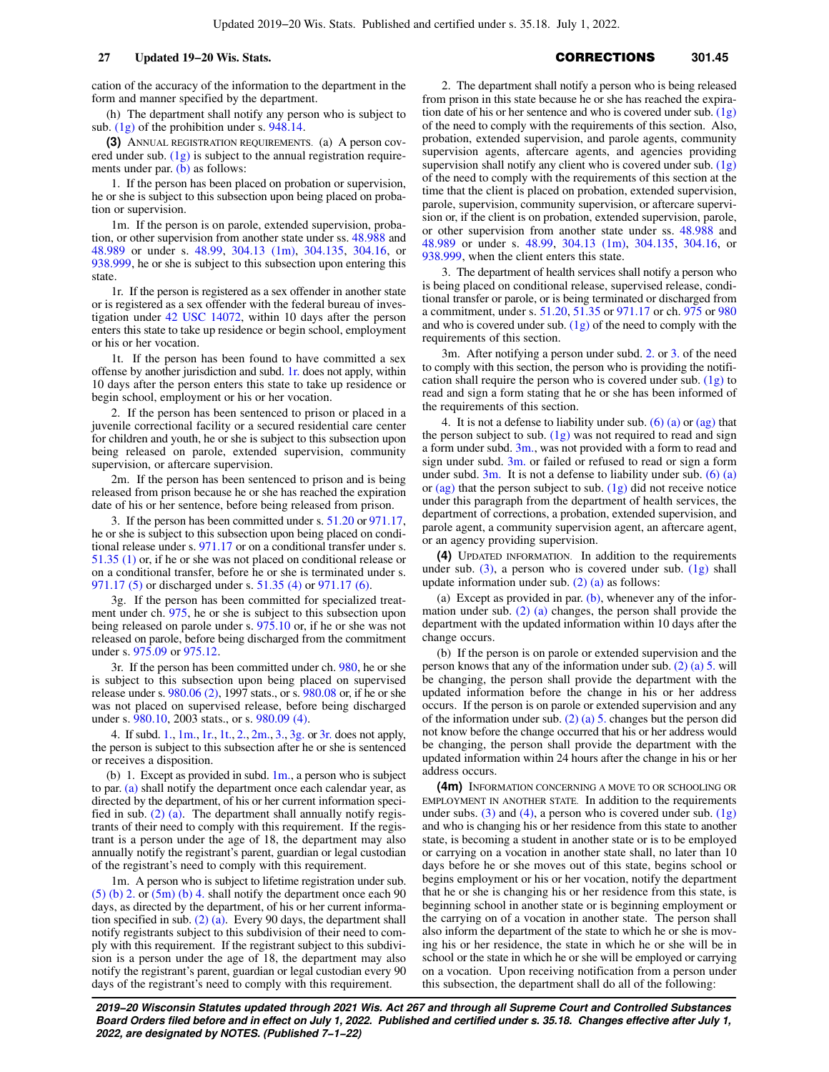cation of the accuracy of the information to the department in the form and manner specified by the department.

(h) The department shall notify any person who is subject to sub. [\(1g\)](https://docs.legis.wisconsin.gov/document/statutes/301.45(1g)) of the prohibition under s. [948.14.](https://docs.legis.wisconsin.gov/document/statutes/948.14)

**(3)** ANNUAL REGISTRATION REQUIREMENTS. (a) A person covered under sub. [\(1g\)](https://docs.legis.wisconsin.gov/document/statutes/301.45(1g)) is subject to the annual registration require-ments under par. [\(b\)](https://docs.legis.wisconsin.gov/document/statutes/301.45(3)(b)) as follows:

1. If the person has been placed on probation or supervision, he or she is subject to this subsection upon being placed on probation or supervision.

1m. If the person is on parole, extended supervision, probation, or other supervision from another state under ss. [48.988](https://docs.legis.wisconsin.gov/document/statutes/48.988) and [48.989](https://docs.legis.wisconsin.gov/document/statutes/48.989) or under s. [48.99,](https://docs.legis.wisconsin.gov/document/statutes/48.99) [304.13 \(1m\)](https://docs.legis.wisconsin.gov/document/statutes/304.13(1m)), [304.135](https://docs.legis.wisconsin.gov/document/statutes/304.135), [304.16,](https://docs.legis.wisconsin.gov/document/statutes/304.16) or [938.999](https://docs.legis.wisconsin.gov/document/statutes/938.999), he or she is subject to this subsection upon entering this state.

1r. If the person is registered as a sex offender in another state or is registered as a sex offender with the federal bureau of investigation under [42 USC 14072](https://docs.legis.wisconsin.gov/document/usc/42%20USC%2014072), within 10 days after the person enters this state to take up residence or begin school, employment or his or her vocation.

1t. If the person has been found to have committed a sex offense by another jurisdiction and subd. [1r.](https://docs.legis.wisconsin.gov/document/statutes/301.45(3)(a)1r.) does not apply, within 10 days after the person enters this state to take up residence or begin school, employment or his or her vocation.

2. If the person has been sentenced to prison or placed in a juvenile correctional facility or a secured residential care center for children and youth, he or she is subject to this subsection upon being released on parole, extended supervision, community supervision, or aftercare supervision.

2m. If the person has been sentenced to prison and is being released from prison because he or she has reached the expiration date of his or her sentence, before being released from prison.

3. If the person has been committed under s. [51.20](https://docs.legis.wisconsin.gov/document/statutes/51.20) or [971.17,](https://docs.legis.wisconsin.gov/document/statutes/971.17) he or she is subject to this subsection upon being placed on conditional release under s. [971.17](https://docs.legis.wisconsin.gov/document/statutes/971.17) or on a conditional transfer under s. [51.35 \(1\)](https://docs.legis.wisconsin.gov/document/statutes/51.35(1)) or, if he or she was not placed on conditional release or on a conditional transfer, before he or she is terminated under s. [971.17 \(5\)](https://docs.legis.wisconsin.gov/document/statutes/971.17(5)) or discharged under s. [51.35 \(4\)](https://docs.legis.wisconsin.gov/document/statutes/51.35(4)) or [971.17 \(6\).](https://docs.legis.wisconsin.gov/document/statutes/971.17(6))

3g. If the person has been committed for specialized treatment under ch. [975,](https://docs.legis.wisconsin.gov/document/statutes/ch.%20975) he or she is subject to this subsection upon being released on parole under s. [975.10](https://docs.legis.wisconsin.gov/document/statutes/975.10) or, if he or she was not released on parole, before being discharged from the commitment under s. [975.09](https://docs.legis.wisconsin.gov/document/statutes/975.09) or [975.12.](https://docs.legis.wisconsin.gov/document/statutes/975.12)

3r. If the person has been committed under ch. [980](https://docs.legis.wisconsin.gov/document/statutes/ch.%20980), he or she is subject to this subsection upon being placed on supervised release under s. [980.06 \(2\)](https://docs.legis.wisconsin.gov/document/statutes/1997/980.06(2)), 1997 stats., or s. [980.08](https://docs.legis.wisconsin.gov/document/statutes/980.08) or, if he or she was not placed on supervised release, before being discharged under s. [980.10,](https://docs.legis.wisconsin.gov/document/statutes/2003/980.10) 2003 stats., or s. [980.09 \(4\)](https://docs.legis.wisconsin.gov/document/statutes/980.09(4)).

4. If subd. [1.](https://docs.legis.wisconsin.gov/document/statutes/301.45(3)(a)1.), [1m.](https://docs.legis.wisconsin.gov/document/statutes/301.45(3)(a)1m.), [1r.](https://docs.legis.wisconsin.gov/document/statutes/301.45(3)(a)1r.), [1t.](https://docs.legis.wisconsin.gov/document/statutes/301.45(3)(a)1t.), [2.,](https://docs.legis.wisconsin.gov/document/statutes/301.45(3)(a)2.) [2m.,](https://docs.legis.wisconsin.gov/document/statutes/301.45(3)(a)2m.) [3.](https://docs.legis.wisconsin.gov/document/statutes/301.45(3)(a)3.), [3g.](https://docs.legis.wisconsin.gov/document/statutes/301.45(3)(a)3g.) or [3r.](https://docs.legis.wisconsin.gov/document/statutes/301.45(3)(a)3r.) does not apply, the person is subject to this subsection after he or she is sentenced or receives a disposition.

(b) 1. Except as provided in subd.  $1m$ ., a person who is subject to par. [\(a\)](https://docs.legis.wisconsin.gov/document/statutes/301.45(3)(a)) shall notify the department once each calendar year, as directed by the department, of his or her current information specified in sub.  $(2)$  (a). The department shall annually notify registrants of their need to comply with this requirement. If the registrant is a person under the age of 18, the department may also annually notify the registrant's parent, guardian or legal custodian of the registrant's need to comply with this requirement.

1m. A person who is subject to lifetime registration under sub. [\(5\) \(b\) 2.](https://docs.legis.wisconsin.gov/document/statutes/301.45(5)(b)2.) or  $(5m)$  (b) 4. shall notify the department once each 90 days, as directed by the department, of his or her current information specified in sub.  $(2)$  (a). Every 90 days, the department shall notify registrants subject to this subdivision of their need to comply with this requirement. If the registrant subject to this subdivision is a person under the age of 18, the department may also notify the registrant's parent, guardian or legal custodian every 90 days of the registrant's need to comply with this requirement.

2. The department shall notify a person who is being released from prison in this state because he or she has reached the expiration date of his or her sentence and who is covered under sub. [\(1g\)](https://docs.legis.wisconsin.gov/document/statutes/301.45(1g)) of the need to comply with the requirements of this section. Also, probation, extended supervision, and parole agents, community supervision agents, aftercare agents, and agencies providing supervision shall notify any client who is covered under sub.  $(1g)$ of the need to comply with the requirements of this section at the time that the client is placed on probation, extended supervision, parole, supervision, community supervision, or aftercare supervision or, if the client is on probation, extended supervision, parole, or other supervision from another state under ss. [48.988](https://docs.legis.wisconsin.gov/document/statutes/48.988) and [48.989](https://docs.legis.wisconsin.gov/document/statutes/48.989) or under s. [48.99,](https://docs.legis.wisconsin.gov/document/statutes/48.99) [304.13 \(1m\)](https://docs.legis.wisconsin.gov/document/statutes/304.13(1m)), [304.135](https://docs.legis.wisconsin.gov/document/statutes/304.135), [304.16](https://docs.legis.wisconsin.gov/document/statutes/304.16), or [938.999](https://docs.legis.wisconsin.gov/document/statutes/938.999), when the client enters this state.

3. The department of health services shall notify a person who is being placed on conditional release, supervised release, conditional transfer or parole, or is being terminated or discharged from a commitment, under s. [51.20](https://docs.legis.wisconsin.gov/document/statutes/51.20), [51.35](https://docs.legis.wisconsin.gov/document/statutes/51.35) or [971.17](https://docs.legis.wisconsin.gov/document/statutes/971.17) or ch. [975](https://docs.legis.wisconsin.gov/document/statutes/ch.%20975) or [980](https://docs.legis.wisconsin.gov/document/statutes/ch.%20980) and who is covered under sub.  $(1g)$  of the need to comply with the requirements of this section.

3m. After notifying a person under subd. [2.](https://docs.legis.wisconsin.gov/document/statutes/301.45(3)(b)2.) or [3.](https://docs.legis.wisconsin.gov/document/statutes/301.45(3)(b)3.) of the need to comply with this section, the person who is providing the notification shall require the person who is covered under sub. [\(1g\)](https://docs.legis.wisconsin.gov/document/statutes/301.45(1g)) to read and sign a form stating that he or she has been informed of the requirements of this section.

4. It is not a defense to liability under sub.  $(6)$  (a) or [\(ag\)](https://docs.legis.wisconsin.gov/document/statutes/301.45(6)(ag)) that the person subject to sub.  $(1g)$  was not required to read and sign a form under subd.  $3m$ , was not provided with a form to read and sign under subd.  $3m$  or failed or refused to read or sign a form under subd.  $3m$ . It is not a defense to liability under sub. [\(6\) \(a\)](https://docs.legis.wisconsin.gov/document/statutes/301.45(6)(a)) or  $\frac{ag}{ag}$  that the person subject to sub.  $\frac{1g}{g}$  did not receive notice under this paragraph from the department of health services, the department of corrections, a probation, extended supervision, and parole agent, a community supervision agent, an aftercare agent, or an agency providing supervision.

**(4)** UPDATED INFORMATION. In addition to the requirements under sub.  $(3)$ , a person who is covered under sub.  $(1g)$  shall update information under sub.  $(2)$  (a) as follows:

(a) Except as provided in par.  $(b)$ , whenever any of the information under sub. [\(2\) \(a\)](https://docs.legis.wisconsin.gov/document/statutes/301.45(2)(a)) changes, the person shall provide the department with the updated information within 10 days after the change occurs.

(b) If the person is on parole or extended supervision and the person knows that any of the information under sub. [\(2\) \(a\) 5.](https://docs.legis.wisconsin.gov/document/statutes/301.45(2)(a)5.) will be changing, the person shall provide the department with the updated information before the change in his or her address occurs. If the person is on parole or extended supervision and any of the information under sub. [\(2\) \(a\) 5.](https://docs.legis.wisconsin.gov/document/statutes/301.45(2)(a)5.) changes but the person did not know before the change occurred that his or her address would be changing, the person shall provide the department with the updated information within 24 hours after the change in his or her address occurs.

**(4m)** INFORMATION CONCERNING A MOVE TO OR SCHOOLING OR EMPLOYMENT IN ANOTHER STATE. In addition to the requirements under subs. [\(3\)](https://docs.legis.wisconsin.gov/document/statutes/301.45(3)) and [\(4\)](https://docs.legis.wisconsin.gov/document/statutes/301.45(4)), a person who is covered under sub.  $(1g)$ and who is changing his or her residence from this state to another state, is becoming a student in another state or is to be employed or carrying on a vocation in another state shall, no later than 10 days before he or she moves out of this state, begins school or begins employment or his or her vocation, notify the department that he or she is changing his or her residence from this state, is beginning school in another state or is beginning employment or the carrying on of a vocation in another state. The person shall also inform the department of the state to which he or she is moving his or her residence, the state in which he or she will be in school or the state in which he or she will be employed or carrying on a vocation. Upon receiving notification from a person under this subsection, the department shall do all of the following: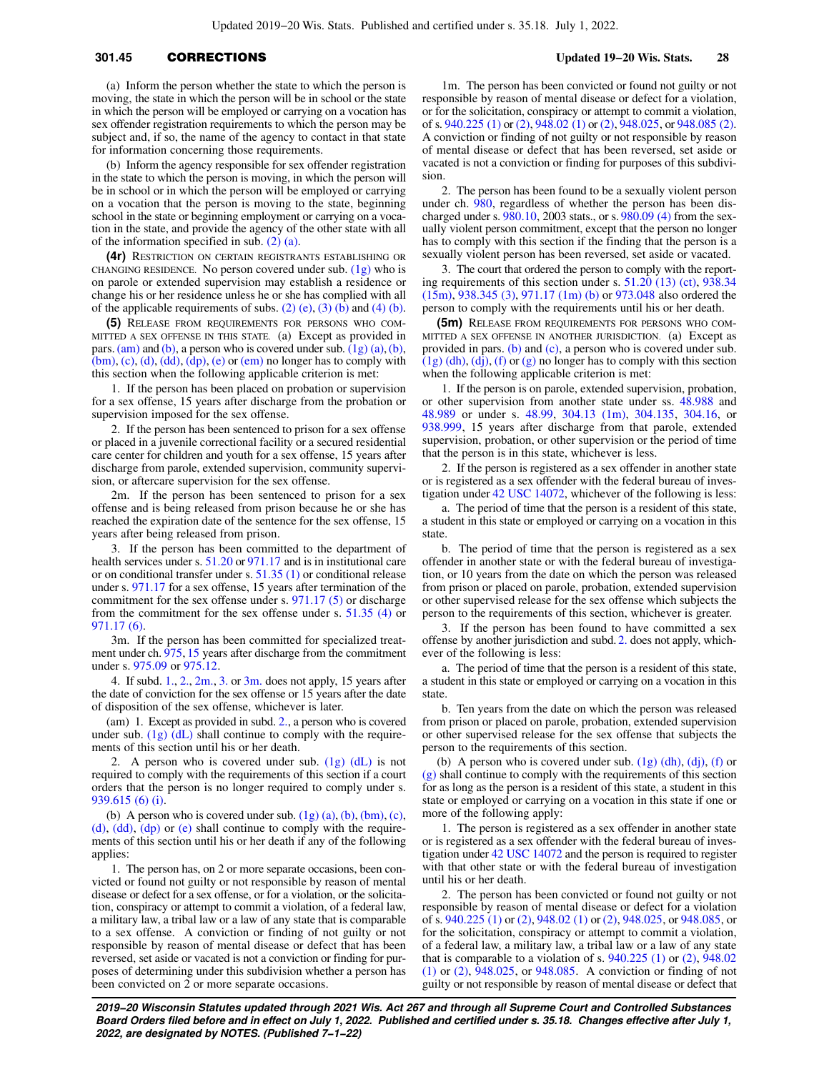# **301.45** CORRECTIONS **Updated 19−20 Wis. Stats. 28**

(a) Inform the person whether the state to which the person is moving, the state in which the person will be in school or the state in which the person will be employed or carrying on a vocation has sex offender registration requirements to which the person may be subject and, if so, the name of the agency to contact in that state for information concerning those requirements.

(b) Inform the agency responsible for sex offender registration in the state to which the person is moving, in which the person will be in school or in which the person will be employed or carrying on a vocation that the person is moving to the state, beginning school in the state or beginning employment or carrying on a vocation in the state, and provide the agency of the other state with all of the information specified in sub. [\(2\) \(a\)](https://docs.legis.wisconsin.gov/document/statutes/301.45(2)(a)).

**(4r)** RESTRICTION ON CERTAIN REGISTRANTS ESTABLISHING OR CHANGING RESIDENCE. No person covered under sub.  $(1g)$  who is on parole or extended supervision may establish a residence or change his or her residence unless he or she has complied with all of the applicable requirements of subs.  $(2)$  (e),  $(3)$  (b) and  $(4)$  (b).

**(5)** RELEASE FROM REQUIREMENTS FOR PERSONS WHO COM-MITTED A SEX OFFENSE IN THIS STATE. (a) Except as provided in pars.  $(am)$  and  $(b)$ , a person who is covered under sub.  $(1g)$   $(a)$ ,  $(b)$ ,  $(bm)$ ,  $(c)$ ,  $(d)$ ,  $(dd)$ ,  $(dp)$ ,  $(e)$  or  $(em)$  no longer has to comply with this section when the following applicable criterion is met:

1. If the person has been placed on probation or supervision for a sex offense, 15 years after discharge from the probation or supervision imposed for the sex offense.

2. If the person has been sentenced to prison for a sex offense or placed in a juvenile correctional facility or a secured residential care center for children and youth for a sex offense, 15 years after discharge from parole, extended supervision, community supervision, or aftercare supervision for the sex offense.

2m. If the person has been sentenced to prison for a sex offense and is being released from prison because he or she has reached the expiration date of the sentence for the sex offense, 15 years after being released from prison.

If the person has been committed to the department of health services under s. [51.20](https://docs.legis.wisconsin.gov/document/statutes/51.20) or [971.17](https://docs.legis.wisconsin.gov/document/statutes/971.17) and is in institutional care or on conditional transfer under s. [51.35 \(1\)](https://docs.legis.wisconsin.gov/document/statutes/51.35(1)) or conditional release under s. [971.17](https://docs.legis.wisconsin.gov/document/statutes/971.17) for a sex offense, 15 years after termination of the commitment for the sex offense under s. [971.17 \(5\)](https://docs.legis.wisconsin.gov/document/statutes/971.17(5)) or discharge from the commitment for the sex offense under s. [51.35 \(4\)](https://docs.legis.wisconsin.gov/document/statutes/51.35(4)) or [971.17 \(6\).](https://docs.legis.wisconsin.gov/document/statutes/971.17(6))

3m. If the person has been committed for specialized treatment under ch. [975,](https://docs.legis.wisconsin.gov/document/statutes/ch.%20975) [15](https://docs.legis.wisconsin.gov/document/statutes/ch.%2015) years after discharge from the commitment under s. [975.09](https://docs.legis.wisconsin.gov/document/statutes/975.09) or [975.12.](https://docs.legis.wisconsin.gov/document/statutes/975.12)

4. If subd.  $1., 2., 2m., 3.$  $1., 2., 2m., 3.$  $1., 2., 2m., 3.$  $1., 2., 2m., 3.$  or  $3m.$  does not apply, 15 years after the date of conviction for the sex offense or 15 years after the date of disposition of the sex offense, whichever is later.

(am) 1. Except as provided in subd. [2.,](https://docs.legis.wisconsin.gov/document/statutes/301.45(5)(am)2.) a person who is covered under sub.  $(1g)$   $(d)$  shall continue to comply with the requirements of this section until his or her death.

2. A person who is covered under sub.  $(1g)$   $(dL)$  is not required to comply with the requirements of this section if a court orders that the person is no longer required to comply under s. [939.615 \(6\) \(i\).](https://docs.legis.wisconsin.gov/document/statutes/939.615(6)(i))

[\(b\)](https://docs.legis.wisconsin.gov/document/statutes/301.45(1g)(b)) A person who is covered under sub.  $(1g)$   $(a)$ ,  $(b)$ ,  $(bm)$ ,  $(c)$ ,  $(d)$ ,  $(dd)$ ,  $(dp)$  or  $(e)$  shall continue to comply with the requirements of this section until his or her death if any of the following applies:

1. The person has, on 2 or more separate occasions, been convicted or found not guilty or not responsible by reason of mental disease or defect for a sex offense, or for a violation, or the solicitation, conspiracy or attempt to commit a violation, of a federal law, a military law, a tribal law or a law of any state that is comparable to a sex offense. A conviction or finding of not guilty or not responsible by reason of mental disease or defect that has been reversed, set aside or vacated is not a conviction or finding for purposes of determining under this subdivision whether a person has been convicted on 2 or more separate occasions.

1m. The person has been convicted or found not guilty or not responsible by reason of mental disease or defect for a violation, or for the solicitation, conspiracy or attempt to commit a violation, of s. [940.225 \(1\)](https://docs.legis.wisconsin.gov/document/statutes/940.225(1)) or [\(2\),](https://docs.legis.wisconsin.gov/document/statutes/940.225(2)) [948.02 \(1\)](https://docs.legis.wisconsin.gov/document/statutes/948.02(1)) or [\(2\),](https://docs.legis.wisconsin.gov/document/statutes/948.02(2)) [948.025](https://docs.legis.wisconsin.gov/document/statutes/948.025), or [948.085 \(2\).](https://docs.legis.wisconsin.gov/document/statutes/948.085(2)) A conviction or finding of not guilty or not responsible by reason of mental disease or defect that has been reversed, set aside or vacated is not a conviction or finding for purposes of this subdivision.

2. The person has been found to be a sexually violent person under ch. [980,](https://docs.legis.wisconsin.gov/document/statutes/ch.%20980) regardless of whether the person has been discharged under s. [980.10,](https://docs.legis.wisconsin.gov/document/statutes/2003/980.10) 2003 stats., or s. [980.09 \(4\)](https://docs.legis.wisconsin.gov/document/statutes/980.09(4)) from the sexually violent person commitment, except that the person no longer has to comply with this section if the finding that the person is a sexually violent person has been reversed, set aside or vacated.

3. The court that ordered the person to comply with the reporting requirements of this section under s. [51.20 \(13\) \(ct\)](https://docs.legis.wisconsin.gov/document/statutes/51.20(13)(ct)), [938.34](https://docs.legis.wisconsin.gov/document/statutes/938.34(15m)) [\(15m\)](https://docs.legis.wisconsin.gov/document/statutes/938.34(15m)), [938.345 \(3\),](https://docs.legis.wisconsin.gov/document/statutes/938.345(3)) [971.17 \(1m\) \(b\)](https://docs.legis.wisconsin.gov/document/statutes/971.17(1m)(b)) or [973.048](https://docs.legis.wisconsin.gov/document/statutes/973.048) also ordered the person to comply with the requirements until his or her death.

**(5m)** RELEASE FROM REQUIREMENTS FOR PERSONS WHO COM-MITTED A SEX OFFENSE IN ANOTHER JURISDICTION. (a) Except as provided in pars. [\(b\)](https://docs.legis.wisconsin.gov/document/statutes/301.45(5m)(b)) and [\(c\)](https://docs.legis.wisconsin.gov/document/statutes/301.45(5m)(c)), a person who is covered under sub.  $(1g)$  (dh), [\(dj\)](https://docs.legis.wisconsin.gov/document/statutes/301.45(1g)(dj)), [\(f\)](https://docs.legis.wisconsin.gov/document/statutes/301.45(1g)(f)) or [\(g\)](https://docs.legis.wisconsin.gov/document/statutes/301.45(1g)(g)) no longer has to comply with this section when the following applicable criterion is met:

1. If the person is on parole, extended supervision, probation, or other supervision from another state under ss. [48.988](https://docs.legis.wisconsin.gov/document/statutes/48.988) and [48.989](https://docs.legis.wisconsin.gov/document/statutes/48.989) or under s. [48.99,](https://docs.legis.wisconsin.gov/document/statutes/48.99) [304.13 \(1m\)](https://docs.legis.wisconsin.gov/document/statutes/304.13(1m)), [304.135](https://docs.legis.wisconsin.gov/document/statutes/304.135), [304.16](https://docs.legis.wisconsin.gov/document/statutes/304.16), or [938.999](https://docs.legis.wisconsin.gov/document/statutes/938.999), 15 years after discharge from that parole, extended supervision, probation, or other supervision or the period of time that the person is in this state, whichever is less.

2. If the person is registered as a sex offender in another state or is registered as a sex offender with the federal bureau of investigation under [42 USC 14072](https://docs.legis.wisconsin.gov/document/usc/42%20USC%2014072), whichever of the following is less:

a. The period of time that the person is a resident of this state, a student in this state or employed or carrying on a vocation in this state.

b. The period of time that the person is registered as a sex offender in another state or with the federal bureau of investigation, or 10 years from the date on which the person was released from prison or placed on parole, probation, extended supervision or other supervised release for the sex offense which subjects the person to the requirements of this section, whichever is greater.

3. If the person has been found to have committed a sex offense by another jurisdiction and subd. [2.](https://docs.legis.wisconsin.gov/document/statutes/301.45(5m)(a)2.) does not apply, whichever of the following is less:

a. The period of time that the person is a resident of this state, a student in this state or employed or carrying on a vocation in this state.

b. Ten years from the date on which the person was released from prison or placed on parole, probation, extended supervision or other supervised release for the sex offense that subjects the person to the requirements of this section.

(b) A person who is covered under sub.  $(1g)$  (dh),  $(dj)$ ,  $(f)$  or [\(g\)](https://docs.legis.wisconsin.gov/document/statutes/301.45(1g)(g)) shall continue to comply with the requirements of this section for as long as the person is a resident of this state, a student in this state or employed or carrying on a vocation in this state if one or more of the following apply:

1. The person is registered as a sex offender in another state or is registered as a sex offender with the federal bureau of investigation under [42 USC 14072](https://docs.legis.wisconsin.gov/document/usc/42%20USC%2014072) and the person is required to register with that other state or with the federal bureau of investigation until his or her death.

2. The person has been convicted or found not guilty or not responsible by reason of mental disease or defect for a violation of s. [940.225 \(1\)](https://docs.legis.wisconsin.gov/document/statutes/940.225(1)) or [\(2\),](https://docs.legis.wisconsin.gov/document/statutes/940.225(2)) [948.02 \(1\)](https://docs.legis.wisconsin.gov/document/statutes/948.02(1)) or [\(2\)](https://docs.legis.wisconsin.gov/document/statutes/948.02(2)), [948.025,](https://docs.legis.wisconsin.gov/document/statutes/948.025) or [948.085,](https://docs.legis.wisconsin.gov/document/statutes/948.085) or for the solicitation, conspiracy or attempt to commit a violation, of a federal law, a military law, a tribal law or a law of any state that is comparable to a violation of s.  $940.225$  (1) or [\(2\),](https://docs.legis.wisconsin.gov/document/statutes/940.225(2))  $948.02$ [\(1\)](https://docs.legis.wisconsin.gov/document/statutes/948.02(1)) or [\(2\)](https://docs.legis.wisconsin.gov/document/statutes/948.02(2)), [948.025,](https://docs.legis.wisconsin.gov/document/statutes/948.025) or [948.085](https://docs.legis.wisconsin.gov/document/statutes/948.085). A conviction or finding of not guilty or not responsible by reason of mental disease or defect that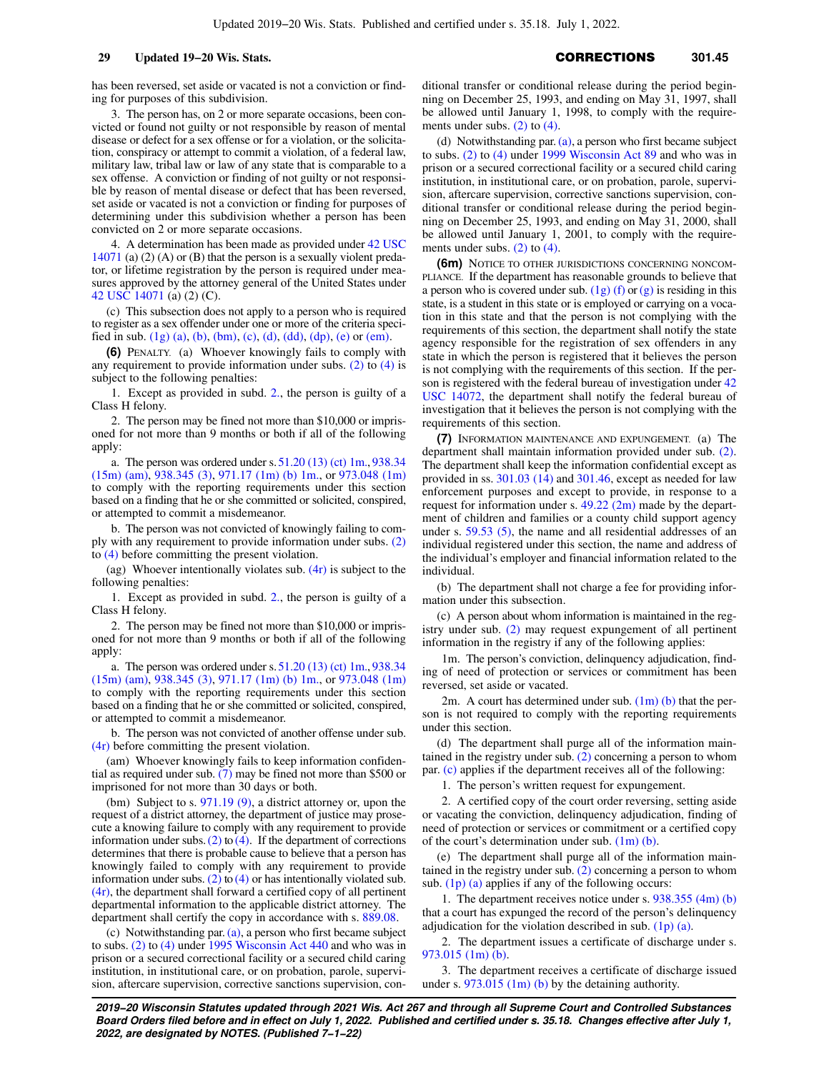has been reversed, set aside or vacated is not a conviction or finding for purposes of this subdivision.

3. The person has, on 2 or more separate occasions, been convicted or found not guilty or not responsible by reason of mental disease or defect for a sex offense or for a violation, or the solicitation, conspiracy or attempt to commit a violation, of a federal law, military law, tribal law or law of any state that is comparable to a sex offense. A conviction or finding of not guilty or not responsible by reason of mental disease or defect that has been reversed, set aside or vacated is not a conviction or finding for purposes of determining under this subdivision whether a person has been convicted on 2 or more separate occasions.

4. A determination has been made as provided under [42 USC](https://docs.legis.wisconsin.gov/document/usc/42%20USC%2014071) [14071](https://docs.legis.wisconsin.gov/document/usc/42%20USC%2014071) (a) (2) (A) or (B) that the person is a sexually violent predator, or lifetime registration by the person is required under measures approved by the attorney general of the United States under [42 USC 14071](https://docs.legis.wisconsin.gov/document/usc/42%20USC%2014071) (a) (2) (C).

(c) This subsection does not apply to a person who is required to register as a sex offender under one or more of the criteria speci-fied in sub. [\(1g\) \(a\),](https://docs.legis.wisconsin.gov/document/statutes/301.45(1g)(a)) [\(b\),](https://docs.legis.wisconsin.gov/document/statutes/301.45(1g)(b)) [\(bm\)](https://docs.legis.wisconsin.gov/document/statutes/301.45(1g)(bm)), [\(c\),](https://docs.legis.wisconsin.gov/document/statutes/301.45(1g)(c)) [\(d\),](https://docs.legis.wisconsin.gov/document/statutes/301.45(1g)(d)) [\(dd\)](https://docs.legis.wisconsin.gov/document/statutes/301.45(1g)(dd)), [\(dp\),](https://docs.legis.wisconsin.gov/document/statutes/301.45(1g)(dp)) [\(e\)](https://docs.legis.wisconsin.gov/document/statutes/301.45(1g)(e)) or [\(em\).](https://docs.legis.wisconsin.gov/document/statutes/301.45(1g)(em))

**(6)** PENALTY. (a) Whoever knowingly fails to comply with any requirement to provide information under subs. [\(2\)](https://docs.legis.wisconsin.gov/document/statutes/301.45(2)) to [\(4\)](https://docs.legis.wisconsin.gov/document/statutes/301.45(4)) is subject to the following penalties:

1. Except as provided in subd. [2.,](https://docs.legis.wisconsin.gov/document/statutes/301.45(6)(a)2.) the person is guilty of a Class H felony.

2. The person may be fined not more than \$10,000 or imprisoned for not more than 9 months or both if all of the following apply:

a. The person was ordered under s. [51.20 \(13\) \(ct\) 1m.,](https://docs.legis.wisconsin.gov/document/statutes/51.20(13)(ct)1m.) [938.34](https://docs.legis.wisconsin.gov/document/statutes/938.34(15m)(am)) [\(15m\) \(am\)](https://docs.legis.wisconsin.gov/document/statutes/938.34(15m)(am)), [938.345 \(3\),](https://docs.legis.wisconsin.gov/document/statutes/938.345(3)) [971.17 \(1m\) \(b\) 1m.,](https://docs.legis.wisconsin.gov/document/statutes/971.17(1m)(b)1m.) or [973.048 \(1m\)](https://docs.legis.wisconsin.gov/document/statutes/973.048(1m)) to comply with the reporting requirements under this section based on a finding that he or she committed or solicited, conspired, or attempted to commit a misdemeanor.

b. The person was not convicted of knowingly failing to comply with any requirement to provide information under subs. [\(2\)](https://docs.legis.wisconsin.gov/document/statutes/301.45(2)) to [\(4\)](https://docs.legis.wisconsin.gov/document/statutes/301.45(4)) before committing the present violation.

(ag) Whoever intentionally violates sub.  $(4r)$  is subject to the following penalties:

1. Except as provided in subd. [2.,](https://docs.legis.wisconsin.gov/document/statutes/301.45(6)(ag)2.) the person is guilty of a Class H felony.

2. The person may be fined not more than \$10,000 or imprisoned for not more than 9 months or both if all of the following apply:

a. The person was ordered under s. [51.20 \(13\) \(ct\) 1m.,](https://docs.legis.wisconsin.gov/document/statutes/51.20(13)(ct)1m.) [938.34](https://docs.legis.wisconsin.gov/document/statutes/938.34(15m)(am)) [\(15m\) \(am\)](https://docs.legis.wisconsin.gov/document/statutes/938.34(15m)(am)), [938.345 \(3\),](https://docs.legis.wisconsin.gov/document/statutes/938.345(3)) [971.17 \(1m\) \(b\) 1m.,](https://docs.legis.wisconsin.gov/document/statutes/971.17(1m)(b)1m.) or [973.048 \(1m\)](https://docs.legis.wisconsin.gov/document/statutes/973.048(1m)) to comply with the reporting requirements under this section based on a finding that he or she committed or solicited, conspired, or attempted to commit a misdemeanor.

b. The person was not convicted of another offense under sub. [\(4r\)](https://docs.legis.wisconsin.gov/document/statutes/301.45(4r)) before committing the present violation.

(am) Whoever knowingly fails to keep information confidential as required under sub. [\(7\)](https://docs.legis.wisconsin.gov/document/statutes/301.45(7)) may be fined not more than \$500 or imprisoned for not more than 30 days or both.

(bm) Subject to s. [971.19 \(9\),](https://docs.legis.wisconsin.gov/document/statutes/971.19(9)) a district attorney or, upon the request of a district attorney, the department of justice may prosecute a knowing failure to comply with any requirement to provide information under subs. [\(2\)](https://docs.legis.wisconsin.gov/document/statutes/301.45(2)) to  $(4)$ . If the department of corrections determines that there is probable cause to believe that a person has knowingly failed to comply with any requirement to provide information under subs. [\(2\)](https://docs.legis.wisconsin.gov/document/statutes/301.45(2)) to [\(4\)](https://docs.legis.wisconsin.gov/document/statutes/301.45(4)) or has intentionally violated sub. [\(4r\)](https://docs.legis.wisconsin.gov/document/statutes/301.45(4r)), the department shall forward a certified copy of all pertinent departmental information to the applicable district attorney. The department shall certify the copy in accordance with s. [889.08.](https://docs.legis.wisconsin.gov/document/statutes/889.08)

(c) Notwithstanding par.[\(a\),](https://docs.legis.wisconsin.gov/document/statutes/301.45(6)(a)) a person who first became subject to subs. [\(2\)](https://docs.legis.wisconsin.gov/document/statutes/301.45(2)) to [\(4\)](https://docs.legis.wisconsin.gov/document/statutes/301.45(4)) under [1995 Wisconsin Act 440](https://docs.legis.wisconsin.gov/document/acts/1995/440) and who was in prison or a secured correctional facility or a secured child caring institution, in institutional care, or on probation, parole, supervision, aftercare supervision, corrective sanctions supervision, conditional transfer or conditional release during the period beginning on December 25, 1993, and ending on May 31, 1997, shall be allowed until January 1, 1998, to comply with the requirements under subs.  $(2)$  to  $(4)$ .

(d) Notwithstanding par. [\(a\)](https://docs.legis.wisconsin.gov/document/statutes/301.45(6)(a)), a person who first became subject to subs. [\(2\)](https://docs.legis.wisconsin.gov/document/statutes/301.45(2)) to [\(4\)](https://docs.legis.wisconsin.gov/document/statutes/301.45(4)) under [1999 Wisconsin Act 89](https://docs.legis.wisconsin.gov/document/acts/1999/89) and who was in prison or a secured correctional facility or a secured child caring institution, in institutional care, or on probation, parole, supervision, aftercare supervision, corrective sanctions supervision, conditional transfer or conditional release during the period beginning on December 25, 1993, and ending on May 31, 2000, shall be allowed until January 1, 2001, to comply with the requirements under subs.  $(2)$  to  $(4)$ .

**(6m)** NOTICE TO OTHER JURISDICTIONS CONCERNING NONCOM-PLIANCE. If the department has reasonable grounds to believe that a person who is covered under sub.  $(1g)$  (f) or  $(g)$  is residing in this state, is a student in this state or is employed or carrying on a vocation in this state and that the person is not complying with the requirements of this section, the department shall notify the state agency responsible for the registration of sex offenders in any state in which the person is registered that it believes the person is not complying with the requirements of this section. If the person is registered with the federal bureau of investigation under [42](https://docs.legis.wisconsin.gov/document/usc/42%20USC%2014072) [USC 14072,](https://docs.legis.wisconsin.gov/document/usc/42%20USC%2014072) the department shall notify the federal bureau of investigation that it believes the person is not complying with the requirements of this section.

**(7)** INFORMATION MAINTENANCE AND EXPUNGEMENT. (a) The department shall maintain information provided under sub. [\(2\).](https://docs.legis.wisconsin.gov/document/statutes/301.45(2)) The department shall keep the information confidential except as provided in ss. [301.03 \(14\)](https://docs.legis.wisconsin.gov/document/statutes/301.03(14)) and [301.46](https://docs.legis.wisconsin.gov/document/statutes/301.46), except as needed for law enforcement purposes and except to provide, in response to a request for information under s. [49.22 \(2m\)](https://docs.legis.wisconsin.gov/document/statutes/49.22(2m)) made by the department of children and families or a county child support agency under s. [59.53 \(5\),](https://docs.legis.wisconsin.gov/document/statutes/59.53(5)) the name and all residential addresses of an individual registered under this section, the name and address of the individual's employer and financial information related to the individual.

(b) The department shall not charge a fee for providing information under this subsection.

(c) A person about whom information is maintained in the registry under sub. [\(2\)](https://docs.legis.wisconsin.gov/document/statutes/301.45(2)) may request expungement of all pertinent information in the registry if any of the following applies:

1m. The person's conviction, delinquency adjudication, finding of need of protection or services or commitment has been reversed, set aside or vacated.

2m. A court has determined under sub. [\(1m\) \(b\)](https://docs.legis.wisconsin.gov/document/statutes/301.45(1m)(b)) that the person is not required to comply with the reporting requirements under this section.

(d) The department shall purge all of the information maintained in the registry under sub. [\(2\)](https://docs.legis.wisconsin.gov/document/statutes/301.45(2)) concerning a person to whom par. [\(c\)](https://docs.legis.wisconsin.gov/document/statutes/301.45(7)(c)) applies if the department receives all of the following:

1. The person's written request for expungement.

2. A certified copy of the court order reversing, setting aside or vacating the conviction, delinquency adjudication, finding of need of protection or services or commitment or a certified copy of the court's determination under sub.  $(1m)$  (b).

(e) The department shall purge all of the information maintained in the registry under sub. [\(2\)](https://docs.legis.wisconsin.gov/document/statutes/301.45(2)) concerning a person to whom sub. [\(1p\) \(a\)](https://docs.legis.wisconsin.gov/document/statutes/301.45(1p)(a)) applies if any of the following occurs:

1. The department receives notice under s. [938.355 \(4m\) \(b\)](https://docs.legis.wisconsin.gov/document/statutes/938.355(4m)(b)) that a court has expunged the record of the person's delinquency adjudication for the violation described in sub.  $(1p)$  (a).

2. The department issues a certificate of discharge under s. [973.015 \(1m\) \(b\)](https://docs.legis.wisconsin.gov/document/statutes/973.015(1m)(b)).

3. The department receives a certificate of discharge issued under s. [973.015 \(1m\) \(b\)](https://docs.legis.wisconsin.gov/document/statutes/973.015(1m)(b)) by the detaining authority.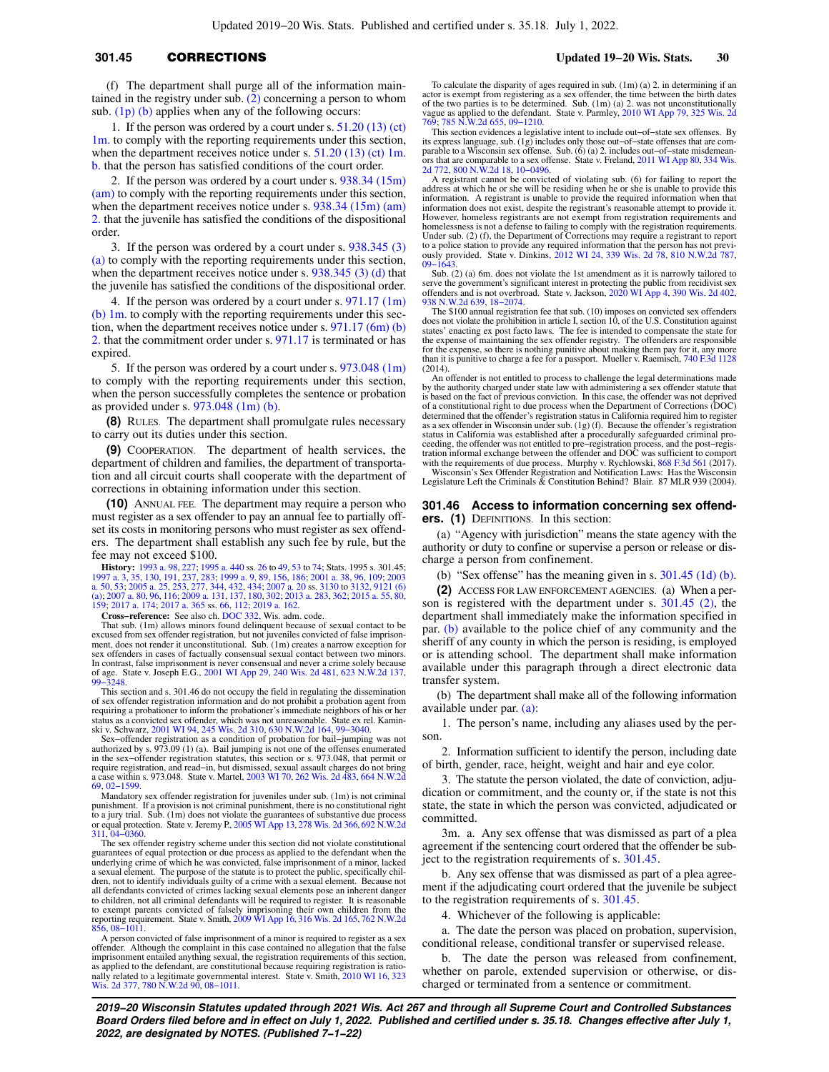# **301.45** CORRECTIONS **Updated 19−20 Wis. Stats. 30**

(f) The department shall purge all of the information maintained in the registry under sub. [\(2\)](https://docs.legis.wisconsin.gov/document/statutes/301.45(2)) concerning a person to whom sub.  $(1p)$  (b) applies when any of the following occurs:

1. If the person was ordered by a court under s. [51.20 \(13\) \(ct\)](https://docs.legis.wisconsin.gov/document/statutes/51.20(13)(ct)1m.) [1m.](https://docs.legis.wisconsin.gov/document/statutes/51.20(13)(ct)1m.) to comply with the reporting requirements under this section, when the department receives notice under s.  $51.20$  (13) (ct) 1m. [b.](https://docs.legis.wisconsin.gov/document/statutes/51.20(13)(ct)1m.b.) that the person has satisfied conditions of the court order.

2. If the person was ordered by a court under s. [938.34 \(15m\)](https://docs.legis.wisconsin.gov/document/statutes/938.34(15m)(am)) [\(am\)](https://docs.legis.wisconsin.gov/document/statutes/938.34(15m)(am)) to comply with the reporting requirements under this section, when the department receives notice under s. [938.34 \(15m\) \(am\)](https://docs.legis.wisconsin.gov/document/statutes/938.34(15m)(am)2.) [2.](https://docs.legis.wisconsin.gov/document/statutes/938.34(15m)(am)2.) that the juvenile has satisfied the conditions of the dispositional order.

3. If the person was ordered by a court under s. [938.345 \(3\)](https://docs.legis.wisconsin.gov/document/statutes/938.345(3)(a)) [\(a\)](https://docs.legis.wisconsin.gov/document/statutes/938.345(3)(a)) to comply with the reporting requirements under this section, when the department receives notice under s. [938.345 \(3\) \(d\)](https://docs.legis.wisconsin.gov/document/statutes/938.345(3)(d)) that the juvenile has satisfied the conditions of the dispositional order.

4. If the person was ordered by a court under s. [971.17 \(1m\)](https://docs.legis.wisconsin.gov/document/statutes/971.17(1m)(b)1m.) [\(b\) 1m.](https://docs.legis.wisconsin.gov/document/statutes/971.17(1m)(b)1m.) to comply with the reporting requirements under this section, when the department receives notice under s. [971.17 \(6m\) \(b\)](https://docs.legis.wisconsin.gov/document/statutes/971.17(6m)(b)2.) [2.](https://docs.legis.wisconsin.gov/document/statutes/971.17(6m)(b)2.) that the commitment order under s. [971.17](https://docs.legis.wisconsin.gov/document/statutes/971.17) is terminated or has expired.

5. If the person was ordered by a court under s. [973.048 \(1m\)](https://docs.legis.wisconsin.gov/document/statutes/973.048(1m)) to comply with the reporting requirements under this section, when the person successfully completes the sentence or probation as provided under s. [973.048 \(1m\) \(b\)](https://docs.legis.wisconsin.gov/document/statutes/973.048(1m)(b)).

**(8)** RULES. The department shall promulgate rules necessary to carry out its duties under this section.

**(9)** COOPERATION. The department of health services, the department of children and families, the department of transportation and all circuit courts shall cooperate with the department of corrections in obtaining information under this section.

**(10)** ANNUAL FEE. The department may require a person who must register as a sex offender to pay an annual fee to partially offset its costs in monitoring persons who must register as sex offenders. The department shall establish any such fee by rule, but the fee may not exceed \$100.

**History:** [1993 a. 98](https://docs.legis.wisconsin.gov/document/acts/1993/98), [227;](https://docs.legis.wisconsin.gov/document/acts/1993/227) [1995 a. 440](https://docs.legis.wisconsin.gov/document/acts/1995/440) ss. [26](https://docs.legis.wisconsin.gov/document/acts/1995/440,%20s.%2026) to [49](https://docs.legis.wisconsin.gov/document/acts/1995/440,%20s.%2049), [53](https://docs.legis.wisconsin.gov/document/acts/1995/440,%20s.%2053) to [74;](https://docs.legis.wisconsin.gov/document/acts/1995/440,%20s.%2074) Stats. 1995 s. 301.45; [1997 a. 3](https://docs.legis.wisconsin.gov/document/acts/1997/3), [35,](https://docs.legis.wisconsin.gov/document/acts/1997/35) [130](https://docs.legis.wisconsin.gov/document/acts/1997/130), [191](https://docs.legis.wisconsin.gov/document/acts/1997/191), [237](https://docs.legis.wisconsin.gov/document/acts/1997/237), [283;](https://docs.legis.wisconsin.gov/document/acts/1997/283) [1999 a. 9,](https://docs.legis.wisconsin.gov/document/acts/1999/9) [89](https://docs.legis.wisconsin.gov/document/acts/1999/89), [156](https://docs.legis.wisconsin.gov/document/acts/1999/156), [186;](https://docs.legis.wisconsin.gov/document/acts/1999/186) [2001 a. 38](https://docs.legis.wisconsin.gov/document/acts/2001/38), [96,](https://docs.legis.wisconsin.gov/document/acts/2007/96) [109;](https://docs.legis.wisconsin.gov/document/acts/2001/109) [2003](https://docs.legis.wisconsin.gov/document/acts/2003/50)<br>[a. 50](https://docs.legis.wisconsin.gov/document/acts/2003/50), [53;](https://docs.legis.wisconsin.gov/document/acts/2003/53) [2005 a. 25](https://docs.legis.wisconsin.gov/document/acts/2005/25), [253,](https://docs.legis.wisconsin.gov/document/acts/2005/253) [277,](https://docs.legis.wisconsin.gov/document/acts/2005/277) [344,](https://docs.legis.wisconsin.gov/document/acts/2005/344) [432](https://docs.legis.wisconsin.gov/document/acts/2005/432), [434](https://docs.legis.wisconsin.gov/document/acts/2005/434); [2007 a. 20](https://docs.legis.wisconsin.gov/document/acts/2007/20) ss. [3130](https://docs.legis.wisconsin.gov/document/acts/2007/20,%20s.%203130) to [3132,](https://docs.legis.wisconsin.gov/document/acts/2007/20,%20s.%203132) [9121 \(6\)](https://docs.legis.wisconsin.gov/document/acts/2007/20,%20s.%209121)<br>[\(a\);](https://docs.legis.wisconsin.gov/document/acts/2007/20,%20s.%209121) [2007 a. 80](https://docs.legis.wisconsin.gov/document/acts/2007/80), 96, [116;](https://docs.legis.wisconsin.gov/document/acts/2007/116) [2009 a. 131](https://docs.legis.wisconsin.gov/document/acts/2009/131), [137,](https://docs.legis.wisconsin.gov/document/acts/2009/137) [180,](https://docs.legis.wisconsin.gov/document/acts/2009/180) 3

[159](https://docs.legis.wisconsin.gov/document/acts/2015/159); [2017 a. 174;](https://docs.legis.wisconsin.gov/document/acts/2017/174) [2017 a. 365](https://docs.legis.wisconsin.gov/document/acts/2017/365) ss. [66](https://docs.legis.wisconsin.gov/document/acts/2017/365,%20s.%2066), [112](https://docs.legis.wisconsin.gov/document/acts/2017/365,%20s.%20112); [2019 a. 162.](https://docs.legis.wisconsin.gov/document/acts/2019/162) **Cross−reference:** See also ch. [DOC 332](https://docs.legis.wisconsin.gov/document/administrativecode/ch.%20DOC%20332), Wis. adm. code.

That sub. (1m) allows minors found delinquent because of sexual contact to be excused from sex offender registration, but not juveniles convicted of false imprisonment, does not render it unconstitutional. Sub. (1m) creates a narrow exception for sex offenders in cases of factually consensual sexual contact between two minors. In contrast, false imprisonment is never consensual and never a crime solely because of age. State v. Joseph E.G., [2001 WI App 29](https://docs.legis.wisconsin.gov/document/courts/2001%20WI%20App%2029), [240 Wis. 2d 481](https://docs.legis.wisconsin.gov/document/courts/240%20Wis.%202d%20481), [623 N.W.2d 137](https://docs.legis.wisconsin.gov/document/courts/623%20N.W.2d%20137), [99−3248](https://docs.legis.wisconsin.gov/document/wicourtofappeals/99-3248).

This section and s. 301.46 do not occupy the field in regulating the dissemination of sex offender registration information and do not prohibit a probation agent from requiring a probationer to inform the probationer's immediate neighbors of his or her status as a convicted sex offender, which was not unreasonable. State ex rel. Kamin-ski v. Schwarz, [2001 WI 94](https://docs.legis.wisconsin.gov/document/courts/2001%20WI%2094), [245 Wis. 2d 310,](https://docs.legis.wisconsin.gov/document/courts/245%20Wis.%202d%20310) [630 N.W.2d 164,](https://docs.legis.wisconsin.gov/document/courts/630%20N.W.2d%20164) [99−3040.](https://docs.legis.wisconsin.gov/document/wisupremecourt/99-3040)

Sex−offender registration as a condition of probation for bail−jumping was not authorized by s. 973.09 (1) (a). Bail jumping is not one of the offenses enumerated in the sex−offender registration statutes, this section or s. 973.048, that permit or require registration, and read−in, but dismissed, sexual assault charges do not bring a case within s. 973.048. State v. Martel, [2003 WI 70,](https://docs.legis.wisconsin.gov/document/courts/2003%20WI%2070) [262 Wis. 2d 483](https://docs.legis.wisconsin.gov/document/courts/262%20Wis.%202d%20483), [664 N.W.2d](https://docs.legis.wisconsin.gov/document/courts/664%20N.W.2d%2069) [69,](https://docs.legis.wisconsin.gov/document/courts/664%20N.W.2d%2069) [02−1599.](https://docs.legis.wisconsin.gov/document/wisupremecourt/02-1599)

Mandatory sex offender registration for juveniles under sub. (1m) is not criminal punishment. If a provision is not criminal punishment, there is no constitutional right<br>to a jury trial. Sub. (1m) does not violate the guarantees of substantive due process<br>or equal protection. State v. Jeremy P., 2005 WI [311](https://docs.legis.wisconsin.gov/document/courts/692%20N.W.2d%20311), [04−0360](https://docs.legis.wisconsin.gov/document/wicourtofappeals/04-0360). The sex offender registry scheme under this section did not violate constitutional

guarantees of equal protection or due process as applied to the defendant when the underlying crime of which he was convicted, false imprisonment of a minor, lacked a sexual element. The purpose of the statute is to protect the public, specifically children, not to identify individuals guilty of a crime with a sexual element. Because not all defendants convicted of crimes lacking sexual elements pose an inherent danger to children, not all criminal defendants will be required to register. It is reasonable to exempt parents convicted of falsely imprisoning their own children from the reporting requirement. State v. Smith, [2009 WI App 16](https://docs.legis.wisconsin.gov/document/courts/2009%20WI%20App%2016), [316 Wis. 2d 165](https://docs.legis.wisconsin.gov/document/courts/316%20Wis.%202d%20165), [762 N.W.2d](https://docs.legis.wisconsin.gov/document/courts/762%20N.W.2d%20856)<br>R56, [08−1011](https://docs.legis.wisconsin.gov/document/wicourtofappeals/08-1011).

A person convicted of false imprisonment of a minor is required to register as a sex offender. Although the complaint in this case contained no allegation that the false imprisonment entailed anything sexual, the registration requirements of this section, as applied to the defendant, are constitutional because requiring registration is rationally related to a legitimate governmental interest. State v. Smith, [2010 WI 16](https://docs.legis.wisconsin.gov/document/courts/2010%20WI%2016), [323](https://docs.legis.wisconsin.gov/document/courts/323%20Wis.%202d%20377) [Wis. 2d 377,](https://docs.legis.wisconsin.gov/document/courts/323%20Wis.%202d%20377) [780 N.W.2d 90,](https://docs.legis.wisconsin.gov/document/courts/780%20N.W.2d%2090) [08−1011.](https://docs.legis.wisconsin.gov/document/wisupremecourt/08-1011)

To calculate the disparity of ages required in sub. (1m) (a) 2. in determining if an actor is exempt from registering as a sex offender, the time between the birth dates of the two parties is to be determined. Sub. (1m) (a) 2. was not unconstitutionally vague as applied to the defendant. State v. Parmley, [2010 WI App 79,](https://docs.legis.wisconsin.gov/document/courts/2010%20WI%20App%2079) [325 Wis. 2d](https://docs.legis.wisconsin.gov/document/courts/325%20Wis.%202d%20769) [769;](https://docs.legis.wisconsin.gov/document/courts/325%20Wis.%202d%20769) [785 N.W.2d 655](https://docs.legis.wisconsin.gov/document/courts/785%20N.W.2d%20655), [09−1210](https://docs.legis.wisconsin.gov/document/wicourtofappeals/09-1210).

This section evidences a legislative intent to include out−of−state sex offenses. By its express language, sub. (1g) includes only those out–of–state offenses that are com-<br>parable to a Wisconsin sex offense. Sub. (6) (a) 2. includes out–of–state misdemean-<br>ors that are comparable to a sex offense. State

A registrant cannot be convicted of violating sub. (6) for failing to report the address at which he or she will be residing when he or she is unable to provide this information. A registrant is unable to provide the required information when that information does not exist, despite the registrant's reasonable attempt to provide it. However, homeless registrants are not exempt from registration requirements and homelessness is not a defense to failing to comply with the registration requirements. Under sub. (2) (f), the Department of Corrections may require a registrant to report to a police station to provide any required information that the person has not previ-ously provided. State v. Dinkins, [2012 WI 24,](https://docs.legis.wisconsin.gov/document/courts/2012%20WI%2024) [339 Wis. 2d 78,](https://docs.legis.wisconsin.gov/document/courts/339%20Wis.%202d%2078) [810 N.W.2d 787](https://docs.legis.wisconsin.gov/document/courts/810%20N.W.2d%20787), [09−1643.](https://docs.legis.wisconsin.gov/document/wisupremecourt/09-1643)

Sub. (2) (a) 6m. does not violate the 1st amendment as it is narrowly tailored to serve the government's significant interest in protecting the public from recidivist sex offenders and is not overbroad. State v. Jackson, [2020 WI App 4](https://docs.legis.wisconsin.gov/document/courts/2020%20WI%20App%204), [390 Wis. 2d 402](https://docs.legis.wisconsin.gov/document/courts/390%20Wis.%202d%20402), [938 N.W.2d 639](https://docs.legis.wisconsin.gov/document/courts/938%20N.W.2d%20639), [18−2074](https://docs.legis.wisconsin.gov/document/wicourtofappeals/18-2074). The \$100 annual registration fee that sub. (10) imposes on convicted sex offenders

does not violate the prohibition in article I, section 10, of the U.S. Constitution against states' enacting ex post facto laws. The fee is intended to compensate the state for the expense of maintaining the sex offender registry. The offenders are responsible for the expense, so there is nothing punitive about making them pay for it, any more than it is punitive to charge a fee for a passport. Mueller v. Raemisch, [740 F.3d 1128](https://docs.legis.wisconsin.gov/document/courts/740%20F.3d%201128) (2014).

An offender is not entitled to process to challenge the legal determinations made by the authority charged under state law with administering a sex offender statute that is based on the fact of previous conviction. In this case, the offender was not deprived of a constitutional right to due process when the Department of Corrections (DOC) determined that the offender's registration status in California required him to register as a sex offender in Wisconsin under sub. (1g) (f). Because the offender's registration status in California was established after a procedurally safeguarded criminal proceeding, the offender was not entitled to pre−registration process, and the post−regis-tration informal exchange between the offender and DOC was sufficient to comport with the requirements of due process. Murphy v. Rychlowski, [868 F.3d 561](https://docs.legis.wisconsin.gov/document/courts/868%20F.3d%20561) (2017).<br>Wisconsin's Sex Offender Registration and Notification Laws: Has the Wisconsin<br>Legislature Left the Criminals & Constitution Behind? Blair. 8

### **301.46 Access to information concerning sex offenders. (1)** DEFINITIONS. In this section:

(a) "Agency with jurisdiction" means the state agency with the authority or duty to confine or supervise a person or release or discharge a person from confinement.

(b) "Sex offense" has the meaning given in s.  $301.45$  (1d) (b).

**(2)** ACCESS FOR LAW ENFORCEMENT AGENCIES. (a) When a person is registered with the department under s. [301.45 \(2\)](https://docs.legis.wisconsin.gov/document/statutes/301.45(2)), the department shall immediately make the information specified in par. [\(b\)](https://docs.legis.wisconsin.gov/document/statutes/301.46(2)(b)) available to the police chief of any community and the sheriff of any county in which the person is residing, is employed or is attending school. The department shall make information available under this paragraph through a direct electronic data transfer system.

(b) The department shall make all of the following information available under par. [\(a\)](https://docs.legis.wisconsin.gov/document/statutes/301.46(2)(a)):

1. The person's name, including any aliases used by the person.

2. Information sufficient to identify the person, including date of birth, gender, race, height, weight and hair and eye color.

3. The statute the person violated, the date of conviction, adjudication or commitment, and the county or, if the state is not this state, the state in which the person was convicted, adjudicated or committed.

3m. a. Any sex offense that was dismissed as part of a plea agreement if the sentencing court ordered that the offender be subject to the registration requirements of s. [301.45.](https://docs.legis.wisconsin.gov/document/statutes/301.45)

b. Any sex offense that was dismissed as part of a plea agreement if the adjudicating court ordered that the juvenile be subject to the registration requirements of s. [301.45](https://docs.legis.wisconsin.gov/document/statutes/301.45).

4. Whichever of the following is applicable:

a. The date the person was placed on probation, supervision, conditional release, conditional transfer or supervised release.

b. The date the person was released from confinement, whether on parole, extended supervision or otherwise, or discharged or terminated from a sentence or commitment.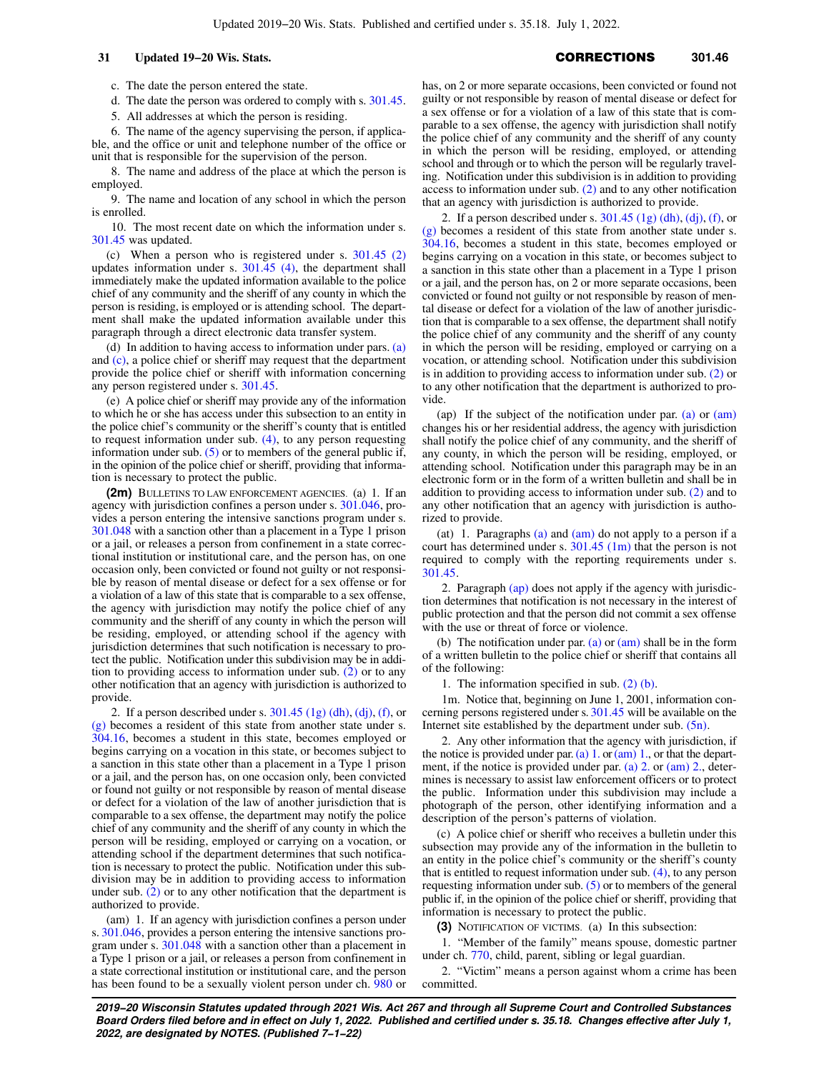c. The date the person entered the state.

d. The date the person was ordered to comply with s. [301.45.](https://docs.legis.wisconsin.gov/document/statutes/301.45)

5. All addresses at which the person is residing.

6. The name of the agency supervising the person, if applicable, and the office or unit and telephone number of the office or unit that is responsible for the supervision of the person.

8. The name and address of the place at which the person is employed.

9. The name and location of any school in which the person is enrolled.

10. The most recent date on which the information under s. [301.45](https://docs.legis.wisconsin.gov/document/statutes/301.45) was updated.

(c) When a person who is registered under s. [301.45 \(2\)](https://docs.legis.wisconsin.gov/document/statutes/301.45(2)) updates information under s. [301.45 \(4\)](https://docs.legis.wisconsin.gov/document/statutes/301.45(4)), the department shall immediately make the updated information available to the police chief of any community and the sheriff of any county in which the person is residing, is employed or is attending school. The department shall make the updated information available under this paragraph through a direct electronic data transfer system.

(d) In addition to having access to information under pars. [\(a\)](https://docs.legis.wisconsin.gov/document/statutes/301.46(2)(a)) and [\(c\)](https://docs.legis.wisconsin.gov/document/statutes/301.46(2)(c)), a police chief or sheriff may request that the department provide the police chief or sheriff with information concerning any person registered under s. [301.45](https://docs.legis.wisconsin.gov/document/statutes/301.45).

(e) A police chief or sheriff may provide any of the information to which he or she has access under this subsection to an entity in the police chief's community or the sheriff's county that is entitled to request information under sub. [\(4\)](https://docs.legis.wisconsin.gov/document/statutes/301.46(4)), to any person requesting information under sub.  $(5)$  or to members of the general public if, in the opinion of the police chief or sheriff, providing that information is necessary to protect the public.

**(2m)** BULLETINS TO LAW ENFORCEMENT AGENCIES. (a) 1. If an agency with jurisdiction confines a person under s. [301.046,](https://docs.legis.wisconsin.gov/document/statutes/301.046) provides a person entering the intensive sanctions program under s. [301.048](https://docs.legis.wisconsin.gov/document/statutes/301.048) with a sanction other than a placement in a Type 1 prison or a jail, or releases a person from confinement in a state correctional institution or institutional care, and the person has, on one occasion only, been convicted or found not guilty or not responsible by reason of mental disease or defect for a sex offense or for a violation of a law of this state that is comparable to a sex offense, the agency with jurisdiction may notify the police chief of any community and the sheriff of any county in which the person will be residing, employed, or attending school if the agency with jurisdiction determines that such notification is necessary to protect the public. Notification under this subdivision may be in addition to providing access to information under sub. [\(2\)](https://docs.legis.wisconsin.gov/document/statutes/301.46(2)) or to any other notification that an agency with jurisdiction is authorized to provide.

2. If a person described under s.  $301.45$  (1g) (dh), [\(dj\)](https://docs.legis.wisconsin.gov/document/statutes/301.45(1g)(dj)), [\(f\)](https://docs.legis.wisconsin.gov/document/statutes/301.45(1g)(f)), or [\(g\)](https://docs.legis.wisconsin.gov/document/statutes/301.45(1g)(g)) becomes a resident of this state from another state under s. [304.16,](https://docs.legis.wisconsin.gov/document/statutes/304.16) becomes a student in this state, becomes employed or begins carrying on a vocation in this state, or becomes subject to a sanction in this state other than a placement in a Type 1 prison or a jail, and the person has, on one occasion only, been convicted or found not guilty or not responsible by reason of mental disease or defect for a violation of the law of another jurisdiction that is comparable to a sex offense, the department may notify the police chief of any community and the sheriff of any county in which the person will be residing, employed or carrying on a vocation, or attending school if the department determines that such notification is necessary to protect the public. Notification under this subdivision may be in addition to providing access to information under sub. [\(2\)](https://docs.legis.wisconsin.gov/document/statutes/301.46(2)) or to any other notification that the department is authorized to provide.

(am) 1. If an agency with jurisdiction confines a person under s. [301.046](https://docs.legis.wisconsin.gov/document/statutes/301.046), provides a person entering the intensive sanctions program under s. [301.048](https://docs.legis.wisconsin.gov/document/statutes/301.048) with a sanction other than a placement in a Type 1 prison or a jail, or releases a person from confinement in a state correctional institution or institutional care, and the person has been found to be a sexually violent person under ch. [980](https://docs.legis.wisconsin.gov/document/statutes/ch.%20980) or has, on 2 or more separate occasions, been convicted or found not guilty or not responsible by reason of mental disease or defect for a sex offense or for a violation of a law of this state that is comparable to a sex offense, the agency with jurisdiction shall notify the police chief of any community and the sheriff of any county in which the person will be residing, employed, or attending school and through or to which the person will be regularly traveling. Notification under this subdivision is in addition to providing access to information under sub. [\(2\)](https://docs.legis.wisconsin.gov/document/statutes/301.46(2)) and to any other notification that an agency with jurisdiction is authorized to provide.

2. If a person described under s.  $301.45$  (1g) (dh), [\(dj\)](https://docs.legis.wisconsin.gov/document/statutes/301.45(1g)(dj)), [\(f\),](https://docs.legis.wisconsin.gov/document/statutes/301.45(1g)(f)) or [\(g\)](https://docs.legis.wisconsin.gov/document/statutes/301.45(1g)(g)) becomes a resident of this state from another state under s. [304.16,](https://docs.legis.wisconsin.gov/document/statutes/304.16) becomes a student in this state, becomes employed or begins carrying on a vocation in this state, or becomes subject to a sanction in this state other than a placement in a Type 1 prison or a jail, and the person has, on 2 or more separate occasions, been convicted or found not guilty or not responsible by reason of mental disease or defect for a violation of the law of another jurisdiction that is comparable to a sex offense, the department shall notify the police chief of any community and the sheriff of any county in which the person will be residing, employed or carrying on a vocation, or attending school. Notification under this subdivision is in addition to providing access to information under sub. [\(2\)](https://docs.legis.wisconsin.gov/document/statutes/301.46(2)) or to any other notification that the department is authorized to provide.

(ap) If the subject of the notification under par. [\(a\)](https://docs.legis.wisconsin.gov/document/statutes/301.46(2m)(a)) or  $(am)$ changes his or her residential address, the agency with jurisdiction shall notify the police chief of any community, and the sheriff of any county, in which the person will be residing, employed, or attending school. Notification under this paragraph may be in an electronic form or in the form of a written bulletin and shall be in addition to providing access to information under sub. [\(2\)](https://docs.legis.wisconsin.gov/document/statutes/301.46(2)) and to any other notification that an agency with jurisdiction is authorized to provide.

(at) 1. Paragraphs [\(a\)](https://docs.legis.wisconsin.gov/document/statutes/301.46(2m)(a)) and [\(am\)](https://docs.legis.wisconsin.gov/document/statutes/301.46(2m)(am)) do not apply to a person if a court has determined under s.  $301.45$  (1m) that the person is not required to comply with the reporting requirements under s. [301.45.](https://docs.legis.wisconsin.gov/document/statutes/301.45)

2. Paragraph [\(ap\)](https://docs.legis.wisconsin.gov/document/statutes/301.46(2m)(ap)) does not apply if the agency with jurisdiction determines that notification is not necessary in the interest of public protection and that the person did not commit a sex offense with the use or threat of force or violence.

(b) The notification under par. [\(a\)](https://docs.legis.wisconsin.gov/document/statutes/301.46(2m)(a)) or [\(am\)](https://docs.legis.wisconsin.gov/document/statutes/301.46(2m)(am)) shall be in the form of a written bulletin to the police chief or sheriff that contains all of the following:

1. The information specified in sub. [\(2\) \(b\).](https://docs.legis.wisconsin.gov/document/statutes/301.46(2)(b))

1m. Notice that, beginning on June 1, 2001, information concerning persons registered under s. [301.45](https://docs.legis.wisconsin.gov/document/statutes/301.45) will be available on the Internet site established by the department under sub. [\(5n\)](https://docs.legis.wisconsin.gov/document/statutes/301.46(5n)).

2. Any other information that the agency with jurisdiction, if the notice is provided under par. [\(a\) 1.](https://docs.legis.wisconsin.gov/document/statutes/301.46(2m)(a)1.) or  $(am)$  1., or that the department, if the notice is provided under par. [\(a\) 2.](https://docs.legis.wisconsin.gov/document/statutes/301.46(2m)(a)2.) or [\(am\) 2.,](https://docs.legis.wisconsin.gov/document/statutes/301.46(2m)(am)2.) determines is necessary to assist law enforcement officers or to protect the public. Information under this subdivision may include a photograph of the person, other identifying information and a description of the person's patterns of violation.

(c) A police chief or sheriff who receives a bulletin under this subsection may provide any of the information in the bulletin to an entity in the police chief's community or the sheriff's county that is entitled to request information under sub. [\(4\)](https://docs.legis.wisconsin.gov/document/statutes/301.46(4)), to any person requesting information under sub. [\(5\)](https://docs.legis.wisconsin.gov/document/statutes/301.46(5)) or to members of the general public if, in the opinion of the police chief or sheriff, providing that information is necessary to protect the public.

**(3)** NOTIFICATION OF VICTIMS. (a) In this subsection:

1. "Member of the family" means spouse, domestic partner under ch. [770,](https://docs.legis.wisconsin.gov/document/statutes/ch.%20770) child, parent, sibling or legal guardian.

2. "Victim" means a person against whom a crime has been committed.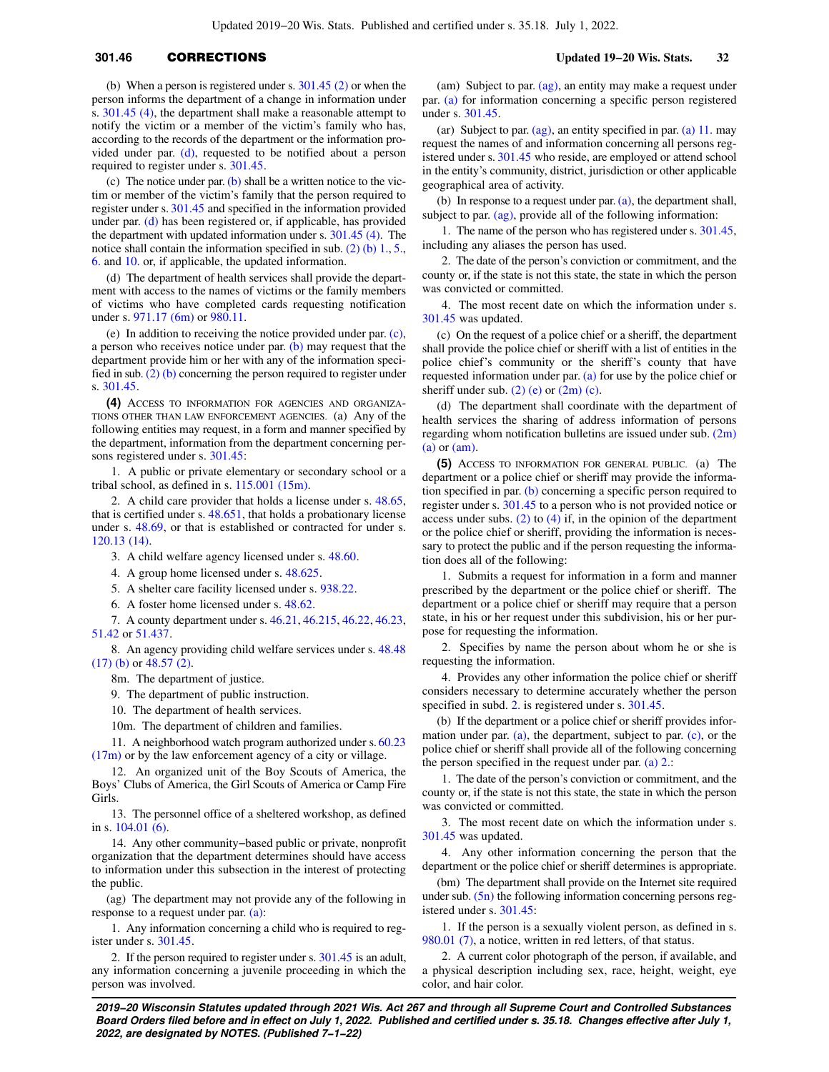# **301.46** CORRECTIONS **Updated 19−20 Wis. Stats. 32**

(b) When a person is registered under s. [301.45 \(2\)](https://docs.legis.wisconsin.gov/document/statutes/301.45(2)) or when the person informs the department of a change in information under s. [301.45 \(4\),](https://docs.legis.wisconsin.gov/document/statutes/301.45(4)) the department shall make a reasonable attempt to notify the victim or a member of the victim's family who has, according to the records of the department or the information provided under par. [\(d\),](https://docs.legis.wisconsin.gov/document/statutes/301.46(3)(d)) requested to be notified about a person required to register under s. [301.45.](https://docs.legis.wisconsin.gov/document/statutes/301.45)

(c) The notice under par.  $(b)$  shall be a written notice to the victim or member of the victim's family that the person required to register under s. [301.45](https://docs.legis.wisconsin.gov/document/statutes/301.45) and specified in the information provided under par. [\(d\)](https://docs.legis.wisconsin.gov/document/statutes/301.46(3)(d)) has been registered or, if applicable, has provided the department with updated information under s. [301.45 \(4\).](https://docs.legis.wisconsin.gov/document/statutes/301.45(4)) The notice shall contain the information specified in sub.  $(2)$  (b) 1., [5.,](https://docs.legis.wisconsin.gov/document/statutes/301.46(2)(b)5.) [6.](https://docs.legis.wisconsin.gov/document/statutes/301.46(2)(b)6.) and [10.](https://docs.legis.wisconsin.gov/document/statutes/301.46(2)(b)10.) or, if applicable, the updated information.

(d) The department of health services shall provide the department with access to the names of victims or the family members of victims who have completed cards requesting notification under s. [971.17 \(6m\)](https://docs.legis.wisconsin.gov/document/statutes/971.17(6m)) or [980.11](https://docs.legis.wisconsin.gov/document/statutes/980.11).

(e) In addition to receiving the notice provided under par. [\(c\),](https://docs.legis.wisconsin.gov/document/statutes/301.46(3)(c)) a person who receives notice under par. [\(b\)](https://docs.legis.wisconsin.gov/document/statutes/301.46(3)(b)) may request that the department provide him or her with any of the information specified in sub. [\(2\) \(b\)](https://docs.legis.wisconsin.gov/document/statutes/301.46(2)(b)) concerning the person required to register under s. [301.45.](https://docs.legis.wisconsin.gov/document/statutes/301.45)

**(4)** ACCESS TO INFORMATION FOR AGENCIES AND ORGANIZA-TIONS OTHER THAN LAW ENFORCEMENT AGENCIES. (a) Any of the following entities may request, in a form and manner specified by the department, information from the department concerning persons registered under s. [301.45:](https://docs.legis.wisconsin.gov/document/statutes/301.45)

1. A public or private elementary or secondary school or a tribal school, as defined in s. [115.001 \(15m\)](https://docs.legis.wisconsin.gov/document/statutes/115.001(15m)).

2. A child care provider that holds a license under s. [48.65,](https://docs.legis.wisconsin.gov/document/statutes/48.65) that is certified under s. [48.651,](https://docs.legis.wisconsin.gov/document/statutes/48.651) that holds a probationary license under s. [48.69,](https://docs.legis.wisconsin.gov/document/statutes/48.69) or that is established or contracted for under s. [120.13 \(14\)](https://docs.legis.wisconsin.gov/document/statutes/120.13(14)).

3. A child welfare agency licensed under s. [48.60](https://docs.legis.wisconsin.gov/document/statutes/48.60).

4. A group home licensed under s. [48.625.](https://docs.legis.wisconsin.gov/document/statutes/48.625)

5. A shelter care facility licensed under s. [938.22.](https://docs.legis.wisconsin.gov/document/statutes/938.22)

6. A foster home licensed under s. [48.62.](https://docs.legis.wisconsin.gov/document/statutes/48.62)

7. A county department under s. [46.21,](https://docs.legis.wisconsin.gov/document/statutes/46.21) [46.215,](https://docs.legis.wisconsin.gov/document/statutes/46.215) [46.22](https://docs.legis.wisconsin.gov/document/statutes/46.22), [46.23,](https://docs.legis.wisconsin.gov/document/statutes/46.23) [51.42](https://docs.legis.wisconsin.gov/document/statutes/51.42) or [51.437](https://docs.legis.wisconsin.gov/document/statutes/51.437).

8. An agency providing child welfare services under s. [48.48](https://docs.legis.wisconsin.gov/document/statutes/48.48(17)(b)) [\(17\) \(b\)](https://docs.legis.wisconsin.gov/document/statutes/48.48(17)(b)) or [48.57 \(2\).](https://docs.legis.wisconsin.gov/document/statutes/48.57(2))

8m. The department of justice.

9. The department of public instruction.

10. The department of health services.

10m. The department of children and families.

11. A neighborhood watch program authorized under s. [60.23](https://docs.legis.wisconsin.gov/document/statutes/60.23(17m)) [\(17m\)](https://docs.legis.wisconsin.gov/document/statutes/60.23(17m)) or by the law enforcement agency of a city or village.

12. An organized unit of the Boy Scouts of America, the Boys' Clubs of America, the Girl Scouts of America or Camp Fire Girls.

13. The personnel office of a sheltered workshop, as defined in s. [104.01 \(6\).](https://docs.legis.wisconsin.gov/document/statutes/104.01(6))

14. Any other community−based public or private, nonprofit organization that the department determines should have access to information under this subsection in the interest of protecting the public.

(ag) The department may not provide any of the following in response to a request under par. [\(a\)](https://docs.legis.wisconsin.gov/document/statutes/301.46(4)(a)):

1. Any information concerning a child who is required to register under s. [301.45](https://docs.legis.wisconsin.gov/document/statutes/301.45).

2. If the person required to register under s. [301.45](https://docs.legis.wisconsin.gov/document/statutes/301.45) is an adult, any information concerning a juvenile proceeding in which the person was involved.

(am) Subject to par. [\(ag\)](https://docs.legis.wisconsin.gov/document/statutes/301.46(4)(ag)), an entity may make a request under par. [\(a\)](https://docs.legis.wisconsin.gov/document/statutes/301.46(4)(a)) for information concerning a specific person registered under s. [301.45.](https://docs.legis.wisconsin.gov/document/statutes/301.45)

(ar) Subject to par.  $\frac{ag}{ag}$ , an entity specified in par.  $\frac{a}{a}$  11. may request the names of and information concerning all persons registered under s. [301.45](https://docs.legis.wisconsin.gov/document/statutes/301.45) who reside, are employed or attend school in the entity's community, district, jurisdiction or other applicable geographical area of activity.

(b) In response to a request under par. [\(a\),](https://docs.legis.wisconsin.gov/document/statutes/301.46(4)(a)) the department shall, subject to par. [\(ag\)](https://docs.legis.wisconsin.gov/document/statutes/301.46(4)(ag)), provide all of the following information:

1. The name of the person who has registered under s. [301.45,](https://docs.legis.wisconsin.gov/document/statutes/301.45) including any aliases the person has used.

2. The date of the person's conviction or commitment, and the county or, if the state is not this state, the state in which the person was convicted or committed.

4. The most recent date on which the information under s. [301.45](https://docs.legis.wisconsin.gov/document/statutes/301.45) was updated.

(c) On the request of a police chief or a sheriff, the department shall provide the police chief or sheriff with a list of entities in the police chief's community or the sheriff's county that have requested information under par. [\(a\)](https://docs.legis.wisconsin.gov/document/statutes/301.46(4)(a)) for use by the police chief or sheriff under sub.  $(2)$  (e) or  $(2m)$  (c).

(d) The department shall coordinate with the department of health services the sharing of address information of persons regarding whom notification bulletins are issued under sub. [\(2m\)](https://docs.legis.wisconsin.gov/document/statutes/301.46(2m)(a)) [\(a\)](https://docs.legis.wisconsin.gov/document/statutes/301.46(2m)(a)) or [\(am\)](https://docs.legis.wisconsin.gov/document/statutes/301.46(2m)(am)).

**(5)** ACCESS TO INFORMATION FOR GENERAL PUBLIC. (a) The department or a police chief or sheriff may provide the information specified in par. [\(b\)](https://docs.legis.wisconsin.gov/document/statutes/301.46(5)(b)) concerning a specific person required to register under s. [301.45](https://docs.legis.wisconsin.gov/document/statutes/301.45) to a person who is not provided notice or access under subs.  $(2)$  to  $(4)$  if, in the opinion of the department or the police chief or sheriff, providing the information is necessary to protect the public and if the person requesting the information does all of the following:

1. Submits a request for information in a form and manner prescribed by the department or the police chief or sheriff. The department or a police chief or sheriff may require that a person state, in his or her request under this subdivision, his or her purpose for requesting the information.

2. Specifies by name the person about whom he or she is requesting the information.

4. Provides any other information the police chief or sheriff considers necessary to determine accurately whether the person specified in subd. [2.](https://docs.legis.wisconsin.gov/document/statutes/301.46(5)(a)2.) is registered under s. [301.45](https://docs.legis.wisconsin.gov/document/statutes/301.45).

(b) If the department or a police chief or sheriff provides information under par. [\(a\)](https://docs.legis.wisconsin.gov/document/statutes/301.46(5)(a)), the department, subject to par. [\(c\),](https://docs.legis.wisconsin.gov/document/statutes/301.46(5)(c)) or the police chief or sheriff shall provide all of the following concerning the person specified in the request under par.  $(a)$  2.:

1. The date of the person's conviction or commitment, and the county or, if the state is not this state, the state in which the person was convicted or committed.

3. The most recent date on which the information under s. [301.45](https://docs.legis.wisconsin.gov/document/statutes/301.45) was updated.

4. Any other information concerning the person that the department or the police chief or sheriff determines is appropriate.

(bm) The department shall provide on the Internet site required under sub.  $(5n)$  the following information concerning persons registered under s. [301.45](https://docs.legis.wisconsin.gov/document/statutes/301.45):

1. If the person is a sexually violent person, as defined in s. [980.01 \(7\),](https://docs.legis.wisconsin.gov/document/statutes/980.01(7)) a notice, written in red letters, of that status.

2. A current color photograph of the person, if available, and a physical description including sex, race, height, weight, eye color, and hair color.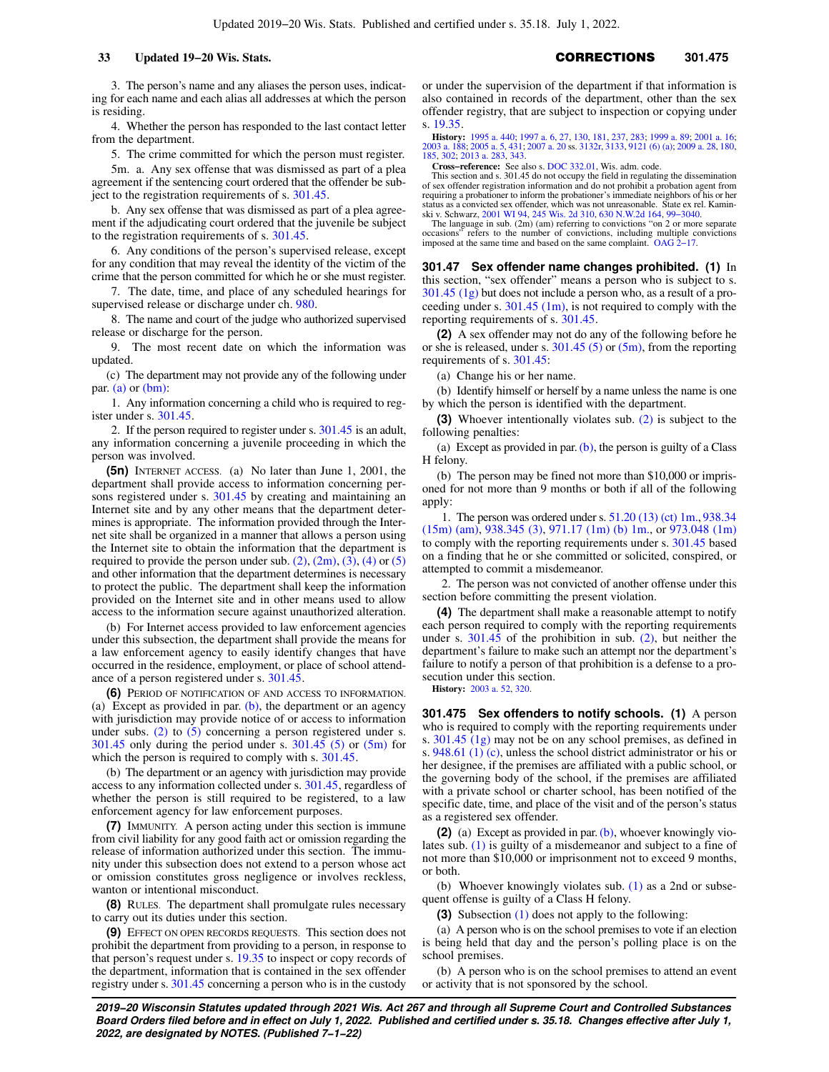3. The person's name and any aliases the person uses, indicating for each name and each alias all addresses at which the person is residing.

4. Whether the person has responded to the last contact letter from the department.

5. The crime committed for which the person must register.

5m. a. Any sex offense that was dismissed as part of a plea agreement if the sentencing court ordered that the offender be subject to the registration requirements of s. [301.45](https://docs.legis.wisconsin.gov/document/statutes/301.45).

b. Any sex offense that was dismissed as part of a plea agreement if the adjudicating court ordered that the juvenile be subject to the registration requirements of s. [301.45](https://docs.legis.wisconsin.gov/document/statutes/301.45).

6. Any conditions of the person's supervised release, except for any condition that may reveal the identity of the victim of the crime that the person committed for which he or she must register.

7. The date, time, and place of any scheduled hearings for supervised release or discharge under ch. [980](https://docs.legis.wisconsin.gov/document/statutes/ch.%20980).

8. The name and court of the judge who authorized supervised release or discharge for the person.

9. The most recent date on which the information was updated.

(c) The department may not provide any of the following under par. [\(a\)](https://docs.legis.wisconsin.gov/document/statutes/301.46(5)(a)) or [\(bm\)](https://docs.legis.wisconsin.gov/document/statutes/301.46(5)(bm)):

1. Any information concerning a child who is required to register under s. [301.45](https://docs.legis.wisconsin.gov/document/statutes/301.45).

2. If the person required to register under s. [301.45](https://docs.legis.wisconsin.gov/document/statutes/301.45) is an adult, any information concerning a juvenile proceeding in which the person was involved.

**(5n)** INTERNET ACCESS. (a) No later than June 1, 2001, the department shall provide access to information concerning persons registered under s. [301.45](https://docs.legis.wisconsin.gov/document/statutes/301.45) by creating and maintaining an Internet site and by any other means that the department determines is appropriate. The information provided through the Internet site shall be organized in a manner that allows a person using the Internet site to obtain the information that the department is required to provide the person under sub.  $(2)$ ,  $(2m)$ ,  $(3)$ ,  $(4)$  or  $(5)$ and other information that the department determines is necessary to protect the public. The department shall keep the information provided on the Internet site and in other means used to allow access to the information secure against unauthorized alteration.

(b) For Internet access provided to law enforcement agencies under this subsection, the department shall provide the means for a law enforcement agency to easily identify changes that have occurred in the residence, employment, or place of school attendance of a person registered under s. [301.45.](https://docs.legis.wisconsin.gov/document/statutes/301.45)

**(6)** PERIOD OF NOTIFICATION OF AND ACCESS TO INFORMATION. (a) Except as provided in par.  $(b)$ , the department or an agency with jurisdiction may provide notice of or access to information under subs.  $(2)$  to  $(5)$  concerning a person registered under s.  $301.45$  only during the period under s.  $301.45$  (5) or  $(5m)$  for which the person is required to comply with s. [301.45.](https://docs.legis.wisconsin.gov/document/statutes/301.45)

(b) The department or an agency with jurisdiction may provide access to any information collected under s. [301.45](https://docs.legis.wisconsin.gov/document/statutes/301.45), regardless of whether the person is still required to be registered, to a law enforcement agency for law enforcement purposes.

**(7)** IMMUNITY. A person acting under this section is immune from civil liability for any good faith act or omission regarding the release of information authorized under this section. The immunity under this subsection does not extend to a person whose act or omission constitutes gross negligence or involves reckless, wanton or intentional misconduct.

**(8)** RULES. The department shall promulgate rules necessary to carry out its duties under this section.

**(9)** EFFECT ON OPEN RECORDS REQUESTS. This section does not prohibit the department from providing to a person, in response to that person's request under s. [19.35](https://docs.legis.wisconsin.gov/document/statutes/19.35) to inspect or copy records of the department, information that is contained in the sex offender registry under s. [301.45](https://docs.legis.wisconsin.gov/document/statutes/301.45) concerning a person who is in the custody

or under the supervision of the department if that information is also contained in records of the department, other than the sex offender registry, that are subject to inspection or copying under s. [19.35](https://docs.legis.wisconsin.gov/document/statutes/19.35).

**History:** [1995 a. 440](https://docs.legis.wisconsin.gov/document/acts/1995/440); [1997 a. 6,](https://docs.legis.wisconsin.gov/document/acts/1997/6) [27](https://docs.legis.wisconsin.gov/document/acts/1997/27), [130](https://docs.legis.wisconsin.gov/document/acts/1997/130), [181](https://docs.legis.wisconsin.gov/document/acts/1997/181), [237](https://docs.legis.wisconsin.gov/document/acts/1997/237), [283](https://docs.legis.wisconsin.gov/document/acts/1997/283); [1999 a. 89](https://docs.legis.wisconsin.gov/document/acts/1999/89); [2001 a. 16](https://docs.legis.wisconsin.gov/document/acts/2001/16); [2003 a. 188](https://docs.legis.wisconsin.gov/document/acts/2003/188); [2005 a. 5,](https://docs.legis.wisconsin.gov/document/acts/2005/5) [431](https://docs.legis.wisconsin.gov/document/acts/2005/431); [2007 a. 20](https://docs.legis.wisconsin.gov/document/acts/2007/20) ss. [3132r](https://docs.legis.wisconsin.gov/document/acts/2007/20,%20s.%203132r), [3133](https://docs.legis.wisconsin.gov/document/acts/2007/20,%20s.%203133), [9121 \(6\) \(a\);](https://docs.legis.wisconsin.gov/document/acts/2007/20,%20s.%209121) [2009 a. 28,](https://docs.legis.wisconsin.gov/document/acts/2009/28) [180](https://docs.legis.wisconsin.gov/document/acts/2009/180), [185,](https://docs.legis.wisconsin.gov/document/acts/2009/185) [302;](https://docs.legis.wisconsin.gov/document/acts/2009/302) [2013 a. 283](https://docs.legis.wisconsin.gov/document/acts/2013/283), [343](https://docs.legis.wisconsin.gov/document/acts/2013/343).

**Cross−reference:** See also s. [DOC 332.01](https://docs.legis.wisconsin.gov/document/administrativecode/DOC%20332.01), Wis. adm. code.

This section and s. 301.45 do not occupy the field in regulating the dissemination of sex offender registration information and do not prohibit a probation agent from requiring a probationer to inform the probationer's immediate neighbors of his or her status as a convicted sex offender, which was not unreasonable. State ex rel. Kamin-ski v. Schwarz, [2001 WI 94,](https://docs.legis.wisconsin.gov/document/courts/2001%20WI%2094) [245 Wis. 2d 310](https://docs.legis.wisconsin.gov/document/courts/245%20Wis.%202d%20310), [630 N.W.2d 164,](https://docs.legis.wisconsin.gov/document/courts/630%20N.W.2d%20164) [99−3040.](https://docs.legis.wisconsin.gov/document/wisupremecourt/99-3040)

The language in sub.  $(2m)$  (am) referring to convictions "on 2 or more separate occasions" refers to the number of convictions, including multiple convictions imposed at the same time and based on the same complaint.  $OAG$ 

**301.47 Sex offender name changes prohibited. (1)** In this section, "sex offender" means a person who is subject to s. [301.45 \(1g\)](https://docs.legis.wisconsin.gov/document/statutes/301.45(1g)) but does not include a person who, as a result of a proceeding under s.  $301.45$  (1m), is not required to comply with the reporting requirements of s. [301.45.](https://docs.legis.wisconsin.gov/document/statutes/301.45)

**(2)** A sex offender may not do any of the following before he or she is released, under s.  $301.45$  (5) or [\(5m\)](https://docs.legis.wisconsin.gov/document/statutes/301.45(5m)), from the reporting requirements of s. [301.45](https://docs.legis.wisconsin.gov/document/statutes/301.45):

(a) Change his or her name.

(b) Identify himself or herself by a name unless the name is one by which the person is identified with the department.

**(3)** Whoever intentionally violates sub. [\(2\)](https://docs.legis.wisconsin.gov/document/statutes/301.47(2)) is subject to the following penalties:

(a) Except as provided in par.  $(b)$ , the person is guilty of a Class H felony.

(b) The person may be fined not more than \$10,000 or imprisoned for not more than 9 months or both if all of the following apply:

1. The person was ordered under s. [51.20 \(13\) \(ct\) 1m.,](https://docs.legis.wisconsin.gov/document/statutes/51.20(13)(ct)1m.) [938.34](https://docs.legis.wisconsin.gov/document/statutes/938.34(15m)(am)) [\(15m\) \(am\),](https://docs.legis.wisconsin.gov/document/statutes/938.34(15m)(am)) [938.345 \(3\),](https://docs.legis.wisconsin.gov/document/statutes/938.345(3)) [971.17 \(1m\) \(b\) 1m.](https://docs.legis.wisconsin.gov/document/statutes/971.17(1m)(b)1m.), or [973.048 \(1m\)](https://docs.legis.wisconsin.gov/document/statutes/973.048(1m)) to comply with the reporting requirements under s. [301.45](https://docs.legis.wisconsin.gov/document/statutes/301.45) based on a finding that he or she committed or solicited, conspired, or attempted to commit a misdemeanor.

2. The person was not convicted of another offense under this section before committing the present violation.

**(4)** The department shall make a reasonable attempt to notify each person required to comply with the reporting requirements under s. [301.45](https://docs.legis.wisconsin.gov/document/statutes/301.45) of the prohibition in sub. [\(2\)](https://docs.legis.wisconsin.gov/document/statutes/301.47(2)), but neither the department's failure to make such an attempt nor the department's failure to notify a person of that prohibition is a defense to a prosecution under this section.

**History:** [2003 a. 52](https://docs.legis.wisconsin.gov/document/acts/2003/52), [320](https://docs.legis.wisconsin.gov/document/acts/2003/320).

**301.475 Sex offenders to notify schools. (1)** A person who is required to comply with the reporting requirements under s. [301.45 \(1g\)](https://docs.legis.wisconsin.gov/document/statutes/301.45(1g)) may not be on any school premises, as defined in s. [948.61 \(1\) \(c\)](https://docs.legis.wisconsin.gov/document/statutes/948.61(1)(c)), unless the school district administrator or his or her designee, if the premises are affiliated with a public school, or the governing body of the school, if the premises are affiliated with a private school or charter school, has been notified of the specific date, time, and place of the visit and of the person's status as a registered sex offender.

**(2)** (a) Except as provided in par. [\(b\),](https://docs.legis.wisconsin.gov/document/statutes/301.475(2)(b)) whoever knowingly violates sub. [\(1\)](https://docs.legis.wisconsin.gov/document/statutes/301.475(1)) is guilty of a misdemeanor and subject to a fine of not more than \$10,000 or imprisonment not to exceed 9 months, or both.

(b) Whoever knowingly violates sub. [\(1\)](https://docs.legis.wisconsin.gov/document/statutes/301.475(1)) as a 2nd or subsequent offense is guilty of a Class H felony.

**(3)** Subsection [\(1\)](https://docs.legis.wisconsin.gov/document/statutes/301.475(1)) does not apply to the following:

(a) A person who is on the school premises to vote if an election is being held that day and the person's polling place is on the school premises.

(b) A person who is on the school premises to attend an event or activity that is not sponsored by the school.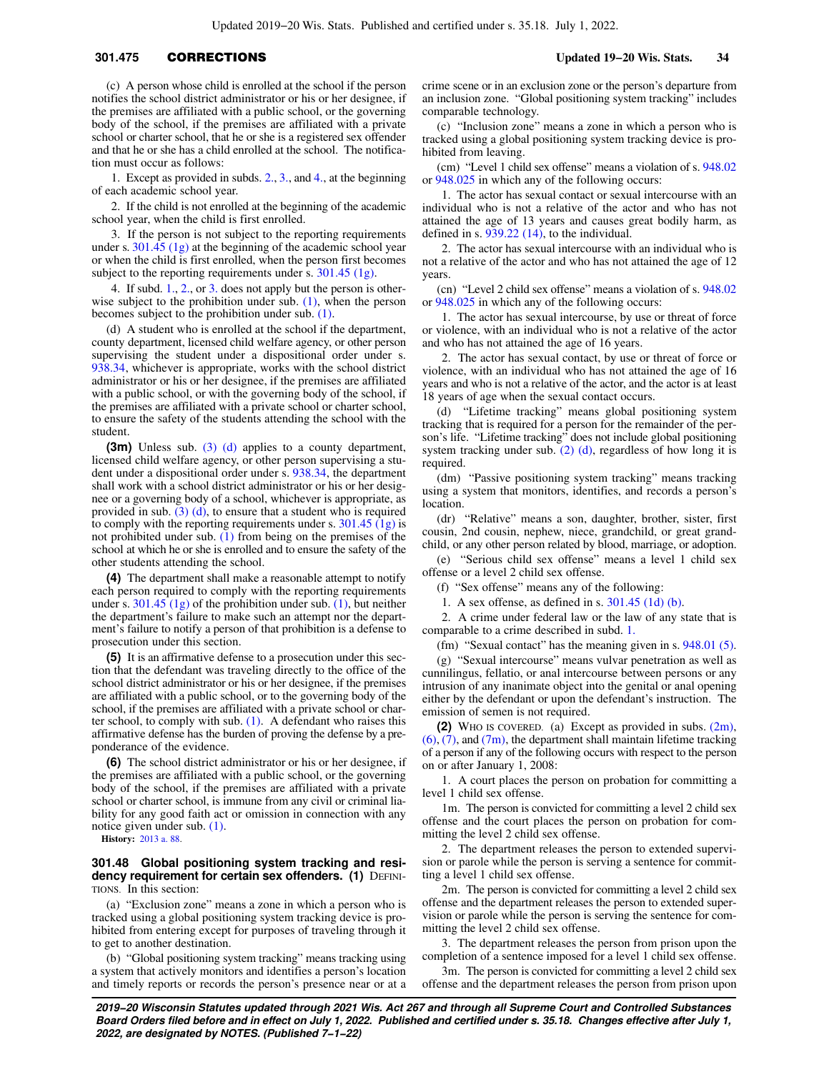# **301.475** CORRECTIONS **Updated 19−20 Wis. Stats. 34**

(c) A person whose child is enrolled at the school if the person notifies the school district administrator or his or her designee, if the premises are affiliated with a public school, or the governing body of the school, if the premises are affiliated with a private school or charter school, that he or she is a registered sex offender and that he or she has a child enrolled at the school. The notification must occur as follows:

1. Except as provided in subds. [2.](https://docs.legis.wisconsin.gov/document/statutes/301.475(3)(c)2.), [3.](https://docs.legis.wisconsin.gov/document/statutes/301.475(3)(c)3.), and [4.,](https://docs.legis.wisconsin.gov/document/statutes/301.475(3)(c)4.) at the beginning of each academic school year.

2. If the child is not enrolled at the beginning of the academic school year, when the child is first enrolled.

3. If the person is not subject to the reporting requirements under s. [301.45 \(1g\)](https://docs.legis.wisconsin.gov/document/statutes/301.45(1g)) at the beginning of the academic school year or when the child is first enrolled, when the person first becomes subject to the reporting requirements under s. [301.45 \(1g\)](https://docs.legis.wisconsin.gov/document/statutes/301.45(1g)).

4. If subd. [1.](https://docs.legis.wisconsin.gov/document/statutes/301.475(3)(c)1.), [2.](https://docs.legis.wisconsin.gov/document/statutes/301.475(3)(c)2.), or [3.](https://docs.legis.wisconsin.gov/document/statutes/301.475(3)(c)3.) does not apply but the person is otherwise subject to the prohibition under sub.  $(1)$ , when the person becomes subject to the prohibition under sub. [\(1\)](https://docs.legis.wisconsin.gov/document/statutes/301.475(1)).

(d) A student who is enrolled at the school if the department, county department, licensed child welfare agency, or other person supervising the student under a dispositional order under s. [938.34,](https://docs.legis.wisconsin.gov/document/statutes/938.34) whichever is appropriate, works with the school district administrator or his or her designee, if the premises are affiliated with a public school, or with the governing body of the school, if the premises are affiliated with a private school or charter school, to ensure the safety of the students attending the school with the student.

**(3m)** Unless sub. [\(3\) \(d\)](https://docs.legis.wisconsin.gov/document/statutes/301.475(3)(d)) applies to a county department, licensed child welfare agency, or other person supervising a student under a dispositional order under s. [938.34](https://docs.legis.wisconsin.gov/document/statutes/938.34), the department shall work with a school district administrator or his or her designee or a governing body of a school, whichever is appropriate, as provided in sub. [\(3\) \(d\)](https://docs.legis.wisconsin.gov/document/statutes/301.475(3)(d)), to ensure that a student who is required to comply with the reporting requirements under s. [301.45 \(1g\)](https://docs.legis.wisconsin.gov/document/statutes/301.45(1g)) is not prohibited under sub. [\(1\)](https://docs.legis.wisconsin.gov/document/statutes/301.475(1)) from being on the premises of the school at which he or she is enrolled and to ensure the safety of the other students attending the school.

**(4)** The department shall make a reasonable attempt to notify each person required to comply with the reporting requirements under s.  $301.45$  (1g) of the prohibition under sub. [\(1\)](https://docs.legis.wisconsin.gov/document/statutes/301.475(1)), but neither the department's failure to make such an attempt nor the department's failure to notify a person of that prohibition is a defense to prosecution under this section.

**(5)** It is an affirmative defense to a prosecution under this section that the defendant was traveling directly to the office of the school district administrator or his or her designee, if the premises are affiliated with a public school, or to the governing body of the school, if the premises are affiliated with a private school or charter school, to comply with sub. [\(1\).](https://docs.legis.wisconsin.gov/document/statutes/301.475(1)) A defendant who raises this affirmative defense has the burden of proving the defense by a preponderance of the evidence.

**(6)** The school district administrator or his or her designee, if the premises are affiliated with a public school, or the governing body of the school, if the premises are affiliated with a private school or charter school, is immune from any civil or criminal liability for any good faith act or omission in connection with any notice given under sub. [\(1\)](https://docs.legis.wisconsin.gov/document/statutes/301.475(1)).

**History:** [2013 a. 88.](https://docs.legis.wisconsin.gov/document/acts/2013/88)

### **301.48 Global positioning system tracking and residency requirement for certain sex offenders. (1)** DEFINI-TIONS. In this section:

(a) "Exclusion zone" means a zone in which a person who is tracked using a global positioning system tracking device is prohibited from entering except for purposes of traveling through it to get to another destination.

(b) "Global positioning system tracking" means tracking using a system that actively monitors and identifies a person's location and timely reports or records the person's presence near or at a crime scene or in an exclusion zone or the person's departure from an inclusion zone. "Global positioning system tracking" includes comparable technology.

(c) "Inclusion zone" means a zone in which a person who is tracked using a global positioning system tracking device is prohibited from leaving.

(cm) "Level 1 child sex offense" means a violation of s. [948.02](https://docs.legis.wisconsin.gov/document/statutes/948.02) or [948.025](https://docs.legis.wisconsin.gov/document/statutes/948.025) in which any of the following occurs:

1. The actor has sexual contact or sexual intercourse with an individual who is not a relative of the actor and who has not attained the age of 13 years and causes great bodily harm, as defined in s. [939.22 \(14\)](https://docs.legis.wisconsin.gov/document/statutes/939.22(14)), to the individual.

2. The actor has sexual intercourse with an individual who is not a relative of the actor and who has not attained the age of 12 years.

(cn) "Level 2 child sex offense" means a violation of s. [948.02](https://docs.legis.wisconsin.gov/document/statutes/948.02) or [948.025](https://docs.legis.wisconsin.gov/document/statutes/948.025) in which any of the following occurs:

1. The actor has sexual intercourse, by use or threat of force or violence, with an individual who is not a relative of the actor and who has not attained the age of 16 years.

2. The actor has sexual contact, by use or threat of force or violence, with an individual who has not attained the age of 16 years and who is not a relative of the actor, and the actor is at least 18 years of age when the sexual contact occurs.

(d) "Lifetime tracking" means global positioning system tracking that is required for a person for the remainder of the person's life. "Lifetime tracking" does not include global positioning system tracking under sub.  $(2)$  (d), regardless of how long it is required.

(dm) "Passive positioning system tracking" means tracking using a system that monitors, identifies, and records a person's location.

(dr) "Relative" means a son, daughter, brother, sister, first cousin, 2nd cousin, nephew, niece, grandchild, or great grandchild, or any other person related by blood, marriage, or adoption.

(e) "Serious child sex offense" means a level 1 child sex offense or a level 2 child sex offense.

(f) "Sex offense" means any of the following:

1. A sex offense, as defined in s. [301.45 \(1d\) \(b\).](https://docs.legis.wisconsin.gov/document/statutes/301.45(1d)(b))

2. A crime under federal law or the law of any state that is comparable to a crime described in subd. [1.](https://docs.legis.wisconsin.gov/document/statutes/301.48(1)(f)1.)

(fm) "Sexual contact" has the meaning given in s. [948.01 \(5\).](https://docs.legis.wisconsin.gov/document/statutes/948.01(5))

(g) "Sexual intercourse" means vulvar penetration as well as cunnilingus, fellatio, or anal intercourse between persons or any intrusion of any inanimate object into the genital or anal opening either by the defendant or upon the defendant's instruction. The emission of semen is not required.

**(2)** WHO IS COVERED. (a) Except as provided in subs. [\(2m\),](https://docs.legis.wisconsin.gov/document/statutes/301.48(2m))  $(6)$ , [\(7\)](https://docs.legis.wisconsin.gov/document/statutes/301.48(7)), and [\(7m\)](https://docs.legis.wisconsin.gov/document/statutes/301.48(7m)), the department shall maintain lifetime tracking of a person if any of the following occurs with respect to the person on or after January 1, 2008:

1. A court places the person on probation for committing a level 1 child sex offense.

1m. The person is convicted for committing a level 2 child sex offense and the court places the person on probation for committing the level 2 child sex offense.

2. The department releases the person to extended supervision or parole while the person is serving a sentence for committing a level 1 child sex offense.

2m. The person is convicted for committing a level 2 child sex offense and the department releases the person to extended supervision or parole while the person is serving the sentence for committing the level 2 child sex offense.

3. The department releases the person from prison upon the completion of a sentence imposed for a level 1 child sex offense.

3m. The person is convicted for committing a level 2 child sex offense and the department releases the person from prison upon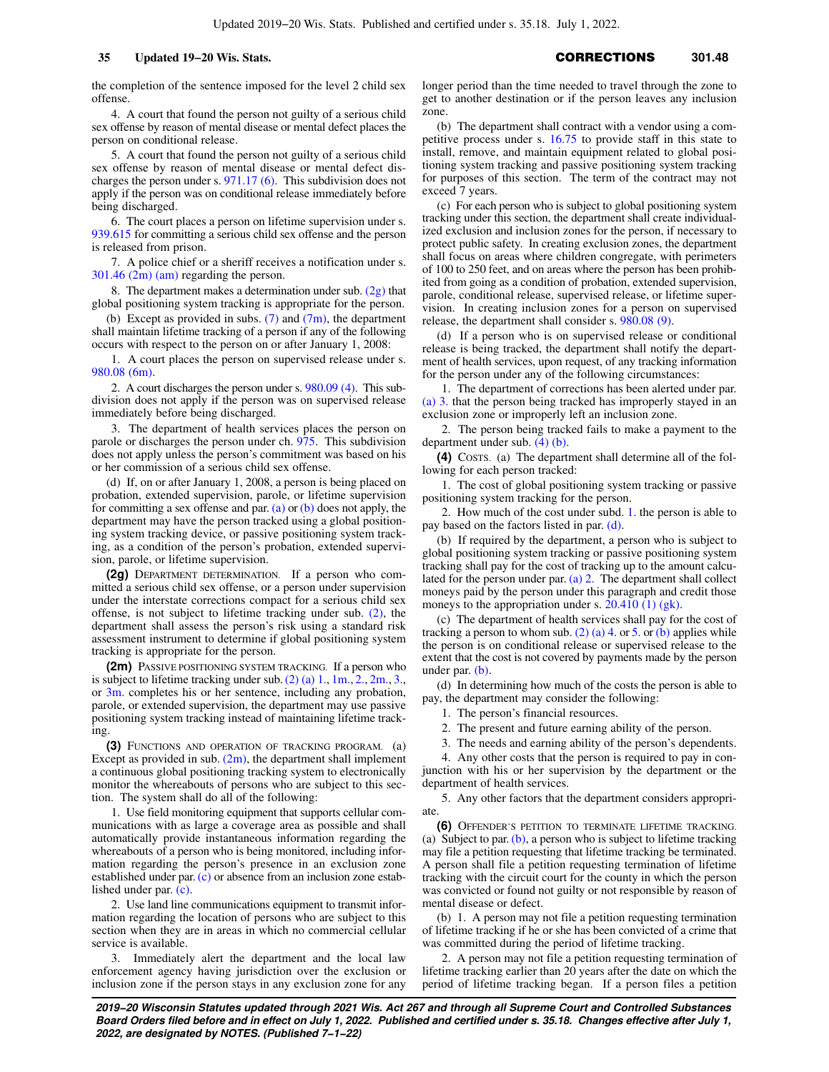the completion of the sentence imposed for the level 2 child sex offense.

4. A court that found the person not guilty of a serious child sex offense by reason of mental disease or mental defect places the person on conditional release.

5. A court that found the person not guilty of a serious child sex offense by reason of mental disease or mental defect discharges the person under s. [971.17 \(6\).](https://docs.legis.wisconsin.gov/document/statutes/971.17(6)) This subdivision does not apply if the person was on conditional release immediately before being discharged.

6. The court places a person on lifetime supervision under s. [939.615](https://docs.legis.wisconsin.gov/document/statutes/939.615) for committing a serious child sex offense and the person is released from prison.

7. A police chief or a sheriff receives a notification under s. [301.46 \(2m\) \(am\)](https://docs.legis.wisconsin.gov/document/statutes/301.46(2m)(am)) regarding the person.

8. The department makes a determination under sub.  $(2g)$  that global positioning system tracking is appropriate for the person.

(b) Except as provided in subs.  $(7)$  and  $(7m)$ , the department shall maintain lifetime tracking of a person if any of the following occurs with respect to the person on or after January 1, 2008:

1. A court places the person on supervised release under s. [980.08 \(6m\).](https://docs.legis.wisconsin.gov/document/statutes/980.08(6m))

2. A court discharges the person under s. [980.09 \(4\)](https://docs.legis.wisconsin.gov/document/statutes/980.09(4)). This subdivision does not apply if the person was on supervised release immediately before being discharged.

3. The department of health services places the person on parole or discharges the person under ch. [975.](https://docs.legis.wisconsin.gov/document/statutes/ch.%20975) This subdivision does not apply unless the person's commitment was based on his or her commission of a serious child sex offense.

(d) If, on or after January 1, 2008, a person is being placed on probation, extended supervision, parole, or lifetime supervision for committing a sex offense and par.  $(a)$  or  $(b)$  does not apply, the department may have the person tracked using a global positioning system tracking device, or passive positioning system tracking, as a condition of the person's probation, extended supervision, parole, or lifetime supervision.

**(2g)** DEPARTMENT DETERMINATION. If a person who committed a serious child sex offense, or a person under supervision under the interstate corrections compact for a serious child sex offense, is not subject to lifetime tracking under sub. [\(2\)](https://docs.legis.wisconsin.gov/document/statutes/301.48(2)), the department shall assess the person's risk using a standard risk assessment instrument to determine if global positioning system tracking is appropriate for the person.

**(2m)** PASSIVE POSITIONING SYSTEM TRACKING. If a person who is subject to lifetime tracking under sub.[\(2\) \(a\) 1.](https://docs.legis.wisconsin.gov/document/statutes/301.48(2)(a)1.), [1m.,](https://docs.legis.wisconsin.gov/document/statutes/301.48(2)(a)1m.) [2.](https://docs.legis.wisconsin.gov/document/statutes/301.48(2)(a)2.), [2m.](https://docs.legis.wisconsin.gov/document/statutes/301.48(2)(a)2m.), [3.,](https://docs.legis.wisconsin.gov/document/statutes/301.48(2)(a)3.) or [3m.](https://docs.legis.wisconsin.gov/document/statutes/301.48(2)(a)3m.) completes his or her sentence, including any probation, parole, or extended supervision, the department may use passive positioning system tracking instead of maintaining lifetime tracking.

**(3)** FUNCTIONS AND OPERATION OF TRACKING PROGRAM. (a) Except as provided in sub.  $(2m)$ , the department shall implement a continuous global positioning tracking system to electronically monitor the whereabouts of persons who are subject to this section. The system shall do all of the following:

1. Use field monitoring equipment that supports cellular communications with as large a coverage area as possible and shall automatically provide instantaneous information regarding the whereabouts of a person who is being monitored, including information regarding the person's presence in an exclusion zone established under par. [\(c\)](https://docs.legis.wisconsin.gov/document/statutes/301.48(3)(c)) or absence from an inclusion zone established under par. [\(c\)](https://docs.legis.wisconsin.gov/document/statutes/301.48(3)(c)).

2. Use land line communications equipment to transmit information regarding the location of persons who are subject to this section when they are in areas in which no commercial cellular service is available.

3. Immediately alert the department and the local law enforcement agency having jurisdiction over the exclusion or inclusion zone if the person stays in any exclusion zone for any

longer period than the time needed to travel through the zone to get to another destination or if the person leaves any inclusion zone.

(b) The department shall contract with a vendor using a competitive process under s. [16.75](https://docs.legis.wisconsin.gov/document/statutes/16.75) to provide staff in this state to install, remove, and maintain equipment related to global positioning system tracking and passive positioning system tracking for purposes of this section. The term of the contract may not exceed 7 years.

(c) For each person who is subject to global positioning system tracking under this section, the department shall create individualized exclusion and inclusion zones for the person, if necessary to protect public safety. In creating exclusion zones, the department shall focus on areas where children congregate, with perimeters of 100 to 250 feet, and on areas where the person has been prohibited from going as a condition of probation, extended supervision, parole, conditional release, supervised release, or lifetime supervision. In creating inclusion zones for a person on supervised release, the department shall consider s. [980.08 \(9\)](https://docs.legis.wisconsin.gov/document/statutes/980.08(9)).

(d) If a person who is on supervised release or conditional release is being tracked, the department shall notify the department of health services, upon request, of any tracking information for the person under any of the following circumstances:

1. The department of corrections has been alerted under par. [\(a\) 3.](https://docs.legis.wisconsin.gov/document/statutes/301.48(3)(a)3.) that the person being tracked has improperly stayed in an exclusion zone or improperly left an inclusion zone.

2. The person being tracked fails to make a payment to the department under sub. [\(4\) \(b\)](https://docs.legis.wisconsin.gov/document/statutes/301.48(4)(b)).

**(4)** COSTS. (a) The department shall determine all of the following for each person tracked:

1. The cost of global positioning system tracking or passive positioning system tracking for the person.

2. How much of the cost under subd. [1.](https://docs.legis.wisconsin.gov/document/statutes/301.48(4)(a)1.) the person is able to pay based on the factors listed in par. [\(d\)](https://docs.legis.wisconsin.gov/document/statutes/301.48(4)(d)).

(b) If required by the department, a person who is subject to global positioning system tracking or passive positioning system tracking shall pay for the cost of tracking up to the amount calculated for the person under par. [\(a\) 2.](https://docs.legis.wisconsin.gov/document/statutes/301.48(4)(a)2.) The department shall collect moneys paid by the person under this paragraph and credit those moneys to the appropriation under s.  $20.410(1)$  (gk).

(c) The department of health services shall pay for the cost of tracking a person to whom sub. [\(2\) \(a\) 4.](https://docs.legis.wisconsin.gov/document/statutes/301.48(2)(a)4.) or [5.](https://docs.legis.wisconsin.gov/document/statutes/301.48(2)(a)5.) or [\(b\)](https://docs.legis.wisconsin.gov/document/statutes/301.48(2)(b)) applies while the person is on conditional release or supervised release to the extent that the cost is not covered by payments made by the person under par. [\(b\)](https://docs.legis.wisconsin.gov/document/statutes/301.48(4)(b)).

(d) In determining how much of the costs the person is able to pay, the department may consider the following:

1. The person's financial resources.

2. The present and future earning ability of the person.

3. The needs and earning ability of the person's dependents.

4. Any other costs that the person is required to pay in conjunction with his or her supervision by the department or the department of health services.

5. Any other factors that the department considers appropriate.

**(6)** OFFENDER'S PETITION TO TERMINATE LIFETIME TRACKING. (a) Subject to par.  $(b)$ , a person who is subject to lifetime tracking may file a petition requesting that lifetime tracking be terminated. A person shall file a petition requesting termination of lifetime tracking with the circuit court for the county in which the person was convicted or found not guilty or not responsible by reason of mental disease or defect.

(b) 1. A person may not file a petition requesting termination of lifetime tracking if he or she has been convicted of a crime that was committed during the period of lifetime tracking.

2. A person may not file a petition requesting termination of lifetime tracking earlier than 20 years after the date on which the period of lifetime tracking began. If a person files a petition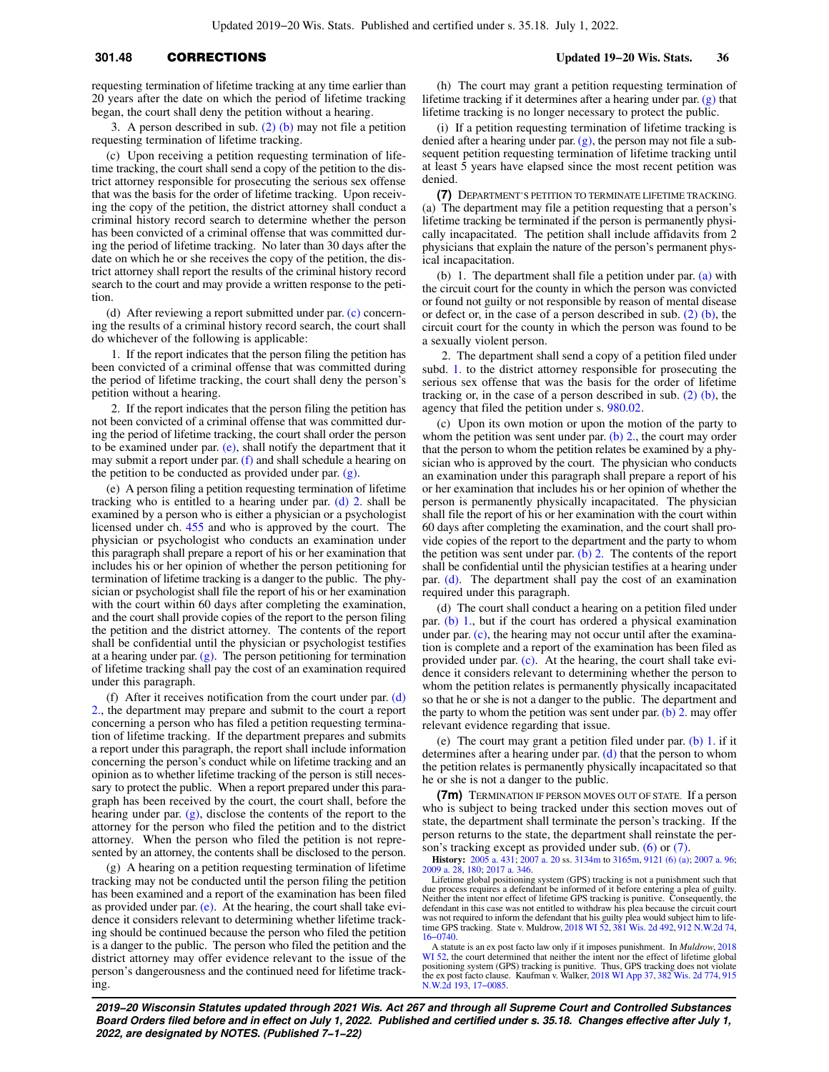# **301.48** CORRECTIONS **Updated 19−20 Wis. Stats. 36**

requesting termination of lifetime tracking at any time earlier than 20 years after the date on which the period of lifetime tracking began, the court shall deny the petition without a hearing.

3. A person described in sub. [\(2\) \(b\)](https://docs.legis.wisconsin.gov/document/statutes/301.48(2)(b)) may not file a petition requesting termination of lifetime tracking.

(c) Upon receiving a petition requesting termination of lifetime tracking, the court shall send a copy of the petition to the district attorney responsible for prosecuting the serious sex offense that was the basis for the order of lifetime tracking. Upon receiving the copy of the petition, the district attorney shall conduct a criminal history record search to determine whether the person has been convicted of a criminal offense that was committed during the period of lifetime tracking. No later than 30 days after the date on which he or she receives the copy of the petition, the district attorney shall report the results of the criminal history record search to the court and may provide a written response to the petition.

(d) After reviewing a report submitted under par. [\(c\)](https://docs.legis.wisconsin.gov/document/statutes/301.48(6)(c)) concerning the results of a criminal history record search, the court shall do whichever of the following is applicable:

1. If the report indicates that the person filing the petition has been convicted of a criminal offense that was committed during the period of lifetime tracking, the court shall deny the person's petition without a hearing.

2. If the report indicates that the person filing the petition has not been convicted of a criminal offense that was committed during the period of lifetime tracking, the court shall order the person to be examined under par. [\(e\)](https://docs.legis.wisconsin.gov/document/statutes/301.48(6)(e)), shall notify the department that it may submit a report under par.  $(f)$  and shall schedule a hearing on the petition to be conducted as provided under par. [\(g\).](https://docs.legis.wisconsin.gov/document/statutes/301.48(6)(g))

(e) A person filing a petition requesting termination of lifetime tracking who is entitled to a hearing under par. [\(d\) 2.](https://docs.legis.wisconsin.gov/document/statutes/301.48(6)(d)2.) shall be examined by a person who is either a physician or a psychologist licensed under ch. [455](https://docs.legis.wisconsin.gov/document/statutes/ch.%20455) and who is approved by the court. The physician or psychologist who conducts an examination under this paragraph shall prepare a report of his or her examination that includes his or her opinion of whether the person petitioning for termination of lifetime tracking is a danger to the public. The physician or psychologist shall file the report of his or her examination with the court within 60 days after completing the examination, and the court shall provide copies of the report to the person filing the petition and the district attorney. The contents of the report shall be confidential until the physician or psychologist testifies at a hearing under par.  $(g)$ . The person petitioning for termination of lifetime tracking shall pay the cost of an examination required under this paragraph.

(f) After it receives notification from the court under par.  $(d)$ [2.,](https://docs.legis.wisconsin.gov/document/statutes/301.48(6)(d)2.) the department may prepare and submit to the court a report concerning a person who has filed a petition requesting termination of lifetime tracking. If the department prepares and submits a report under this paragraph, the report shall include information concerning the person's conduct while on lifetime tracking and an opinion as to whether lifetime tracking of the person is still necessary to protect the public. When a report prepared under this paragraph has been received by the court, the court shall, before the hearing under par.  $(g)$ , disclose the contents of the report to the attorney for the person who filed the petition and to the district attorney. When the person who filed the petition is not represented by an attorney, the contents shall be disclosed to the person.

(g) A hearing on a petition requesting termination of lifetime tracking may not be conducted until the person filing the petition has been examined and a report of the examination has been filed as provided under par.  $(e)$ . At the hearing, the court shall take evidence it considers relevant to determining whether lifetime tracking should be continued because the person who filed the petition is a danger to the public. The person who filed the petition and the district attorney may offer evidence relevant to the issue of the person's dangerousness and the continued need for lifetime tracking.

(h) The court may grant a petition requesting termination of lifetime tracking if it determines after a hearing under par. [\(g\)](https://docs.legis.wisconsin.gov/document/statutes/301.48(6)(g)) that lifetime tracking is no longer necessary to protect the public.

(i) If a petition requesting termination of lifetime tracking is denied after a hearing under par.  $(g)$ , the person may not file a subsequent petition requesting termination of lifetime tracking until at least 5 years have elapsed since the most recent petition was denied.

**(7)** DEPARTMENT'S PETITION TO TERMINATE LIFETIME TRACKING. (a) The department may file a petition requesting that a person's lifetime tracking be terminated if the person is permanently physically incapacitated. The petition shall include affidavits from 2 physicians that explain the nature of the person's permanent physical incapacitation.

(b) 1. The department shall file a petition under par. [\(a\)](https://docs.legis.wisconsin.gov/document/statutes/301.48(7)(a)) with the circuit court for the county in which the person was convicted or found not guilty or not responsible by reason of mental disease or defect or, in the case of a person described in sub. [\(2\) \(b\),](https://docs.legis.wisconsin.gov/document/statutes/301.48(2)(b)) the circuit court for the county in which the person was found to be a sexually violent person.

2. The department shall send a copy of a petition filed under subd. [1.](https://docs.legis.wisconsin.gov/document/statutes/301.48(7)(b)1.) to the district attorney responsible for prosecuting the serious sex offense that was the basis for the order of lifetime tracking or, in the case of a person described in sub.  $(2)$  (b), the agency that filed the petition under s. [980.02.](https://docs.legis.wisconsin.gov/document/statutes/980.02)

(c) Upon its own motion or upon the motion of the party to whom the petition was sent under par. [\(b\) 2.,](https://docs.legis.wisconsin.gov/document/statutes/301.48(7)(b)2.) the court may order that the person to whom the petition relates be examined by a physician who is approved by the court. The physician who conducts an examination under this paragraph shall prepare a report of his or her examination that includes his or her opinion of whether the person is permanently physically incapacitated. The physician shall file the report of his or her examination with the court within 60 days after completing the examination, and the court shall provide copies of the report to the department and the party to whom the petition was sent under par. [\(b\) 2.](https://docs.legis.wisconsin.gov/document/statutes/301.48(7)(b)2.) The contents of the report shall be confidential until the physician testifies at a hearing under par. [\(d\)](https://docs.legis.wisconsin.gov/document/statutes/301.48(7)(d)). The department shall pay the cost of an examination required under this paragraph.

(d) The court shall conduct a hearing on a petition filed under par. [\(b\) 1.,](https://docs.legis.wisconsin.gov/document/statutes/301.48(7)(b)1.) but if the court has ordered a physical examination under par. [\(c\)](https://docs.legis.wisconsin.gov/document/statutes/301.48(7)(c)), the hearing may not occur until after the examination is complete and a report of the examination has been filed as provided under par. [\(c\)](https://docs.legis.wisconsin.gov/document/statutes/301.48(7)(c)). At the hearing, the court shall take evidence it considers relevant to determining whether the person to whom the petition relates is permanently physically incapacitated so that he or she is not a danger to the public. The department and the party to whom the petition was sent under par. [\(b\) 2.](https://docs.legis.wisconsin.gov/document/statutes/301.48(7)(b)2.) may offer relevant evidence regarding that issue.

(e) The court may grant a petition filed under par. [\(b\) 1.](https://docs.legis.wisconsin.gov/document/statutes/301.48(7)(b)1.) if it determines after a hearing under par.  $(d)$  that the person to whom the petition relates is permanently physically incapacitated so that he or she is not a danger to the public.

**(7m)** TERMINATION IF PERSON MOVES OUT OF STATE. If a person who is subject to being tracked under this section moves out of state, the department shall terminate the person's tracking. If the person returns to the state, the department shall reinstate the person's tracking except as provided under sub. [\(6\)](https://docs.legis.wisconsin.gov/document/statutes/301.48(6)) or [\(7\)](https://docs.legis.wisconsin.gov/document/statutes/301.48(7)).

**History:** [2005 a. 431;](https://docs.legis.wisconsin.gov/document/acts/2005/431) [2007 a. 20](https://docs.legis.wisconsin.gov/document/acts/2007/20) ss. [3134m](https://docs.legis.wisconsin.gov/document/acts/2007/20,%20s.%203134m) to [3165m](https://docs.legis.wisconsin.gov/document/acts/2007/20,%20s.%203165m), [9121 \(6\) \(a\)](https://docs.legis.wisconsin.gov/document/acts/2007/20,%20s.%209121); [2007 a. 96](https://docs.legis.wisconsin.gov/document/acts/2007/96); [2009 a. 28](https://docs.legis.wisconsin.gov/document/acts/2009/28), [180;](https://docs.legis.wisconsin.gov/document/acts/2009/180) [2017 a. 346](https://docs.legis.wisconsin.gov/document/acts/2017/346).

Lifetime global positioning system (GPS) tracking is not a punishment such that due process requires a defendant be informed of it before entering a plea of guilty. Neither the intent nor effect of lifetime GPS tracking is punitive. Consequently, the defendant in this case was not entitled to withdraw his plea because the circuit court was not required to inform the defendant that his guilty plea would subject him to lifetime GPS tracking. State v. Muldrow, [2018 WI 52,](https://docs.legis.wisconsin.gov/document/courts/2018%20WI%2052) [381 Wis. 2d 492,](https://docs.legis.wisconsin.gov/document/courts/381%20Wis.%202d%20492) [912 N.W.2d 74](https://docs.legis.wisconsin.gov/document/courts/912%20N.W.2d%2074), [16−0740.](https://docs.legis.wisconsin.gov/document/wisupremecourt/16-0740)

A statute is an ex post facto law only if it imposes punishment. In *Muldrow*, [2018](https://docs.legis.wisconsin.gov/document/courts/2018%20WI%2052) [WI 52,](https://docs.legis.wisconsin.gov/document/courts/2018%20WI%2052) the court determined that neither the intent nor the effect of lifetime global positioning system (GPS) tracking is punitive. Thus, GPS tracking does not violate the ex post facto clause. Kaufman v. Walker, [2018 WI App 37,](https://docs.legis.wisconsin.gov/document/courts/2018%20WI%20App%2037) [382 Wis. 2d 774,](https://docs.legis.wisconsin.gov/document/courts/382%20Wis.%202d%20774) [915](https://docs.legis.wisconsin.gov/document/courts/915%20N.W.2d%20193) [N.W.2d 193,](https://docs.legis.wisconsin.gov/document/courts/915%20N.W.2d%20193) [17−0085.](https://docs.legis.wisconsin.gov/document/wicourtofappeals/17-0085)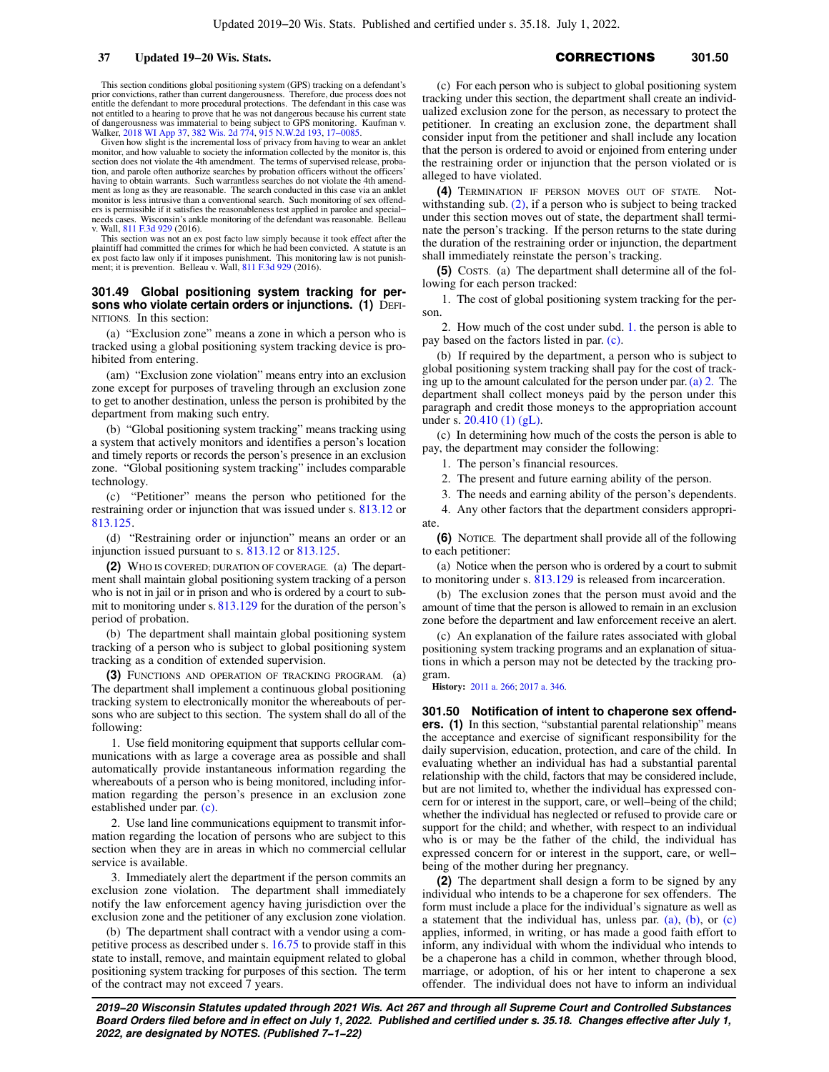This section conditions global positioning system (GPS) tracking on a defendant's prior convictions, rather than current dangerousness. Therefore, due process does not entitle the defendant to more procedural protections. The defendant in this case was not entitled to a hearing to prove that he was not dangerous because his current state of dangerousness was immaterial to being subject to GPS monitoring. Kaufman v. Walker, [2018 WI App 37](https://docs.legis.wisconsin.gov/document/courts/2018%20WI%20App%2037), [382 Wis. 2d 774,](https://docs.legis.wisconsin.gov/document/courts/382%20Wis.%202d%20774) [915 N.W.2d 193,](https://docs.legis.wisconsin.gov/document/courts/915%20N.W.2d%20193) [17−0085.](https://docs.legis.wisconsin.gov/document/wicourtofappeals/17-0085)

Given how slight is the incremental loss of privacy from having to wear an anklet monitor, and how valuable to society the information collected by the monitor is, this section does not violate the 4th amendment. The terms of supervised release, probation, and parole often authorize searches by probation officers without the officers' having to obtain warrants. Such warrantless searches do not violate the 4th amendment as long as they are reasonable. The search conducted in this case via an anklet monitor is less intrusive than a conventional search. Such monitoring of sex offenders is permissible if it satisfies the reasonableness test applied in parolee and special− needs cases. Wisconsin's ankle monitoring of the defendant was reasonable. Belleau v. Wall, [811 F.3d 929](https://docs.legis.wisconsin.gov/document/courts/811%20F.3d%20929) (2016).

This section was not an ex post facto law simply because it took effect after the plaintiff had committed the crimes for which he had been convicted. A statute is an ex post facto law only if it imposes punishment. This monitoring law is not punishment; it is prevention. Belleau v. Wall, [811 F.3d 929](https://docs.legis.wisconsin.gov/document/courts/811%20F.3d%20929) (2016).

### **301.49 Global positioning system tracking for persons who violate certain orders or injunctions. (1)** DEFI-NITIONS. In this section:

(a) "Exclusion zone" means a zone in which a person who is tracked using a global positioning system tracking device is prohibited from entering.

(am) "Exclusion zone violation" means entry into an exclusion zone except for purposes of traveling through an exclusion zone to get to another destination, unless the person is prohibited by the department from making such entry.

(b) "Global positioning system tracking" means tracking using a system that actively monitors and identifies a person's location and timely reports or records the person's presence in an exclusion zone. "Global positioning system tracking" includes comparable technology.

(c) "Petitioner" means the person who petitioned for the restraining order or injunction that was issued under s. [813.12](https://docs.legis.wisconsin.gov/document/statutes/813.12) or [813.125](https://docs.legis.wisconsin.gov/document/statutes/813.125).

(d) "Restraining order or injunction" means an order or an injunction issued pursuant to s. [813.12](https://docs.legis.wisconsin.gov/document/statutes/813.12) or [813.125.](https://docs.legis.wisconsin.gov/document/statutes/813.125)

**(2)** WHO IS COVERED; DURATION OF COVERAGE. (a) The department shall maintain global positioning system tracking of a person who is not in jail or in prison and who is ordered by a court to submit to monitoring under s. [813.129](https://docs.legis.wisconsin.gov/document/statutes/813.129) for the duration of the person's period of probation.

(b) The department shall maintain global positioning system tracking of a person who is subject to global positioning system tracking as a condition of extended supervision.

**(3)** FUNCTIONS AND OPERATION OF TRACKING PROGRAM. (a) The department shall implement a continuous global positioning tracking system to electronically monitor the whereabouts of persons who are subject to this section. The system shall do all of the following:

1. Use field monitoring equipment that supports cellular communications with as large a coverage area as possible and shall automatically provide instantaneous information regarding the whereabouts of a person who is being monitored, including information regarding the person's presence in an exclusion zone established under par. [\(c\).](https://docs.legis.wisconsin.gov/document/statutes/301.49(3)(c))

2. Use land line communications equipment to transmit information regarding the location of persons who are subject to this section when they are in areas in which no commercial cellular service is available.

3. Immediately alert the department if the person commits an exclusion zone violation. The department shall immediately notify the law enforcement agency having jurisdiction over the exclusion zone and the petitioner of any exclusion zone violation.

(b) The department shall contract with a vendor using a competitive process as described under s. [16.75](https://docs.legis.wisconsin.gov/document/statutes/16.75) to provide staff in this state to install, remove, and maintain equipment related to global positioning system tracking for purposes of this section. The term of the contract may not exceed 7 years.

# **37 Updated 19−20 Wis. Stats. CORRECTIONS** 301.50

(c) For each person who is subject to global positioning system tracking under this section, the department shall create an individualized exclusion zone for the person, as necessary to protect the petitioner. In creating an exclusion zone, the department shall consider input from the petitioner and shall include any location that the person is ordered to avoid or enjoined from entering under the restraining order or injunction that the person violated or is alleged to have violated.

**(4)** TERMINATION IF PERSON MOVES OUT OF STATE. Notwithstanding sub. [\(2\)](https://docs.legis.wisconsin.gov/document/statutes/301.49(2)), if a person who is subject to being tracked under this section moves out of state, the department shall terminate the person's tracking. If the person returns to the state during the duration of the restraining order or injunction, the department shall immediately reinstate the person's tracking.

**(5)** COSTS. (a) The department shall determine all of the following for each person tracked:

1. The cost of global positioning system tracking for the person.

2. How much of the cost under subd. [1.](https://docs.legis.wisconsin.gov/document/statutes/301.49(5)(a)1.) the person is able to pay based on the factors listed in par. [\(c\).](https://docs.legis.wisconsin.gov/document/statutes/301.49(5)(c))

(b) If required by the department, a person who is subject to global positioning system tracking shall pay for the cost of tracking up to the amount calculated for the person under par. [\(a\) 2.](https://docs.legis.wisconsin.gov/document/statutes/301.49(5)(a)2.) The department shall collect moneys paid by the person under this paragraph and credit those moneys to the appropriation account under s.  $20.410(1)$  (gL).

(c) In determining how much of the costs the person is able to pay, the department may consider the following:

1. The person's financial resources.

2. The present and future earning ability of the person.

3. The needs and earning ability of the person's dependents.

4. Any other factors that the department considers appropriate.

**(6)** NOTICE. The department shall provide all of the following to each petitioner:

(a) Notice when the person who is ordered by a court to submit to monitoring under s.  $\frac{813.129}{2}$  $\frac{813.129}{2}$  $\frac{813.129}{2}$  is released from incarceration.

(b) The exclusion zones that the person must avoid and the amount of time that the person is allowed to remain in an exclusion zone before the department and law enforcement receive an alert.

(c) An explanation of the failure rates associated with global positioning system tracking programs and an explanation of situations in which a person may not be detected by the tracking program.

**History:** [2011 a. 266](https://docs.legis.wisconsin.gov/document/acts/2011/266); [2017 a. 346.](https://docs.legis.wisconsin.gov/document/acts/2017/346)

**301.50 Notification of intent to chaperone sex offenders.** (1) In this section, "substantial parental relationship" means the acceptance and exercise of significant responsibility for the daily supervision, education, protection, and care of the child. In evaluating whether an individual has had a substantial parental relationship with the child, factors that may be considered include, but are not limited to, whether the individual has expressed concern for or interest in the support, care, or well−being of the child; whether the individual has neglected or refused to provide care or support for the child; and whether, with respect to an individual who is or may be the father of the child, the individual has expressed concern for or interest in the support, care, or well− being of the mother during her pregnancy.

**(2)** The department shall design a form to be signed by any individual who intends to be a chaperone for sex offenders. The form must include a place for the individual's signature as well as a statement that the individual has, unless par. [\(a\),](https://docs.legis.wisconsin.gov/document/statutes/301.50(2)(a)) [\(b\)](https://docs.legis.wisconsin.gov/document/statutes/301.50(2)(b)), or [\(c\)](https://docs.legis.wisconsin.gov/document/statutes/301.50(2)(c)) applies, informed, in writing, or has made a good faith effort to inform, any individual with whom the individual who intends to be a chaperone has a child in common, whether through blood, marriage, or adoption, of his or her intent to chaperone a sex offender. The individual does not have to inform an individual